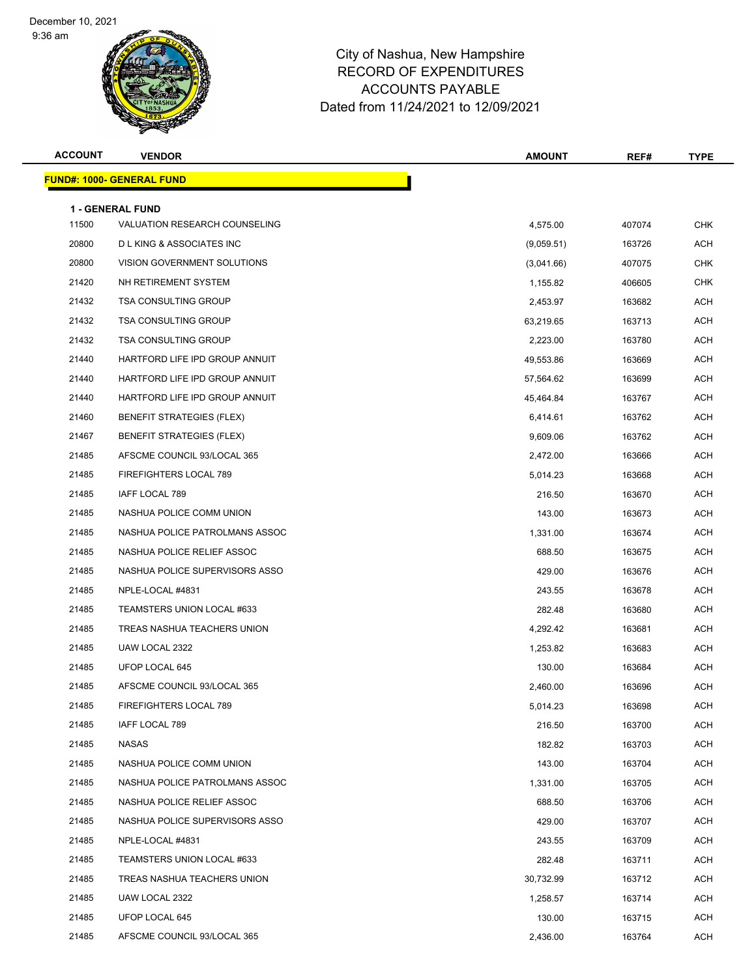9:36 am



| <b>ACCOUNT</b> | <b>VENDOR</b>                                                   | <b>AMOUNT</b> | REF#   | <b>TYPE</b> |
|----------------|-----------------------------------------------------------------|---------------|--------|-------------|
|                | <b>FUND#: 1000- GENERAL FUND</b>                                |               |        |             |
|                |                                                                 |               |        |             |
| 11500          | <b>1 - GENERAL FUND</b><br><b>VALUATION RESEARCH COUNSELING</b> | 4,575.00      | 407074 | <b>CHK</b>  |
| 20800          | <b>DLKING &amp; ASSOCIATES INC</b>                              | (9,059.51)    | 163726 | <b>ACH</b>  |
| 20800          | VISION GOVERNMENT SOLUTIONS                                     | (3,041.66)    | 407075 | <b>CHK</b>  |
| 21420          | NH RETIREMENT SYSTEM                                            | 1,155.82      | 406605 | <b>CHK</b>  |
| 21432          | <b>TSA CONSULTING GROUP</b>                                     | 2,453.97      | 163682 | ACH         |
| 21432          | <b>TSA CONSULTING GROUP</b>                                     | 63,219.65     | 163713 | ACH         |
| 21432          | <b>TSA CONSULTING GROUP</b>                                     | 2,223.00      | 163780 | <b>ACH</b>  |
| 21440          | HARTFORD LIFE IPD GROUP ANNUIT                                  | 49,553.86     | 163669 | <b>ACH</b>  |
| 21440          | HARTFORD LIFE IPD GROUP ANNUIT                                  | 57,564.62     | 163699 | ACH         |
| 21440          | HARTFORD LIFE IPD GROUP ANNUIT                                  | 45,464.84     | 163767 | ACH         |
| 21460          | BENEFIT STRATEGIES (FLEX)                                       | 6,414.61      | 163762 | <b>ACH</b>  |
| 21467          | <b>BENEFIT STRATEGIES (FLEX)</b>                                | 9,609.06      | 163762 | <b>ACH</b>  |
| 21485          | AFSCME COUNCIL 93/LOCAL 365                                     | 2,472.00      | 163666 | <b>ACH</b>  |
| 21485          | FIREFIGHTERS LOCAL 789                                          | 5,014.23      | 163668 | ACH         |
| 21485          | IAFF LOCAL 789                                                  | 216.50        | 163670 | ACH         |
| 21485          | NASHUA POLICE COMM UNION                                        | 143.00        | 163673 | ACH         |
| 21485          | NASHUA POLICE PATROLMANS ASSOC                                  | 1,331.00      | 163674 | ACH         |
| 21485          | NASHUA POLICE RELIEF ASSOC                                      | 688.50        | 163675 | <b>ACH</b>  |
| 21485          | NASHUA POLICE SUPERVISORS ASSO                                  | 429.00        | 163676 | ACH         |
| 21485          | NPLE-LOCAL #4831                                                | 243.55        | 163678 | <b>ACH</b>  |
| 21485          | TEAMSTERS UNION LOCAL #633                                      | 282.48        | 163680 | <b>ACH</b>  |
| 21485          | TREAS NASHUA TEACHERS UNION                                     | 4,292.42      | 163681 | <b>ACH</b>  |
| 21485          | UAW LOCAL 2322                                                  | 1,253.82      | 163683 | <b>ACH</b>  |
| 21485          | UFOP LOCAL 645                                                  | 130.00        | 163684 | ACH         |
| 21485          | AFSCME COUNCIL 93/LOCAL 365                                     | 2,460.00      | 163696 | <b>ACH</b>  |
| 21485          | FIREFIGHTERS LOCAL 789                                          | 5,014.23      | 163698 | <b>ACH</b>  |
| 21485          | IAFF LOCAL 789                                                  | 216.50        | 163700 | <b>ACH</b>  |
| 21485          | NASAS                                                           | 182.82        | 163703 | ACH         |
| 21485          | NASHUA POLICE COMM UNION                                        | 143.00        | 163704 | ACH         |
| 21485          | NASHUA POLICE PATROLMANS ASSOC                                  | 1,331.00      | 163705 | ACH         |
| 21485          | NASHUA POLICE RELIEF ASSOC                                      | 688.50        | 163706 | ACH         |
| 21485          | NASHUA POLICE SUPERVISORS ASSO                                  | 429.00        | 163707 | ACH         |
| 21485          | NPLE-LOCAL #4831                                                | 243.55        | 163709 | ACH         |
| 21485          | TEAMSTERS UNION LOCAL #633                                      | 282.48        | 163711 | ACH         |
| 21485          | TREAS NASHUA TEACHERS UNION                                     | 30,732.99     | 163712 | ACH         |
| 21485          | UAW LOCAL 2322                                                  | 1,258.57      | 163714 | ACH         |
| 21485          | UFOP LOCAL 645                                                  | 130.00        | 163715 | ACH         |
| 21485          | AFSCME COUNCIL 93/LOCAL 365                                     | 2,436.00      | 163764 | ACH         |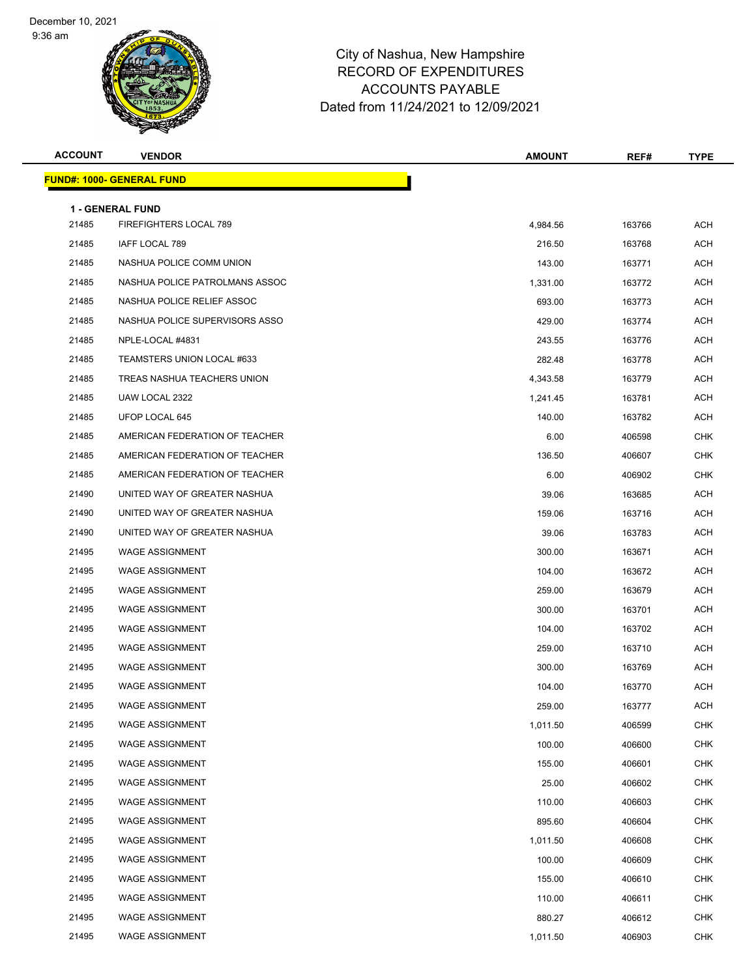9:36 am



| <b>ACCOUNT</b> | <b>VENDOR</b>                    | <b>AMOUNT</b> | REF#   | <b>TYPE</b> |
|----------------|----------------------------------|---------------|--------|-------------|
|                | <b>FUND#: 1000- GENERAL FUND</b> |               |        |             |
|                | <b>1 - GENERAL FUND</b>          |               |        |             |
| 21485          | FIREFIGHTERS LOCAL 789           | 4,984.56      | 163766 | <b>ACH</b>  |
| 21485          | IAFF LOCAL 789                   | 216.50        | 163768 | <b>ACH</b>  |
| 21485          | NASHUA POLICE COMM UNION         | 143.00        | 163771 | ACH         |
| 21485          | NASHUA POLICE PATROLMANS ASSOC   | 1,331.00      | 163772 | <b>ACH</b>  |
| 21485          | NASHUA POLICE RELIEF ASSOC       | 693.00        | 163773 | ACH         |
| 21485          | NASHUA POLICE SUPERVISORS ASSO   | 429.00        | 163774 | ACH         |
| 21485          | NPLE-LOCAL #4831                 | 243.55        | 163776 | ACH         |
| 21485          | TEAMSTERS UNION LOCAL #633       | 282.48        | 163778 | ACH         |
| 21485          | TREAS NASHUA TEACHERS UNION      | 4,343.58      | 163779 | <b>ACH</b>  |
| 21485          | UAW LOCAL 2322                   | 1,241.45      | 163781 | ACH         |
| 21485          | UFOP LOCAL 645                   | 140.00        | 163782 | ACH         |
| 21485          | AMERICAN FEDERATION OF TEACHER   | 6.00          | 406598 | <b>CHK</b>  |
| 21485          | AMERICAN FEDERATION OF TEACHER   | 136.50        | 406607 | CHK         |
| 21485          | AMERICAN FEDERATION OF TEACHER   | 6.00          | 406902 | <b>CHK</b>  |
| 21490          | UNITED WAY OF GREATER NASHUA     | 39.06         | 163685 | <b>ACH</b>  |
| 21490          | UNITED WAY OF GREATER NASHUA     | 159.06        | 163716 | ACH         |
| 21490          | UNITED WAY OF GREATER NASHUA     | 39.06         | 163783 | ACH         |
| 21495          | <b>WAGE ASSIGNMENT</b>           | 300.00        | 163671 | ACH         |
| 21495          | <b>WAGE ASSIGNMENT</b>           | 104.00        | 163672 | <b>ACH</b>  |
| 21495          | <b>WAGE ASSIGNMENT</b>           | 259.00        | 163679 | ACH         |
| 21495          | <b>WAGE ASSIGNMENT</b>           | 300.00        | 163701 | ACH         |
| 21495          | <b>WAGE ASSIGNMENT</b>           | 104.00        | 163702 | ACH         |
| 21495          | <b>WAGE ASSIGNMENT</b>           | 259.00        | 163710 | ACH         |
| 21495          | <b>WAGE ASSIGNMENT</b>           | 300.00        | 163769 | ACH         |
| 21495          | <b>WAGE ASSIGNMENT</b>           | 104.00        | 163770 | <b>ACH</b>  |
| 21495          | <b>WAGE ASSIGNMENT</b>           | 259.00        | 163777 | ACH         |
| 21495          | <b>WAGE ASSIGNMENT</b>           | 1,011.50      | 406599 | <b>CHK</b>  |
| 21495          | <b>WAGE ASSIGNMENT</b>           | 100.00        | 406600 | <b>CHK</b>  |
| 21495          | <b>WAGE ASSIGNMENT</b>           | 155.00        | 406601 | <b>CHK</b>  |
| 21495          | <b>WAGE ASSIGNMENT</b>           | 25.00         | 406602 | <b>CHK</b>  |
| 21495          | <b>WAGE ASSIGNMENT</b>           | 110.00        | 406603 | <b>CHK</b>  |
| 21495          | <b>WAGE ASSIGNMENT</b>           | 895.60        | 406604 | <b>CHK</b>  |
| 21495          | <b>WAGE ASSIGNMENT</b>           | 1,011.50      | 406608 | <b>CHK</b>  |
| 21495          | <b>WAGE ASSIGNMENT</b>           | 100.00        | 406609 | <b>CHK</b>  |
| 21495          | <b>WAGE ASSIGNMENT</b>           | 155.00        | 406610 | <b>CHK</b>  |
| 21495          | <b>WAGE ASSIGNMENT</b>           | 110.00        | 406611 | <b>CHK</b>  |
| 21495          | <b>WAGE ASSIGNMENT</b>           | 880.27        | 406612 | <b>CHK</b>  |
| 21495          | <b>WAGE ASSIGNMENT</b>           | 1,011.50      | 406903 | <b>CHK</b>  |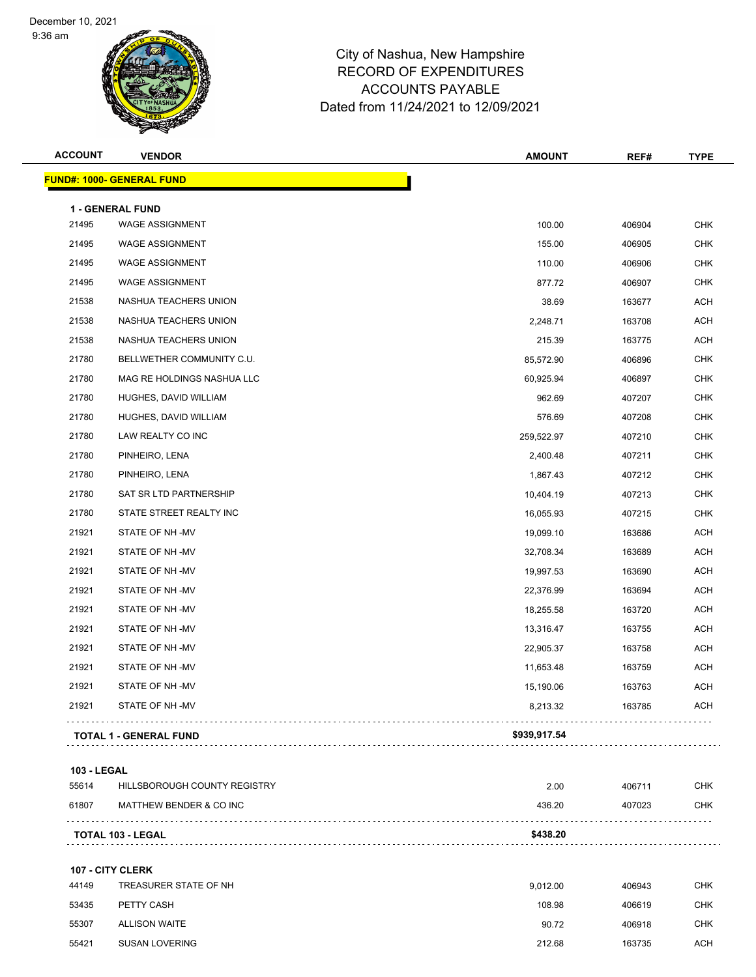9:36 am



# City of Nashua, New Hampshire RECORD OF EXPENDITURES ACCOUNTS PAYABLE Dated from 11/24/2021 to 12/09/2021

| <b>ACCOUNT</b>     | <b>VENDOR</b>                    | <b>AMOUNT</b> | REF#   | <b>TYPE</b> |
|--------------------|----------------------------------|---------------|--------|-------------|
|                    | <b>FUND#: 1000- GENERAL FUND</b> |               |        |             |
|                    | 1 - GENERAL FUND                 |               |        |             |
| 21495              | WAGE ASSIGNMENT                  | 100.00        | 406904 | <b>CHK</b>  |
| 21495              | <b>WAGE ASSIGNMENT</b>           | 155.00        | 406905 | <b>CHK</b>  |
| 21495              | <b>WAGE ASSIGNMENT</b>           | 110.00        | 406906 | <b>CHK</b>  |
| 21495              | <b>WAGE ASSIGNMENT</b>           | 877.72        | 406907 | <b>CHK</b>  |
| 21538              | NASHUA TEACHERS UNION            | 38.69         | 163677 | <b>ACH</b>  |
| 21538              | NASHUA TEACHERS UNION            | 2,248.71      | 163708 | ACH         |
| 21538              | NASHUA TEACHERS UNION            | 215.39        | 163775 | <b>ACH</b>  |
| 21780              | BELLWETHER COMMUNITY C.U.        | 85,572.90     | 406896 | <b>CHK</b>  |
| 21780              | MAG RE HOLDINGS NASHUA LLC       | 60,925.94     | 406897 | <b>CHK</b>  |
| 21780              | HUGHES, DAVID WILLIAM            | 962.69        | 407207 | <b>CHK</b>  |
| 21780              | HUGHES, DAVID WILLIAM            | 576.69        | 407208 | <b>CHK</b>  |
| 21780              | LAW REALTY CO INC                | 259,522.97    | 407210 | <b>CHK</b>  |
| 21780              | PINHEIRO, LENA                   | 2,400.48      | 407211 | <b>CHK</b>  |
| 21780              | PINHEIRO, LENA                   | 1,867.43      | 407212 | <b>CHK</b>  |
| 21780              | SAT SR LTD PARTNERSHIP           | 10,404.19     | 407213 | <b>CHK</b>  |
| 21780              | STATE STREET REALTY INC          | 16,055.93     | 407215 | <b>CHK</b>  |
| 21921              | STATE OF NH-MV                   | 19,099.10     | 163686 | <b>ACH</b>  |
| 21921              | STATE OF NH-MV                   | 32,708.34     | 163689 | <b>ACH</b>  |
| 21921              | STATE OF NH-MV                   | 19,997.53     | 163690 | <b>ACH</b>  |
| 21921              | STATE OF NH-MV                   | 22,376.99     | 163694 | <b>ACH</b>  |
| 21921              | STATE OF NH-MV                   | 18,255.58     | 163720 | <b>ACH</b>  |
| 21921              | STATE OF NH-MV                   | 13,316.47     | 163755 | <b>ACH</b>  |
| 21921              | STATE OF NH-MV                   | 22,905.37     | 163758 | ACH         |
| 21921              | STATE OF NH-MV                   | 11,653.48     | 163759 | <b>ACH</b>  |
| 21921              | STATE OF NH-MV                   | 15,190.06     | 163763 | <b>ACH</b>  |
| 21921              | STATE OF NH-MV                   | 8,213.32      | 163785 | <b>ACH</b>  |
|                    | <b>TOTAL 1 - GENERAL FUND</b>    | \$939,917.54  |        |             |
| <b>103 - LEGAL</b> |                                  |               |        |             |
| 55614              | HILLSBOROUGH COUNTY REGISTRY     | 2.00          | 406711 | <b>CHK</b>  |
| 61807              | MATTHEW BENDER & CO INC          | 436.20        | 407023 | <b>CHK</b>  |
|                    | <b>TOTAL 103 - LEGAL</b>         | \$438.20      |        |             |

#### **107 - CITY CLERK**

| 44149 | TREASURER STATE OF NH | 9.012.00 | 406943 | CHK |
|-------|-----------------------|----------|--------|-----|
| 53435 | PETTY CASH            | 108.98   | 406619 | СНК |
| 55307 | <b>ALLISON WAITE</b>  | 90.72    | 406918 | СНК |
| 55421 | <b>SUSAN LOVERING</b> | 212.68   | 163735 | ACH |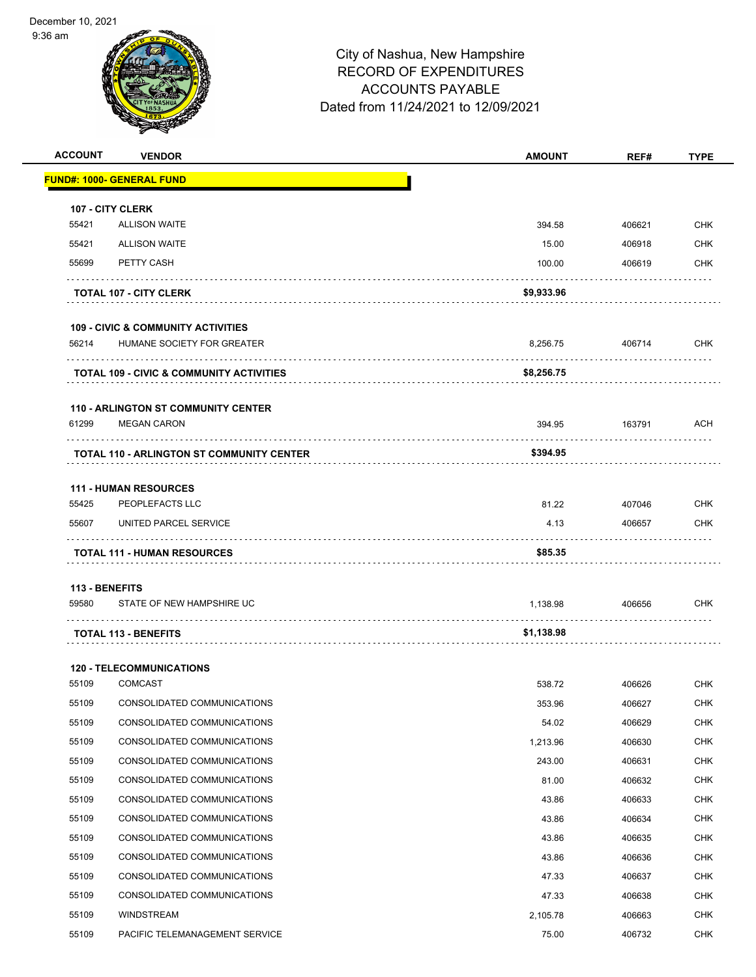9:36 am



| <b>ACCOUNT</b> | <b>VENDOR</b>                                    | <b>AMOUNT</b> | REF#   | <b>TYPE</b> |
|----------------|--------------------------------------------------|---------------|--------|-------------|
|                | FUND#: 1000- GENERAL FUND                        |               |        |             |
|                | 107 - CITY CLERK                                 |               |        |             |
| 55421          | <b>ALLISON WAITE</b>                             | 394.58        | 406621 | <b>CHK</b>  |
| 55421          | <b>ALLISON WAITE</b>                             | 15.00         | 406918 | CHK         |
| 55699          | PETTY CASH                                       | 100.00        | 406619 | CHK         |
|                | <b>TOTAL 107 - CITY CLERK</b>                    | \$9,933.96    |        |             |
|                | <b>109 - CIVIC &amp; COMMUNITY ACTIVITIES</b>    |               |        |             |
| 56214          | HUMANE SOCIETY FOR GREATER                       | 8,256.75      | 406714 | <b>CHK</b>  |
|                | TOTAL 109 - CIVIC & COMMUNITY ACTIVITIES         | \$8,256.75    |        |             |
|                | <b>110 - ARLINGTON ST COMMUNITY CENTER</b>       |               |        |             |
| 61299          | <b>MEGAN CARON</b>                               | 394.95        | 163791 | <b>ACH</b>  |
|                | <b>TOTAL 110 - ARLINGTON ST COMMUNITY CENTER</b> | \$394.95      |        |             |
|                |                                                  |               |        |             |
| 55425          | <b>111 - HUMAN RESOURCES</b><br>PEOPLEFACTS LLC  | 81.22         | 407046 | CHK         |
| 55607          | UNITED PARCEL SERVICE                            | 4.13          | 406657 | CHK         |
|                |                                                  |               |        |             |
|                | <b>TOTAL 111 - HUMAN RESOURCES</b>               | \$85.35       |        |             |
|                | 113 - BENEFITS                                   |               |        |             |
| 59580          | STATE OF NEW HAMPSHIRE UC                        | 1,138.98      | 406656 | CHK         |
|                | <b>TOTAL 113 - BENEFITS</b>                      | \$1,138.98    |        |             |
|                |                                                  |               |        |             |
|                | <b>120 - TELECOMMUNICATIONS</b>                  |               |        |             |
| 55109          | <b>COMCAST</b>                                   | 538.72        | 406626 | <b>CHK</b>  |
| 55109          | CONSOLIDATED COMMUNICATIONS                      | 353.96        | 406627 | <b>CHK</b>  |
| 55109          | CONSOLIDATED COMMUNICATIONS                      | 54.02         | 406629 | <b>CHK</b>  |
| 55109          | CONSOLIDATED COMMUNICATIONS                      | 1,213.96      | 406630 | <b>CHK</b>  |
| 55109          | CONSOLIDATED COMMUNICATIONS                      | 243.00        | 406631 | CHK         |
| 55109          | CONSOLIDATED COMMUNICATIONS                      | 81.00         | 406632 | <b>CHK</b>  |
| 55109          | CONSOLIDATED COMMUNICATIONS                      | 43.86         | 406633 | <b>CHK</b>  |
| 55109          | CONSOLIDATED COMMUNICATIONS                      | 43.86         | 406634 | <b>CHK</b>  |
| 55109          | CONSOLIDATED COMMUNICATIONS                      | 43.86         | 406635 | <b>CHK</b>  |
| 55109          | CONSOLIDATED COMMUNICATIONS                      | 43.86         | 406636 | <b>CHK</b>  |
| 55109          | CONSOLIDATED COMMUNICATIONS                      | 47.33         | 406637 | <b>CHK</b>  |
| 55109          | CONSOLIDATED COMMUNICATIONS                      | 47.33         | 406638 | <b>CHK</b>  |
| 55109          | WINDSTREAM                                       | 2,105.78      | 406663 | <b>CHK</b>  |
| 55109          | PACIFIC TELEMANAGEMENT SERVICE                   | 75.00         | 406732 | <b>CHK</b>  |
|                |                                                  |               |        |             |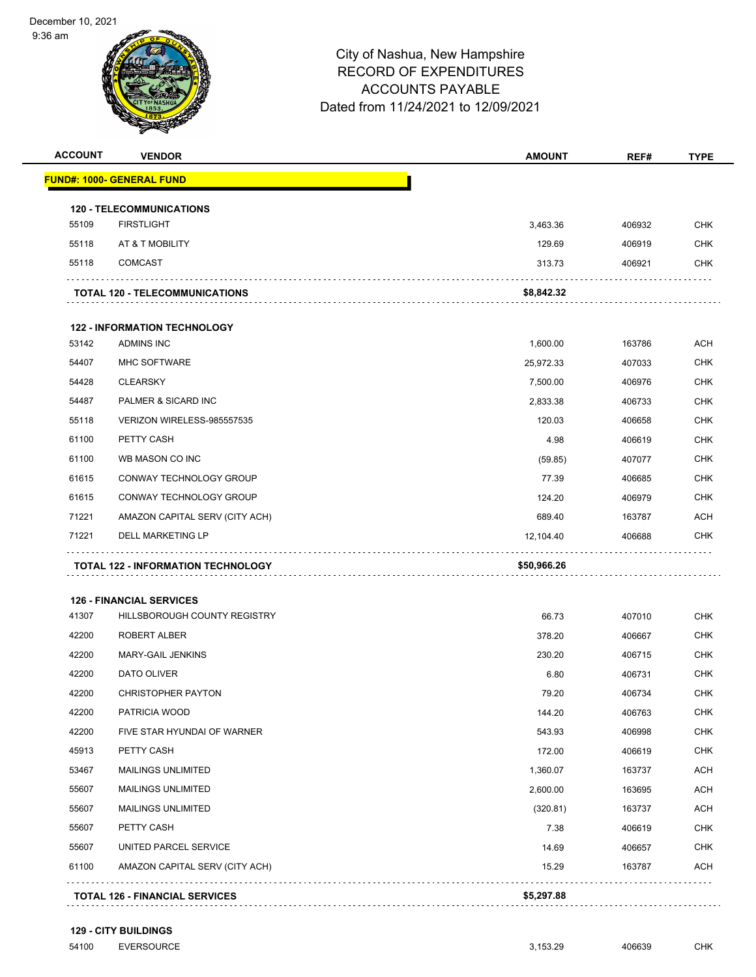9:36 am



# City of Nashua, New Hampshire RECORD OF EXPENDITURES ACCOUNTS PAYABLE Dated from 11/24/2021 to 12/09/2021

| <b>ACCOUNT</b> | <b>VENDOR</b>                                                   | <b>AMOUNT</b> | REF#             | <b>TYPE</b> |
|----------------|-----------------------------------------------------------------|---------------|------------------|-------------|
|                | <b>FUND#: 1000- GENERAL FUND</b>                                |               |                  |             |
|                | <b>120 - TELECOMMUNICATIONS</b>                                 |               |                  |             |
| 55109          | <b>FIRSTLIGHT</b>                                               | 3,463.36      | 406932           | <b>CHK</b>  |
| 55118          | AT & T MOBILITY                                                 | 129.69        | 406919           | <b>CHK</b>  |
| 55118          | <b>COMCAST</b>                                                  | 313.73        | 406921           | <b>CHK</b>  |
|                | <b>TOTAL 120 - TELECOMMUNICATIONS</b>                           | \$8,842.32    |                  |             |
|                | <b>122 - INFORMATION TECHNOLOGY</b>                             |               |                  |             |
| 53142          | ADMINS INC                                                      | 1,600.00      | 163786           | <b>ACH</b>  |
| 54407          | <b>MHC SOFTWARE</b>                                             | 25,972.33     | 407033           | <b>CHK</b>  |
| 54428          | <b>CLEARSKY</b>                                                 | 7,500.00      | 406976           | <b>CHK</b>  |
| 54487          | PALMER & SICARD INC                                             | 2,833.38      | 406733           | <b>CHK</b>  |
| 55118          | VERIZON WIRELESS-985557535                                      | 120.03        | 406658           | <b>CHK</b>  |
| 61100          | PETTY CASH                                                      | 4.98          | 406619           | <b>CHK</b>  |
| 61100          | WB MASON CO INC                                                 | (59.85)       | 407077           | <b>CHK</b>  |
| 61615          | CONWAY TECHNOLOGY GROUP                                         | 77.39         | 406685           | <b>CHK</b>  |
| 61615          | CONWAY TECHNOLOGY GROUP                                         | 124.20        | 406979           | <b>CHK</b>  |
| 71221          | AMAZON CAPITAL SERV (CITY ACH)                                  | 689.40        | 163787           | <b>ACH</b>  |
| 71221          | <b>DELL MARKETING LP</b>                                        | 12,104.40     | 406688           | <b>CHK</b>  |
|                | <b>TOTAL 122 - INFORMATION TECHNOLOGY</b>                       | \$50,966.26   |                  |             |
|                |                                                                 |               |                  |             |
| 41307          | <b>126 - FINANCIAL SERVICES</b><br>HILLSBOROUGH COUNTY REGISTRY | 66.73         |                  | <b>CHK</b>  |
| 42200          | <b>ROBERT ALBER</b>                                             | 378.20        | 407010<br>406667 | <b>CHK</b>  |
| 42200          | MARY-GAIL JENKINS                                               | 230.20        | 406715           | <b>CHK</b>  |
| 42200          | DATO OLIVER                                                     | 6.80          | 406731           | <b>CHK</b>  |
| 42200          | <b>CHRISTOPHER PAYTON</b>                                       | 79.20         | 406734           | <b>CHK</b>  |
| 42200          | PATRICIA WOOD                                                   | 144.20        | 406763           | <b>CHK</b>  |
| 42200          | FIVE STAR HYUNDAI OF WARNER                                     | 543.93        | 406998           | <b>CHK</b>  |
| 45913          | PETTY CASH                                                      | 172.00        | 406619           | <b>CHK</b>  |
| 53467          | MAILINGS UNLIMITED                                              | 1,360.07      | 163737           | <b>ACH</b>  |
| 55607          | MAILINGS UNLIMITED                                              | 2,600.00      | 163695           | <b>ACH</b>  |
| 55607          | MAILINGS UNLIMITED                                              | (320.81)      | 163737           | <b>ACH</b>  |
| 55607          | PETTY CASH                                                      | 7.38          | 406619           | <b>CHK</b>  |
| 55607          | UNITED PARCEL SERVICE                                           | 14.69         | 406657           | <b>CHK</b>  |
| 61100          | AMAZON CAPITAL SERV (CITY ACH)                                  | 15.29         | 163787           | <b>ACH</b>  |
|                |                                                                 |               |                  |             |
|                | <b>TOTAL 126 - FINANCIAL SERVICES</b>                           | \$5,297.88    |                  |             |

**129 - CITY BUILDINGS**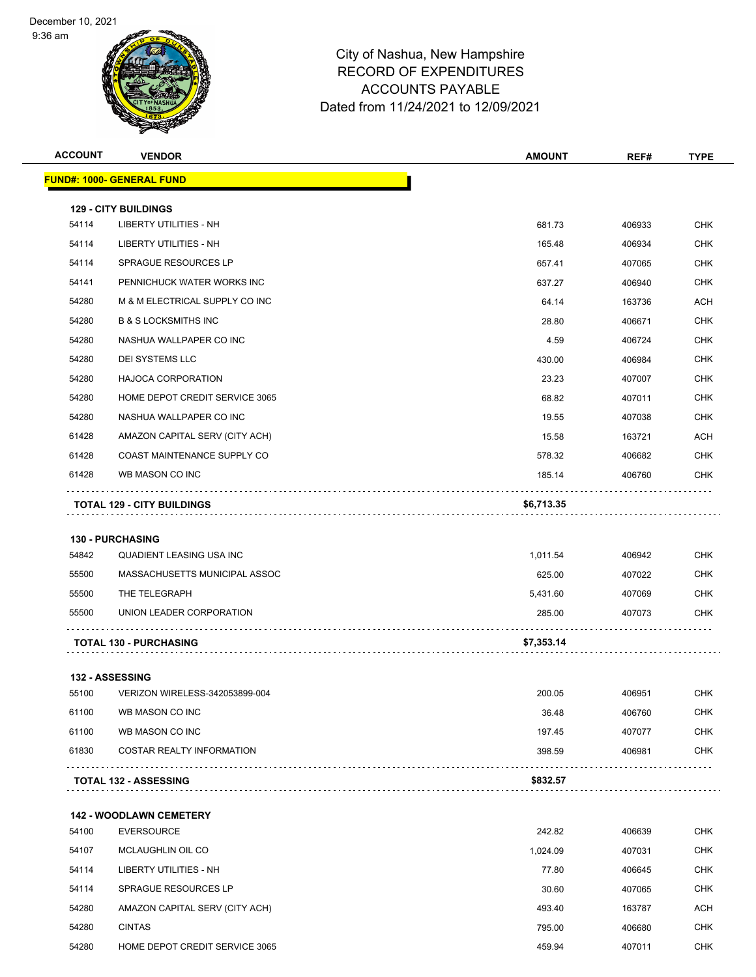9:36 am



| <b>ACCOUNT</b> | <b>VENDOR</b>                                       | <b>AMOUNT</b> | REF#   | <b>TYPE</b> |
|----------------|-----------------------------------------------------|---------------|--------|-------------|
|                | <b>FUND#: 1000- GENERAL FUND</b>                    |               |        |             |
|                | <b>129 - CITY BUILDINGS</b>                         |               |        |             |
| 54114          | LIBERTY UTILITIES - NH                              | 681.73        | 406933 | <b>CHK</b>  |
| 54114          | LIBERTY UTILITIES - NH                              | 165.48        | 406934 | <b>CHK</b>  |
| 54114          | <b>SPRAGUE RESOURCES LP</b>                         | 657.41        | 407065 | CHK         |
| 54141          | PENNICHUCK WATER WORKS INC                          | 637.27        | 406940 | <b>CHK</b>  |
| 54280          | M & M ELECTRICAL SUPPLY CO INC                      | 64.14         | 163736 | <b>ACH</b>  |
| 54280          | <b>B &amp; S LOCKSMITHS INC</b>                     | 28.80         | 406671 | <b>CHK</b>  |
| 54280          | NASHUA WALLPAPER CO INC                             | 4.59          | 406724 | <b>CHK</b>  |
| 54280          | DEI SYSTEMS LLC                                     | 430.00        | 406984 | CHK         |
| 54280          | <b>HAJOCA CORPORATION</b>                           | 23.23         | 407007 | <b>CHK</b>  |
| 54280          | HOME DEPOT CREDIT SERVICE 3065                      | 68.82         | 407011 | <b>CHK</b>  |
| 54280          | NASHUA WALLPAPER CO INC                             | 19.55         | 407038 | <b>CHK</b>  |
| 61428          | AMAZON CAPITAL SERV (CITY ACH)                      | 15.58         | 163721 | ACH         |
| 61428          | COAST MAINTENANCE SUPPLY CO                         | 578.32        | 406682 | CHK         |
| 61428          | WB MASON CO INC                                     | 185.14        | 406760 | <b>CHK</b>  |
|                | <b>TOTAL 129 - CITY BUILDINGS</b>                   | \$6,713.35    |        |             |
|                |                                                     |               |        |             |
|                | <b>130 - PURCHASING</b>                             |               |        |             |
| 54842          | QUADIENT LEASING USA INC                            | 1,011.54      | 406942 | CHK         |
| 55500          | MASSACHUSETTS MUNICIPAL ASSOC                       | 625.00        | 407022 | <b>CHK</b>  |
| 55500          | THE TELEGRAPH                                       | 5,431.60      | 407069 | CHK         |
| 55500          | UNION LEADER CORPORATION                            | 285.00        | 407073 | CHK         |
|                | <b>TOTAL 130 - PURCHASING</b>                       | \$7,353.14    |        |             |
|                | <b>132 - ASSESSING</b>                              |               |        |             |
| 55100          | VERIZON WIRELESS-342053899-004                      | 200.05        | 406951 | <b>CHK</b>  |
| 61100          | WB MASON CO INC                                     | 36.48         | 406760 | <b>CHK</b>  |
| 61100          | WB MASON CO INC                                     | 197.45        | 407077 | <b>CHK</b>  |
| 61830          | <b>COSTAR REALTY INFORMATION</b>                    | 398.59        | 406981 | <b>CHK</b>  |
|                | <b>TOTAL 132 - ASSESSING</b>                        | .<br>\$832.57 |        |             |
|                |                                                     |               |        |             |
| 54100          | <b>142 - WOODLAWN CEMETERY</b><br><b>EVERSOURCE</b> | 242.82        | 406639 | CHK         |
| 54107          | MCLAUGHLIN OIL CO                                   | 1,024.09      | 407031 | <b>CHK</b>  |
| 54114          | LIBERTY UTILITIES - NH                              | 77.80         | 406645 | CHK         |
| 54114          | SPRAGUE RESOURCES LP                                | 30.60         | 407065 | CHK         |
| 54280          | AMAZON CAPITAL SERV (CITY ACH)                      | 493.40        | 163787 | <b>ACH</b>  |
| 54280          | <b>CINTAS</b>                                       | 795.00        | 406680 | CHK         |
| 54280          | HOME DEPOT CREDIT SERVICE 3065                      | 459.94        | 407011 | <b>CHK</b>  |
|                |                                                     |               |        |             |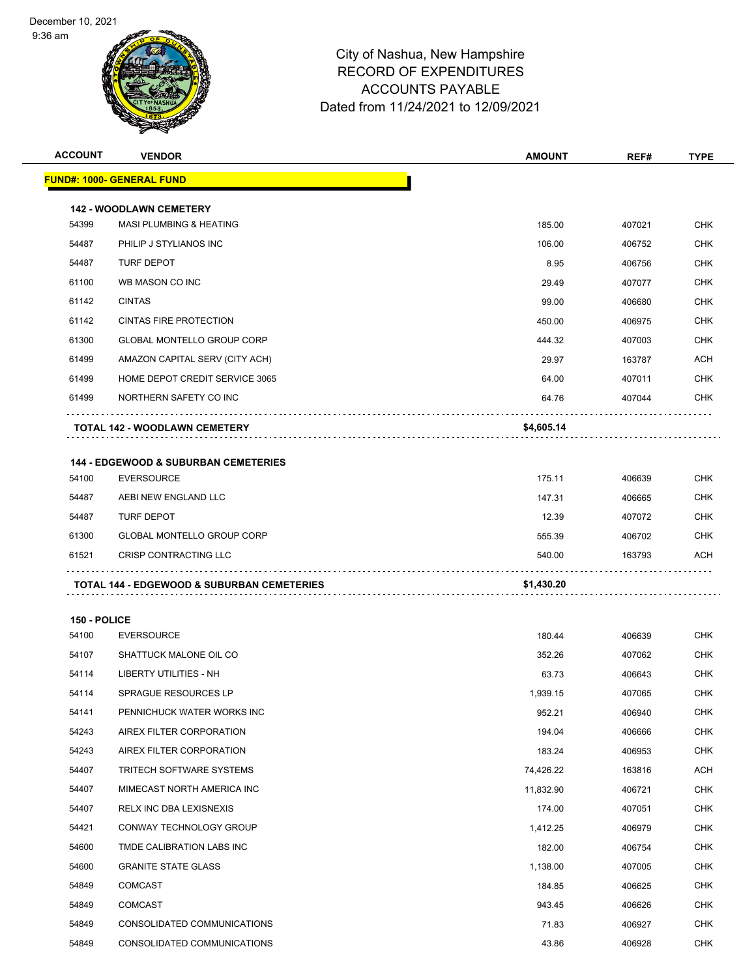9:36 am



| <b>ACCOUNT</b> | <b>VENDOR</b>                                                        | <b>AMOUNT</b> | REF#   | <b>TYPE</b> |
|----------------|----------------------------------------------------------------------|---------------|--------|-------------|
|                | <u> FUND#: 1000- GENERAL FUND</u>                                    |               |        |             |
|                |                                                                      |               |        |             |
| 54399          | <b>142 - WOODLAWN CEMETERY</b><br><b>MASI PLUMBING &amp; HEATING</b> | 185.00        | 407021 | <b>CHK</b>  |
| 54487          | PHILIP J STYLIANOS INC                                               | 106.00        | 406752 | <b>CHK</b>  |
| 54487          | <b>TURF DEPOT</b>                                                    | 8.95          | 406756 | <b>CHK</b>  |
| 61100          | WB MASON CO INC                                                      | 29.49         | 407077 | <b>CHK</b>  |
| 61142          | <b>CINTAS</b>                                                        |               |        | <b>CHK</b>  |
|                |                                                                      | 99.00         | 406680 |             |
| 61142          | <b>CINTAS FIRE PROTECTION</b>                                        | 450.00        | 406975 | <b>CHK</b>  |
| 61300          | <b>GLOBAL MONTELLO GROUP CORP</b>                                    | 444.32        | 407003 | <b>CHK</b>  |
| 61499          | AMAZON CAPITAL SERV (CITY ACH)                                       | 29.97         | 163787 | ACH         |
| 61499          | HOME DEPOT CREDIT SERVICE 3065                                       | 64.00         | 407011 | <b>CHK</b>  |
| 61499          | NORTHERN SAFETY CO INC                                               | 64.76         | 407044 | <b>CHK</b>  |
|                | TOTAL 142 - WOODLAWN CEMETERY                                        | \$4,605.14    |        |             |
|                |                                                                      |               |        |             |
|                | 144 - EDGEWOOD & SUBURBAN CEMETERIES                                 |               |        |             |
| 54100          | <b>EVERSOURCE</b>                                                    | 175.11        | 406639 | <b>CHK</b>  |
| 54487          | AEBI NEW ENGLAND LLC                                                 | 147.31        | 406665 | <b>CHK</b>  |
| 54487          | <b>TURF DEPOT</b>                                                    | 12.39         | 407072 | <b>CHK</b>  |
| 61300          | GLOBAL MONTELLO GROUP CORP                                           | 555.39        | 406702 | <b>CHK</b>  |
| 61521          | CRISP CONTRACTING LLC                                                | 540.00        | 163793 | ACH         |
|                | <b>TOTAL 144 - EDGEWOOD &amp; SUBURBAN CEMETERIES</b>                | \$1,430.20    |        |             |
|                |                                                                      |               |        |             |
| 150 - POLICE   |                                                                      |               |        |             |
| 54100          | <b>EVERSOURCE</b>                                                    | 180.44        | 406639 | <b>CHK</b>  |
| 54107          | SHATTUCK MALONE OIL CO                                               | 352.26        | 407062 | <b>CHK</b>  |
| 54114          | LIBERTY UTILITIES - NH                                               | 63.73         | 406643 | <b>CHK</b>  |
| 54114          | SPRAGUE RESOURCES LP                                                 | 1,939.15      | 407065 | <b>CHK</b>  |
| 54141          | PENNICHUCK WATER WORKS INC                                           | 952.21        | 406940 | <b>CHK</b>  |
| 54243          | AIREX FILTER CORPORATION                                             | 194.04        | 406666 | <b>CHK</b>  |
| 54243          | AIREX FILTER CORPORATION                                             | 183.24        | 406953 | <b>CHK</b>  |
| 54407          | TRITECH SOFTWARE SYSTEMS                                             | 74,426.22     | 163816 | ACH         |
| 54407          | MIMECAST NORTH AMERICA INC                                           | 11,832.90     | 406721 | <b>CHK</b>  |
| 54407          | RELX INC DBA LEXISNEXIS                                              | 174.00        | 407051 | <b>CHK</b>  |
| 54421          | CONWAY TECHNOLOGY GROUP                                              | 1,412.25      | 406979 | <b>CHK</b>  |
| 54600          | TMDE CALIBRATION LABS INC                                            | 182.00        | 406754 | <b>CHK</b>  |
| 54600          | <b>GRANITE STATE GLASS</b>                                           | 1,138.00      | 407005 | <b>CHK</b>  |
| 54849          | <b>COMCAST</b>                                                       | 184.85        | 406625 | <b>CHK</b>  |
| 54849          | <b>COMCAST</b>                                                       | 943.45        | 406626 | <b>CHK</b>  |
| 54849          | CONSOLIDATED COMMUNICATIONS                                          | 71.83         | 406927 | <b>CHK</b>  |
| 54849          | CONSOLIDATED COMMUNICATIONS                                          | 43.86         | 406928 | <b>CHK</b>  |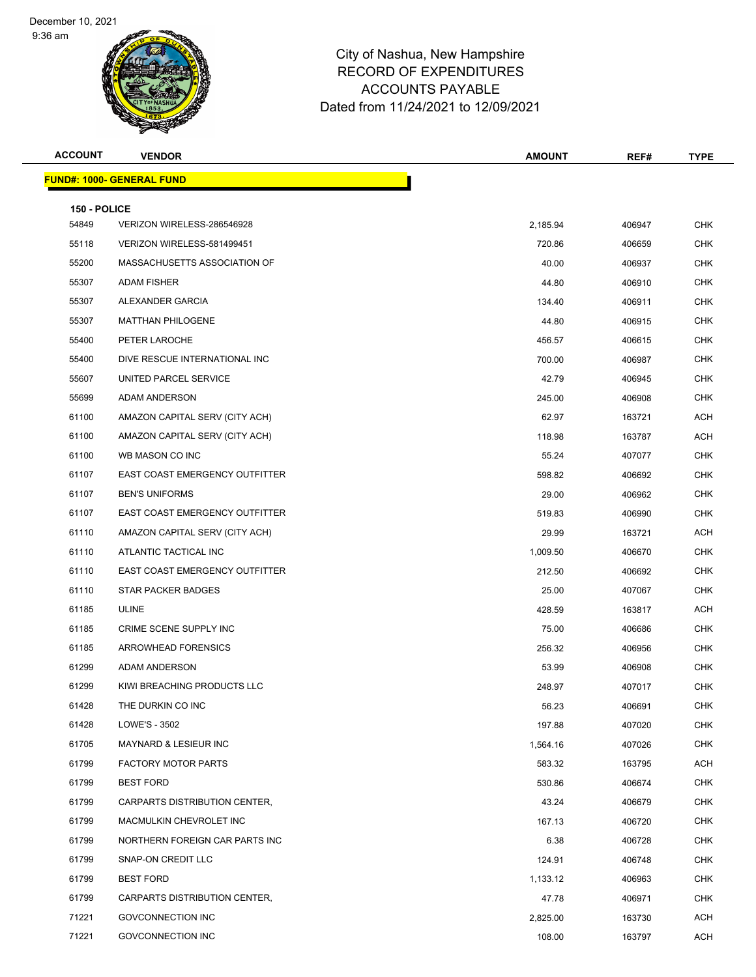9:36 am



| <b>ACCOUNT</b>        | <b>VENDOR</b>                    | <b>AMOUNT</b> | REF#   | <b>TYPE</b> |
|-----------------------|----------------------------------|---------------|--------|-------------|
|                       | <b>FUND#: 1000- GENERAL FUND</b> |               |        |             |
|                       |                                  |               |        |             |
| 150 - POLICE<br>54849 | VERIZON WIRELESS-286546928       | 2,185.94      | 406947 | <b>CHK</b>  |
| 55118                 | VERIZON WIRELESS-581499451       | 720.86        | 406659 | <b>CHK</b>  |
| 55200                 | MASSACHUSETTS ASSOCIATION OF     | 40.00         | 406937 | CHK         |
| 55307                 | <b>ADAM FISHER</b>               | 44.80         | 406910 | <b>CHK</b>  |
| 55307                 | ALEXANDER GARCIA                 | 134.40        | 406911 | <b>CHK</b>  |
| 55307                 | <b>MATTHAN PHILOGENE</b>         | 44.80         | 406915 | <b>CHK</b>  |
| 55400                 | PETER LAROCHE                    | 456.57        | 406615 | <b>CHK</b>  |
| 55400                 | DIVE RESCUE INTERNATIONAL INC    | 700.00        | 406987 | <b>CHK</b>  |
| 55607                 | UNITED PARCEL SERVICE            | 42.79         | 406945 | <b>CHK</b>  |
| 55699                 | ADAM ANDERSON                    | 245.00        | 406908 | <b>CHK</b>  |
| 61100                 | AMAZON CAPITAL SERV (CITY ACH)   | 62.97         | 163721 | ACH         |
| 61100                 | AMAZON CAPITAL SERV (CITY ACH)   | 118.98        | 163787 | <b>ACH</b>  |
| 61100                 | WB MASON CO INC                  | 55.24         | 407077 | <b>CHK</b>  |
| 61107                 | EAST COAST EMERGENCY OUTFITTER   | 598.82        | 406692 | <b>CHK</b>  |
| 61107                 | <b>BEN'S UNIFORMS</b>            | 29.00         | 406962 | <b>CHK</b>  |
| 61107                 | EAST COAST EMERGENCY OUTFITTER   | 519.83        | 406990 | <b>CHK</b>  |
| 61110                 | AMAZON CAPITAL SERV (CITY ACH)   | 29.99         | 163721 | ACH         |
| 61110                 | ATLANTIC TACTICAL INC            | 1,009.50      | 406670 | <b>CHK</b>  |
| 61110                 | EAST COAST EMERGENCY OUTFITTER   | 212.50        | 406692 | <b>CHK</b>  |
| 61110                 | <b>STAR PACKER BADGES</b>        | 25.00         | 407067 | <b>CHK</b>  |
| 61185                 | ULINE                            | 428.59        | 163817 | ACH         |
| 61185                 | CRIME SCENE SUPPLY INC           | 75.00         | 406686 | <b>CHK</b>  |
| 61185                 | <b>ARROWHEAD FORENSICS</b>       | 256.32        | 406956 | CHK         |
| 61299                 | ADAM ANDERSON                    | 53.99         | 406908 | <b>CHK</b>  |
| 61299                 | KIWI BREACHING PRODUCTS LLC      | 248.97        | 407017 | <b>CHK</b>  |
| 61428                 | THE DURKIN CO INC                | 56.23         | 406691 | CHK         |
| 61428                 | LOWE'S - 3502                    | 197.88        | 407020 | <b>CHK</b>  |
| 61705                 | MAYNARD & LESIEUR INC            | 1,564.16      | 407026 | CHK         |
| 61799                 | <b>FACTORY MOTOR PARTS</b>       | 583.32        | 163795 | ACH         |
| 61799                 | <b>BEST FORD</b>                 | 530.86        | 406674 | <b>CHK</b>  |
| 61799                 | CARPARTS DISTRIBUTION CENTER,    | 43.24         | 406679 | <b>CHK</b>  |
| 61799                 | MACMULKIN CHEVROLET INC          | 167.13        | 406720 | <b>CHK</b>  |
| 61799                 | NORTHERN FOREIGN CAR PARTS INC   | 6.38          | 406728 | CHK         |
| 61799                 | SNAP-ON CREDIT LLC               | 124.91        | 406748 | <b>CHK</b>  |
| 61799                 | <b>BEST FORD</b>                 | 1,133.12      | 406963 | <b>CHK</b>  |
| 61799                 | CARPARTS DISTRIBUTION CENTER,    | 47.78         | 406971 | CHK         |
| 71221                 | GOVCONNECTION INC                | 2,825.00      | 163730 | ACH         |
| 71221                 | GOVCONNECTION INC                | 108.00        | 163797 | ACH         |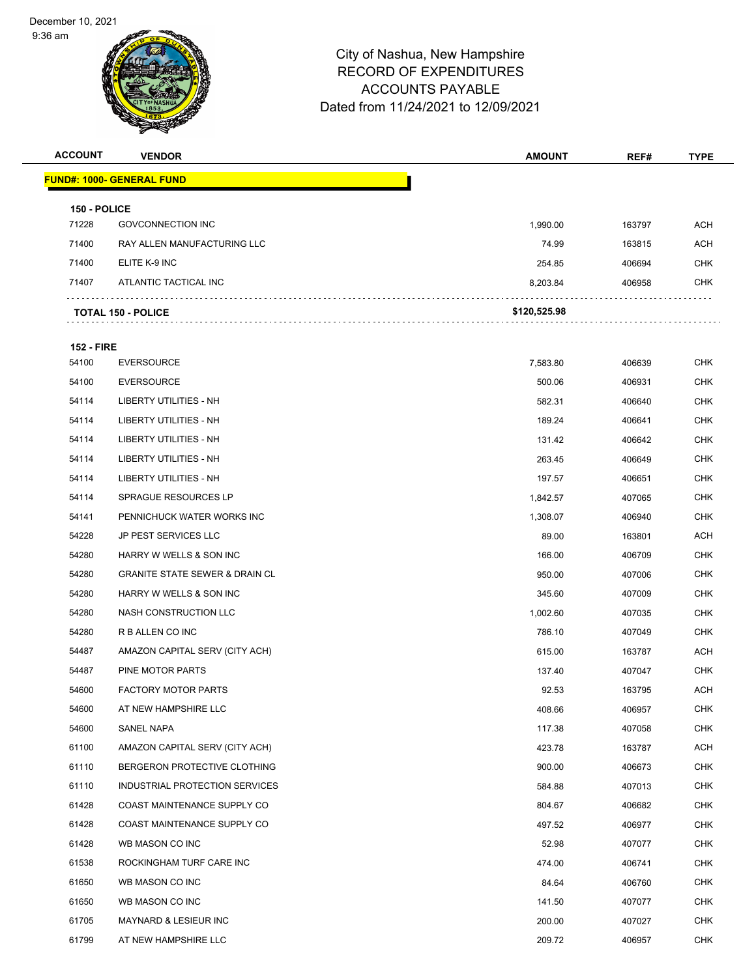9:36 am



| <b>ACCOUNT</b>        | <b>VENDOR</b>                             | <b>AMOUNT</b> | REF#   | <b>TYPE</b> |
|-----------------------|-------------------------------------------|---------------|--------|-------------|
|                       | <b>FUND#: 1000- GENERAL FUND</b>          |               |        |             |
|                       |                                           |               |        |             |
| 150 - POLICE<br>71228 | <b>GOVCONNECTION INC</b>                  | 1,990.00      | 163797 | <b>ACH</b>  |
| 71400                 | RAY ALLEN MANUFACTURING LLC               | 74.99         | 163815 | ACH         |
| 71400                 | ELITE K-9 INC                             | 254.85        | 406694 | <b>CHK</b>  |
| 71407                 | ATLANTIC TACTICAL INC                     | 8,203.84      | 406958 | <b>CHK</b>  |
|                       |                                           |               |        |             |
|                       | <b>TOTAL 150 - POLICE</b>                 | \$120,525.98  |        |             |
| <b>152 - FIRE</b>     |                                           |               |        |             |
| 54100                 | <b>EVERSOURCE</b>                         | 7,583.80      | 406639 | <b>CHK</b>  |
| 54100                 | <b>EVERSOURCE</b>                         | 500.06        | 406931 | <b>CHK</b>  |
| 54114                 | LIBERTY UTILITIES - NH                    | 582.31        | 406640 | <b>CHK</b>  |
| 54114                 | LIBERTY UTILITIES - NH                    | 189.24        | 406641 | <b>CHK</b>  |
| 54114                 | LIBERTY UTILITIES - NH                    | 131.42        | 406642 | CHK         |
| 54114                 | LIBERTY UTILITIES - NH                    | 263.45        | 406649 | <b>CHK</b>  |
| 54114                 | <b>LIBERTY UTILITIES - NH</b>             | 197.57        | 406651 | <b>CHK</b>  |
| 54114                 | <b>SPRAGUE RESOURCES LP</b>               | 1,842.57      | 407065 | <b>CHK</b>  |
| 54141                 | PENNICHUCK WATER WORKS INC                | 1,308.07      | 406940 | <b>CHK</b>  |
| 54228                 | <b>JP PEST SERVICES LLC</b>               | 89.00         | 163801 | <b>ACH</b>  |
| 54280                 | HARRY W WELLS & SON INC                   | 166.00        | 406709 | <b>CHK</b>  |
| 54280                 | <b>GRANITE STATE SEWER &amp; DRAIN CL</b> | 950.00        | 407006 | <b>CHK</b>  |
| 54280                 | HARRY W WELLS & SON INC                   | 345.60        | 407009 | <b>CHK</b>  |
| 54280                 | NASH CONSTRUCTION LLC                     | 1,002.60      | 407035 | <b>CHK</b>  |
| 54280                 | R B ALLEN CO INC                          | 786.10        | 407049 | CHK         |
| 54487                 | AMAZON CAPITAL SERV (CITY ACH)            | 615.00        | 163787 | <b>ACH</b>  |
| 54487                 | PINE MOTOR PARTS                          | 137.40        | 407047 | <b>CHK</b>  |
| 54600                 | <b>FACTORY MOTOR PARTS</b>                | 92.53         | 163795 | <b>ACH</b>  |
| 54600                 | AT NEW HAMPSHIRE LLC                      | 408.66        | 406957 | <b>CHK</b>  |
| 54600                 | SANEL NAPA                                | 117.38        | 407058 | <b>CHK</b>  |
| 61100                 | AMAZON CAPITAL SERV (CITY ACH)            | 423.78        | 163787 | <b>ACH</b>  |
| 61110                 | BERGERON PROTECTIVE CLOTHING              | 900.00        | 406673 | <b>CHK</b>  |
| 61110                 | INDUSTRIAL PROTECTION SERVICES            | 584.88        | 407013 | <b>CHK</b>  |
| 61428                 | COAST MAINTENANCE SUPPLY CO               | 804.67        | 406682 | <b>CHK</b>  |
| 61428                 | COAST MAINTENANCE SUPPLY CO               | 497.52        | 406977 | <b>CHK</b>  |
| 61428                 | WB MASON CO INC                           | 52.98         | 407077 | CHK         |
| 61538                 | ROCKINGHAM TURF CARE INC                  | 474.00        | 406741 | <b>CHK</b>  |
| 61650                 | WB MASON CO INC                           | 84.64         | 406760 | <b>CHK</b>  |
| 61650                 | WB MASON CO INC                           | 141.50        | 407077 | <b>CHK</b>  |
| 61705                 | MAYNARD & LESIEUR INC                     | 200.00        | 407027 | <b>CHK</b>  |
| 61799                 | AT NEW HAMPSHIRE LLC                      | 209.72        | 406957 | <b>CHK</b>  |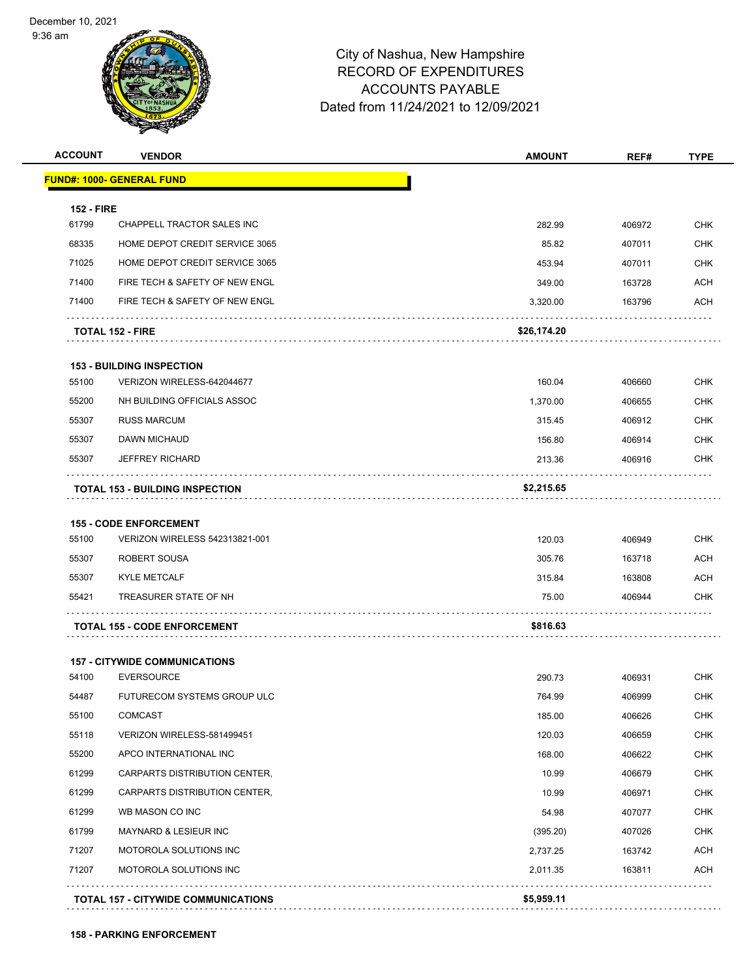9:36 am



| <b>ACCOUNT</b>    | <b>VENDOR</b>                              | <b>AMOUNT</b> | REF#   | <b>TYPE</b> |
|-------------------|--------------------------------------------|---------------|--------|-------------|
|                   | <b>FUND#: 1000- GENERAL FUND</b>           |               |        |             |
| <b>152 - FIRE</b> |                                            |               |        |             |
| 61799             | <b>CHAPPELL TRACTOR SALES INC</b>          | 282.99        | 406972 | <b>CHK</b>  |
| 68335             | HOME DEPOT CREDIT SERVICE 3065             | 85.82         | 407011 | <b>CHK</b>  |
| 71025             | HOME DEPOT CREDIT SERVICE 3065             | 453.94        | 407011 | <b>CHK</b>  |
| 71400             | FIRE TECH & SAFETY OF NEW ENGL             | 349.00        | 163728 | ACH         |
| 71400             | FIRE TECH & SAFETY OF NEW ENGL             | 3,320.00      | 163796 | ACH         |
|                   | <b>TOTAL 152 - FIRE</b>                    | \$26,174.20   |        |             |
|                   | <b>153 - BUILDING INSPECTION</b>           |               |        |             |
| 55100             | VERIZON WIRELESS-642044677                 | 160.04        | 406660 | <b>CHK</b>  |
| 55200             | NH BUILDING OFFICIALS ASSOC                | 1,370.00      | 406655 | <b>CHK</b>  |
| 55307             | <b>RUSS MARCUM</b>                         | 315.45        | 406912 | <b>CHK</b>  |
| 55307             | <b>DAWN MICHAUD</b>                        | 156.80        | 406914 | <b>CHK</b>  |
| 55307             | <b>JEFFREY RICHARD</b>                     | 213.36        | 406916 | <b>CHK</b>  |
|                   | <b>TOTAL 153 - BUILDING INSPECTION</b>     | \$2,215.65    |        |             |
|                   | <b>155 - CODE ENFORCEMENT</b>              |               |        |             |
| 55100             | VERIZON WIRELESS 542313821-001             | 120.03        | 406949 | <b>CHK</b>  |
| 55307             | ROBERT SOUSA                               | 305.76        | 163718 | ACH         |
| 55307             | <b>KYLE METCALF</b>                        | 315.84        | 163808 | <b>ACH</b>  |
| 55421             | TREASURER STATE OF NH                      | 75.00         | 406944 | <b>CHK</b>  |
|                   | <b>TOTAL 155 - CODE ENFORCEMENT</b>        | \$816.63      |        |             |
|                   | <b>157 - CITYWIDE COMMUNICATIONS</b>       |               |        |             |
| 54100             | <b>EVERSOURCE</b>                          | 290.73        | 406931 | <b>CHK</b>  |
| 54487             | FUTURECOM SYSTEMS GROUP ULC                | 764.99        | 406999 | <b>CHK</b>  |
| 55100             | <b>COMCAST</b>                             | 185.00        | 406626 | <b>CHK</b>  |
| 55118             | VERIZON WIRELESS-581499451                 | 120.03        | 406659 | <b>CHK</b>  |
| 55200             | APCO INTERNATIONAL INC                     | 168.00        | 406622 | <b>CHK</b>  |
| 61299             | CARPARTS DISTRIBUTION CENTER,              | 10.99         | 406679 | <b>CHK</b>  |
| 61299             | CARPARTS DISTRIBUTION CENTER,              | 10.99         | 406971 | <b>CHK</b>  |
| 61299             | WB MASON CO INC                            | 54.98         | 407077 | CHK         |
| 61799             | MAYNARD & LESIEUR INC                      | (395.20)      | 407026 | <b>CHK</b>  |
| 71207             | MOTOROLA SOLUTIONS INC                     | 2,737.25      | 163742 | ACH         |
| 71207             | MOTOROLA SOLUTIONS INC                     | 2,011.35      | 163811 | <b>ACH</b>  |
|                   | <b>TOTAL 157 - CITYWIDE COMMUNICATIONS</b> | \$5,959.11    |        |             |
|                   |                                            |               |        |             |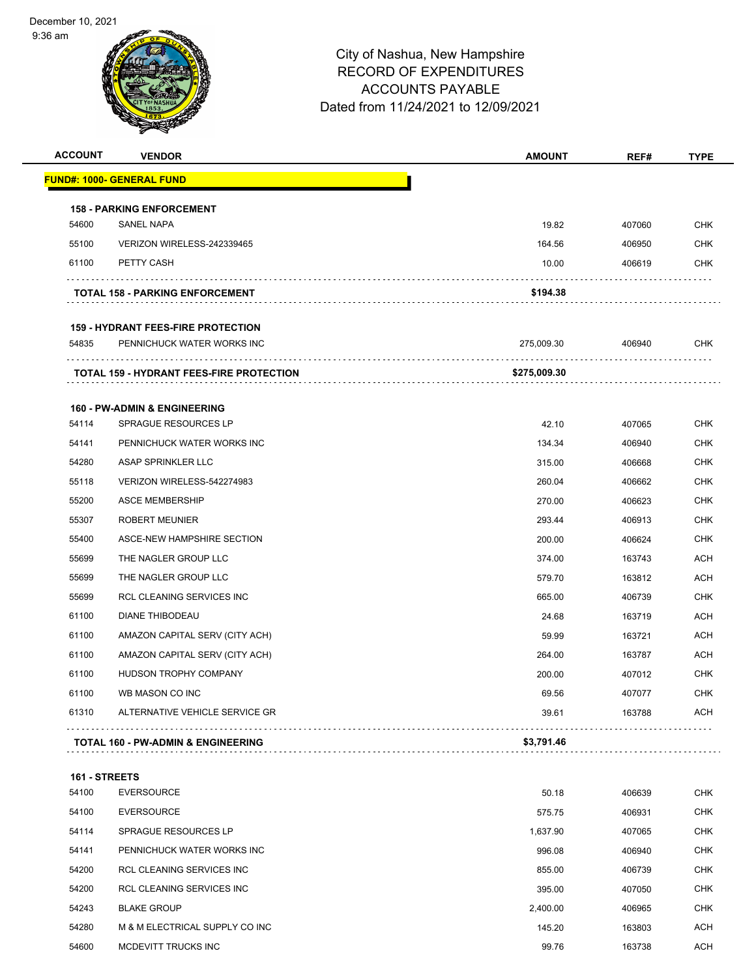9:36 am



| <b>ACCOUNT</b> | <b>VENDOR</b>                                 | <b>AMOUNT</b> | REF#   | <b>TYPE</b> |
|----------------|-----------------------------------------------|---------------|--------|-------------|
|                | <b>FUND#: 1000- GENERAL FUND</b>              |               |        |             |
|                | <b>158 - PARKING ENFORCEMENT</b>              |               |        |             |
| 54600          | SANEL NAPA                                    | 19.82         | 407060 | <b>CHK</b>  |
| 55100          | VERIZON WIRELESS-242339465                    | 164.56        | 406950 | <b>CHK</b>  |
| 61100          | PETTY CASH                                    | 10.00         | 406619 | <b>CHK</b>  |
|                | <b>TOTAL 158 - PARKING ENFORCEMENT</b>        | \$194.38      |        |             |
|                | <b>159 - HYDRANT FEES-FIRE PROTECTION</b>     |               |        |             |
| 54835          | PENNICHUCK WATER WORKS INC                    | 275,009.30    | 406940 | <b>CHK</b>  |
|                | TOTAL 159 - HYDRANT FEES-FIRE PROTECTION      | \$275,009.30  |        |             |
|                | <b>160 - PW-ADMIN &amp; ENGINEERING</b>       |               |        |             |
| 54114          | SPRAGUE RESOURCES LP                          | 42.10         | 407065 | <b>CHK</b>  |
| 54141          | PENNICHUCK WATER WORKS INC                    | 134.34        | 406940 | <b>CHK</b>  |
| 54280          | <b>ASAP SPRINKLER LLC</b>                     | 315.00        | 406668 | <b>CHK</b>  |
| 55118          | VERIZON WIRELESS-542274983                    | 260.04        | 406662 | <b>CHK</b>  |
| 55200          | <b>ASCE MEMBERSHIP</b>                        | 270.00        | 406623 | <b>CHK</b>  |
| 55307          | <b>ROBERT MEUNIER</b>                         | 293.44        | 406913 | <b>CHK</b>  |
| 55400          | ASCE-NEW HAMPSHIRE SECTION                    | 200.00        | 406624 | <b>CHK</b>  |
| 55699          | THE NAGLER GROUP LLC                          | 374.00        | 163743 | <b>ACH</b>  |
| 55699          | THE NAGLER GROUP LLC                          | 579.70        | 163812 | <b>ACH</b>  |
| 55699          | RCL CLEANING SERVICES INC                     | 665.00        | 406739 | <b>CHK</b>  |
| 61100          | DIANE THIBODEAU                               | 24.68         | 163719 | <b>ACH</b>  |
| 61100          | AMAZON CAPITAL SERV (CITY ACH)                | 59.99         | 163721 | ACH         |
| 61100          | AMAZON CAPITAL SERV (CITY ACH)                | 264.00        | 163787 | ACH         |
| 61100          | HUDSON TROPHY COMPANY                         | 200.00        | 407012 | CHK         |
| 61100          | WB MASON CO INC                               | 69.56         | 407077 | <b>CHK</b>  |
| 61310          | ALTERNATIVE VEHICLE SERVICE GR                | 39.61         | 163788 | <b>ACH</b>  |
|                | <b>TOTAL 160 - PW-ADMIN &amp; ENGINEERING</b> | \$3,791.46    |        |             |
| 161 - STREETS  |                                               |               |        |             |
| 54100          | <b>EVERSOURCE</b>                             | 50.18         | 406639 | CHK         |
| 54100          | <b>EVERSOURCE</b>                             | 575.75        | 406931 | <b>CHK</b>  |
| 54114          | SPRAGUE RESOURCES LP                          | 1,637.90      | 407065 | <b>CHK</b>  |
| 54141          | PENNICHUCK WATER WORKS INC                    | 996.08        | 406940 | <b>CHK</b>  |
| 54200          | RCL CLEANING SERVICES INC                     | 855.00        | 406739 | <b>CHK</b>  |
| 54200          | RCL CLEANING SERVICES INC                     | 395.00        | 407050 | <b>CHK</b>  |
| 54243          | <b>BLAKE GROUP</b>                            | 2,400.00      | 406965 | CHK         |
| 54280          | M & M ELECTRICAL SUPPLY CO INC                | 145.20        | 163803 | ACH         |
| 54600          | MCDEVITT TRUCKS INC                           | 99.76         | 163738 | <b>ACH</b>  |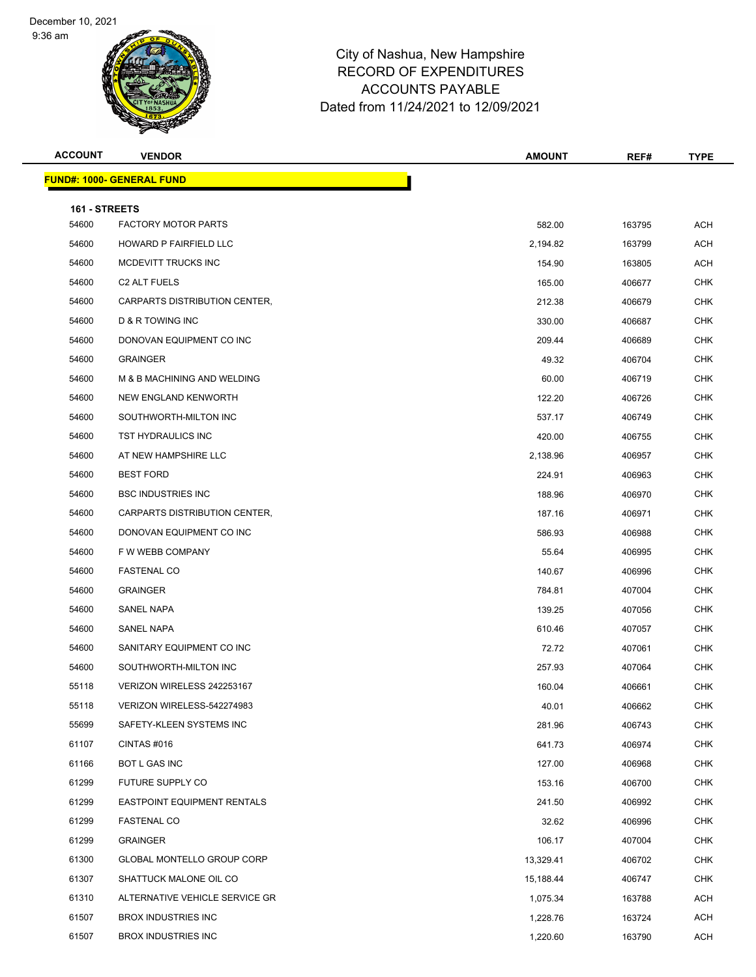9:36 am



| <b>ACCOUNT</b>         | <b>VENDOR</b>                      | <b>AMOUNT</b> | REF#   | <b>TYPE</b> |
|------------------------|------------------------------------|---------------|--------|-------------|
|                        | <b>FUND#: 1000- GENERAL FUND</b>   |               |        |             |
|                        |                                    |               |        |             |
| 161 - STREETS<br>54600 | <b>FACTORY MOTOR PARTS</b>         | 582.00        | 163795 | <b>ACH</b>  |
| 54600                  | HOWARD P FAIRFIELD LLC             | 2,194.82      | 163799 | <b>ACH</b>  |
| 54600                  | MCDEVITT TRUCKS INC                | 154.90        | 163805 | ACH         |
| 54600                  | <b>C2 ALT FUELS</b>                | 165.00        | 406677 | <b>CHK</b>  |
| 54600                  | CARPARTS DISTRIBUTION CENTER,      | 212.38        | 406679 | <b>CHK</b>  |
| 54600                  | D & R TOWING INC                   | 330.00        | 406687 | <b>CHK</b>  |
| 54600                  | DONOVAN EQUIPMENT CO INC           | 209.44        | 406689 | <b>CHK</b>  |
| 54600                  | <b>GRAINGER</b>                    | 49.32         | 406704 | <b>CHK</b>  |
| 54600                  | M & B MACHINING AND WELDING        | 60.00         | 406719 | <b>CHK</b>  |
| 54600                  | NEW ENGLAND KENWORTH               | 122.20        | 406726 | CHK         |
| 54600                  | SOUTHWORTH-MILTON INC              | 537.17        | 406749 | <b>CHK</b>  |
| 54600                  | TST HYDRAULICS INC                 | 420.00        | 406755 | <b>CHK</b>  |
| 54600                  | AT NEW HAMPSHIRE LLC               | 2,138.96      | 406957 | <b>CHK</b>  |
| 54600                  | <b>BEST FORD</b>                   | 224.91        | 406963 | <b>CHK</b>  |
| 54600                  | <b>BSC INDUSTRIES INC</b>          | 188.96        | 406970 | <b>CHK</b>  |
| 54600                  | CARPARTS DISTRIBUTION CENTER,      | 187.16        | 406971 | <b>CHK</b>  |
| 54600                  | DONOVAN EQUIPMENT CO INC           | 586.93        | 406988 | <b>CHK</b>  |
| 54600                  | F W WEBB COMPANY                   | 55.64         | 406995 | <b>CHK</b>  |
| 54600                  | <b>FASTENAL CO</b>                 | 140.67        | 406996 | <b>CHK</b>  |
| 54600                  | <b>GRAINGER</b>                    | 784.81        | 407004 | CHK         |
| 54600                  | SANEL NAPA                         | 139.25        | 407056 | <b>CHK</b>  |
| 54600                  | SANEL NAPA                         | 610.46        | 407057 | <b>CHK</b>  |
| 54600                  | SANITARY EQUIPMENT CO INC          | 72.72         | 407061 | <b>CHK</b>  |
| 54600                  | SOUTHWORTH-MILTON INC              | 257.93        | 407064 | <b>CHK</b>  |
| 55118                  | VERIZON WIRELESS 242253167         | 160.04        | 406661 | <b>CHK</b>  |
| 55118                  | VERIZON WIRELESS-542274983         | 40.01         | 406662 | CHK         |
| 55699                  | SAFETY-KLEEN SYSTEMS INC           | 281.96        | 406743 | <b>CHK</b>  |
| 61107                  | CINTAS #016                        | 641.73        | 406974 | <b>CHK</b>  |
| 61166                  | BOT L GAS INC                      | 127.00        | 406968 | <b>CHK</b>  |
| 61299                  | FUTURE SUPPLY CO                   | 153.16        | 406700 | <b>CHK</b>  |
| 61299                  | <b>EASTPOINT EQUIPMENT RENTALS</b> | 241.50        | 406992 | <b>CHK</b>  |
| 61299                  | <b>FASTENAL CO</b>                 | 32.62         | 406996 | <b>CHK</b>  |
| 61299                  | <b>GRAINGER</b>                    | 106.17        | 407004 | CHK         |
| 61300                  | GLOBAL MONTELLO GROUP CORP         | 13,329.41     | 406702 | <b>CHK</b>  |
| 61307                  | SHATTUCK MALONE OIL CO             | 15,188.44     | 406747 | <b>CHK</b>  |
| 61310                  | ALTERNATIVE VEHICLE SERVICE GR     | 1,075.34      | 163788 | ACH         |
| 61507                  | BROX INDUSTRIES INC                | 1,228.76      | 163724 | ACH         |
| 61507                  | BROX INDUSTRIES INC                | 1,220.60      | 163790 | <b>ACH</b>  |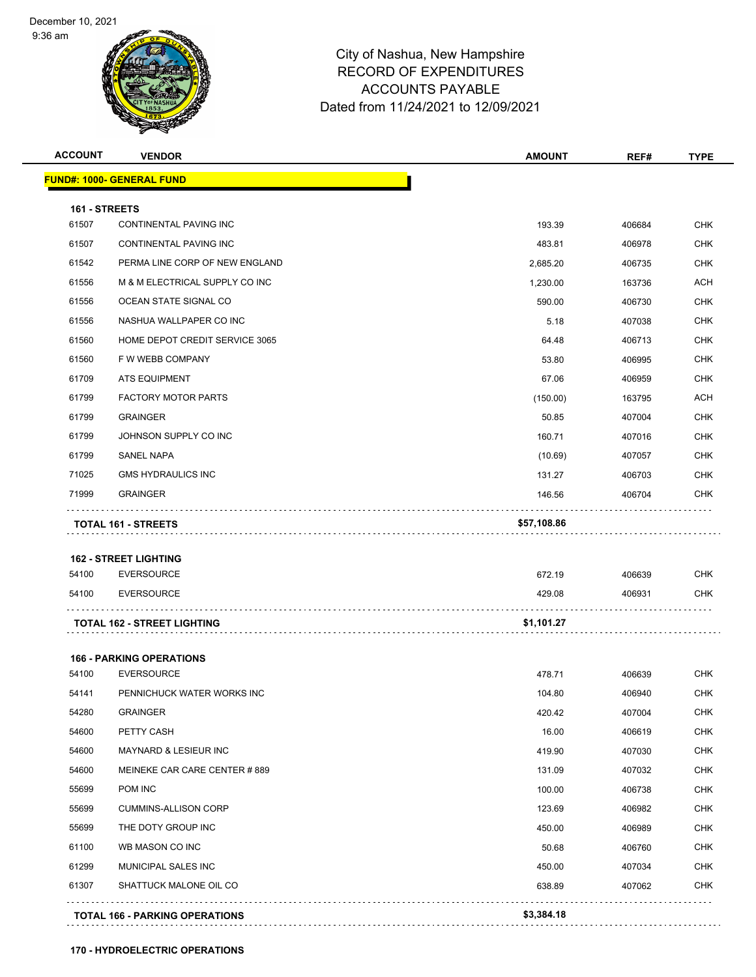9:36 am



# City of Nashua, New Hampshire RECORD OF EXPENDITURES ACCOUNTS PAYABLE Dated from 11/24/2021 to 12/09/2021

| <b>FUND#: 1000- GENERAL FUND</b><br>161 - STREETS<br>61507<br>61507<br>61542<br>61556<br>61556<br>61556<br>61560<br>61560<br>61709<br>ATS EQUIPMENT<br>61799<br>61799<br><b>GRAINGER</b><br>61799<br>61799<br><b>SANEL NAPA</b><br>71025<br>71999<br><b>GRAINGER</b><br>TOTAL 161 - STREETS<br><b>162 - STREET LIGHTING</b><br>54100<br><b>EVERSOURCE</b><br>54100<br><b>EVERSOURCE</b><br><b>TOTAL 162 - STREET LIGHTING</b><br><b>166 - PARKING OPERATIONS</b><br>54100<br><b>EVERSOURCE</b><br>54141<br>54280<br><b>GRAINGER</b><br>54600<br>PETTY CASH<br>54600 | <b>CONTINENTAL PAVING INC</b><br>CONTINENTAL PAVING INC<br>PERMA LINE CORP OF NEW ENGLAND<br>M & M ELECTRICAL SUPPLY CO INC<br>OCEAN STATE SIGNAL CO<br>NASHUA WALLPAPER CO INC<br>HOME DEPOT CREDIT SERVICE 3065<br>F W WEBB COMPANY<br><b>FACTORY MOTOR PARTS</b> | 193.39<br>483.81<br>2,685.20<br>1,230.00<br>590.00<br>5.18<br>64.48<br>53.80 | 406684<br>406978<br>406735<br>163736<br>406730<br>407038 | <b>CHK</b><br><b>CHK</b><br><b>CHK</b><br><b>ACH</b><br><b>CHK</b> |
|---------------------------------------------------------------------------------------------------------------------------------------------------------------------------------------------------------------------------------------------------------------------------------------------------------------------------------------------------------------------------------------------------------------------------------------------------------------------------------------------------------------------------------------------------------------------|---------------------------------------------------------------------------------------------------------------------------------------------------------------------------------------------------------------------------------------------------------------------|------------------------------------------------------------------------------|----------------------------------------------------------|--------------------------------------------------------------------|
|                                                                                                                                                                                                                                                                                                                                                                                                                                                                                                                                                                     |                                                                                                                                                                                                                                                                     |                                                                              |                                                          |                                                                    |
|                                                                                                                                                                                                                                                                                                                                                                                                                                                                                                                                                                     |                                                                                                                                                                                                                                                                     |                                                                              |                                                          |                                                                    |
|                                                                                                                                                                                                                                                                                                                                                                                                                                                                                                                                                                     |                                                                                                                                                                                                                                                                     |                                                                              |                                                          |                                                                    |
|                                                                                                                                                                                                                                                                                                                                                                                                                                                                                                                                                                     |                                                                                                                                                                                                                                                                     |                                                                              |                                                          |                                                                    |
|                                                                                                                                                                                                                                                                                                                                                                                                                                                                                                                                                                     |                                                                                                                                                                                                                                                                     |                                                                              |                                                          |                                                                    |
|                                                                                                                                                                                                                                                                                                                                                                                                                                                                                                                                                                     |                                                                                                                                                                                                                                                                     |                                                                              |                                                          |                                                                    |
|                                                                                                                                                                                                                                                                                                                                                                                                                                                                                                                                                                     |                                                                                                                                                                                                                                                                     |                                                                              |                                                          |                                                                    |
|                                                                                                                                                                                                                                                                                                                                                                                                                                                                                                                                                                     |                                                                                                                                                                                                                                                                     |                                                                              |                                                          | <b>CHK</b>                                                         |
|                                                                                                                                                                                                                                                                                                                                                                                                                                                                                                                                                                     |                                                                                                                                                                                                                                                                     |                                                                              | 406713                                                   | <b>CHK</b>                                                         |
|                                                                                                                                                                                                                                                                                                                                                                                                                                                                                                                                                                     |                                                                                                                                                                                                                                                                     |                                                                              | 406995                                                   | <b>CHK</b>                                                         |
|                                                                                                                                                                                                                                                                                                                                                                                                                                                                                                                                                                     |                                                                                                                                                                                                                                                                     | 67.06                                                                        | 406959                                                   | <b>CHK</b>                                                         |
|                                                                                                                                                                                                                                                                                                                                                                                                                                                                                                                                                                     |                                                                                                                                                                                                                                                                     | (150.00)                                                                     | 163795                                                   | <b>ACH</b>                                                         |
|                                                                                                                                                                                                                                                                                                                                                                                                                                                                                                                                                                     |                                                                                                                                                                                                                                                                     | 50.85                                                                        | 407004                                                   | <b>CHK</b>                                                         |
|                                                                                                                                                                                                                                                                                                                                                                                                                                                                                                                                                                     | JOHNSON SUPPLY CO INC                                                                                                                                                                                                                                               | 160.71                                                                       | 407016                                                   | <b>CHK</b>                                                         |
|                                                                                                                                                                                                                                                                                                                                                                                                                                                                                                                                                                     |                                                                                                                                                                                                                                                                     | (10.69)                                                                      | 407057                                                   | <b>CHK</b>                                                         |
|                                                                                                                                                                                                                                                                                                                                                                                                                                                                                                                                                                     | <b>GMS HYDRAULICS INC</b>                                                                                                                                                                                                                                           | 131.27                                                                       | 406703                                                   | <b>CHK</b>                                                         |
|                                                                                                                                                                                                                                                                                                                                                                                                                                                                                                                                                                     |                                                                                                                                                                                                                                                                     | 146.56                                                                       | 406704                                                   | <b>CHK</b>                                                         |
|                                                                                                                                                                                                                                                                                                                                                                                                                                                                                                                                                                     |                                                                                                                                                                                                                                                                     | 672.19                                                                       | 406639                                                   | <b>CHK</b>                                                         |
|                                                                                                                                                                                                                                                                                                                                                                                                                                                                                                                                                                     |                                                                                                                                                                                                                                                                     |                                                                              |                                                          |                                                                    |
|                                                                                                                                                                                                                                                                                                                                                                                                                                                                                                                                                                     |                                                                                                                                                                                                                                                                     | 429.08                                                                       | 406931                                                   | <b>CHK</b>                                                         |
|                                                                                                                                                                                                                                                                                                                                                                                                                                                                                                                                                                     |                                                                                                                                                                                                                                                                     | \$1,101.27                                                                   |                                                          |                                                                    |
|                                                                                                                                                                                                                                                                                                                                                                                                                                                                                                                                                                     |                                                                                                                                                                                                                                                                     |                                                                              |                                                          |                                                                    |
|                                                                                                                                                                                                                                                                                                                                                                                                                                                                                                                                                                     |                                                                                                                                                                                                                                                                     | 478.71                                                                       | 406639                                                   | <b>CHK</b>                                                         |
|                                                                                                                                                                                                                                                                                                                                                                                                                                                                                                                                                                     | PENNICHUCK WATER WORKS INC                                                                                                                                                                                                                                          | 104.80                                                                       | 406940                                                   | <b>CHK</b>                                                         |
|                                                                                                                                                                                                                                                                                                                                                                                                                                                                                                                                                                     |                                                                                                                                                                                                                                                                     | 420.42                                                                       | 407004                                                   | <b>CHK</b>                                                         |
|                                                                                                                                                                                                                                                                                                                                                                                                                                                                                                                                                                     |                                                                                                                                                                                                                                                                     | 16.00                                                                        | 406619                                                   | <b>CHK</b>                                                         |
|                                                                                                                                                                                                                                                                                                                                                                                                                                                                                                                                                                     | MAYNARD & LESIEUR INC                                                                                                                                                                                                                                               | 419.90                                                                       | 407030                                                   | <b>CHK</b>                                                         |
| 54600                                                                                                                                                                                                                                                                                                                                                                                                                                                                                                                                                               | MEINEKE CAR CARE CENTER #889                                                                                                                                                                                                                                        | 131.09                                                                       | 407032                                                   | <b>CHK</b>                                                         |
| POM INC<br>55699                                                                                                                                                                                                                                                                                                                                                                                                                                                                                                                                                    |                                                                                                                                                                                                                                                                     | 100.00                                                                       | 406738                                                   | <b>CHK</b>                                                         |
| 55699                                                                                                                                                                                                                                                                                                                                                                                                                                                                                                                                                               | <b>CUMMINS-ALLISON CORP</b>                                                                                                                                                                                                                                         | 123.69                                                                       | 406982                                                   | <b>CHK</b>                                                         |
| 55699                                                                                                                                                                                                                                                                                                                                                                                                                                                                                                                                                               |                                                                                                                                                                                                                                                                     | 450.00                                                                       | 406989                                                   | <b>CHK</b>                                                         |
| 61100<br>WB MASON CO INC                                                                                                                                                                                                                                                                                                                                                                                                                                                                                                                                            | THE DOTY GROUP INC                                                                                                                                                                                                                                                  | 50.68                                                                        | 406760                                                   | <b>CHK</b>                                                         |
| 61299                                                                                                                                                                                                                                                                                                                                                                                                                                                                                                                                                               |                                                                                                                                                                                                                                                                     | 450.00                                                                       | 407034                                                   | <b>CHK</b>                                                         |
| 61307<br>SHATTUCK MALONE OIL CO                                                                                                                                                                                                                                                                                                                                                                                                                                                                                                                                     | MUNICIPAL SALES INC                                                                                                                                                                                                                                                 | 638.89                                                                       | 407062                                                   | CHK                                                                |
|                                                                                                                                                                                                                                                                                                                                                                                                                                                                                                                                                                     |                                                                                                                                                                                                                                                                     |                                                                              |                                                          |                                                                    |
|                                                                                                                                                                                                                                                                                                                                                                                                                                                                                                                                                                     |                                                                                                                                                                                                                                                                     |                                                                              |                                                          |                                                                    |
|                                                                                                                                                                                                                                                                                                                                                                                                                                                                                                                                                                     |                                                                                                                                                                                                                                                                     |                                                                              |                                                          |                                                                    |
|                                                                                                                                                                                                                                                                                                                                                                                                                                                                                                                                                                     |                                                                                                                                                                                                                                                                     |                                                                              |                                                          |                                                                    |
|                                                                                                                                                                                                                                                                                                                                                                                                                                                                                                                                                                     |                                                                                                                                                                                                                                                                     |                                                                              |                                                          |                                                                    |
|                                                                                                                                                                                                                                                                                                                                                                                                                                                                                                                                                                     |                                                                                                                                                                                                                                                                     |                                                                              |                                                          |                                                                    |
|                                                                                                                                                                                                                                                                                                                                                                                                                                                                                                                                                                     |                                                                                                                                                                                                                                                                     |                                                                              |                                                          |                                                                    |
|                                                                                                                                                                                                                                                                                                                                                                                                                                                                                                                                                                     |                                                                                                                                                                                                                                                                     |                                                                              |                                                          |                                                                    |
|                                                                                                                                                                                                                                                                                                                                                                                                                                                                                                                                                                     |                                                                                                                                                                                                                                                                     |                                                                              |                                                          |                                                                    |
|                                                                                                                                                                                                                                                                                                                                                                                                                                                                                                                                                                     |                                                                                                                                                                                                                                                                     |                                                                              |                                                          |                                                                    |

**170 - HYDROELECTRIC OPERATIONS**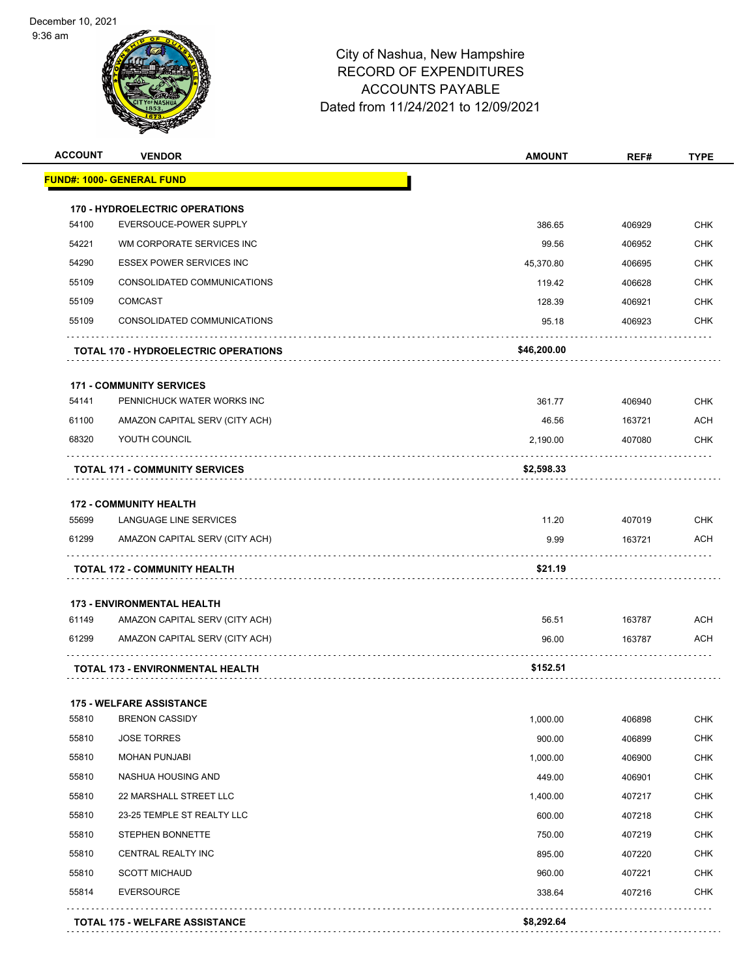9:36 am



| <b>ACCOUNT</b> | <b>VENDOR</b>                               | <b>AMOUNT</b> | REF#   | <b>TYPE</b> |
|----------------|---------------------------------------------|---------------|--------|-------------|
|                | <b>FUND#: 1000- GENERAL FUND</b>            |               |        |             |
|                | <b>170 - HYDROELECTRIC OPERATIONS</b>       |               |        |             |
| 54100          | EVERSOUCE-POWER SUPPLY                      | 386.65        | 406929 | <b>CHK</b>  |
| 54221          | WM CORPORATE SERVICES INC                   | 99.56         | 406952 | <b>CHK</b>  |
| 54290          | <b>ESSEX POWER SERVICES INC</b>             | 45,370.80     | 406695 | <b>CHK</b>  |
| 55109          | CONSOLIDATED COMMUNICATIONS                 | 119.42        | 406628 | <b>CHK</b>  |
| 55109          | <b>COMCAST</b>                              | 128.39        | 406921 | <b>CHK</b>  |
| 55109          | CONSOLIDATED COMMUNICATIONS                 | 95.18         | 406923 | <b>CHK</b>  |
|                | <b>TOTAL 170 - HYDROELECTRIC OPERATIONS</b> | \$46,200.00   |        |             |
|                | <b>171 - COMMUNITY SERVICES</b>             |               |        |             |
| 54141          | PENNICHUCK WATER WORKS INC                  | 361.77        | 406940 | <b>CHK</b>  |
| 61100          | AMAZON CAPITAL SERV (CITY ACH)              | 46.56         | 163721 | ACH         |
| 68320          | YOUTH COUNCIL                               | 2,190.00      | 407080 | <b>CHK</b>  |
|                | <b>TOTAL 171 - COMMUNITY SERVICES</b>       | \$2,598.33    |        |             |
|                | <b>172 - COMMUNITY HEALTH</b>               |               |        |             |
| 55699          | LANGUAGE LINE SERVICES                      | 11.20         | 407019 | <b>CHK</b>  |
| 61299          | AMAZON CAPITAL SERV (CITY ACH)              | 9.99          | 163721 | ACH         |
|                | <b>TOTAL 172 - COMMUNITY HEALTH</b>         | \$21.19       |        |             |
|                | <b>173 - ENVIRONMENTAL HEALTH</b>           |               |        |             |
| 61149          | AMAZON CAPITAL SERV (CITY ACH)              | 56.51         | 163787 | <b>ACH</b>  |
| 61299          | AMAZON CAPITAL SERV (CITY ACH)              | 96.00         | 163787 | ACH         |
|                | <b>TOTAL 173 - ENVIRONMENTAL HEALTH</b>     | \$152.51      |        |             |
|                | <b>175 - WELFARE ASSISTANCE</b>             |               |        |             |
| 55810          | <b>BRENON CASSIDY</b>                       | 1,000.00      | 406898 | <b>CHK</b>  |
| 55810          | <b>JOSE TORRES</b>                          | 900.00        | 406899 | <b>CHK</b>  |
| 55810          | <b>MOHAN PUNJABI</b>                        | 1,000.00      | 406900 | CHK         |
| 55810          | NASHUA HOUSING AND                          | 449.00        | 406901 | <b>CHK</b>  |
| 55810          | 22 MARSHALL STREET LLC                      | 1,400.00      | 407217 | <b>CHK</b>  |
| 55810          | 23-25 TEMPLE ST REALTY LLC                  | 600.00        | 407218 | <b>CHK</b>  |
| 55810          | STEPHEN BONNETTE                            | 750.00        | 407219 | <b>CHK</b>  |
| 55810          | CENTRAL REALTY INC                          | 895.00        | 407220 | <b>CHK</b>  |
| 55810          | <b>SCOTT MICHAUD</b>                        | 960.00        | 407221 | <b>CHK</b>  |
| 55814          | <b>EVERSOURCE</b>                           | 338.64        | 407216 | <b>CHK</b>  |
|                | <b>TOTAL 175 - WELFARE ASSISTANCE</b>       | \$8,292.64    |        |             |
|                |                                             |               |        |             |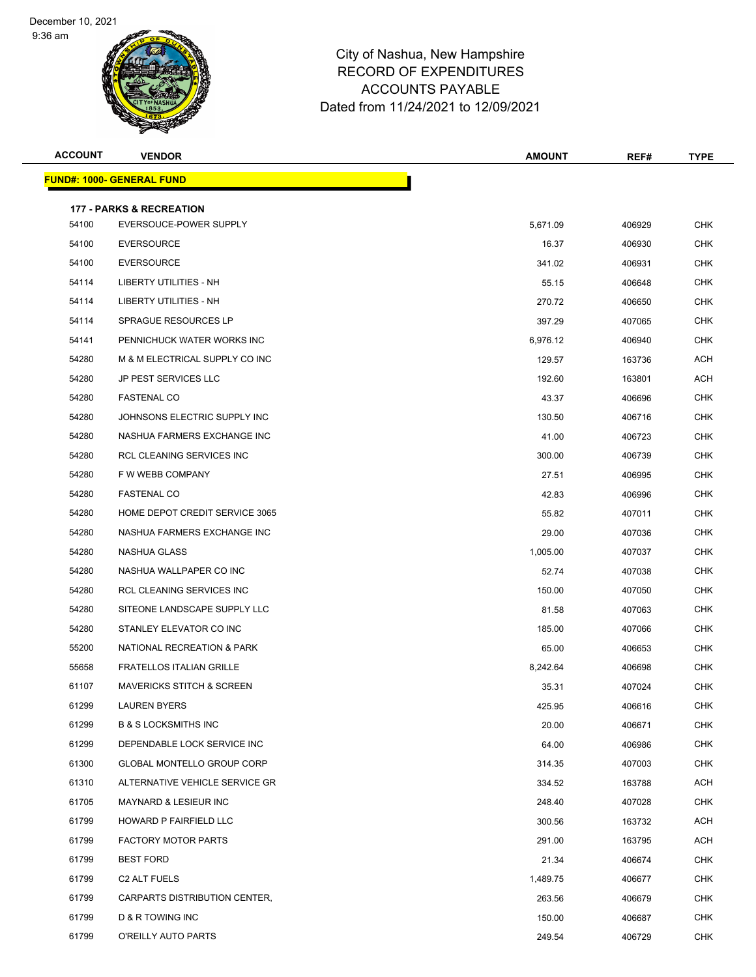9:36 am



| <b>ACCOUNT</b> | <b>VENDOR</b>                                                 | <b>AMOUNT</b> | REF#   | <b>TYPE</b> |
|----------------|---------------------------------------------------------------|---------------|--------|-------------|
|                | <b>FUND#: 1000- GENERAL FUND</b>                              |               |        |             |
|                |                                                               |               |        |             |
| 54100          | <b>177 - PARKS &amp; RECREATION</b><br>EVERSOUCE-POWER SUPPLY | 5,671.09      | 406929 | <b>CHK</b>  |
| 54100          | <b>EVERSOURCE</b>                                             | 16.37         | 406930 | <b>CHK</b>  |
| 54100          | <b>EVERSOURCE</b>                                             | 341.02        | 406931 | CHK         |
| 54114          | <b>LIBERTY UTILITIES - NH</b>                                 | 55.15         | 406648 | <b>CHK</b>  |
| 54114          | LIBERTY UTILITIES - NH                                        | 270.72        | 406650 | <b>CHK</b>  |
| 54114          | <b>SPRAGUE RESOURCES LP</b>                                   | 397.29        | 407065 | <b>CHK</b>  |
| 54141          | PENNICHUCK WATER WORKS INC                                    | 6,976.12      | 406940 | <b>CHK</b>  |
| 54280          | M & M ELECTRICAL SUPPLY CO INC                                | 129.57        | 163736 | <b>ACH</b>  |
| 54280          | <b>JP PEST SERVICES LLC</b>                                   | 192.60        | 163801 | ACH         |
| 54280          | <b>FASTENAL CO</b>                                            | 43.37         | 406696 | CHK         |
| 54280          | JOHNSONS ELECTRIC SUPPLY INC                                  | 130.50        | 406716 | <b>CHK</b>  |
| 54280          | NASHUA FARMERS EXCHANGE INC                                   | 41.00         | 406723 | <b>CHK</b>  |
| 54280          | RCL CLEANING SERVICES INC                                     | 300.00        | 406739 | <b>CHK</b>  |
| 54280          | F W WEBB COMPANY                                              | 27.51         | 406995 | <b>CHK</b>  |
| 54280          | <b>FASTENAL CO</b>                                            | 42.83         | 406996 | <b>CHK</b>  |
| 54280          | HOME DEPOT CREDIT SERVICE 3065                                | 55.82         | 407011 | <b>CHK</b>  |
| 54280          | NASHUA FARMERS EXCHANGE INC                                   | 29.00         | 407036 | <b>CHK</b>  |
| 54280          | NASHUA GLASS                                                  | 1,005.00      | 407037 | <b>CHK</b>  |
| 54280          | NASHUA WALLPAPER CO INC                                       | 52.74         | 407038 | <b>CHK</b>  |
| 54280          | RCL CLEANING SERVICES INC                                     | 150.00        | 407050 | <b>CHK</b>  |
| 54280          | SITEONE LANDSCAPE SUPPLY LLC                                  | 81.58         | 407063 | <b>CHK</b>  |
| 54280          | STANLEY ELEVATOR CO INC                                       | 185.00        | 407066 | <b>CHK</b>  |
| 55200          | NATIONAL RECREATION & PARK                                    | 65.00         | 406653 | <b>CHK</b>  |
| 55658          | <b>FRATELLOS ITALIAN GRILLE</b>                               | 8,242.64      | 406698 | <b>CHK</b>  |
| 61107          | <b>MAVERICKS STITCH &amp; SCREEN</b>                          | 35.31         | 407024 | <b>CHK</b>  |
| 61299          | <b>LAUREN BYERS</b>                                           | 425.95        | 406616 | <b>CHK</b>  |
| 61299          | <b>B &amp; S LOCKSMITHS INC</b>                               | 20.00         | 406671 | CHK         |
| 61299          | DEPENDABLE LOCK SERVICE INC                                   | 64.00         | 406986 | <b>CHK</b>  |
| 61300          | GLOBAL MONTELLO GROUP CORP                                    | 314.35        | 407003 | <b>CHK</b>  |
| 61310          | ALTERNATIVE VEHICLE SERVICE GR                                | 334.52        | 163788 | ACH         |
| 61705          | <b>MAYNARD &amp; LESIEUR INC</b>                              | 248.40        | 407028 | <b>CHK</b>  |
| 61799          | HOWARD P FAIRFIELD LLC                                        | 300.56        | 163732 | ACH         |
| 61799          | <b>FACTORY MOTOR PARTS</b>                                    | 291.00        | 163795 | <b>ACH</b>  |
| 61799          | <b>BEST FORD</b>                                              | 21.34         | 406674 | <b>CHK</b>  |
| 61799          | C <sub>2</sub> ALT FUELS                                      | 1,489.75      | 406677 | <b>CHK</b>  |
| 61799          | CARPARTS DISTRIBUTION CENTER,                                 | 263.56        | 406679 | <b>CHK</b>  |
| 61799          | D & R TOWING INC                                              | 150.00        | 406687 | <b>CHK</b>  |
| 61799          | O'REILLY AUTO PARTS                                           | 249.54        | 406729 | <b>CHK</b>  |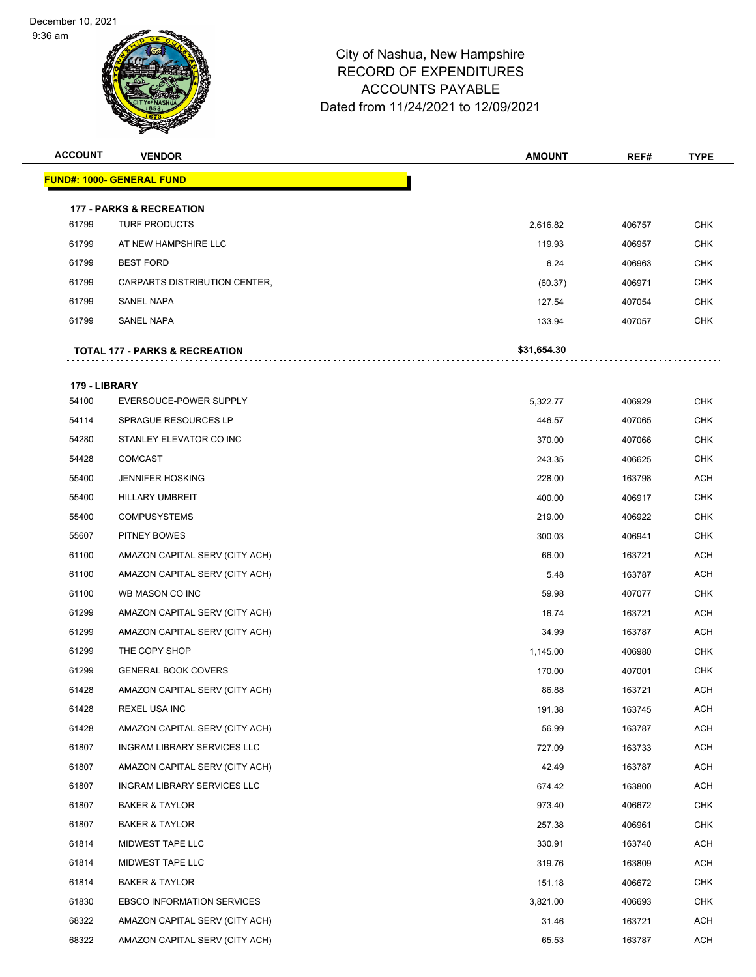9:36 am



| <b>ACCOUNT</b> | <b>VENDOR</b>                       | <b>AMOUNT</b> | REF#   | <b>TYPE</b> |
|----------------|-------------------------------------|---------------|--------|-------------|
|                | <b>FUND#: 1000- GENERAL FUND</b>    |               |        |             |
|                | <b>177 - PARKS &amp; RECREATION</b> |               |        |             |
| 61799          | <b>TURF PRODUCTS</b>                | 2,616.82      | 406757 | <b>CHK</b>  |
| 61799          | AT NEW HAMPSHIRE LLC                | 119.93        | 406957 | <b>CHK</b>  |
| 61799          | <b>BEST FORD</b>                    | 6.24          | 406963 | CHK         |
| 61799          | CARPARTS DISTRIBUTION CENTER,       | (60.37)       | 406971 | <b>CHK</b>  |
| 61799          | SANEL NAPA                          | 127.54        | 407054 | CHK         |
| 61799          | <b>SANEL NAPA</b>                   | 133.94        | 407057 | CHK         |
|                | TOTAL 177 - PARKS & RECREATION      | \$31,654.30   |        |             |
|                |                                     |               |        |             |
| 179 - LIBRARY  |                                     |               |        |             |
| 54100          | EVERSOUCE-POWER SUPPLY              | 5,322.77      | 406929 | <b>CHK</b>  |
| 54114          | SPRAGUE RESOURCES LP                | 446.57        | 407065 | CHK         |
| 54280          | STANLEY ELEVATOR CO INC             | 370.00        | 407066 | <b>CHK</b>  |
| 54428          | <b>COMCAST</b>                      | 243.35        | 406625 | <b>CHK</b>  |
| 55400          | <b>JENNIFER HOSKING</b>             | 228.00        | 163798 | <b>ACH</b>  |
| 55400          | <b>HILLARY UMBREIT</b>              | 400.00        | 406917 | <b>CHK</b>  |
| 55400          | <b>COMPUSYSTEMS</b>                 | 219.00        | 406922 | CHK         |
| 55607          | <b>PITNEY BOWES</b>                 | 300.03        | 406941 | <b>CHK</b>  |
| 61100          | AMAZON CAPITAL SERV (CITY ACH)      | 66.00         | 163721 | <b>ACH</b>  |
| 61100          | AMAZON CAPITAL SERV (CITY ACH)      | 5.48          | 163787 | ACH         |
| 61100          | WB MASON CO INC                     | 59.98         | 407077 | <b>CHK</b>  |
| 61299          | AMAZON CAPITAL SERV (CITY ACH)      | 16.74         | 163721 | ACH         |
| 61299          | AMAZON CAPITAL SERV (CITY ACH)      | 34.99         | 163787 | <b>ACH</b>  |
| 61299          | THE COPY SHOP                       | 1,145.00      | 406980 | <b>CHK</b>  |
| 61299          | <b>GENERAL BOOK COVERS</b>          | 170.00        | 407001 | <b>CHK</b>  |
| 61428          | AMAZON CAPITAL SERV (CITY ACH)      | 86.88         | 163721 | <b>ACH</b>  |
| 61428          | REXEL USA INC                       | 191.38        | 163745 | <b>ACH</b>  |
| 61428          | AMAZON CAPITAL SERV (CITY ACH)      | 56.99         | 163787 | <b>ACH</b>  |
| 61807          | INGRAM LIBRARY SERVICES LLC         | 727.09        | 163733 | ACH         |
| 61807          | AMAZON CAPITAL SERV (CITY ACH)      | 42.49         | 163787 | ACH         |
| 61807          | INGRAM LIBRARY SERVICES LLC         | 674.42        | 163800 | ACH         |
| 61807          | <b>BAKER &amp; TAYLOR</b>           | 973.40        | 406672 | CHK         |
| 61807          | <b>BAKER &amp; TAYLOR</b>           | 257.38        | 406961 | <b>CHK</b>  |
| 61814          | MIDWEST TAPE LLC                    | 330.91        | 163740 | ACH         |
| 61814          | MIDWEST TAPE LLC                    | 319.76        | 163809 | ACH         |
| 61814          | <b>BAKER &amp; TAYLOR</b>           | 151.18        | 406672 | <b>CHK</b>  |
| 61830          | <b>EBSCO INFORMATION SERVICES</b>   | 3,821.00      | 406693 | CHK         |
| 68322          | AMAZON CAPITAL SERV (CITY ACH)      | 31.46         | 163721 | ACH         |
| 68322          | AMAZON CAPITAL SERV (CITY ACH)      | 65.53         | 163787 | <b>ACH</b>  |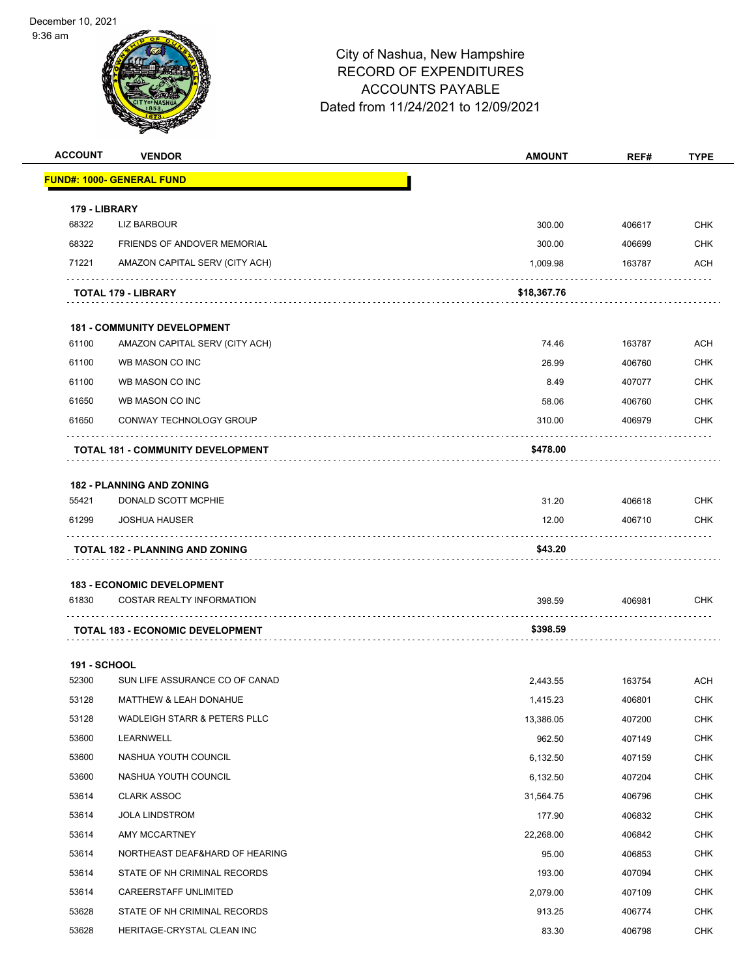9:36 am



| <b>ACCOUNT</b>      | <b>VENDOR</b>                                           | <b>AMOUNT</b> | REF#   | <b>TYPE</b> |
|---------------------|---------------------------------------------------------|---------------|--------|-------------|
|                     | <u> FUND#: 1000- GENERAL FUND</u>                       |               |        |             |
| 179 - LIBRARY       |                                                         |               |        |             |
| 68322               | LIZ BARBOUR                                             | 300.00        | 406617 | <b>CHK</b>  |
| 68322               | <b>FRIENDS OF ANDOVER MEMORIAL</b>                      | 300.00        | 406699 | <b>CHK</b>  |
| 71221               | AMAZON CAPITAL SERV (CITY ACH)                          | 1,009.98      | 163787 | <b>ACH</b>  |
|                     | <b>TOTAL 179 - LIBRARY</b>                              | \$18,367.76   |        |             |
|                     | <b>181 - COMMUNITY DEVELOPMENT</b>                      |               |        |             |
| 61100               | AMAZON CAPITAL SERV (CITY ACH)                          | 74.46         | 163787 | <b>ACH</b>  |
| 61100               | WB MASON CO INC                                         | 26.99         | 406760 | <b>CHK</b>  |
| 61100               | WB MASON CO INC                                         | 8.49          | 407077 | <b>CHK</b>  |
| 61650               | WB MASON CO INC                                         | 58.06         | 406760 | <b>CHK</b>  |
| 61650               | CONWAY TECHNOLOGY GROUP                                 | 310.00        | 406979 | <b>CHK</b>  |
|                     | <b>TOTAL 181 - COMMUNITY DEVELOPMENT</b>                | \$478.00      |        |             |
|                     |                                                         |               |        |             |
| 55421               | <b>182 - PLANNING AND ZONING</b><br>DONALD SCOTT MCPHIE | 31.20         | 406618 | <b>CHK</b>  |
| 61299               | <b>JOSHUA HAUSER</b>                                    | 12.00         | 406710 | <b>CHK</b>  |
|                     |                                                         |               |        |             |
|                     | <b>TOTAL 182 - PLANNING AND ZONING</b>                  | \$43.20       |        |             |
|                     | <b>183 - ECONOMIC DEVELOPMENT</b>                       |               |        |             |
| 61830               | <b>COSTAR REALTY INFORMATION</b>                        | 398.59        | 406981 | <b>CHK</b>  |
|                     | <b>TOTAL 183 - ECONOMIC DEVELOPMENT</b>                 | \$398.59      |        |             |
| <b>191 - SCHOOL</b> |                                                         |               |        |             |
| 52300               | SUN LIFE ASSURANCE CO OF CANAD                          | 2,443.55      | 163754 | <b>ACH</b>  |
| 53128               | <b>MATTHEW &amp; LEAH DONAHUE</b>                       | 1,415.23      | 406801 | <b>CHK</b>  |
| 53128               | WADLEIGH STARR & PETERS PLLC                            | 13,386.05     | 407200 | <b>CHK</b>  |
| 53600               | LEARNWELL                                               | 962.50        | 407149 | <b>CHK</b>  |
| 53600               | NASHUA YOUTH COUNCIL                                    | 6,132.50      | 407159 | <b>CHK</b>  |
| 53600               | NASHUA YOUTH COUNCIL                                    | 6,132.50      | 407204 | <b>CHK</b>  |
| 53614               | <b>CLARK ASSOC</b>                                      | 31,564.75     | 406796 | <b>CHK</b>  |
| 53614               | <b>JOLA LINDSTROM</b>                                   | 177.90        | 406832 | <b>CHK</b>  |
| 53614               | AMY MCCARTNEY                                           | 22,268.00     | 406842 | <b>CHK</b>  |
| 53614               | NORTHEAST DEAF&HARD OF HEARING                          | 95.00         | 406853 | <b>CHK</b>  |
| 53614               | STATE OF NH CRIMINAL RECORDS                            | 193.00        | 407094 | <b>CHK</b>  |
| 53614               | CAREERSTAFF UNLIMITED                                   | 2,079.00      | 407109 | <b>CHK</b>  |
| 53628               | STATE OF NH CRIMINAL RECORDS                            | 913.25        | 406774 | <b>CHK</b>  |
| 53628               | HERITAGE-CRYSTAL CLEAN INC                              | 83.30         | 406798 | <b>CHK</b>  |
|                     |                                                         |               |        |             |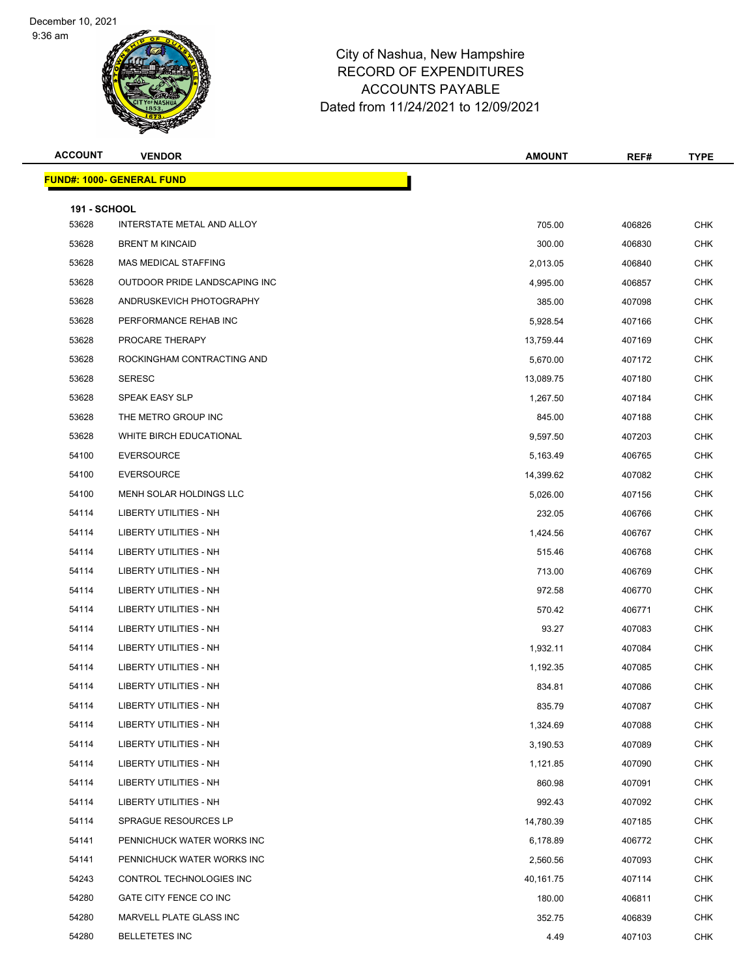9:36 am



| <b>ACCOUNT</b>               | <b>VENDOR</b>                    | <b>AMOUNT</b> | REF#   | <b>TYPE</b> |
|------------------------------|----------------------------------|---------------|--------|-------------|
|                              | <b>FUND#: 1000- GENERAL FUND</b> |               |        |             |
|                              |                                  |               |        |             |
| <b>191 - SCHOOL</b><br>53628 | INTERSTATE METAL AND ALLOY       | 705.00        | 406826 | <b>CHK</b>  |
| 53628                        | <b>BRENT M KINCAID</b>           | 300.00        | 406830 | <b>CHK</b>  |
| 53628                        | MAS MEDICAL STAFFING             | 2,013.05      | 406840 | <b>CHK</b>  |
| 53628                        | OUTDOOR PRIDE LANDSCAPING INC    | 4,995.00      | 406857 | <b>CHK</b>  |
| 53628                        | ANDRUSKEVICH PHOTOGRAPHY         | 385.00        | 407098 | <b>CHK</b>  |
| 53628                        | PERFORMANCE REHAB INC            | 5,928.54      | 407166 | <b>CHK</b>  |
| 53628                        | PROCARE THERAPY                  | 13,759.44     | 407169 | <b>CHK</b>  |
| 53628                        | ROCKINGHAM CONTRACTING AND       | 5,670.00      | 407172 | <b>CHK</b>  |
| 53628                        | <b>SERESC</b>                    | 13,089.75     | 407180 | <b>CHK</b>  |
| 53628                        | SPEAK EASY SLP                   | 1,267.50      | 407184 | <b>CHK</b>  |
| 53628                        | THE METRO GROUP INC              | 845.00        | 407188 | <b>CHK</b>  |
| 53628                        | WHITE BIRCH EDUCATIONAL          | 9,597.50      | 407203 | <b>CHK</b>  |
| 54100                        | <b>EVERSOURCE</b>                | 5,163.49      | 406765 | <b>CHK</b>  |
| 54100                        | <b>EVERSOURCE</b>                | 14,399.62     | 407082 | <b>CHK</b>  |
| 54100                        | MENH SOLAR HOLDINGS LLC          | 5,026.00      | 407156 | <b>CHK</b>  |
| 54114                        | LIBERTY UTILITIES - NH           | 232.05        | 406766 | <b>CHK</b>  |
| 54114                        | LIBERTY UTILITIES - NH           | 1,424.56      | 406767 | <b>CHK</b>  |
| 54114                        | LIBERTY UTILITIES - NH           | 515.46        | 406768 | <b>CHK</b>  |
| 54114                        | LIBERTY UTILITIES - NH           | 713.00        | 406769 | <b>CHK</b>  |
| 54114                        | LIBERTY UTILITIES - NH           | 972.58        | 406770 | <b>CHK</b>  |
| 54114                        | LIBERTY UTILITIES - NH           | 570.42        | 406771 | <b>CHK</b>  |
| 54114                        | <b>LIBERTY UTILITIES - NH</b>    | 93.27         | 407083 | <b>CHK</b>  |
| 54114                        | LIBERTY UTILITIES - NH           | 1,932.11      | 407084 | CHK         |
| 54114                        | LIBERTY UTILITIES - NH           | 1,192.35      | 407085 | <b>CHK</b>  |
| 54114                        | LIBERTY UTILITIES - NH           | 834.81        | 407086 | <b>CHK</b>  |
| 54114                        | LIBERTY UTILITIES - NH           | 835.79        | 407087 | CHK         |
| 54114                        | <b>LIBERTY UTILITIES - NH</b>    | 1,324.69      | 407088 | <b>CHK</b>  |
| 54114                        | LIBERTY UTILITIES - NH           | 3,190.53      | 407089 | <b>CHK</b>  |
| 54114                        | LIBERTY UTILITIES - NH           | 1,121.85      | 407090 | <b>CHK</b>  |
| 54114                        | <b>LIBERTY UTILITIES - NH</b>    | 860.98        | 407091 | <b>CHK</b>  |
| 54114                        | LIBERTY UTILITIES - NH           | 992.43        | 407092 | <b>CHK</b>  |
| 54114                        | SPRAGUE RESOURCES LP             | 14,780.39     | 407185 | <b>CHK</b>  |
| 54141                        | PENNICHUCK WATER WORKS INC       | 6,178.89      | 406772 | <b>CHK</b>  |
| 54141                        | PENNICHUCK WATER WORKS INC       | 2,560.56      | 407093 | <b>CHK</b>  |
| 54243                        | CONTROL TECHNOLOGIES INC         | 40,161.75     | 407114 | <b>CHK</b>  |
| 54280                        | GATE CITY FENCE CO INC           | 180.00        | 406811 | <b>CHK</b>  |
| 54280                        | MARVELL PLATE GLASS INC          | 352.75        | 406839 | <b>CHK</b>  |
| 54280                        | <b>BELLETETES INC</b>            | 4.49          | 407103 | <b>CHK</b>  |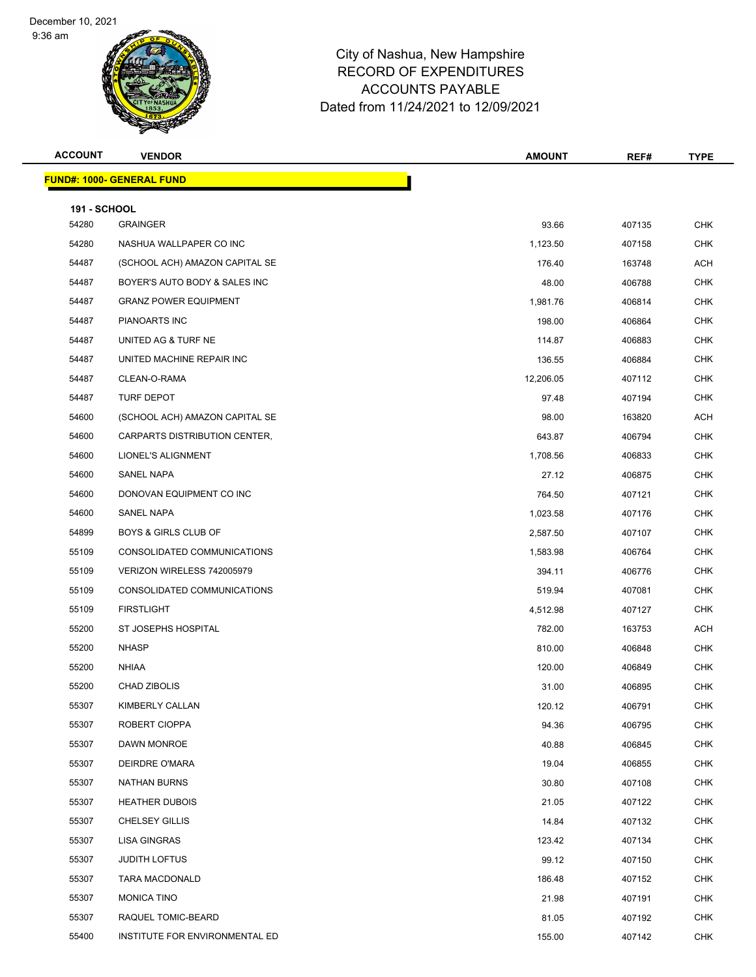9:36 am



| <b>ACCOUNT</b>      | <b>VENDOR</b>                    | <b>AMOUNT</b> | REF#   | <b>TYPE</b> |
|---------------------|----------------------------------|---------------|--------|-------------|
|                     | <b>FUND#: 1000- GENERAL FUND</b> |               |        |             |
| <b>191 - SCHOOL</b> |                                  |               |        |             |
| 54280               | <b>GRAINGER</b>                  | 93.66         | 407135 | <b>CHK</b>  |
| 54280               | NASHUA WALLPAPER CO INC          | 1,123.50      | 407158 | <b>CHK</b>  |
| 54487               | (SCHOOL ACH) AMAZON CAPITAL SE   | 176.40        | 163748 | ACH         |
| 54487               | BOYER'S AUTO BODY & SALES INC    | 48.00         | 406788 | <b>CHK</b>  |
| 54487               | <b>GRANZ POWER EQUIPMENT</b>     | 1,981.76      | 406814 | <b>CHK</b>  |
| 54487               | PIANOARTS INC                    | 198.00        | 406864 | <b>CHK</b>  |
| 54487               | UNITED AG & TURF NE              | 114.87        | 406883 | <b>CHK</b>  |
| 54487               | UNITED MACHINE REPAIR INC        | 136.55        | 406884 | <b>CHK</b>  |
| 54487               | CLEAN-O-RAMA                     | 12,206.05     | 407112 | <b>CHK</b>  |
| 54487               | <b>TURF DEPOT</b>                | 97.48         | 407194 | <b>CHK</b>  |
| 54600               | (SCHOOL ACH) AMAZON CAPITAL SE   | 98.00         | 163820 | <b>ACH</b>  |
| 54600               | CARPARTS DISTRIBUTION CENTER,    | 643.87        | 406794 | <b>CHK</b>  |
| 54600               | LIONEL'S ALIGNMENT               | 1,708.56      | 406833 | <b>CHK</b>  |
| 54600               | SANEL NAPA                       | 27.12         | 406875 | <b>CHK</b>  |
| 54600               | DONOVAN EQUIPMENT CO INC         | 764.50        | 407121 | <b>CHK</b>  |
| 54600               | SANEL NAPA                       | 1,023.58      | 407176 | <b>CHK</b>  |
| 54899               | <b>BOYS &amp; GIRLS CLUB OF</b>  | 2,587.50      | 407107 | <b>CHK</b>  |
| 55109               | CONSOLIDATED COMMUNICATIONS      | 1,583.98      | 406764 | <b>CHK</b>  |
| 55109               | VERIZON WIRELESS 742005979       | 394.11        | 406776 | <b>CHK</b>  |
| 55109               | CONSOLIDATED COMMUNICATIONS      | 519.94        | 407081 | <b>CHK</b>  |
| 55109               | <b>FIRSTLIGHT</b>                | 4,512.98      | 407127 | <b>CHK</b>  |
| 55200               | ST JOSEPHS HOSPITAL              | 782.00        | 163753 | ACH         |
| 55200               | <b>NHASP</b>                     | 810.00        | 406848 | <b>CHK</b>  |
| 55200               | <b>NHIAA</b>                     | 120.00        | 406849 | <b>CHK</b>  |
| 55200               | CHAD ZIBOLIS                     | 31.00         | 406895 | <b>CHK</b>  |
| 55307               | KIMBERLY CALLAN                  | 120.12        | 406791 | CHK         |
| 55307               | ROBERT CIOPPA                    | 94.36         | 406795 | <b>CHK</b>  |
| 55307               | <b>DAWN MONROE</b>               | 40.88         | 406845 | <b>CHK</b>  |
| 55307               | DEIRDRE O'MARA                   | 19.04         | 406855 | <b>CHK</b>  |
| 55307               | NATHAN BURNS                     | 30.80         | 407108 | <b>CHK</b>  |
| 55307               | <b>HEATHER DUBOIS</b>            | 21.05         | 407122 | <b>CHK</b>  |
| 55307               | <b>CHELSEY GILLIS</b>            | 14.84         | 407132 | <b>CHK</b>  |
| 55307               | <b>LISA GINGRAS</b>              | 123.42        | 407134 | <b>CHK</b>  |
| 55307               | <b>JUDITH LOFTUS</b>             | 99.12         | 407150 | <b>CHK</b>  |
| 55307               | TARA MACDONALD                   | 186.48        | 407152 | <b>CHK</b>  |
| 55307               | <b>MONICA TINO</b>               | 21.98         | 407191 | <b>CHK</b>  |
| 55307               | RAQUEL TOMIC-BEARD               | 81.05         | 407192 | <b>CHK</b>  |
| 55400               | INSTITUTE FOR ENVIRONMENTAL ED   | 155.00        | 407142 | CHK         |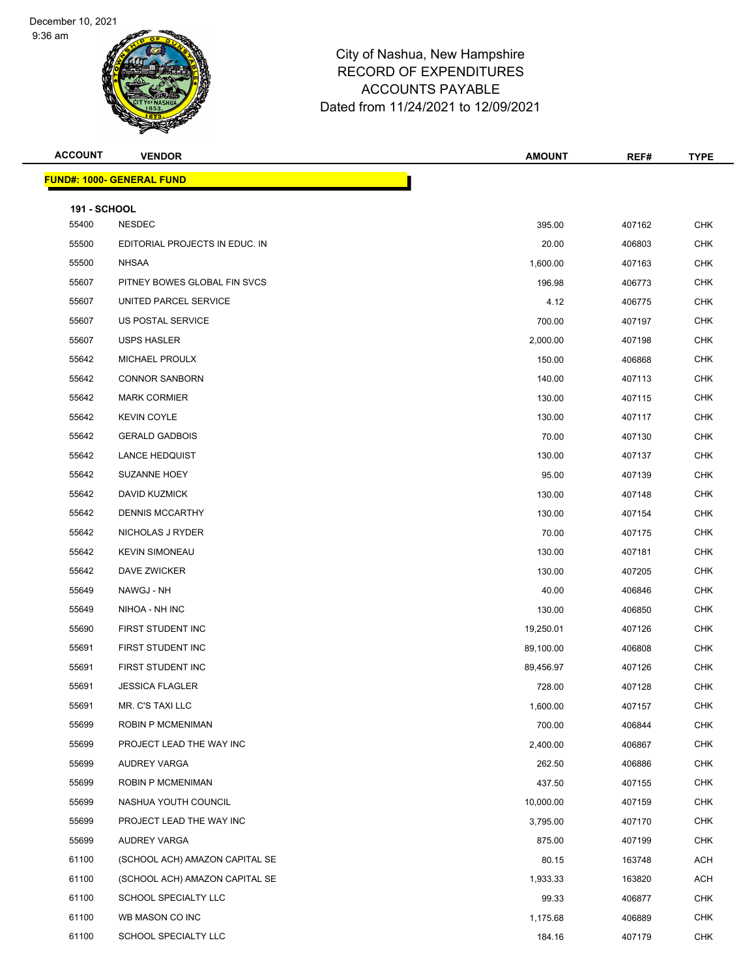9:36 am



| <b>ACCOUNT</b>               | <b>VENDOR</b>                    | <b>AMOUNT</b> | REF#   | <b>TYPE</b> |
|------------------------------|----------------------------------|---------------|--------|-------------|
|                              | <b>FUND#: 1000- GENERAL FUND</b> |               |        |             |
|                              |                                  |               |        |             |
| <b>191 - SCHOOL</b><br>55400 | <b>NESDEC</b>                    | 395.00        | 407162 | <b>CHK</b>  |
| 55500                        | EDITORIAL PROJECTS IN EDUC. IN   | 20.00         | 406803 | <b>CHK</b>  |
| 55500                        | <b>NHSAA</b>                     | 1,600.00      | 407163 | <b>CHK</b>  |
| 55607                        | PITNEY BOWES GLOBAL FIN SVCS     | 196.98        | 406773 | <b>CHK</b>  |
| 55607                        | UNITED PARCEL SERVICE            | 4.12          | 406775 | <b>CHK</b>  |
| 55607                        | US POSTAL SERVICE                | 700.00        | 407197 | <b>CHK</b>  |
| 55607                        | USPS HASLER                      | 2,000.00      | 407198 | <b>CHK</b>  |
| 55642                        | MICHAEL PROULX                   | 150.00        | 406868 | <b>CHK</b>  |
| 55642                        | <b>CONNOR SANBORN</b>            | 140.00        | 407113 | <b>CHK</b>  |
| 55642                        | <b>MARK CORMIER</b>              | 130.00        | 407115 | <b>CHK</b>  |
| 55642                        | <b>KEVIN COYLE</b>               | 130.00        | 407117 | <b>CHK</b>  |
| 55642                        | <b>GERALD GADBOIS</b>            | 70.00         | 407130 | <b>CHK</b>  |
| 55642                        | <b>LANCE HEDQUIST</b>            | 130.00        | 407137 | <b>CHK</b>  |
| 55642                        | <b>SUZANNE HOEY</b>              | 95.00         | 407139 | <b>CHK</b>  |
| 55642                        | DAVID KUZMICK                    | 130.00        | 407148 | <b>CHK</b>  |
| 55642                        | DENNIS MCCARTHY                  | 130.00        | 407154 | <b>CHK</b>  |
| 55642                        | NICHOLAS J RYDER                 | 70.00         | 407175 | <b>CHK</b>  |
| 55642                        | <b>KEVIN SIMONEAU</b>            | 130.00        | 407181 | <b>CHK</b>  |
| 55642                        | DAVE ZWICKER                     | 130.00        | 407205 | <b>CHK</b>  |
| 55649                        | NAWGJ - NH                       | 40.00         | 406846 | <b>CHK</b>  |
| 55649                        | NIHOA - NH INC                   | 130.00        | 406850 | <b>CHK</b>  |
| 55690                        | FIRST STUDENT INC                | 19,250.01     | 407126 | <b>CHK</b>  |
| 55691                        | FIRST STUDENT INC                | 89,100.00     | 406808 | <b>CHK</b>  |
| 55691                        | FIRST STUDENT INC                | 89,456.97     | 407126 | <b>CHK</b>  |
| 55691                        | <b>JESSICA FLAGLER</b>           | 728.00        | 407128 | <b>CHK</b>  |
| 55691                        | MR. C'S TAXI LLC                 | 1,600.00      | 407157 | <b>CHK</b>  |
| 55699                        | ROBIN P MCMENIMAN                | 700.00        | 406844 | <b>CHK</b>  |
| 55699                        | PROJECT LEAD THE WAY INC         | 2,400.00      | 406867 | <b>CHK</b>  |
| 55699                        | AUDREY VARGA                     | 262.50        | 406886 | <b>CHK</b>  |
| 55699                        | ROBIN P MCMENIMAN                | 437.50        | 407155 | <b>CHK</b>  |
| 55699                        | NASHUA YOUTH COUNCIL             | 10,000.00     | 407159 | <b>CHK</b>  |
| 55699                        | PROJECT LEAD THE WAY INC         | 3,795.00      | 407170 | <b>CHK</b>  |
| 55699                        | AUDREY VARGA                     | 875.00        | 407199 | <b>CHK</b>  |
| 61100                        | (SCHOOL ACH) AMAZON CAPITAL SE   | 80.15         | 163748 | ACH         |
| 61100                        | (SCHOOL ACH) AMAZON CAPITAL SE   | 1,933.33      | 163820 | ACH         |
| 61100                        | SCHOOL SPECIALTY LLC             | 99.33         | 406877 | <b>CHK</b>  |
| 61100                        | WB MASON CO INC                  | 1,175.68      | 406889 | <b>CHK</b>  |
| 61100                        | SCHOOL SPECIALTY LLC             | 184.16        | 407179 | <b>CHK</b>  |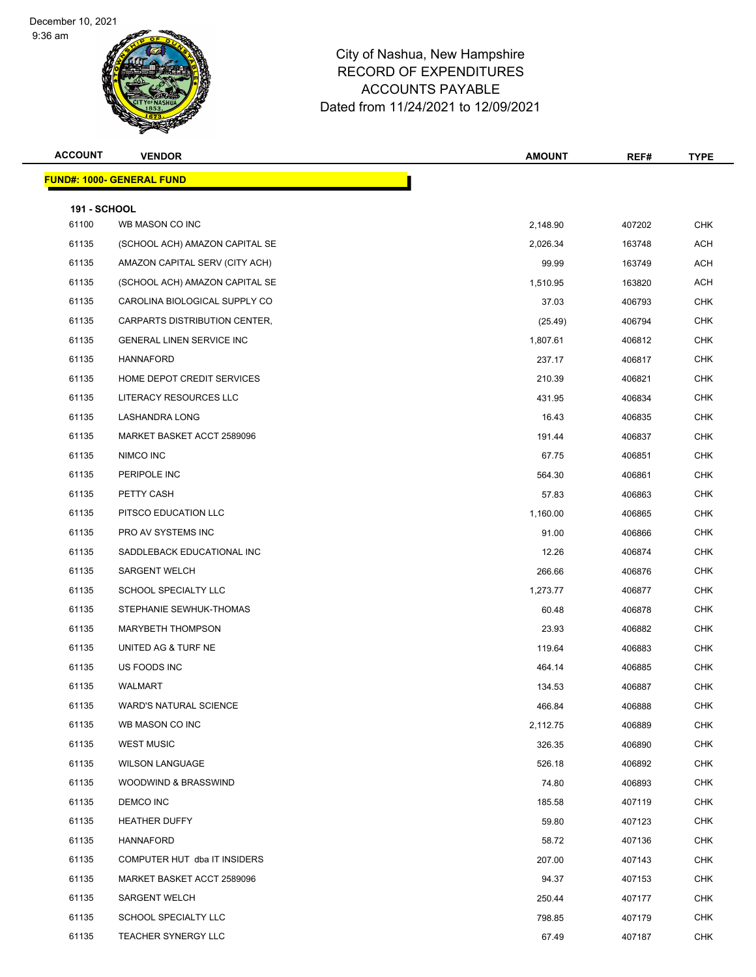9:36 am



| <b>ACCOUNT</b>               | <b>VENDOR</b>                    | <b>AMOUNT</b> | REF#   | <b>TYPE</b> |
|------------------------------|----------------------------------|---------------|--------|-------------|
|                              | <b>FUND#: 1000- GENERAL FUND</b> |               |        |             |
|                              |                                  |               |        |             |
| <b>191 - SCHOOL</b><br>61100 | WB MASON CO INC                  | 2,148.90      | 407202 | <b>CHK</b>  |
| 61135                        | (SCHOOL ACH) AMAZON CAPITAL SE   | 2,026.34      | 163748 | <b>ACH</b>  |
| 61135                        | AMAZON CAPITAL SERV (CITY ACH)   | 99.99         | 163749 | ACH         |
| 61135                        | (SCHOOL ACH) AMAZON CAPITAL SE   | 1,510.95      | 163820 | <b>ACH</b>  |
| 61135                        | CAROLINA BIOLOGICAL SUPPLY CO    | 37.03         | 406793 | <b>CHK</b>  |
| 61135                        | CARPARTS DISTRIBUTION CENTER,    | (25.49)       | 406794 | <b>CHK</b>  |
| 61135                        | <b>GENERAL LINEN SERVICE INC</b> | 1,807.61      | 406812 | <b>CHK</b>  |
| 61135                        | HANNAFORD                        | 237.17        | 406817 | <b>CHK</b>  |
| 61135                        | HOME DEPOT CREDIT SERVICES       | 210.39        | 406821 | <b>CHK</b>  |
| 61135                        | LITERACY RESOURCES LLC           | 431.95        | 406834 | <b>CHK</b>  |
| 61135                        | LASHANDRA LONG                   | 16.43         | 406835 | <b>CHK</b>  |
| 61135                        | MARKET BASKET ACCT 2589096       | 191.44        | 406837 | <b>CHK</b>  |
| 61135                        | NIMCO INC                        | 67.75         | 406851 | CHK         |
| 61135                        | PERIPOLE INC                     | 564.30        | 406861 | <b>CHK</b>  |
| 61135                        | PETTY CASH                       | 57.83         | 406863 | <b>CHK</b>  |
| 61135                        | PITSCO EDUCATION LLC             | 1,160.00      | 406865 | <b>CHK</b>  |
| 61135                        | PRO AV SYSTEMS INC               | 91.00         | 406866 | <b>CHK</b>  |
| 61135                        | SADDLEBACK EDUCATIONAL INC       | 12.26         | 406874 | <b>CHK</b>  |
| 61135                        | <b>SARGENT WELCH</b>             | 266.66        | 406876 | <b>CHK</b>  |
| 61135                        | SCHOOL SPECIALTY LLC             | 1,273.77      | 406877 | <b>CHK</b>  |
| 61135                        | STEPHANIE SEWHUK-THOMAS          | 60.48         | 406878 | <b>CHK</b>  |
| 61135                        | <b>MARYBETH THOMPSON</b>         | 23.93         | 406882 | <b>CHK</b>  |
| 61135                        | UNITED AG & TURF NE              | 119.64        | 406883 | CHK         |
| 61135                        | US FOODS INC                     | 464.14        | 406885 | <b>CHK</b>  |
| 61135                        | WALMART                          | 134.53        | 406887 | <b>CHK</b>  |
| 61135                        | WARD'S NATURAL SCIENCE           | 466.84        | 406888 | CHK         |
| 61135                        | WB MASON CO INC                  | 2,112.75      | 406889 | CHK         |
| 61135                        | <b>WEST MUSIC</b>                | 326.35        | 406890 | <b>CHK</b>  |
| 61135                        | <b>WILSON LANGUAGE</b>           | 526.18        | 406892 | <b>CHK</b>  |
| 61135                        | WOODWIND & BRASSWIND             | 74.80         | 406893 | <b>CHK</b>  |
| 61135                        | DEMCO INC                        | 185.58        | 407119 | <b>CHK</b>  |
| 61135                        | <b>HEATHER DUFFY</b>             | 59.80         | 407123 | <b>CHK</b>  |
| 61135                        | HANNAFORD                        | 58.72         | 407136 | CHK         |
| 61135                        | COMPUTER HUT dba IT INSIDERS     | 207.00        | 407143 | <b>CHK</b>  |
| 61135                        | MARKET BASKET ACCT 2589096       | 94.37         | 407153 | <b>CHK</b>  |
| 61135                        | <b>SARGENT WELCH</b>             | 250.44        | 407177 | <b>CHK</b>  |
| 61135                        | SCHOOL SPECIALTY LLC             | 798.85        | 407179 | <b>CHK</b>  |
| 61135                        | <b>TEACHER SYNERGY LLC</b>       | 67.49         | 407187 | <b>CHK</b>  |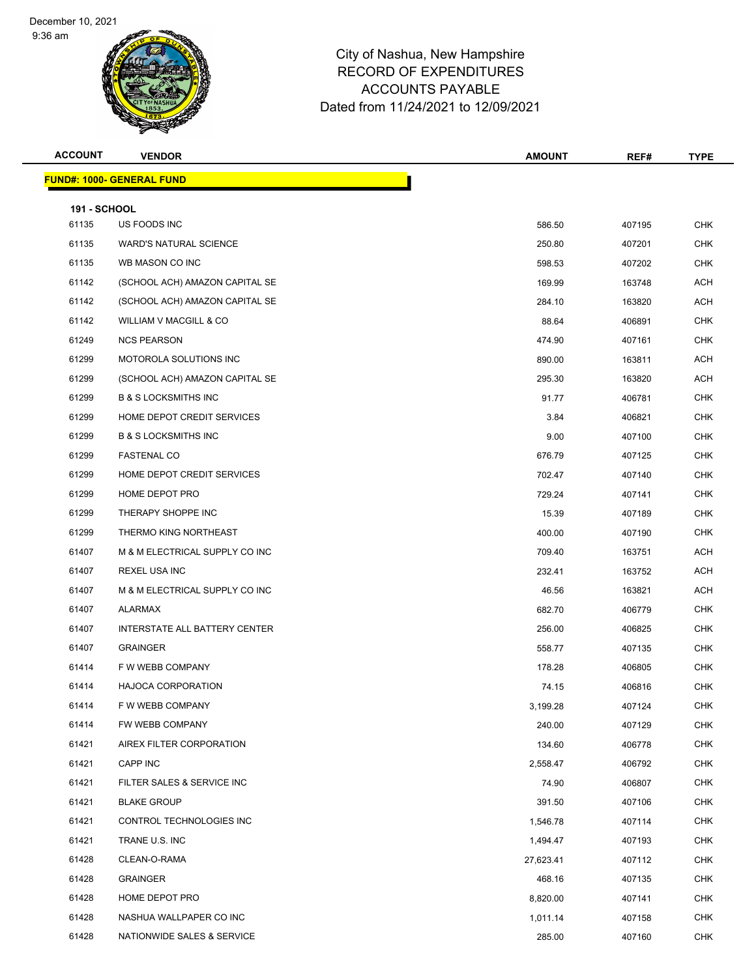9:36 am



| <b>ACCOUNT</b>               | <b>VENDOR</b>                    | <b>AMOUNT</b> | REF#   | <b>TYPE</b> |
|------------------------------|----------------------------------|---------------|--------|-------------|
|                              | <b>FUND#: 1000- GENERAL FUND</b> |               |        |             |
|                              |                                  |               |        |             |
| <b>191 - SCHOOL</b><br>61135 | US FOODS INC                     | 586.50        | 407195 | <b>CHK</b>  |
| 61135                        | <b>WARD'S NATURAL SCIENCE</b>    | 250.80        | 407201 | <b>CHK</b>  |
| 61135                        | WB MASON CO INC                  | 598.53        | 407202 | <b>CHK</b>  |
| 61142                        | (SCHOOL ACH) AMAZON CAPITAL SE   | 169.99        | 163748 | <b>ACH</b>  |
| 61142                        | (SCHOOL ACH) AMAZON CAPITAL SE   | 284.10        | 163820 | ACH         |
| 61142                        | WILLIAM V MACGILL & CO           | 88.64         | 406891 | <b>CHK</b>  |
| 61249                        | <b>NCS PEARSON</b>               | 474.90        | 407161 | <b>CHK</b>  |
| 61299                        | MOTOROLA SOLUTIONS INC           | 890.00        | 163811 | ACH         |
| 61299                        | (SCHOOL ACH) AMAZON CAPITAL SE   | 295.30        | 163820 | ACH         |
| 61299                        | <b>B &amp; S LOCKSMITHS INC</b>  | 91.77         | 406781 | <b>CHK</b>  |
| 61299                        | HOME DEPOT CREDIT SERVICES       | 3.84          | 406821 | <b>CHK</b>  |
| 61299                        | <b>B &amp; S LOCKSMITHS INC</b>  | 9.00          | 407100 | <b>CHK</b>  |
| 61299                        | <b>FASTENAL CO</b>               | 676.79        | 407125 | <b>CHK</b>  |
| 61299                        | HOME DEPOT CREDIT SERVICES       | 702.47        | 407140 | <b>CHK</b>  |
| 61299                        | HOME DEPOT PRO                   | 729.24        | 407141 | <b>CHK</b>  |
| 61299                        | THERAPY SHOPPE INC               | 15.39         | 407189 | CHK         |
| 61299                        | THERMO KING NORTHEAST            | 400.00        | 407190 | <b>CHK</b>  |
| 61407                        | M & M ELECTRICAL SUPPLY CO INC   | 709.40        | 163751 | ACH         |
| 61407                        | <b>REXEL USA INC</b>             | 232.41        | 163752 | ACH         |
| 61407                        | M & M ELECTRICAL SUPPLY CO INC   | 46.56         | 163821 | <b>ACH</b>  |
| 61407                        | ALARMAX                          | 682.70        | 406779 | <b>CHK</b>  |
| 61407                        | INTERSTATE ALL BATTERY CENTER    | 256.00        | 406825 | <b>CHK</b>  |
| 61407                        | <b>GRAINGER</b>                  | 558.77        | 407135 | <b>CHK</b>  |
| 61414                        | F W WEBB COMPANY                 | 178.28        | 406805 | <b>CHK</b>  |
| 61414                        | <b>HAJOCA CORPORATION</b>        | 74.15         | 406816 | <b>CHK</b>  |
| 61414                        | F W WEBB COMPANY                 | 3,199.28      | 407124 | <b>CHK</b>  |
| 61414                        | FW WEBB COMPANY                  | 240.00        | 407129 | <b>CHK</b>  |
| 61421                        | AIREX FILTER CORPORATION         | 134.60        | 406778 | <b>CHK</b>  |
| 61421                        | CAPP INC                         | 2,558.47      | 406792 | <b>CHK</b>  |
| 61421                        | FILTER SALES & SERVICE INC       | 74.90         | 406807 | <b>CHK</b>  |
| 61421                        | <b>BLAKE GROUP</b>               | 391.50        | 407106 | CHK         |
| 61421                        | CONTROL TECHNOLOGIES INC         | 1,546.78      | 407114 | <b>CHK</b>  |
| 61421                        | TRANE U.S. INC                   | 1,494.47      | 407193 | <b>CHK</b>  |
| 61428                        | CLEAN-O-RAMA                     | 27,623.41     | 407112 | <b>CHK</b>  |
| 61428                        | GRAINGER                         | 468.16        | 407135 | <b>CHK</b>  |
| 61428                        | HOME DEPOT PRO                   | 8,820.00      | 407141 | <b>CHK</b>  |
| 61428                        | NASHUA WALLPAPER CO INC          | 1,011.14      | 407158 | <b>CHK</b>  |
| 61428                        | NATIONWIDE SALES & SERVICE       | 285.00        | 407160 | <b>CHK</b>  |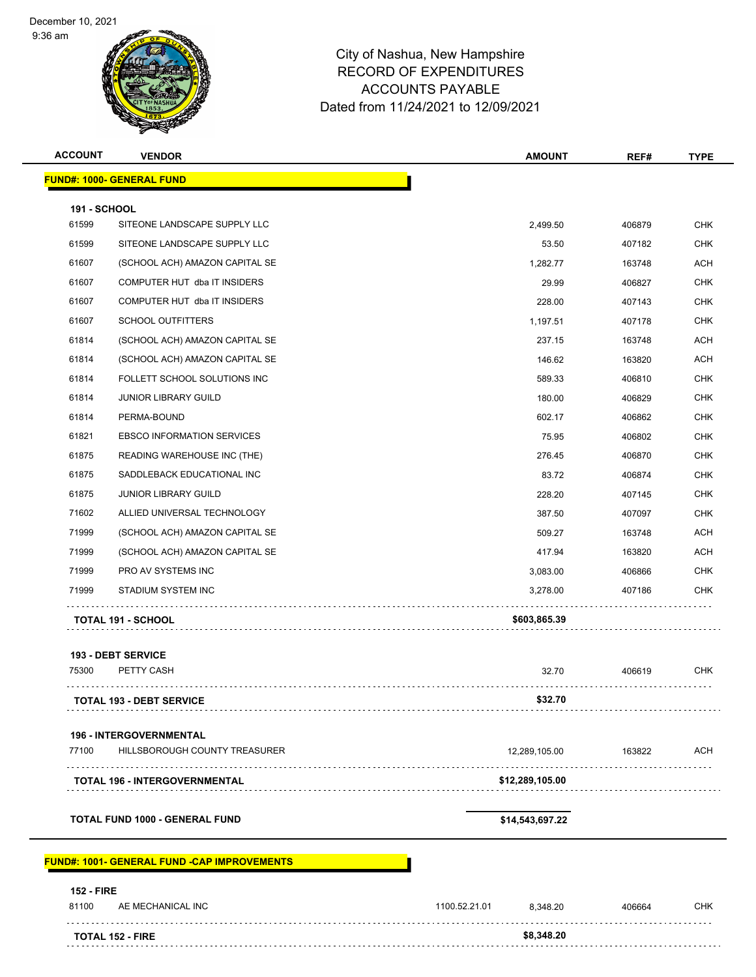9:36 am



# City of Nashua, New Hampshire RECORD OF EXPENDITURES ACCOUNTS PAYABLE Dated from 11/24/2021 to 12/09/2021

| <b>ACCOUNT</b>             | <b>VENDOR</b>                                       | <b>AMOUNT</b>             | REF#   | <b>TYPE</b> |
|----------------------------|-----------------------------------------------------|---------------------------|--------|-------------|
|                            | <b>FUND#: 1000- GENERAL FUND</b>                    |                           |        |             |
| 191 - SCHOOL               |                                                     |                           |        |             |
| 61599                      | SITEONE LANDSCAPE SUPPLY LLC                        | 2,499.50                  | 406879 | <b>CHK</b>  |
| 61599                      | SITEONE LANDSCAPE SUPPLY LLC                        | 53.50                     | 407182 | <b>CHK</b>  |
| 61607                      | (SCHOOL ACH) AMAZON CAPITAL SE                      | 1,282.77                  | 163748 | <b>ACH</b>  |
| 61607                      | COMPUTER HUT dba IT INSIDERS                        | 29.99                     | 406827 | <b>CHK</b>  |
| 61607                      | COMPUTER HUT dba IT INSIDERS                        | 228.00                    | 407143 | <b>CHK</b>  |
| 61607                      | <b>SCHOOL OUTFITTERS</b>                            | 1,197.51                  | 407178 | <b>CHK</b>  |
| 61814                      | (SCHOOL ACH) AMAZON CAPITAL SE                      | 237.15                    | 163748 | ACH         |
| 61814                      | (SCHOOL ACH) AMAZON CAPITAL SE                      | 146.62                    | 163820 | <b>ACH</b>  |
| 61814                      | FOLLETT SCHOOL SOLUTIONS INC                        | 589.33                    | 406810 | <b>CHK</b>  |
| 61814                      | <b>JUNIOR LIBRARY GUILD</b>                         | 180.00                    | 406829 | <b>CHK</b>  |
| 61814                      | PERMA-BOUND                                         | 602.17                    | 406862 | <b>CHK</b>  |
| 61821                      | <b>EBSCO INFORMATION SERVICES</b>                   | 75.95                     | 406802 | <b>CHK</b>  |
| 61875                      | READING WAREHOUSE INC (THE)                         | 276.45                    | 406870 | <b>CHK</b>  |
| 61875                      | SADDLEBACK EDUCATIONAL INC                          | 83.72                     | 406874 | <b>CHK</b>  |
| 61875                      | <b>JUNIOR LIBRARY GUILD</b>                         | 228.20                    | 407145 | <b>CHK</b>  |
| 71602                      | ALLIED UNIVERSAL TECHNOLOGY                         | 387.50                    | 407097 | <b>CHK</b>  |
| 71999                      | (SCHOOL ACH) AMAZON CAPITAL SE                      | 509.27                    | 163748 | ACH         |
| 71999                      | (SCHOOL ACH) AMAZON CAPITAL SE                      | 417.94                    | 163820 | <b>ACH</b>  |
| 71999                      | PRO AV SYSTEMS INC                                  | 3,083.00                  | 406866 | <b>CHK</b>  |
| 71999                      | STADIUM SYSTEM INC                                  | 3,278.00                  | 407186 | <b>CHK</b>  |
|                            | <b>TOTAL 191 - SCHOOL</b>                           | \$603,865.39              |        |             |
|                            | <b>193 - DEBT SERVICE</b>                           |                           |        |             |
| 75300                      | PETTY CASH                                          | 32.70                     | 406619 | CHK         |
|                            | TOTAL 193 - DEBT SERVICE                            | \$32.70                   |        |             |
|                            |                                                     |                           |        |             |
|                            | 196 - INTERGOVERNMENTAL                             |                           |        |             |
| 77100                      | HILLSBOROUGH COUNTY TREASURER                       | 12,289,105.00<br>.        | 163822 | <b>ACH</b>  |
|                            | <b>TOTAL 196 - INTERGOVERNMENTAL</b>                | \$12,289,105.00           |        |             |
|                            | <b>TOTAL FUND 1000 - GENERAL FUND</b>               | \$14,543,697.22           |        |             |
|                            | <u> FUND#: 1001- GENERAL FUND -CAP IMPROVEMENTS</u> |                           |        |             |
|                            |                                                     |                           |        |             |
| <b>152 - FIRE</b><br>81100 | AE MECHANICAL INC                                   | 1100.52.21.01<br>8,348.20 | 406664 | <b>CHK</b>  |
|                            |                                                     | \$8,348.20                |        |             |
|                            | <b>TOTAL 152 - FIRE</b>                             |                           |        |             |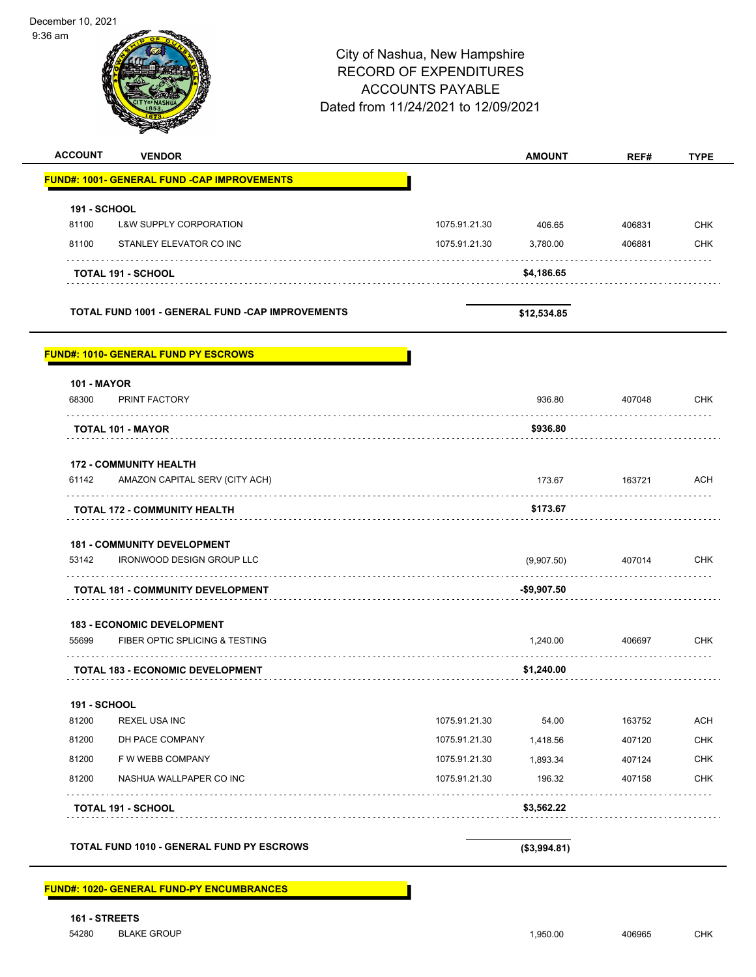| $9:36$ am           |                                                                        | City of Nashua, New Hampshire<br><b>RECORD OF EXPENDITURES</b><br><b>ACCOUNTS PAYABLE</b><br>Dated from 11/24/2021 to 12/09/2021 |               |               |        |             |
|---------------------|------------------------------------------------------------------------|----------------------------------------------------------------------------------------------------------------------------------|---------------|---------------|--------|-------------|
| <b>ACCOUNT</b>      | <b>VENDOR</b>                                                          |                                                                                                                                  |               | <b>AMOUNT</b> | REF#   | <b>TYPE</b> |
|                     | <u> FUND#: 1001- GENERAL FUND -CAP IMPROVEMENTS</u>                    |                                                                                                                                  |               |               |        |             |
| <b>191 - SCHOOL</b> |                                                                        |                                                                                                                                  |               |               |        |             |
| 81100               | <b>L&amp;W SUPPLY CORPORATION</b>                                      |                                                                                                                                  | 1075.91.21.30 | 406.65        | 406831 | <b>CHK</b>  |
| 81100               | STANLEY ELEVATOR CO INC                                                |                                                                                                                                  | 1075.91.21.30 | 3,780.00      | 406881 | <b>CHK</b>  |
|                     | <b>TOTAL 191 - SCHOOL</b>                                              |                                                                                                                                  |               | \$4,186.65    |        |             |
|                     | <b>TOTAL FUND 1001 - GENERAL FUND -CAP IMPROVEMENTS</b>                |                                                                                                                                  |               | \$12,534.85   |        |             |
| <b>101 - MAYOR</b>  | <b>FUND#: 1010- GENERAL FUND PY ESCROWS</b>                            |                                                                                                                                  |               |               |        |             |
| 68300               | PRINT FACTORY                                                          |                                                                                                                                  |               | 936.80        | 407048 | <b>CHK</b>  |
|                     | <b>TOTAL 101 - MAYOR</b>                                               |                                                                                                                                  |               | \$936.80      |        |             |
|                     | <b>172 - COMMUNITY HEALTH</b>                                          |                                                                                                                                  |               |               |        |             |
| 61142               | AMAZON CAPITAL SERV (CITY ACH)                                         |                                                                                                                                  |               | 173.67        | 163721 | ACH         |
|                     | TOTAL 172 - COMMUNITY HEALTH                                           |                                                                                                                                  |               | \$173.67      |        |             |
| 53142               | <b>181 - COMMUNITY DEVELOPMENT</b><br><b>IRONWOOD DESIGN GROUP LLC</b> |                                                                                                                                  |               | (9,907.50)    | 407014 | <b>CHK</b>  |
|                     | <b>TOTAL 181 - COMMUNITY DEVELOPMENT</b>                               |                                                                                                                                  |               | -\$9,907.50   |        |             |
|                     |                                                                        |                                                                                                                                  |               |               |        |             |
| 55699               | <b>183 - ECONOMIC DEVELOPMENT</b><br>FIBER OPTIC SPLICING & TESTING    |                                                                                                                                  |               | 1,240.00      | 406697 | <b>CHK</b>  |
|                     | <b>TOTAL 183 - ECONOMIC DEVELOPMENT</b>                                |                                                                                                                                  |               | \$1,240.00    |        |             |
| <b>191 - SCHOOL</b> |                                                                        |                                                                                                                                  |               |               |        |             |
| 81200               | <b>REXEL USA INC</b>                                                   |                                                                                                                                  | 1075.91.21.30 | 54.00         | 163752 | <b>ACH</b>  |
| 81200               | DH PACE COMPANY                                                        |                                                                                                                                  | 1075.91.21.30 | 1,418.56      | 407120 | <b>CHK</b>  |
| 81200               | F W WEBB COMPANY                                                       |                                                                                                                                  | 1075.91.21.30 | 1,893.34      | 407124 | <b>CHK</b>  |
| 81200               | NASHUA WALLPAPER CO INC                                                |                                                                                                                                  | 1075.91.21.30 | 196.32        | 407158 | <b>CHK</b>  |
|                     | <b>TOTAL 191 - SCHOOL</b>                                              |                                                                                                                                  |               | \$3,562.22    |        |             |
|                     |                                                                        |                                                                                                                                  |               |               |        |             |
|                     | TOTAL FUND 1010 - GENERAL FUND PY ESCROWS                              |                                                                                                                                  |               | (\$3,994.81)  |        |             |

**FUND#: 1020- GENERAL FUND-PY ENCUMBRANCES**

December 10, 2021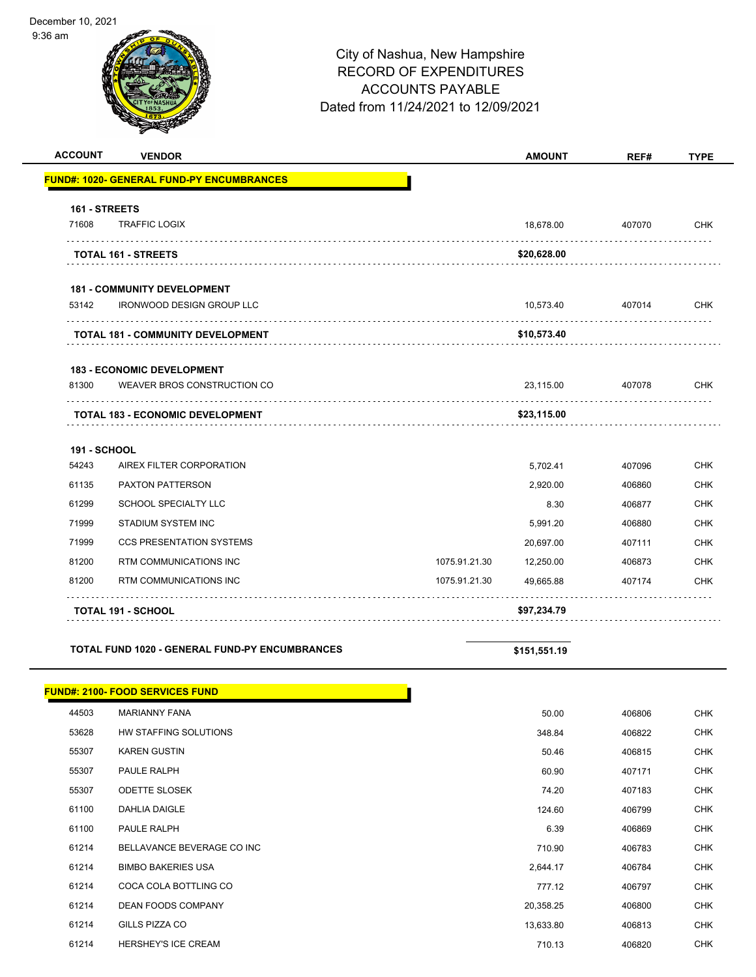9:36 am



| <b>ACCOUNT</b> | <b>VENDOR</b>                                    |               | <b>AMOUNT</b> | REF#   | <b>TYPE</b> |
|----------------|--------------------------------------------------|---------------|---------------|--------|-------------|
|                | <b>FUND#: 1020- GENERAL FUND-PY ENCUMBRANCES</b> |               |               |        |             |
| 161 - STREETS  |                                                  |               |               |        |             |
| 71608          | <b>TRAFFIC LOGIX</b>                             |               | 18,678.00     | 407070 | <b>CHK</b>  |
|                | <b>TOTAL 161 - STREETS</b>                       |               | \$20,628.00   |        |             |
|                | <b>181 - COMMUNITY DEVELOPMENT</b>               |               |               |        |             |
| 53142          | <b>IRONWOOD DESIGN GROUP LLC</b>                 |               | 10,573.40     | 407014 | <b>CHK</b>  |
|                | <b>TOTAL 181 - COMMUNITY DEVELOPMENT</b>         |               | \$10,573.40   |        |             |
|                | <b>183 - ECONOMIC DEVELOPMENT</b>                |               |               |        |             |
| 81300          | WEAVER BROS CONSTRUCTION CO                      |               | 23,115.00     | 407078 | <b>CHK</b>  |
|                | <b>TOTAL 183 - ECONOMIC DEVELOPMENT</b>          |               | \$23,115.00   |        |             |
| 191 - SCHOOL   |                                                  |               |               |        |             |
| 54243          | AIREX FILTER CORPORATION                         |               | 5,702.41      | 407096 | CHK         |
| 61135          | <b>PAXTON PATTERSON</b>                          |               | 2,920.00      | 406860 | <b>CHK</b>  |
| 61299          | SCHOOL SPECIALTY LLC                             |               | 8.30          | 406877 | <b>CHK</b>  |
| 71999          | <b>STADIUM SYSTEM INC</b>                        |               | 5,991.20      | 406880 | <b>CHK</b>  |
| 71999          | <b>CCS PRESENTATION SYSTEMS</b>                  |               | 20,697.00     | 407111 | <b>CHK</b>  |
| 81200          | RTM COMMUNICATIONS INC                           | 1075.91.21.30 | 12,250.00     | 406873 | <b>CHK</b>  |
| 81200          | RTM COMMUNICATIONS INC                           | 1075.91.21.30 | 49,665.88     | 407174 | <b>CHK</b>  |
|                | <b>TOTAL 191 - SCHOOL</b>                        |               | \$97,234.79   |        |             |

**TOTAL FUND 1020 - GENERAL FUND-PY ENCUMBRANCES** \$151,551.19

|       | <b>FUND#: 2100- FOOD SERVICES FUND</b> |           |        |            |
|-------|----------------------------------------|-----------|--------|------------|
| 44503 | <b>MARIANNY FANA</b>                   | 50.00     | 406806 | <b>CHK</b> |
| 53628 | HW STAFFING SOLUTIONS                  | 348.84    | 406822 | <b>CHK</b> |
| 55307 | <b>KAREN GUSTIN</b>                    | 50.46     | 406815 | <b>CHK</b> |
| 55307 | PAULE RALPH                            | 60.90     | 407171 | <b>CHK</b> |
| 55307 | <b>ODETTE SLOSEK</b>                   | 74.20     | 407183 | <b>CHK</b> |
| 61100 | DAHLIA DAIGLE                          | 124.60    | 406799 | <b>CHK</b> |
| 61100 | PAULE RALPH                            | 6.39      | 406869 | <b>CHK</b> |
| 61214 | BELLAVANCE BEVERAGE CO INC             | 710.90    | 406783 | <b>CHK</b> |
| 61214 | <b>BIMBO BAKERIES USA</b>              | 2,644.17  | 406784 | <b>CHK</b> |
| 61214 | COCA COLA BOTTLING CO                  | 777.12    | 406797 | <b>CHK</b> |
| 61214 | <b>DEAN FOODS COMPANY</b>              | 20,358.25 | 406800 | <b>CHK</b> |
| 61214 | GILLS PIZZA CO                         | 13,633.80 | 406813 | <b>CHK</b> |
| 61214 | <b>HERSHEY'S ICE CREAM</b>             | 710.13    | 406820 | <b>CHK</b> |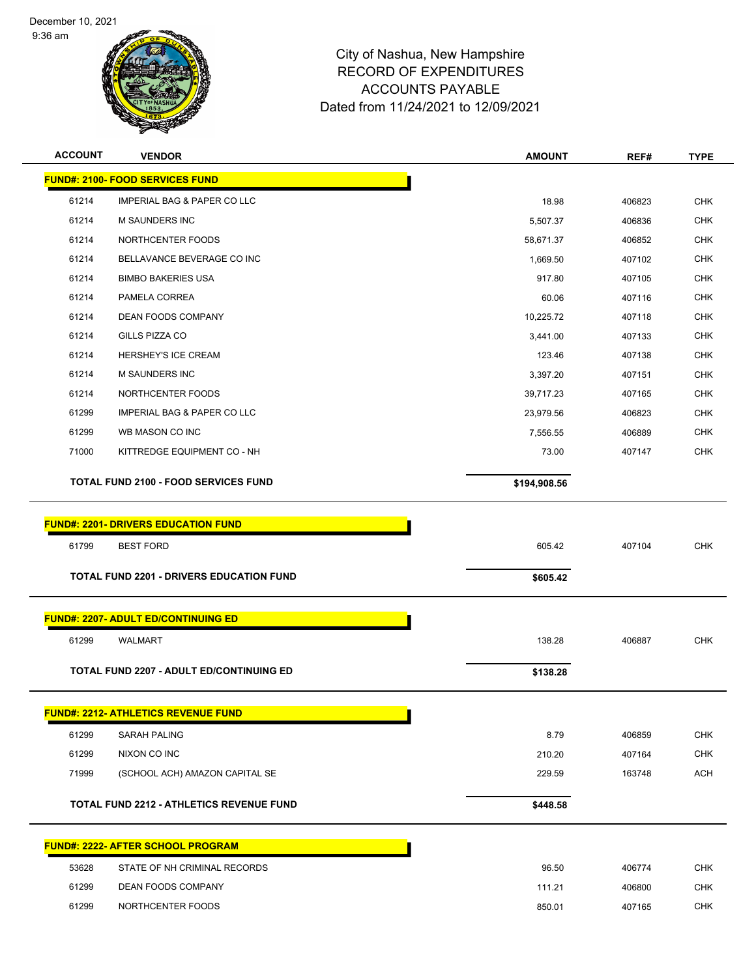9:36 am



| <b>ACCOUNT</b> | <b>VENDOR</b>                                   | <b>AMOUNT</b> | REF#   | <b>TYPE</b> |
|----------------|-------------------------------------------------|---------------|--------|-------------|
|                | <b>FUND#: 2100- FOOD SERVICES FUND</b>          |               |        |             |
| 61214          | <b>IMPERIAL BAG &amp; PAPER CO LLC</b>          | 18.98         | 406823 | <b>CHK</b>  |
| 61214          | <b>M SAUNDERS INC</b>                           | 5,507.37      | 406836 | <b>CHK</b>  |
| 61214          | NORTHCENTER FOODS                               | 58,671.37     | 406852 | <b>CHK</b>  |
| 61214          | BELLAVANCE BEVERAGE CO INC                      | 1,669.50      | 407102 | <b>CHK</b>  |
| 61214          | <b>BIMBO BAKERIES USA</b>                       | 917.80        | 407105 | <b>CHK</b>  |
| 61214          | PAMELA CORREA                                   | 60.06         | 407116 | <b>CHK</b>  |
| 61214          | <b>DEAN FOODS COMPANY</b>                       | 10,225.72     | 407118 | <b>CHK</b>  |
| 61214          | GILLS PIZZA CO                                  | 3,441.00      | 407133 | <b>CHK</b>  |
| 61214          | <b>HERSHEY'S ICE CREAM</b>                      | 123.46        | 407138 | <b>CHK</b>  |
| 61214          | <b>M SAUNDERS INC</b>                           | 3,397.20      | 407151 | <b>CHK</b>  |
| 61214          | NORTHCENTER FOODS                               | 39,717.23     | 407165 | <b>CHK</b>  |
| 61299          | <b>IMPERIAL BAG &amp; PAPER CO LLC</b>          | 23,979.56     | 406823 | <b>CHK</b>  |
| 61299          | WB MASON CO INC                                 | 7,556.55      | 406889 | <b>CHK</b>  |
| 71000          | KITTREDGE EQUIPMENT CO - NH                     | 73.00         | 407147 | <b>CHK</b>  |
|                | TOTAL FUND 2100 - FOOD SERVICES FUND            | \$194,908.56  |        |             |
|                |                                                 |               |        |             |
|                | <b>FUND#: 2201- DRIVERS EDUCATION FUND</b>      |               |        |             |
| 61799          | <b>BEST FORD</b>                                | 605.42        | 407104 | <b>CHK</b>  |
|                | <b>TOTAL FUND 2201 - DRIVERS EDUCATION FUND</b> | \$605.42      |        |             |
|                |                                                 |               |        |             |
|                | <b>FUND#: 2207- ADULT ED/CONTINUING ED</b>      |               |        |             |
| 61299          | <b>WALMART</b>                                  |               |        |             |
|                |                                                 | 138.28        | 406887 | <b>CHK</b>  |
|                | <b>TOTAL FUND 2207 - ADULT ED/CONTINUING ED</b> |               |        |             |
|                |                                                 | \$138.28      |        |             |
|                | <b>FUND#: 2212- ATHLETICS REVENUE FUND</b>      |               |        |             |
| 61299          | <b>SARAH PALING</b>                             | 8.79          | 406859 | <b>CHK</b>  |
| 61299          | NIXON CO INC                                    | 210.20        | 407164 | <b>CHK</b>  |
| 71999          | (SCHOOL ACH) AMAZON CAPITAL SE                  | 229.59        | 163748 | <b>ACH</b>  |
|                | <b>TOTAL FUND 2212 - ATHLETICS REVENUE FUND</b> | \$448.58      |        |             |
|                |                                                 |               |        |             |
|                | <b>FUND#: 2222- AFTER SCHOOL PROGRAM</b>        |               |        |             |
| 53628          | STATE OF NH CRIMINAL RECORDS                    | 96.50         | 406774 | <b>CHK</b>  |
| 61299          | DEAN FOODS COMPANY                              | 111.21        | 406800 | <b>CHK</b>  |
| 61299          | NORTHCENTER FOODS                               | 850.01        | 407165 | <b>CHK</b>  |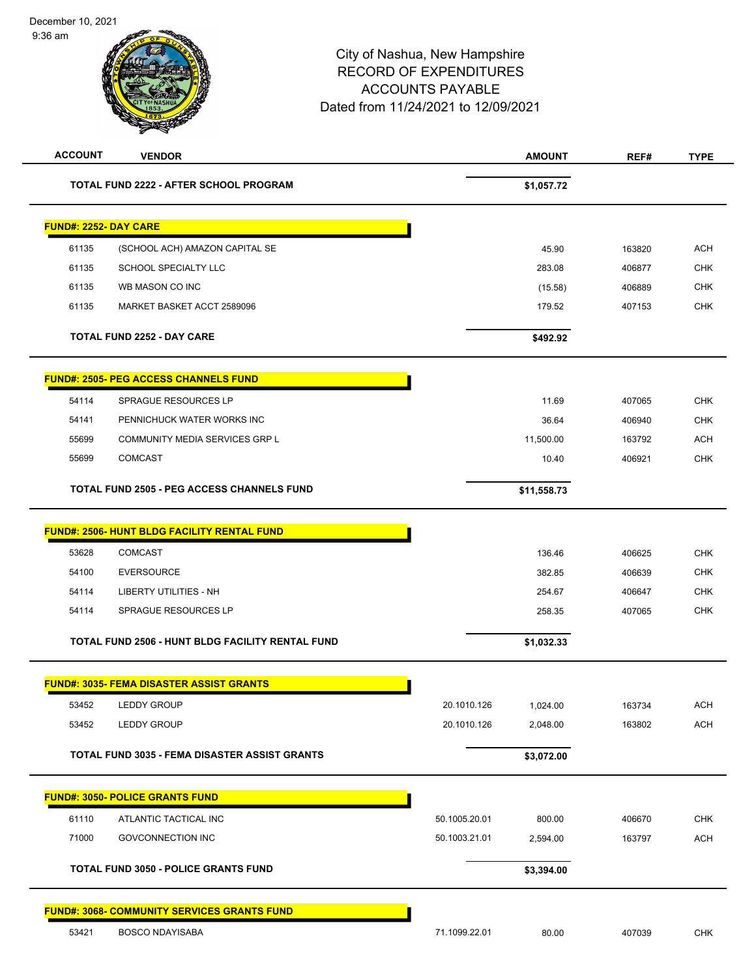

| <b>ACCOUNT</b>               | <b>VENDOR</b>                                        |               | <b>AMOUNT</b> | REF#   | <b>TYPE</b> |
|------------------------------|------------------------------------------------------|---------------|---------------|--------|-------------|
|                              | TOTAL FUND 2222 - AFTER SCHOOL PROGRAM               |               | \$1,057.72    |        |             |
| <b>FUND#: 2252- DAY CARE</b> |                                                      |               |               |        |             |
| 61135                        | (SCHOOL ACH) AMAZON CAPITAL SE                       |               | 45.90         | 163820 | <b>ACH</b>  |
| 61135                        | SCHOOL SPECIALTY LLC                                 |               | 283.08        | 406877 | <b>CHK</b>  |
| 61135                        | WB MASON CO INC                                      |               | (15.58)       | 406889 | <b>CHK</b>  |
| 61135                        | MARKET BASKET ACCT 2589096                           |               | 179.52        | 407153 | <b>CHK</b>  |
|                              | <b>TOTAL FUND 2252 - DAY CARE</b>                    |               | \$492.92      |        |             |
|                              | <b>FUND#: 2505- PEG ACCESS CHANNELS FUND</b>         |               |               |        |             |
| 54114                        | SPRAGUE RESOURCES LP                                 |               | 11.69         | 407065 | <b>CHK</b>  |
| 54141                        | PENNICHUCK WATER WORKS INC                           |               | 36.64         | 406940 | <b>CHK</b>  |
| 55699                        | <b>COMMUNITY MEDIA SERVICES GRP L</b>                |               | 11,500.00     | 163792 | <b>ACH</b>  |
| 55699                        | <b>COMCAST</b>                                       |               | 10.40         | 406921 | <b>CHK</b>  |
|                              | <b>TOTAL FUND 2505 - PEG ACCESS CHANNELS FUND</b>    |               | \$11,558.73   |        |             |
|                              | <b>FUND#: 2506- HUNT BLDG FACILITY RENTAL FUND</b>   |               |               |        |             |
| 53628                        | <b>COMCAST</b>                                       |               | 136.46        | 406625 | <b>CHK</b>  |
| 54100                        | <b>EVERSOURCE</b>                                    |               | 382.85        | 406639 | <b>CHK</b>  |
| 54114                        | LIBERTY UTILITIES - NH                               |               | 254.67        | 406647 | <b>CHK</b>  |
| 54114                        | SPRAGUE RESOURCES LP                                 |               | 258.35        | 407065 | <b>CHK</b>  |
|                              | TOTAL FUND 2506 - HUNT BLDG FACILITY RENTAL FUND     |               | \$1,032.33    |        |             |
|                              | <b>FUND#: 3035- FEMA DISASTER ASSIST GRANTS</b>      |               |               |        |             |
| 53452                        | <b>LEDDY GROUP</b>                                   | 20.1010.126   | 1,024.00      | 163734 | <b>ACH</b>  |
| 53452                        | <b>LEDDY GROUP</b>                                   | 20.1010.126   | 2,048.00      | 163802 | <b>ACH</b>  |
|                              | <b>TOTAL FUND 3035 - FEMA DISASTER ASSIST GRANTS</b> |               | \$3,072.00    |        |             |
|                              | <b>FUND#: 3050- POLICE GRANTS FUND</b>               |               |               |        |             |
| 61110                        | ATLANTIC TACTICAL INC                                | 50.1005.20.01 | 800.00        | 406670 | <b>CHK</b>  |
| 71000                        | <b>GOVCONNECTION INC</b>                             | 50.1003.21.01 | 2,594.00      | 163797 | <b>ACH</b>  |
|                              | <b>TOTAL FUND 3050 - POLICE GRANTS FUND</b>          |               | \$3,394.00    |        |             |
|                              | <b>FUND#: 3068- COMMUNITY SERVICES GRANTS FUND</b>   |               |               |        |             |
| 53421                        | <b>BOSCO NDAYISABA</b>                               | 71.1099.22.01 | 80.00         | 407039 | <b>CHK</b>  |
|                              |                                                      |               |               |        |             |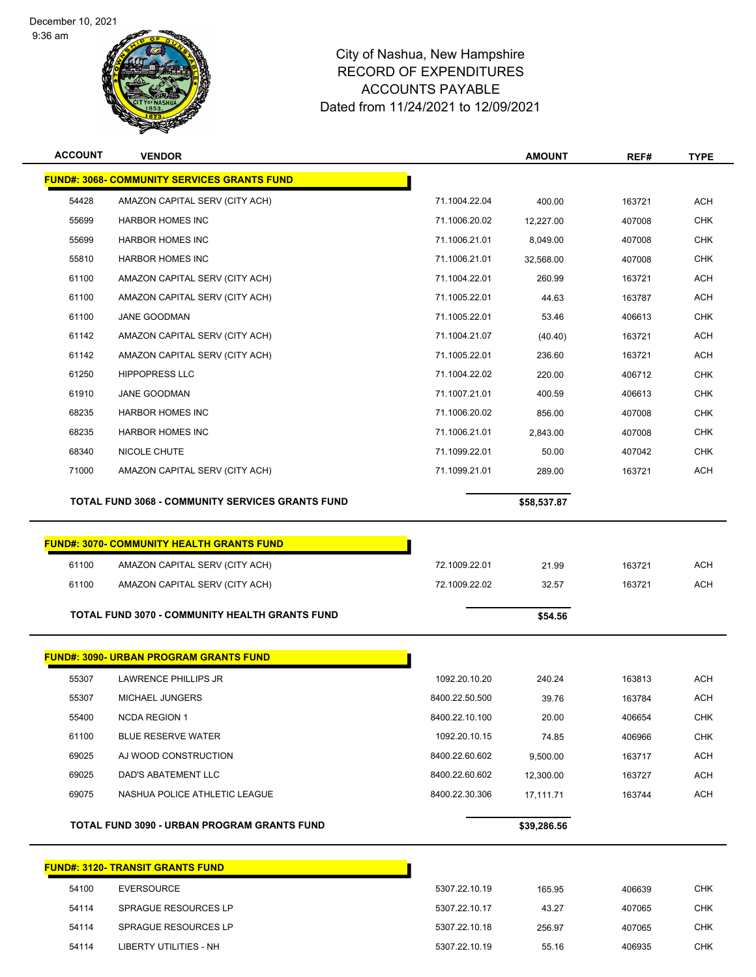9:36 am



# City of Nashua, New Hampshire RECORD OF EXPENDITURES ACCOUNTS PAYABLE Dated from 11/24/2021 to 12/09/2021

| <b>ACCOUNT</b> | <b>VENDOR</b>                                           |                | <b>AMOUNT</b> | REF#   | <b>TYPE</b> |
|----------------|---------------------------------------------------------|----------------|---------------|--------|-------------|
|                | <b>FUND#: 3068- COMMUNITY SERVICES GRANTS FUND</b>      |                |               |        |             |
| 54428          | AMAZON CAPITAL SERV (CITY ACH)                          | 71.1004.22.04  | 400.00        | 163721 | <b>ACH</b>  |
| 55699          | <b>HARBOR HOMES INC</b>                                 | 71.1006.20.02  | 12,227.00     | 407008 | <b>CHK</b>  |
| 55699          | <b>HARBOR HOMES INC</b>                                 | 71.1006.21.01  | 8,049.00      | 407008 | <b>CHK</b>  |
| 55810          | <b>HARBOR HOMES INC</b>                                 | 71.1006.21.01  | 32,568.00     | 407008 | <b>CHK</b>  |
| 61100          | AMAZON CAPITAL SERV (CITY ACH)                          | 71.1004.22.01  | 260.99        | 163721 | <b>ACH</b>  |
| 61100          | AMAZON CAPITAL SERV (CITY ACH)                          | 71.1005.22.01  | 44.63         | 163787 | ACH         |
| 61100          | <b>JANE GOODMAN</b>                                     | 71.1005.22.01  | 53.46         | 406613 | <b>CHK</b>  |
| 61142          | AMAZON CAPITAL SERV (CITY ACH)                          | 71.1004.21.07  | (40.40)       | 163721 | <b>ACH</b>  |
| 61142          | AMAZON CAPITAL SERV (CITY ACH)                          | 71.1005.22.01  | 236.60        | 163721 | <b>ACH</b>  |
| 61250          | <b>HIPPOPRESS LLC</b>                                   | 71.1004.22.02  | 220.00        | 406712 | <b>CHK</b>  |
| 61910          | JANE GOODMAN                                            | 71.1007.21.01  | 400.59        | 406613 | <b>CHK</b>  |
| 68235          | <b>HARBOR HOMES INC</b>                                 | 71.1006.20.02  | 856.00        | 407008 | <b>CHK</b>  |
| 68235          | <b>HARBOR HOMES INC</b>                                 | 71.1006.21.01  | 2,843.00      | 407008 | <b>CHK</b>  |
| 68340          | <b>NICOLE CHUTE</b>                                     | 71.1099.22.01  | 50.00         | 407042 | <b>CHK</b>  |
| 71000          | AMAZON CAPITAL SERV (CITY ACH)                          | 71.1099.21.01  | 289.00        | 163721 | <b>ACH</b>  |
|                | <b>TOTAL FUND 3068 - COMMUNITY SERVICES GRANTS FUND</b> |                | \$58,537.87   |        |             |
|                |                                                         |                |               |        |             |
|                | <b>FUND#: 3070- COMMUNITY HEALTH GRANTS FUND</b>        |                |               |        |             |
| 61100          | AMAZON CAPITAL SERV (CITY ACH)                          | 72.1009.22.01  | 21.99         | 163721 | <b>ACH</b>  |
| 61100          | AMAZON CAPITAL SERV (CITY ACH)                          | 72.1009.22.02  | 32.57         | 163721 | <b>ACH</b>  |
|                | TOTAL FUND 3070 - COMMUNITY HEALTH GRANTS FUND          |                | \$54.56       |        |             |
|                | <b>FUND#: 3090- URBAN PROGRAM GRANTS FUND</b>           |                |               |        |             |
| 55307          | <b>LAWRENCE PHILLIPS JR</b>                             | 1092.20.10.20  | 240.24        | 163813 | <b>ACH</b>  |
| 55307          | MICHAEL JUNGERS                                         | 8400.22.50.500 | 39.76         | 163784 | <b>ACH</b>  |
| 55400          | <b>NCDA REGION 1</b>                                    | 8400.22.10.100 | 20.00         | 406654 | CHK         |
| 61100          | <b>BLUE RESERVE WATER</b>                               | 1092.20.10.15  | 74.85         | 406966 | <b>CHK</b>  |
| 69025          | AJ WOOD CONSTRUCTION                                    | 8400.22.60.602 | 9,500.00      | 163717 | ACH         |
| 69025          | DAD'S ABATEMENT LLC                                     | 8400.22.60.602 | 12,300.00     | 163727 | <b>ACH</b>  |
| 69075          | NASHUA POLICE ATHLETIC LEAGUE                           | 8400.22.30.306 | 17,111.71     | 163744 | <b>ACH</b>  |
|                | <b>TOTAL FUND 3090 - URBAN PROGRAM GRANTS FUND</b>      |                | \$39,286.56   |        |             |
|                |                                                         |                |               |        |             |
|                | <b>FUND#: 3120- TRANSIT GRANTS FUND</b>                 |                |               |        |             |
| 54100          | <b>EVERSOURCE</b>                                       | 5307.22.10.19  | 165.95        | 406639 | <b>CHK</b>  |

 SPRAGUE RESOURCES LP 5307.22.10.18 256.97 407065 CHK LIBERTY UTILITIES - NH 5307.22.10.19 55.16 406935 CHK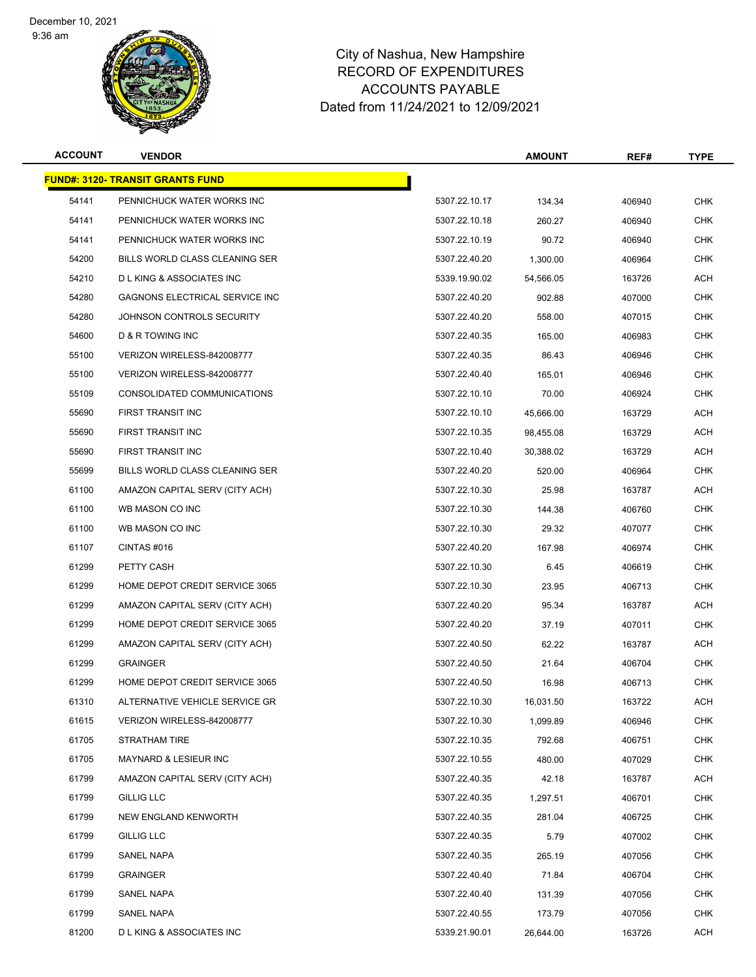9:36 am



| <b>ACCOUNT</b> | <b>VENDOR</b>                           |               | <b>AMOUNT</b> | REF#   | <b>TYPE</b> |
|----------------|-----------------------------------------|---------------|---------------|--------|-------------|
|                | <b>FUND#: 3120- TRANSIT GRANTS FUND</b> |               |               |        |             |
| 54141          | PENNICHUCK WATER WORKS INC              | 5307.22.10.17 | 134.34        | 406940 | <b>CHK</b>  |
| 54141          | PENNICHUCK WATER WORKS INC              | 5307.22.10.18 | 260.27        | 406940 | <b>CHK</b>  |
| 54141          | PENNICHUCK WATER WORKS INC              | 5307.22.10.19 | 90.72         | 406940 | CHK         |
| 54200          | BILLS WORLD CLASS CLEANING SER          | 5307.22.40.20 | 1,300.00      | 406964 | <b>CHK</b>  |
| 54210          | <b>DLKING &amp; ASSOCIATES INC</b>      | 5339.19.90.02 | 54,566.05     | 163726 | <b>ACH</b>  |
| 54280          | GAGNONS ELECTRICAL SERVICE INC          | 5307.22.40.20 | 902.88        | 407000 | <b>CHK</b>  |
| 54280          | JOHNSON CONTROLS SECURITY               | 5307.22.40.20 | 558.00        | 407015 | <b>CHK</b>  |
| 54600          | D & R TOWING INC                        | 5307.22.40.35 | 165.00        | 406983 | <b>CHK</b>  |
| 55100          | VERIZON WIRELESS-842008777              | 5307.22.40.35 | 86.43         | 406946 | <b>CHK</b>  |
| 55100          | VERIZON WIRELESS-842008777              | 5307.22.40.40 | 165.01        | 406946 | <b>CHK</b>  |
| 55109          | CONSOLIDATED COMMUNICATIONS             | 5307.22.10.10 | 70.00         | 406924 | <b>CHK</b>  |
| 55690          | <b>FIRST TRANSIT INC</b>                | 5307.22.10.10 | 45,666.00     | 163729 | ACH         |
| 55690          | FIRST TRANSIT INC                       | 5307.22.10.35 | 98,455.08     | 163729 | ACH         |
| 55690          | FIRST TRANSIT INC                       | 5307.22.10.40 | 30,388.02     | 163729 | <b>ACH</b>  |
| 55699          | BILLS WORLD CLASS CLEANING SER          | 5307.22.40.20 | 520.00        | 406964 | <b>CHK</b>  |
| 61100          | AMAZON CAPITAL SERV (CITY ACH)          | 5307.22.10.30 | 25.98         | 163787 | ACH         |
| 61100          | WB MASON CO INC                         | 5307.22.10.30 | 144.38        | 406760 | <b>CHK</b>  |
| 61100          | WB MASON CO INC                         | 5307.22.10.30 | 29.32         | 407077 | <b>CHK</b>  |
| 61107          | CINTAS#016                              | 5307.22.40.20 | 167.98        | 406974 | <b>CHK</b>  |
| 61299          | PETTY CASH                              | 5307.22.10.30 | 6.45          | 406619 | <b>CHK</b>  |
| 61299          | HOME DEPOT CREDIT SERVICE 3065          | 5307.22.10.30 | 23.95         | 406713 | <b>CHK</b>  |
| 61299          | AMAZON CAPITAL SERV (CITY ACH)          | 5307.22.40.20 | 95.34         | 163787 | ACH         |
| 61299          | HOME DEPOT CREDIT SERVICE 3065          | 5307.22.40.20 | 37.19         | 407011 | CHK         |
| 61299          | AMAZON CAPITAL SERV (CITY ACH)          | 5307.22.40.50 | 62.22         | 163787 | <b>ACH</b>  |
| 61299          | <b>GRAINGER</b>                         | 5307.22.40.50 | 21.64         | 406704 | <b>CHK</b>  |
| 61299          | HOME DEPOT CREDIT SERVICE 3065          | 5307.22.40.50 | 16.98         | 406713 | <b>CHK</b>  |
| 61310          | ALTERNATIVE VEHICLE SERVICE GR          | 5307.22.10.30 | 16,031.50     | 163722 | ACH         |
| 61615          | VERIZON WIRELESS-842008777              | 5307.22.10.30 | 1,099.89      | 406946 | <b>CHK</b>  |
| 61705          | STRATHAM TIRE                           | 5307.22.10.35 | 792.68        | 406751 | <b>CHK</b>  |
| 61705          | MAYNARD & LESIEUR INC                   | 5307.22.10.55 | 480.00        | 407029 | <b>CHK</b>  |
| 61799          | AMAZON CAPITAL SERV (CITY ACH)          | 5307.22.40.35 | 42.18         | 163787 | ACH         |
| 61799          | GILLIG LLC                              | 5307.22.40.35 | 1,297.51      | 406701 | <b>CHK</b>  |
| 61799          | NEW ENGLAND KENWORTH                    | 5307.22.40.35 | 281.04        | 406725 | <b>CHK</b>  |
| 61799          | GILLIG LLC                              | 5307.22.40.35 | 5.79          | 407002 | <b>CHK</b>  |
| 61799          | SANEL NAPA                              | 5307.22.40.35 | 265.19        | 407056 | <b>CHK</b>  |
| 61799          | <b>GRAINGER</b>                         | 5307.22.40.40 | 71.84         | 406704 | <b>CHK</b>  |
| 61799          | SANEL NAPA                              | 5307.22.40.40 | 131.39        | 407056 | <b>CHK</b>  |
| 61799          | SANEL NAPA                              | 5307.22.40.55 | 173.79        | 407056 | CHK         |
| 81200          | <b>DLKING &amp; ASSOCIATES INC</b>      | 5339.21.90.01 | 26,644.00     | 163726 | <b>ACH</b>  |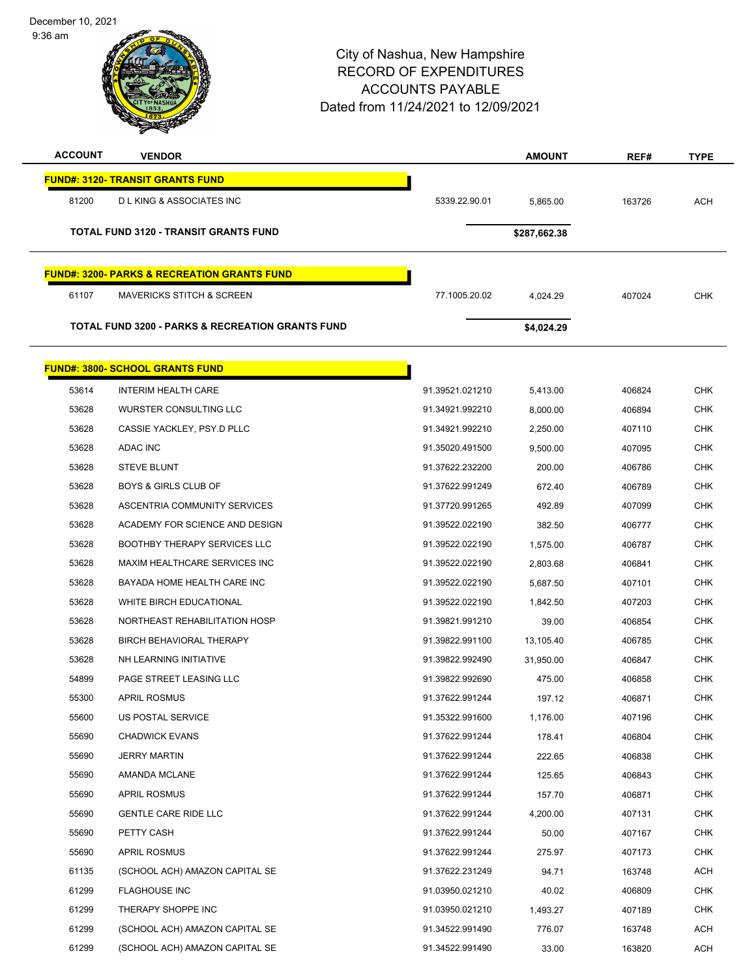| December 10, 2021<br>$9:36$ am |                                                             | City of Nashua, New Hampshire<br><b>RECORD OF EXPENDITURES</b><br><b>ACCOUNTS PAYABLE</b><br>Dated from 11/24/2021 to 12/09/2021 |                  |                  |                          |
|--------------------------------|-------------------------------------------------------------|----------------------------------------------------------------------------------------------------------------------------------|------------------|------------------|--------------------------|
| <b>ACCOUNT</b>                 | <b>VENDOR</b>                                               |                                                                                                                                  | <b>AMOUNT</b>    | REF#             | <b>TYPE</b>              |
|                                | <b>FUND#: 3120- TRANSIT GRANTS FUND</b>                     |                                                                                                                                  |                  |                  |                          |
| 81200                          | <b>DLKING &amp; ASSOCIATES INC</b>                          | 5339.22.90.01                                                                                                                    | 5,865.00         | 163726           | <b>ACH</b>               |
|                                | <b>TOTAL FUND 3120 - TRANSIT GRANTS FUND</b>                |                                                                                                                                  | \$287,662.38     |                  |                          |
|                                | <b>FUND#: 3200- PARKS &amp; RECREATION GRANTS FUND</b>      |                                                                                                                                  |                  |                  |                          |
| 61107                          | <b>MAVERICKS STITCH &amp; SCREEN</b>                        | 77.1005.20.02                                                                                                                    | 4,024.29         | 407024           | <b>CHK</b>               |
|                                | <b>TOTAL FUND 3200 - PARKS &amp; RECREATION GRANTS FUND</b> |                                                                                                                                  | \$4,024.29       |                  |                          |
|                                | <b>FUND#: 3800- SCHOOL GRANTS FUND</b>                      |                                                                                                                                  |                  |                  |                          |
| 53614                          | <b>INTERIM HEALTH CARE</b>                                  | 91.39521.021210                                                                                                                  | 5,413.00         | 406824           | <b>CHK</b>               |
| 53628                          | WURSTER CONSULTING LLC                                      | 91.34921.992210                                                                                                                  | 8,000.00         | 406894           | <b>CHK</b>               |
| 53628                          | CASSIE YACKLEY, PSY.D PLLC                                  | 91.34921.992210                                                                                                                  | 2,250.00         | 407110           | <b>CHK</b>               |
| 53628                          | <b>ADAC INC</b>                                             | 91.35020.491500                                                                                                                  | 9,500.00         | 407095           | <b>CHK</b>               |
| 53628                          | <b>STEVE BLUNT</b>                                          | 91.37622.232200                                                                                                                  | 200.00           | 406786           | <b>CHK</b>               |
| 53628                          | <b>BOYS &amp; GIRLS CLUB OF</b>                             | 91.37622.991249                                                                                                                  | 672.40           | 406789           | <b>CHK</b>               |
| 53628                          | ASCENTRIA COMMUNITY SERVICES                                | 91.37720.991265                                                                                                                  | 492.89           | 407099           | <b>CHK</b>               |
| 53628                          | ACADEMY FOR SCIENCE AND DESIGN                              | 91.39522.022190                                                                                                                  | 382.50           | 406777           | <b>CHK</b>               |
| 53628                          | <b>BOOTHBY THERAPY SERVICES LLC</b>                         | 91.39522.022190                                                                                                                  | 1,575.00         | 406787           | CHK                      |
| 53628                          | MAXIM HEALTHCARE SERVICES INC                               | 91.39522.022190                                                                                                                  | 2,803.68         | 406841           | CHK                      |
| 53628                          | BAYADA HOME HEALTH CARE INC                                 | 91.39522.022190                                                                                                                  | 5,687.50         | 407101           | <b>CHK</b>               |
| 53628                          | WHITE BIRCH EDUCATIONAL                                     | 91.39522.022190                                                                                                                  | 1,842.50         | 407203           | <b>CHK</b>               |
| 53628                          | NORTHEAST REHABILITATION HOSP                               | 91.39821.991210                                                                                                                  | 39.00            | 406854           | <b>CHK</b>               |
| 53628                          | BIRCH BEHAVIORAL THERAPY                                    | 91.39822.991100                                                                                                                  | 13,105.40        | 406785           | <b>CHK</b>               |
| 53628                          | NH LEARNING INITIATIVE                                      | 91.39822.992490                                                                                                                  | 31,950.00        | 406847           | <b>CHK</b>               |
| 54899                          | PAGE STREET LEASING LLC                                     | 91.39822.992690                                                                                                                  | 475.00           | 406858           | <b>CHK</b>               |
| 55300                          | <b>APRIL ROSMUS</b>                                         | 91.37622.991244                                                                                                                  | 197.12           | 406871           | CHK                      |
| 55600<br>55690                 | US POSTAL SERVICE<br><b>CHADWICK EVANS</b>                  | 91.35322.991600<br>91.37622.991244                                                                                               | 1,176.00         | 407196           | <b>CHK</b>               |
| 55690                          | <b>JERRY MARTIN</b>                                         | 91.37622.991244                                                                                                                  | 178.41<br>222.65 | 406804<br>406838 | <b>CHK</b><br><b>CHK</b> |
| 55690                          | AMANDA MCLANE                                               | 91.37622.991244                                                                                                                  | 125.65           | 406843           | <b>CHK</b>               |
| 55690                          | <b>APRIL ROSMUS</b>                                         | 91.37622.991244                                                                                                                  | 157.70           | 406871           | <b>CHK</b>               |
| 55690                          | <b>GENTLE CARE RIDE LLC</b>                                 | 91.37622.991244                                                                                                                  | 4,200.00         | 407131           | <b>CHK</b>               |
| 55690                          | PETTY CASH                                                  | 91.37622.991244                                                                                                                  | 50.00            | 407167           | <b>CHK</b>               |
| 55690                          | <b>APRIL ROSMUS</b>                                         | 91.37622.991244                                                                                                                  | 275.97           | 407173           | <b>CHK</b>               |
| 61135                          | (SCHOOL ACH) AMAZON CAPITAL SE                              | 91.37622.231249                                                                                                                  | 94.71            | 163748           | ACH                      |
| 61299                          | <b>FLAGHOUSE INC</b>                                        | 91.03950.021210                                                                                                                  | 40.02            | 406809           | CHK                      |
| 61299                          | THERAPY SHOPPE INC                                          | 91.03950.021210                                                                                                                  | 1,493.27         | 407189           | <b>CHK</b>               |
| 61299                          | (SCHOOL ACH) AMAZON CAPITAL SE                              | 91.34522.991490                                                                                                                  | 776.07           | 163748           | <b>ACH</b>               |

(SCHOOL ACH) AMAZON CAPITAL SE 91.34522.991490 33.00 163820 ACH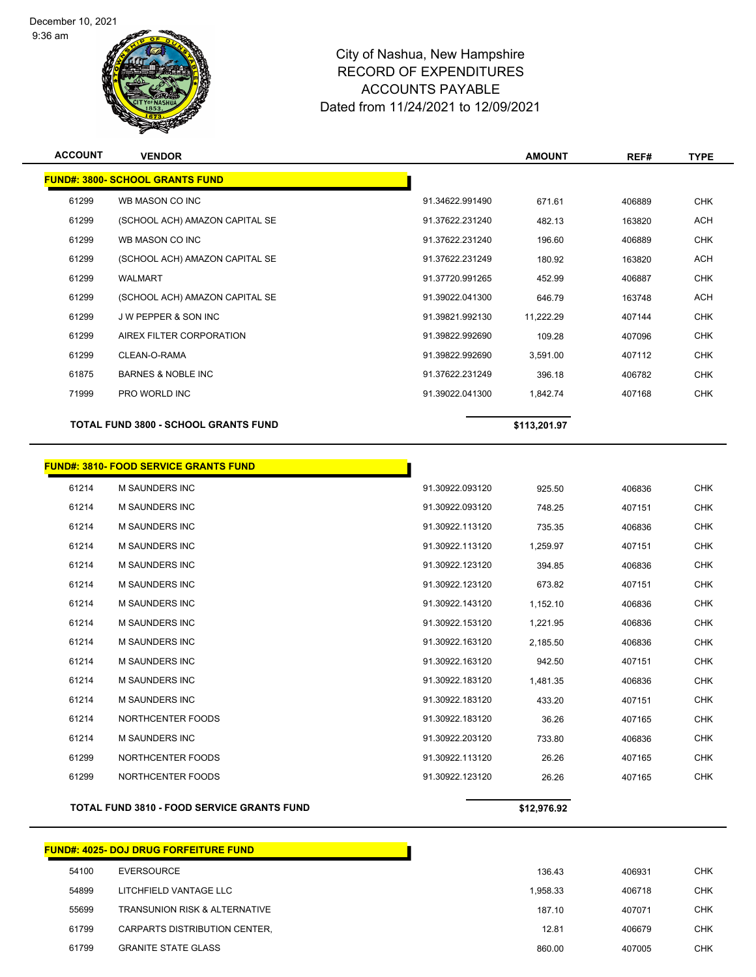9:36 am



# City of Nashua, New Hampshire RECORD OF EXPENDITURES ACCOUNTS PAYABLE Dated from 11/24/2021 to 12/09/2021

| <b>ACCOUNT</b> | <b>VENDOR</b>                                |                 | <b>AMOUNT</b> | REF#   | <b>TYPE</b> |
|----------------|----------------------------------------------|-----------------|---------------|--------|-------------|
|                | <b>FUND#: 3800- SCHOOL GRANTS FUND</b>       |                 |               |        |             |
| 61299          | WB MASON CO INC                              | 91.34622.991490 | 671.61        | 406889 | <b>CHK</b>  |
| 61299          | (SCHOOL ACH) AMAZON CAPITAL SE               | 91.37622.231240 | 482.13        | 163820 | <b>ACH</b>  |
| 61299          | WB MASON CO INC                              | 91.37622.231240 | 196.60        | 406889 | <b>CHK</b>  |
| 61299          | (SCHOOL ACH) AMAZON CAPITAL SE               | 91.37622.231249 | 180.92        | 163820 | <b>ACH</b>  |
| 61299          | WALMART                                      | 91.37720.991265 | 452.99        | 406887 | <b>CHK</b>  |
| 61299          | (SCHOOL ACH) AMAZON CAPITAL SE               | 91.39022.041300 | 646.79        | 163748 | <b>ACH</b>  |
| 61299          | <b>JW PEPPER &amp; SON INC</b>               | 91.39821.992130 | 11,222.29     | 407144 | <b>CHK</b>  |
| 61299          | AIREX FILTER CORPORATION                     | 91.39822.992690 | 109.28        | 407096 | <b>CHK</b>  |
| 61299          | CLEAN-O-RAMA                                 | 91.39822.992690 | 3,591.00      | 407112 | <b>CHK</b>  |
| 61875          | <b>BARNES &amp; NOBLE INC</b>                | 91.37622.231249 | 396.18        | 406782 | <b>CHK</b>  |
| 71999          | PRO WORLD INC                                | 91.39022.041300 | 1,842.74      | 407168 | <b>CHK</b>  |
|                | <b>TOTAL FUND 3800 - SCHOOL GRANTS FUND</b>  |                 | \$113,201.97  |        |             |
|                |                                              |                 |               |        |             |
|                | <b>FUND#: 3810- FOOD SERVICE GRANTS FUND</b> |                 |               |        |             |
| 61214          | <b>M SAUNDERS INC</b>                        | 91.30922.093120 | 925.50        | 406836 | <b>CHK</b>  |
| 61214          | <b>M SAUNDERS INC</b>                        | 91.30922.093120 | 748.25        | 407151 | <b>CHK</b>  |
| 61214          | <b>M SAUNDERS INC</b>                        | 91.30922.113120 | 735.35        | 406836 | <b>CHK</b>  |
| 61214          | <b>M SAUNDERS INC</b>                        | 91.30922.113120 | 1,259.97      | 407151 | <b>CHK</b>  |
| 61214          | <b>M SAUNDERS INC</b>                        | 91.30922.123120 | 394.85        | 406836 | <b>CHK</b>  |
| 61214          | <b>M SAUNDERS INC</b>                        | 91.30922.123120 | 673.82        | 407151 | <b>CHK</b>  |
| 61214          | <b>M SAUNDERS INC</b>                        | 91.30922.143120 | 1,152.10      | 406836 | <b>CHK</b>  |
| 61214          | <b>M SAUNDERS INC</b>                        | 91.30922.153120 | 1,221.95      | 406836 | <b>CHK</b>  |
| 61214          | <b>M SAUNDERS INC</b>                        | 91.30922.163120 | 2,185.50      | 406836 | <b>CHK</b>  |
| 61214          | M SAUNDERS INC                               | 91.30922.163120 | 942.50        | 407151 | <b>CHK</b>  |

|       | <b>FUND#: 4025- DOJ DRUG FORFEITURE FUND</b> |          |        |
|-------|----------------------------------------------|----------|--------|
| 54100 | EVERSOURCE                                   | 136.43   | 406931 |
| 54899 | LITCHFIELD VANTAGE LLC                       | 1,958.33 | 406718 |
| 55699 | <b>TRANSUNION RISK &amp; ALTERNATIVE</b>     | 187.10   | 407071 |
| 61799 | CARPARTS DISTRIBUTION CENTER,                | 12.81    | 406679 |
| 61799 | <b>GRANITE STATE GLASS</b>                   | 860.00   | 407005 |

**TOTAL FUND 3810 - FOOD SERVICE GRANTS FUND \$12,976.92** 

 M SAUNDERS INC 91.30922.183120 1,481.35 406836 CHK M SAUNDERS INC 91.30922.183120 433.20 407151 CHK NORTHCENTER FOODS 91.30922.183120 36.26 407165 CHK M SAUNDERS INC 91.30922.203120 733.80 406836 CHK NORTHCENTER FOODS 91.30922.113120 26.26 407165 CHK NORTHCENTER FOODS 91.30922.123120 26.26 407165 CHK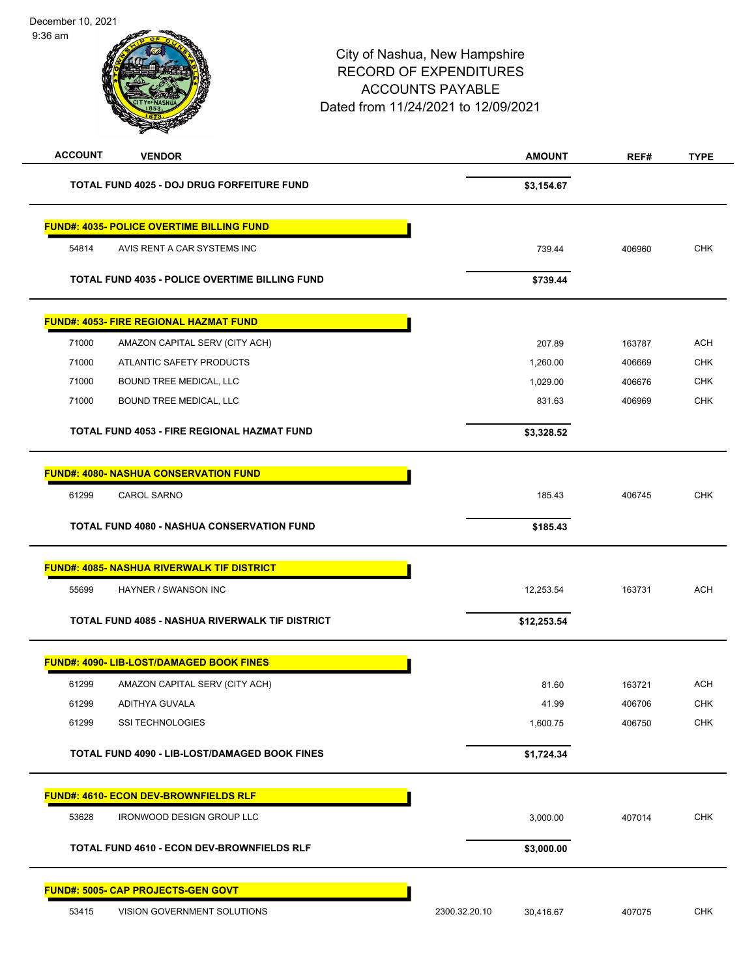9:36 am

| <b>ACCOUNT</b><br><b>VENDOR</b>                        | <b>AMOUNT</b>              | REF#   | <b>TYPE</b> |
|--------------------------------------------------------|----------------------------|--------|-------------|
| <b>TOTAL FUND 4025 - DOJ DRUG FORFEITURE FUND</b>      | \$3,154.67                 |        |             |
| <b>FUND#: 4035- POLICE OVERTIME BILLING FUND</b>       |                            |        |             |
| 54814<br>AVIS RENT A CAR SYSTEMS INC                   | 739.44                     | 406960 | <b>CHK</b>  |
| <b>TOTAL FUND 4035 - POLICE OVERTIME BILLING FUND</b>  | \$739.44                   |        |             |
| <b>FUND#: 4053- FIRE REGIONAL HAZMAT FUND</b>          |                            |        |             |
| 71000<br>AMAZON CAPITAL SERV (CITY ACH)                | 207.89                     | 163787 | <b>ACH</b>  |
| 71000<br>ATLANTIC SAFETY PRODUCTS                      | 1,260.00                   | 406669 | <b>CHK</b>  |
| 71000<br>BOUND TREE MEDICAL, LLC                       | 1,029.00                   | 406676 | <b>CHK</b>  |
| 71000<br>BOUND TREE MEDICAL, LLC                       | 831.63                     | 406969 | <b>CHK</b>  |
| <b>TOTAL FUND 4053 - FIRE REGIONAL HAZMAT FUND</b>     | \$3,328.52                 |        |             |
| <b>FUND#: 4080- NASHUA CONSERVATION FUND</b>           |                            |        |             |
| 61299<br><b>CAROL SARNO</b>                            | 185.43                     | 406745 | <b>CHK</b>  |
| <b>TOTAL FUND 4080 - NASHUA CONSERVATION FUND</b>      | \$185.43                   |        |             |
| <b>FUND#: 4085- NASHUA RIVERWALK TIF DISTRICT</b>      |                            |        |             |
| 55699<br>HAYNER / SWANSON INC                          | 12,253.54                  | 163731 | <b>ACH</b>  |
| <b>TOTAL FUND 4085 - NASHUA RIVERWALK TIF DISTRICT</b> | \$12,253.54                |        |             |
| FUND#: 4090- LIB-LOST/DAMAGED BOOK FINES               |                            |        |             |
| 61299<br>AMAZON CAPITAL SERV (CITY ACH)                | 81.60                      | 163721 | <b>ACH</b>  |
| 61299<br>ADITHYA GUVALA                                | 41.99                      | 406706 | <b>CHK</b>  |
| 61299<br>SSI TECHNOLOGIES                              | 1,600.75                   | 406750 | <b>CHK</b>  |
| TOTAL FUND 4090 - LIB-LOST/DAMAGED BOOK FINES          | \$1,724.34                 |        |             |
| <b>FUND#: 4610- ECON DEV-BROWNFIELDS RLF</b>           |                            |        |             |
| 53628<br><b>IRONWOOD DESIGN GROUP LLC</b>              | 3,000.00                   | 407014 | <b>CHK</b>  |
| <b>TOTAL FUND 4610 - ECON DEV-BROWNFIELDS RLF</b>      | \$3,000.00                 |        |             |
| <u> FUND#: 5005- CAP PROJECTS-GEN GOVT</u>             |                            |        |             |
| 53415<br>VISION GOVERNMENT SOLUTIONS                   | 2300.32.20.10<br>30,416.67 | 407075 | <b>CHK</b>  |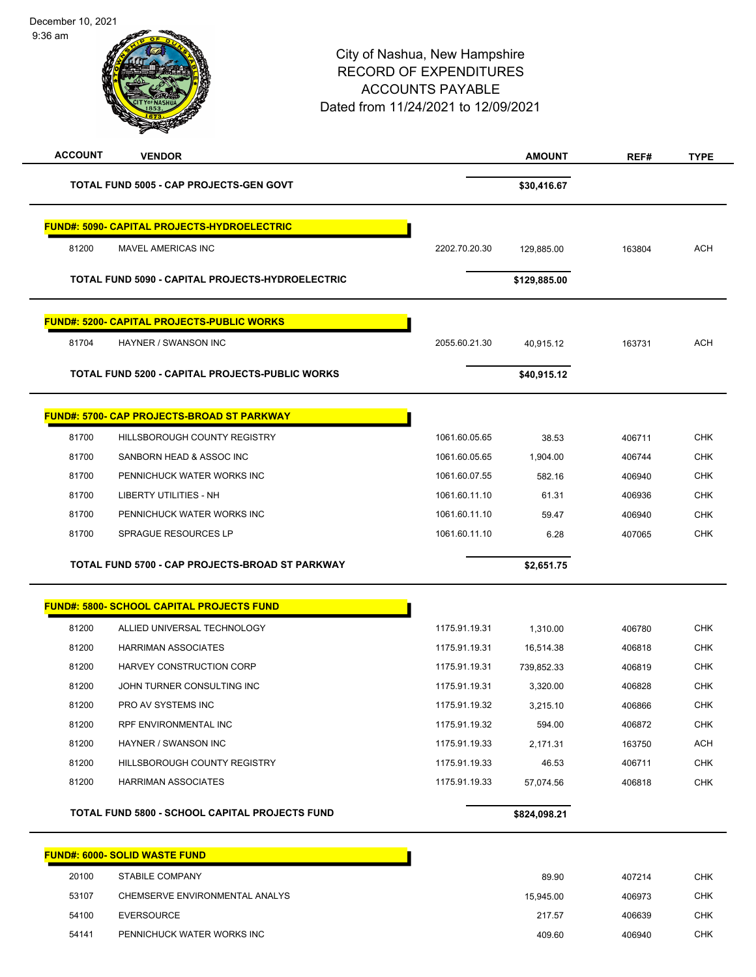| December 10, 2021 |
|-------------------|
|                   |

9:36 am

| <b>ACCOUNT</b> | <b>VENDOR</b>                                         |               | <b>AMOUNT</b> | REF#   | <b>TYPE</b> |
|----------------|-------------------------------------------------------|---------------|---------------|--------|-------------|
|                | <b>TOTAL FUND 5005 - CAP PROJECTS-GEN GOVT</b>        |               | \$30,416.67   |        |             |
|                | <b>FUND#: 5090- CAPITAL PROJECTS-HYDROELECTRIC</b>    |               |               |        |             |
| 81200          | MAVEL AMERICAS INC                                    | 2202.70.20.30 | 129,885.00    | 163804 | <b>ACH</b>  |
|                | TOTAL FUND 5090 - CAPITAL PROJECTS-HYDROELECTRIC      |               | \$129,885.00  |        |             |
|                | <b>FUND#: 5200- CAPITAL PROJECTS-PUBLIC WORKS</b>     |               |               |        |             |
| 81704          | HAYNER / SWANSON INC                                  | 2055.60.21.30 | 40,915.12     | 163731 | <b>ACH</b>  |
|                | TOTAL FUND 5200 - CAPITAL PROJECTS-PUBLIC WORKS       |               | \$40,915.12   |        |             |
|                | <b>FUND#: 5700- CAP PROJECTS-BROAD ST PARKWAY</b>     |               |               |        |             |
| 81700          | HILLSBOROUGH COUNTY REGISTRY                          | 1061.60.05.65 | 38.53         | 406711 | <b>CHK</b>  |
| 81700          | SANBORN HEAD & ASSOC INC                              | 1061.60.05.65 | 1,904.00      | 406744 | <b>CHK</b>  |
| 81700          | PENNICHUCK WATER WORKS INC                            | 1061.60.07.55 | 582.16        | 406940 | <b>CHK</b>  |
| 81700          | LIBERTY UTILITIES - NH                                | 1061.60.11.10 | 61.31         | 406936 | <b>CHK</b>  |
| 81700          | PENNICHUCK WATER WORKS INC                            | 1061.60.11.10 | 59.47         | 406940 | <b>CHK</b>  |
| 81700          | SPRAGUE RESOURCES LP                                  | 1061.60.11.10 | 6.28          | 407065 | <b>CHK</b>  |
|                | TOTAL FUND 5700 - CAP PROJECTS-BROAD ST PARKWAY       |               | \$2,651.75    |        |             |
|                | <b>FUND#: 5800- SCHOOL CAPITAL PROJECTS FUND</b>      |               |               |        |             |
| 81200          | ALLIED UNIVERSAL TECHNOLOGY                           | 1175.91.19.31 | 1,310.00      | 406780 | CHK         |
| 81200          | <b>HARRIMAN ASSOCIATES</b>                            | 1175.91.19.31 | 16,514.38     | 406818 | <b>CHK</b>  |
| 81200          | HARVEY CONSTRUCTION CORP                              | 1175.91.19.31 | 739,852.33    | 406819 | <b>CHK</b>  |
| 81200          | JOHN TURNER CONSULTING INC                            | 1175.91.19.31 | 3,320.00      | 406828 | <b>CHK</b>  |
| 81200          | PRO AV SYSTEMS INC                                    | 1175.91.19.32 | 3,215.10      | 406866 | <b>CHK</b>  |
| 81200          | RPF ENVIRONMENTAL INC                                 | 1175.91.19.32 | 594.00        | 406872 | <b>CHK</b>  |
| 81200          | HAYNER / SWANSON INC                                  | 1175.91.19.33 | 2,171.31      | 163750 | ACH         |
| 81200          | HILLSBOROUGH COUNTY REGISTRY                          | 1175.91.19.33 | 46.53         | 406711 | <b>CHK</b>  |
| 81200          | <b>HARRIMAN ASSOCIATES</b>                            | 1175.91.19.33 | 57,074.56     | 406818 | <b>CHK</b>  |
|                | <b>TOTAL FUND 5800 - SCHOOL CAPITAL PROJECTS FUND</b> |               | \$824,098.21  |        |             |
|                | <b>FUND#: 6000- SOLID WASTE FUND</b>                  |               |               |        |             |
| 20100          | <b>STABILE COMPANY</b>                                |               | 89.90         | 407214 | <b>CHK</b>  |
| 53107          | CHEMSERVE ENVIRONMENTAL ANALYS                        |               | 15,945.00     | 406973 | <b>CHK</b>  |
| 54100          | <b>EVERSOURCE</b>                                     |               | 217.57        | 406639 | <b>CHK</b>  |
| 54141          | PENNICHUCK WATER WORKS INC                            |               | 409.60        | 406940 | <b>CHK</b>  |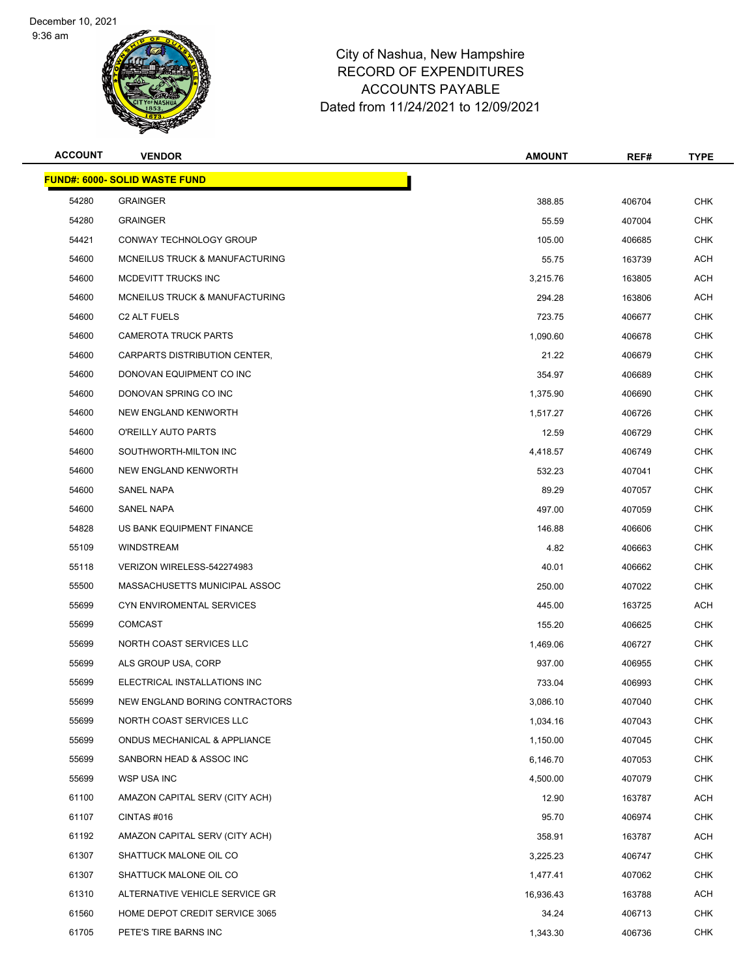9:36 am



| <b>ACCOUNT</b> | <b>VENDOR</b>                        | <b>AMOUNT</b> | REF#   | <b>TYPE</b> |
|----------------|--------------------------------------|---------------|--------|-------------|
|                | <b>FUND#: 6000- SOLID WASTE FUND</b> |               |        |             |
| 54280          | <b>GRAINGER</b>                      | 388.85        | 406704 | <b>CHK</b>  |
| 54280          | <b>GRAINGER</b>                      | 55.59         | 407004 | <b>CHK</b>  |
| 54421          | CONWAY TECHNOLOGY GROUP              | 105.00        | 406685 | <b>CHK</b>  |
| 54600          | MCNEILUS TRUCK & MANUFACTURING       | 55.75         | 163739 | ACH         |
| 54600          | MCDEVITT TRUCKS INC                  | 3,215.76      | 163805 | <b>ACH</b>  |
| 54600          | MCNEILUS TRUCK & MANUFACTURING       | 294.28        | 163806 | <b>ACH</b>  |
| 54600          | C <sub>2</sub> ALT FUELS             | 723.75        | 406677 | <b>CHK</b>  |
| 54600          | <b>CAMEROTA TRUCK PARTS</b>          | 1,090.60      | 406678 | <b>CHK</b>  |
| 54600          | CARPARTS DISTRIBUTION CENTER,        | 21.22         | 406679 | <b>CHK</b>  |
| 54600          | DONOVAN EQUIPMENT CO INC             | 354.97        | 406689 | <b>CHK</b>  |
| 54600          | DONOVAN SPRING CO INC                | 1,375.90      | 406690 | <b>CHK</b>  |
| 54600          | NEW ENGLAND KENWORTH                 | 1,517.27      | 406726 | <b>CHK</b>  |
| 54600          | O'REILLY AUTO PARTS                  | 12.59         | 406729 | <b>CHK</b>  |
| 54600          | SOUTHWORTH-MILTON INC                | 4,418.57      | 406749 | <b>CHK</b>  |
| 54600          | <b>NEW ENGLAND KENWORTH</b>          | 532.23        | 407041 | <b>CHK</b>  |
| 54600          | <b>SANEL NAPA</b>                    | 89.29         | 407057 | <b>CHK</b>  |
| 54600          | <b>SANEL NAPA</b>                    | 497.00        | 407059 | <b>CHK</b>  |
| 54828          | US BANK EQUIPMENT FINANCE            | 146.88        | 406606 | <b>CHK</b>  |
| 55109          | <b>WINDSTREAM</b>                    | 4.82          | 406663 | <b>CHK</b>  |
| 55118          | VERIZON WIRELESS-542274983           | 40.01         | 406662 | <b>CHK</b>  |
| 55500          | MASSACHUSETTS MUNICIPAL ASSOC        | 250.00        | 407022 | <b>CHK</b>  |
| 55699          | CYN ENVIROMENTAL SERVICES            | 445.00        | 163725 | ACH         |
| 55699          | <b>COMCAST</b>                       | 155.20        | 406625 | <b>CHK</b>  |
| 55699          | NORTH COAST SERVICES LLC             | 1,469.06      | 406727 | <b>CHK</b>  |
| 55699          | ALS GROUP USA, CORP                  | 937.00        | 406955 | <b>CHK</b>  |
| 55699          | ELECTRICAL INSTALLATIONS INC         | 733.04        | 406993 | <b>CHK</b>  |
| 55699          | NEW ENGLAND BORING CONTRACTORS       | 3,086.10      | 407040 | <b>CHK</b>  |
| 55699          | NORTH COAST SERVICES LLC             | 1,034.16      | 407043 | CHK         |
| 55699          | ONDUS MECHANICAL & APPLIANCE         | 1,150.00      | 407045 | <b>CHK</b>  |
| 55699          | SANBORN HEAD & ASSOC INC             | 6,146.70      | 407053 | <b>CHK</b>  |
| 55699          | WSP USA INC                          | 4,500.00      | 407079 | <b>CHK</b>  |
| 61100          | AMAZON CAPITAL SERV (CITY ACH)       | 12.90         | 163787 | ACH         |
| 61107          | CINTAS #016                          | 95.70         | 406974 | <b>CHK</b>  |
| 61192          | AMAZON CAPITAL SERV (CITY ACH)       | 358.91        | 163787 | ACH         |
| 61307          | SHATTUCK MALONE OIL CO               | 3,225.23      | 406747 | <b>CHK</b>  |
| 61307          | SHATTUCK MALONE OIL CO               | 1,477.41      | 407062 | <b>CHK</b>  |
| 61310          | ALTERNATIVE VEHICLE SERVICE GR       | 16,936.43     | 163788 | ACH         |
| 61560          | HOME DEPOT CREDIT SERVICE 3065       | 34.24         | 406713 | <b>CHK</b>  |
| 61705          | PETE'S TIRE BARNS INC                | 1,343.30      | 406736 | <b>CHK</b>  |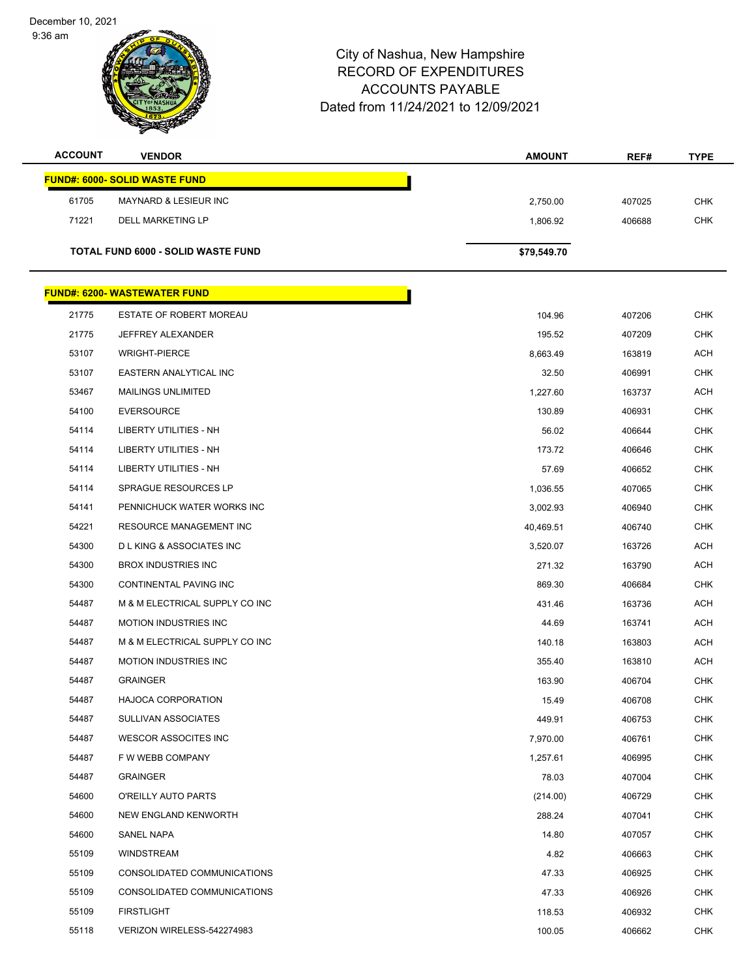9:36 am



| <b>ACCOUNT</b> | <b>VENDOR</b>                        | <b>AMOUNT</b> | REF#   | <b>TYPE</b> |
|----------------|--------------------------------------|---------------|--------|-------------|
|                | <b>FUND#: 6000- SOLID WASTE FUND</b> |               |        |             |
| 61705          | MAYNARD & LESIEUR INC                | 2,750.00      | 407025 | <b>CHK</b>  |
| 71221          | <b>DELL MARKETING LP</b>             | 1,806.92      | 406688 | <b>CHK</b>  |
|                |                                      |               |        |             |
|                | TOTAL FUND 6000 - SOLID WASTE FUND   | \$79,549.70   |        |             |
|                | <b>FUND#: 6200- WASTEWATER FUND</b>  |               |        |             |
|                |                                      |               |        |             |
| 21775          | ESTATE OF ROBERT MOREAU              | 104.96        | 407206 | <b>CHK</b>  |
| 21775          | <b>JEFFREY ALEXANDER</b>             | 195.52        | 407209 | <b>CHK</b>  |
| 53107          | <b>WRIGHT-PIERCE</b>                 | 8,663.49      | 163819 | <b>ACH</b>  |
| 53107          | EASTERN ANALYTICAL INC               | 32.50         | 406991 | <b>CHK</b>  |
| 53467          | <b>MAILINGS UNLIMITED</b>            | 1,227.60      | 163737 | ACH         |
| 54100          | <b>EVERSOURCE</b>                    | 130.89        | 406931 | CHK         |
| 54114          | <b>LIBERTY UTILITIES - NH</b>        | 56.02         | 406644 | <b>CHK</b>  |
| 54114          | LIBERTY UTILITIES - NH               | 173.72        | 406646 | <b>CHK</b>  |
| 54114          | <b>LIBERTY UTILITIES - NH</b>        | 57.69         | 406652 | <b>CHK</b>  |
| 54114          | SPRAGUE RESOURCES LP                 | 1,036.55      | 407065 | <b>CHK</b>  |
| 54141          | PENNICHUCK WATER WORKS INC           | 3,002.93      | 406940 | CHK         |
| 54221          | RESOURCE MANAGEMENT INC              | 40,469.51     | 406740 | <b>CHK</b>  |
| 54300          | <b>DLKING &amp; ASSOCIATES INC</b>   | 3,520.07      | 163726 | <b>ACH</b>  |
| 54300          | <b>BROX INDUSTRIES INC</b>           | 271.32        | 163790 | <b>ACH</b>  |
| 54300          | CONTINENTAL PAVING INC               | 869.30        | 406684 | <b>CHK</b>  |
| 54487          | M & M ELECTRICAL SUPPLY CO INC       | 431.46        | 163736 | <b>ACH</b>  |
| 54487          | <b>MOTION INDUSTRIES INC</b>         | 44.69         | 163741 | <b>ACH</b>  |
| 54487          | M & M ELECTRICAL SUPPLY CO INC       | 140.18        | 163803 | <b>ACH</b>  |
| 54487          | <b>MOTION INDUSTRIES INC</b>         | 355.40        | 163810 | <b>ACH</b>  |
| 54487          | <b>GRAINGER</b>                      | 163.90        | 406704 | <b>CHK</b>  |
| 54487          | HAJOCA CORPORATION                   | 15.49         | 406708 | <b>CHK</b>  |
| 54487          | <b>SULLIVAN ASSOCIATES</b>           | 449.91        | 406753 | <b>CHK</b>  |
| 54487          | <b>WESCOR ASSOCITES INC</b>          | 7,970.00      | 406761 | <b>CHK</b>  |
| 54487          | F W WEBB COMPANY                     | 1,257.61      | 406995 | <b>CHK</b>  |
| 54487          | <b>GRAINGER</b>                      | 78.03         | 407004 | <b>CHK</b>  |
| 54600          | O'REILLY AUTO PARTS                  | (214.00)      | 406729 | CHK         |
| 54600          | NEW ENGLAND KENWORTH                 | 288.24        | 407041 | <b>CHK</b>  |
| 54600          | SANEL NAPA                           | 14.80         | 407057 | <b>CHK</b>  |
| 55109          | WINDSTREAM                           | 4.82          | 406663 | <b>CHK</b>  |
| 55109          | CONSOLIDATED COMMUNICATIONS          | 47.33         | 406925 | <b>CHK</b>  |
| 55109          | CONSOLIDATED COMMUNICATIONS          | 47.33         | 406926 | CHK         |
| 55109          | <b>FIRSTLIGHT</b>                    | 118.53        | 406932 | <b>CHK</b>  |
| 55118          | VERIZON WIRELESS-542274983           | 100.05        | 406662 | <b>CHK</b>  |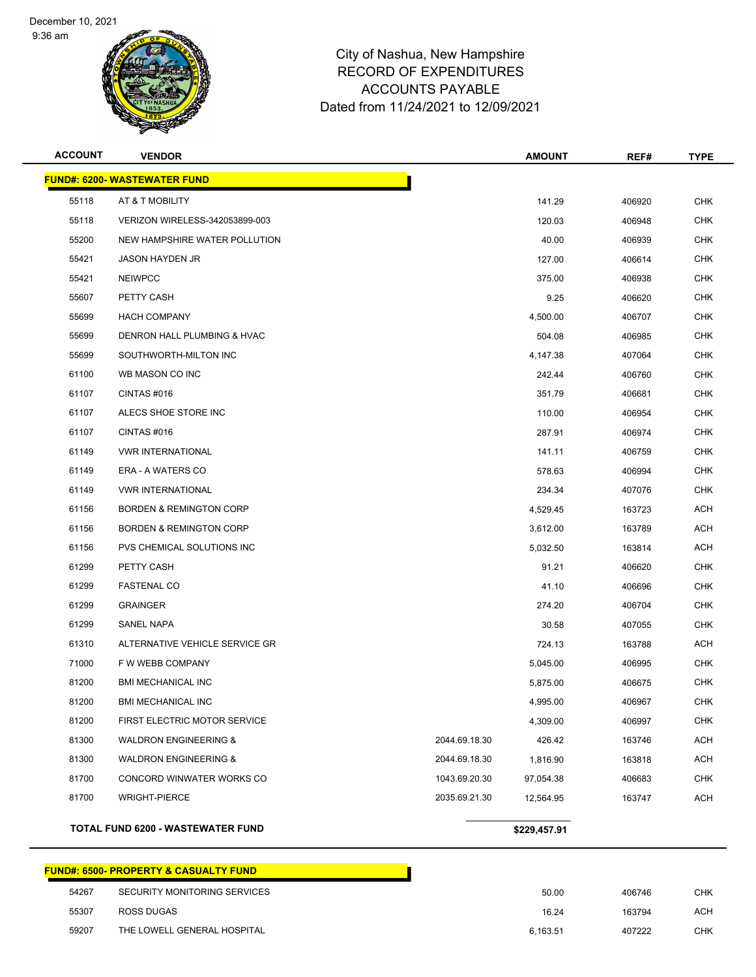9:36 am



# City of Nashua, New Hampshire RECORD OF EXPENDITURES ACCOUNTS PAYABLE Dated from 11/24/2021 to 12/09/2021

| <b>ACCOUNT</b> | <b>VENDOR</b>                       |               | <b>AMOUNT</b> | REF#   | <b>TYPE</b> |
|----------------|-------------------------------------|---------------|---------------|--------|-------------|
|                | <b>FUND#: 6200- WASTEWATER FUND</b> |               |               |        |             |
| 55118          | AT & T MOBILITY                     |               | 141.29        | 406920 | <b>CHK</b>  |
| 55118          | VERIZON WIRELESS-342053899-003      |               | 120.03        | 406948 | <b>CHK</b>  |
| 55200          | NEW HAMPSHIRE WATER POLLUTION       |               | 40.00         | 406939 | <b>CHK</b>  |
| 55421          | <b>JASON HAYDEN JR</b>              |               | 127.00        | 406614 | CHK         |
| 55421          | <b>NEIWPCC</b>                      |               | 375.00        | 406938 | <b>CHK</b>  |
| 55607          | PETTY CASH                          |               | 9.25          | 406620 | <b>CHK</b>  |
| 55699          | <b>HACH COMPANY</b>                 |               | 4,500.00      | 406707 | <b>CHK</b>  |
| 55699          | DENRON HALL PLUMBING & HVAC         |               | 504.08        | 406985 | <b>CHK</b>  |
| 55699          | SOUTHWORTH-MILTON INC               |               | 4,147.38      | 407064 | <b>CHK</b>  |
| 61100          | WB MASON CO INC                     |               | 242.44        | 406760 | <b>CHK</b>  |
| 61107          | CINTAS#016                          |               | 351.79        | 406681 | <b>CHK</b>  |
| 61107          | ALECS SHOE STORE INC                |               | 110.00        | 406954 | <b>CHK</b>  |
| 61107          | CINTAS#016                          |               | 287.91        | 406974 | <b>CHK</b>  |
| 61149          | <b>VWR INTERNATIONAL</b>            |               | 141.11        | 406759 | CHK         |
| 61149          | <b>ERA - A WATERS CO</b>            |               | 578.63        | 406994 | <b>CHK</b>  |
| 61149          | <b>VWR INTERNATIONAL</b>            |               | 234.34        | 407076 | <b>CHK</b>  |
| 61156          | <b>BORDEN &amp; REMINGTON CORP</b>  |               | 4,529.45      | 163723 | <b>ACH</b>  |
| 61156          | <b>BORDEN &amp; REMINGTON CORP</b>  |               | 3,612.00      | 163789 | <b>ACH</b>  |
| 61156          | PVS CHEMICAL SOLUTIONS INC          |               | 5,032.50      | 163814 | ACH         |
| 61299          | PETTY CASH                          |               | 91.21         | 406620 | <b>CHK</b>  |
| 61299          | <b>FASTENAL CO</b>                  |               | 41.10         | 406696 | <b>CHK</b>  |
| 61299          | <b>GRAINGER</b>                     |               | 274.20        | 406704 | <b>CHK</b>  |
| 61299          | <b>SANEL NAPA</b>                   |               | 30.58         | 407055 | <b>CHK</b>  |
| 61310          | ALTERNATIVE VEHICLE SERVICE GR      |               | 724.13        | 163788 | ACH         |
| 71000          | F W WEBB COMPANY                    |               | 5,045.00      | 406995 | <b>CHK</b>  |
| 81200          | <b>BMI MECHANICAL INC</b>           |               | 5,875.00      | 406675 | <b>CHK</b>  |
| 81200          | BMI MECHANICAL INC                  |               | 4,995.00      | 406967 | CHK         |
| 81200          | FIRST ELECTRIC MOTOR SERVICE        |               | 4,309.00      | 406997 | CHK         |
| 81300          | <b>WALDRON ENGINEERING &amp;</b>    | 2044.69.18.30 | 426.42        | 163746 | ACH         |
| 81300          | <b>WALDRON ENGINEERING &amp;</b>    | 2044.69.18.30 | 1,816.90      | 163818 | <b>ACH</b>  |
| 81700          | CONCORD WINWATER WORKS CO           | 1043.69.20.30 | 97,054.38     | 406683 | <b>CHK</b>  |
| 81700          | <b>WRIGHT-PIERCE</b>                | 2035.69.21.30 | 12,564.95     | 163747 | <b>ACH</b>  |
|                | TOTAL FUND 6200 - WASTEWATER FUND   |               | \$229,457.91  |        |             |

#### **FUND#: 6500- PROPERTY & CASUALTY FUND**

| 54267 | SECURITY MONITORING SERVICES | 50.00    | 406746 | СНК |
|-------|------------------------------|----------|--------|-----|
| 55307 | ROSS DUGAS                   | 16.24    | 163794 | ACH |
| 59207 | THE LOWELL GENERAL HOSPITAL  | 6,163.51 | 407222 | снк |

Т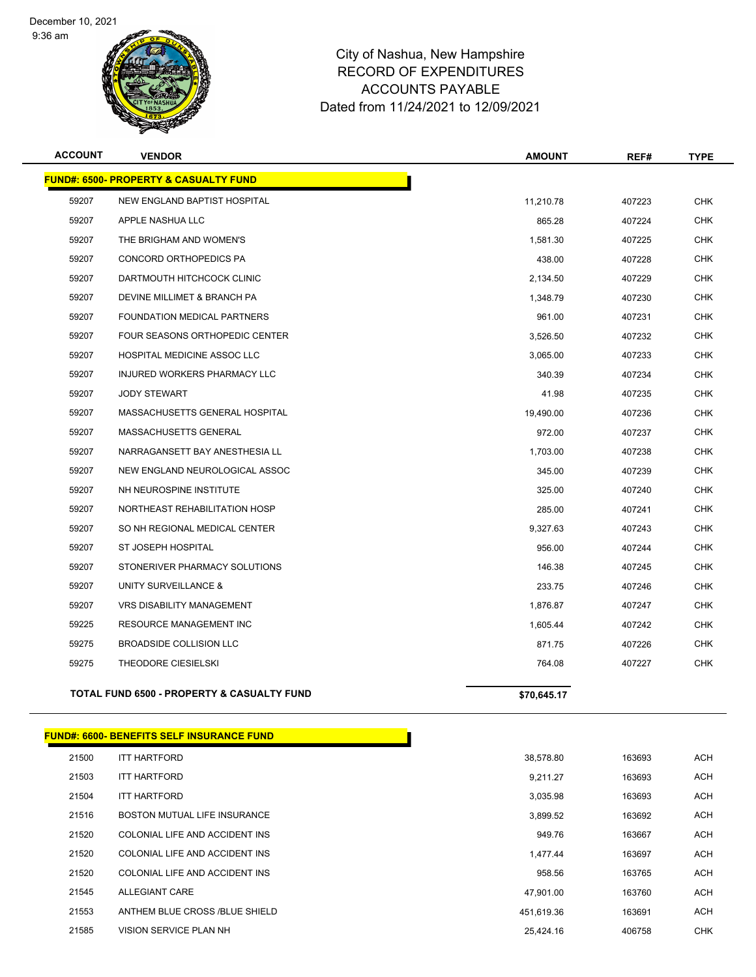December 10, 2021

9:36 am



| <b>ACCOUNT</b> | <b>VENDOR</b>                                         | <b>AMOUNT</b> | REF#   | <b>TYPE</b> |
|----------------|-------------------------------------------------------|---------------|--------|-------------|
|                | <b>FUND#: 6500- PROPERTY &amp; CASUALTY FUND</b>      |               |        |             |
| 59207          | NEW ENGLAND BAPTIST HOSPITAL                          | 11,210.78     | 407223 | <b>CHK</b>  |
| 59207          | APPLE NASHUA LLC                                      | 865.28        | 407224 | <b>CHK</b>  |
| 59207          | THE BRIGHAM AND WOMEN'S                               | 1.581.30      | 407225 | <b>CHK</b>  |
| 59207          | CONCORD ORTHOPEDICS PA                                | 438.00        | 407228 | <b>CHK</b>  |
| 59207          | DARTMOUTH HITCHCOCK CLINIC                            | 2,134.50      | 407229 | <b>CHK</b>  |
| 59207          | DEVINE MILLIMET & BRANCH PA                           | 1,348.79      | 407230 | <b>CHK</b>  |
| 59207          | <b>FOUNDATION MEDICAL PARTNERS</b>                    | 961.00        | 407231 | <b>CHK</b>  |
| 59207          | <b>FOUR SEASONS ORTHOPEDIC CENTER</b>                 | 3,526.50      | 407232 | <b>CHK</b>  |
| 59207          | HOSPITAL MEDICINE ASSOC LLC                           | 3,065.00      | 407233 | <b>CHK</b>  |
| 59207          | INJURED WORKERS PHARMACY LLC                          | 340.39        | 407234 | <b>CHK</b>  |
| 59207          | <b>JODY STEWART</b>                                   | 41.98         | 407235 | <b>CHK</b>  |
| 59207          | MASSACHUSETTS GENERAL HOSPITAL                        | 19,490.00     | 407236 | <b>CHK</b>  |
| 59207          | MASSACHUSETTS GENERAL                                 | 972.00        | 407237 | <b>CHK</b>  |
| 59207          | NARRAGANSETT BAY ANESTHESIA LL                        | 1,703.00      | 407238 | <b>CHK</b>  |
| 59207          | NEW ENGLAND NEUROLOGICAL ASSOC                        | 345.00        | 407239 | <b>CHK</b>  |
| 59207          | NH NEUROSPINE INSTITUTE                               | 325.00        | 407240 | <b>CHK</b>  |
| 59207          | NORTHEAST REHABILITATION HOSP                         | 285.00        | 407241 | <b>CHK</b>  |
| 59207          | SO NH REGIONAL MEDICAL CENTER                         | 9,327.63      | 407243 | <b>CHK</b>  |
| 59207          | ST JOSEPH HOSPITAL                                    | 956.00        | 407244 | <b>CHK</b>  |
| 59207          | STONERIVER PHARMACY SOLUTIONS                         | 146.38        | 407245 | <b>CHK</b>  |
| 59207          | UNITY SURVEILLANCE &                                  | 233.75        | 407246 | <b>CHK</b>  |
| 59207          | <b>VRS DISABILITY MANAGEMENT</b>                      | 1,876.87      | 407247 | <b>CHK</b>  |
| 59225          | <b>RESOURCE MANAGEMENT INC</b>                        | 1,605.44      | 407242 | <b>CHK</b>  |
| 59275          | BROADSIDE COLLISION LLC                               | 871.75        | 407226 | <b>CHK</b>  |
| 59275          | THEODORE CIESIELSKI                                   | 764.08        | 407227 | <b>CHK</b>  |
|                | <b>TOTAL FUND 6500 - PROPERTY &amp; CASUALTY FUND</b> | \$70,645.17   |        |             |

|       | <b>FUND#: 6600- BENEFITS SELF INSURANCE FUND</b> |            |        |
|-------|--------------------------------------------------|------------|--------|
| 21500 | <b>ITT HARTFORD</b>                              | 38,578.80  | 163693 |
| 21503 | <b>ITT HARTFORD</b>                              | 9,211.27   | 163693 |
| 21504 | <b>ITT HARTFORD</b>                              | 3,035.98   | 163693 |
| 21516 | BOSTON MUTUAL LIFE INSURANCE                     | 3,899.52   | 163692 |
| 21520 | COLONIAL LIFE AND ACCIDENT INS                   | 949.76     | 163667 |
| 21520 | COLONIAL LIFE AND ACCIDENT INS                   | 1,477.44   | 163697 |
| 21520 | COLONIAL LIFE AND ACCIDENT INS                   | 958.56     | 163765 |
| 21545 | <b>ALLEGIANT CARE</b>                            | 47,901.00  | 163760 |
| 21553 | ANTHEM BLUE CROSS /BLUE SHIELD                   | 451,619.36 | 163691 |
| 21585 | <b>VISION SERVICE PLAN NH</b>                    | 25.424.16  | 406758 |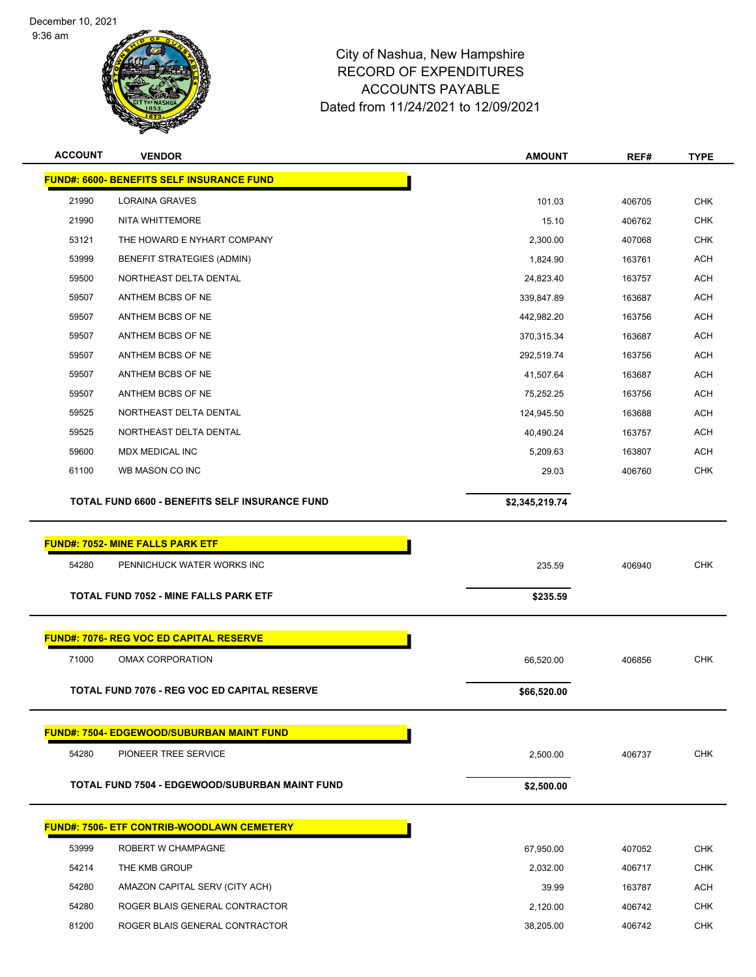December 10, 2021





| <b>ACCOUNT</b> | <b>VENDOR</b>                                         | <b>AMOUNT</b>  | REF#   | <b>TYPE</b> |
|----------------|-------------------------------------------------------|----------------|--------|-------------|
|                | <b>FUND#: 6600- BENEFITS SELF INSURANCE FUND</b>      |                |        |             |
| 21990          | LORAINA GRAVES                                        | 101.03         | 406705 | <b>CHK</b>  |
| 21990          | NITA WHITTEMORE                                       | 15.10          | 406762 | <b>CHK</b>  |
| 53121          | THE HOWARD E NYHART COMPANY                           | 2,300.00       | 407068 | <b>CHK</b>  |
| 53999          | <b>BENEFIT STRATEGIES (ADMIN)</b>                     | 1,824.90       | 163761 | <b>ACH</b>  |
| 59500          | NORTHEAST DELTA DENTAL                                | 24,823.40      | 163757 | ACH         |
| 59507          | ANTHEM BCBS OF NE                                     | 339,847.89     | 163687 | <b>ACH</b>  |
| 59507          | ANTHEM BCBS OF NE                                     | 442,982.20     | 163756 | <b>ACH</b>  |
| 59507          | ANTHEM BCBS OF NE                                     | 370,315.34     | 163687 | ACH         |
| 59507          | ANTHEM BCBS OF NE                                     | 292,519.74     | 163756 | ACH         |
| 59507          | ANTHEM BCBS OF NE                                     | 41,507.64      | 163687 | <b>ACH</b>  |
| 59507          | ANTHEM BCBS OF NE                                     | 75,252.25      | 163756 | <b>ACH</b>  |
| 59525          | NORTHEAST DELTA DENTAL                                | 124,945.50     | 163688 | <b>ACH</b>  |
| 59525          | NORTHEAST DELTA DENTAL                                | 40,490.24      | 163757 | <b>ACH</b>  |
| 59600          | MDX MEDICAL INC                                       | 5,209.63       | 163807 | ACH         |
| 61100          | WB MASON CO INC                                       | 29.03          | 406760 | <b>CHK</b>  |
|                | <b>TOTAL FUND 6600 - BENEFITS SELF INSURANCE FUND</b> | \$2,345,219.74 |        |             |
|                |                                                       |                |        |             |
|                | <b>FUND#: 7052- MINE FALLS PARK ETF</b>               |                |        |             |
| 54280          | PENNICHUCK WATER WORKS INC                            | 235.59         | 406940 | <b>CHK</b>  |
|                | <b>TOTAL FUND 7052 - MINE FALLS PARK ETF</b>          | \$235.59       |        |             |
|                |                                                       |                |        |             |
|                | <b>FUND#: 7076- REG VOC ED CAPITAL RESERVE</b>        |                |        |             |
| 71000          | <b>OMAX CORPORATION</b>                               | 66,520.00      | 406856 | <b>CHK</b>  |
|                | <b>TOTAL FUND 7076 - REG VOC ED CAPITAL RESERVE</b>   | \$66,520.00    |        |             |
|                |                                                       |                |        |             |
|                | <b>FUND#: 7504- EDGEWOOD/SUBURBAN MAINT FUND</b>      |                |        |             |
| 54280          | PIONEER TREE SERVICE                                  | 2,500.00       | 406737 | <b>CHK</b>  |
|                | <b>TOTAL FUND 7504 - EDGEWOOD/SUBURBAN MAINT FUND</b> | \$2,500.00     |        |             |
|                |                                                       |                |        |             |
|                | <b>FUND#: 7506- ETF CONTRIB-WOODLAWN CEMETERY</b>     |                |        |             |
| 53999          | ROBERT W CHAMPAGNE                                    | 67,950.00      | 407052 | <b>CHK</b>  |
| 54214          | THE KMB GROUP                                         | 2,032.00       | 406717 | <b>CHK</b>  |
| 54280          | AMAZON CAPITAL SERV (CITY ACH)                        | 39.99          | 163787 | <b>ACH</b>  |
| 54280          | ROGER BLAIS GENERAL CONTRACTOR                        | 2,120.00       | 406742 | <b>CHK</b>  |
| 81200          | ROGER BLAIS GENERAL CONTRACTOR                        | 38,205.00      | 406742 | <b>CHK</b>  |
|                |                                                       |                |        |             |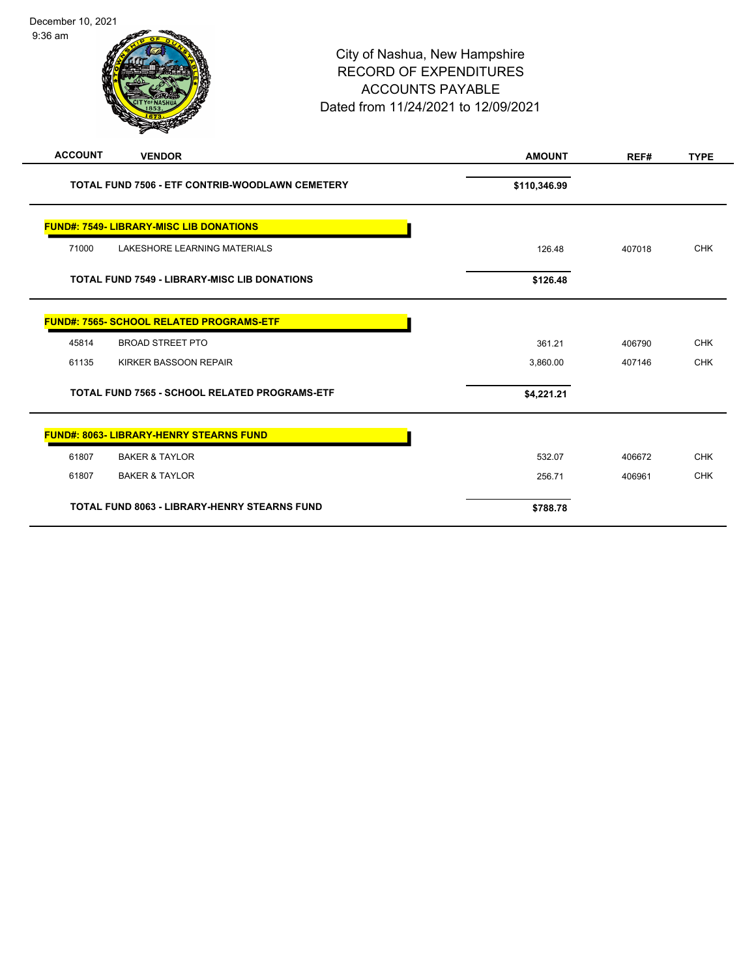| December 10, 2021<br>$9:36$ am |                                                        | City of Nashua, New Hampshire<br><b>ACCOUNTS PAYABLE</b><br>Dated from 11/24/2021 to 12/09/2021 | <b>RECORD OF EXPENDITURES</b> |        |             |
|--------------------------------|--------------------------------------------------------|-------------------------------------------------------------------------------------------------|-------------------------------|--------|-------------|
| <b>ACCOUNT</b>                 | <b>VENDOR</b>                                          |                                                                                                 | <b>AMOUNT</b>                 | REF#   | <b>TYPE</b> |
|                                | <b>TOTAL FUND 7506 - ETF CONTRIB-WOODLAWN CEMETERY</b> |                                                                                                 | \$110,346.99                  |        |             |
|                                | <b>FUND#: 7549- LIBRARY-MISC LIB DONATIONS</b>         |                                                                                                 |                               |        |             |
| 71000                          | LAKESHORE LEARNING MATERIALS                           |                                                                                                 | 126.48                        | 407018 | <b>CHK</b>  |
|                                | <b>TOTAL FUND 7549 - LIBRARY-MISC LIB DONATIONS</b>    |                                                                                                 | \$126.48                      |        |             |
|                                | FUND#: 7565- SCHOOL RELATED PROGRAMS-ETF               |                                                                                                 |                               |        |             |
| 45814                          | <b>BROAD STREET PTO</b>                                |                                                                                                 | 361.21                        | 406790 | <b>CHK</b>  |
| 61135                          | KIRKER BASSOON REPAIR                                  |                                                                                                 | 3,860.00                      | 407146 | <b>CHK</b>  |
|                                | TOTAL FUND 7565 - SCHOOL RELATED PROGRAMS-ETF          |                                                                                                 | \$4,221.21                    |        |             |
|                                | <b>FUND#: 8063- LIBRARY-HENRY STEARNS FUND</b>         |                                                                                                 |                               |        |             |
| 61807                          | <b>BAKER &amp; TAYLOR</b>                              |                                                                                                 | 532.07                        | 406672 | <b>CHK</b>  |
| 61807                          | <b>BAKER &amp; TAYLOR</b>                              |                                                                                                 | 256.71                        | 406961 | <b>CHK</b>  |
|                                | <b>TOTAL FUND 8063 - LIBRARY-HENRY STEARNS FUND</b>    |                                                                                                 | \$788.78                      |        |             |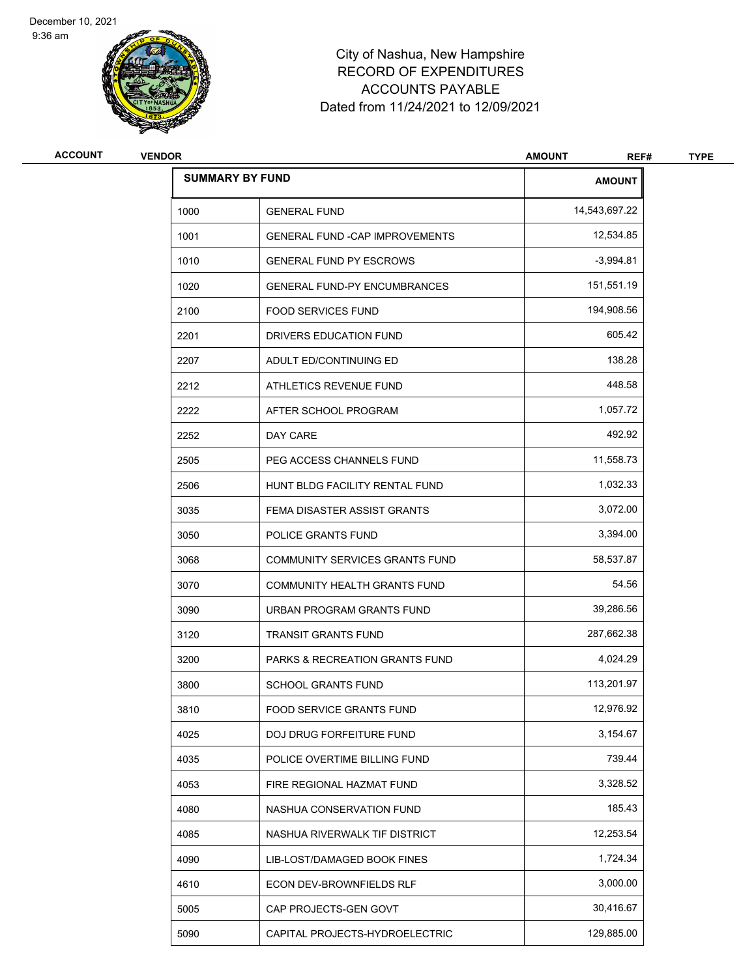9:36 am



| <b>ACCOUNT</b> | <b>VENDOR</b> |                                           | <b>AMOUNT</b><br>REF# | <b>TYPE</b> |
|----------------|---------------|-------------------------------------------|-----------------------|-------------|
|                |               | <b>SUMMARY BY FUND</b>                    | <b>AMOUNT</b>         |             |
|                | 1000          | <b>GENERAL FUND</b>                       | 14,543,697.22         |             |
|                | 1001          | <b>GENERAL FUND - CAP IMPROVEMENTS</b>    | 12,534.85             |             |
|                | 1010          | <b>GENERAL FUND PY ESCROWS</b>            | $-3,994.81$           |             |
|                | 1020          | <b>GENERAL FUND-PY ENCUMBRANCES</b>       | 151,551.19            |             |
|                | 2100          | <b>FOOD SERVICES FUND</b>                 | 194,908.56            |             |
|                | 2201          | DRIVERS EDUCATION FUND                    | 605.42                |             |
|                | 2207          | ADULT ED/CONTINUING ED                    | 138.28                |             |
|                | 2212          | ATHLETICS REVENUE FUND                    | 448.58                |             |
|                | 2222          | AFTER SCHOOL PROGRAM                      | 1,057.72              |             |
|                | 2252          | DAY CARE                                  | 492.92                |             |
|                | 2505          | PEG ACCESS CHANNELS FUND                  | 11,558.73             |             |
|                | 2506          | HUNT BLDG FACILITY RENTAL FUND            | 1,032.33              |             |
|                | 3035          | FEMA DISASTER ASSIST GRANTS               | 3,072.00              |             |
|                | 3050          | POLICE GRANTS FUND                        | 3,394.00              |             |
|                | 3068          | COMMUNITY SERVICES GRANTS FUND            | 58,537.87             |             |
|                | 3070          | COMMUNITY HEALTH GRANTS FUND              | 54.56                 |             |
|                | 3090          | URBAN PROGRAM GRANTS FUND                 | 39,286.56             |             |
|                | 3120          | <b>TRANSIT GRANTS FUND</b>                | 287,662.38            |             |
|                | 3200          | <b>PARKS &amp; RECREATION GRANTS FUND</b> | 4,024.29              |             |
|                | 3800          | <b>SCHOOL GRANTS FUND</b>                 | 113,201.97            |             |
|                | 3810          | FOOD SERVICE GRANTS FUND                  | 12,976.92             |             |
|                | 4025          | <b>DOJ DRUG FORFEITURE FUND</b>           | 3,154.67              |             |
|                | 4035          | POLICE OVERTIME BILLING FUND              | 739.44                |             |
|                | 4053          | FIRE REGIONAL HAZMAT FUND                 | 3,328.52              |             |
|                | 4080          | NASHUA CONSERVATION FUND                  | 185.43                |             |
|                | 4085          | NASHUA RIVERWALK TIF DISTRICT             | 12,253.54             |             |
|                | 4090          | LIB-LOST/DAMAGED BOOK FINES               | 1,724.34              |             |
|                | 4610          | ECON DEV-BROWNFIELDS RLF                  | 3,000.00              |             |
|                | 5005          | CAP PROJECTS-GEN GOVT                     | 30,416.67             |             |
|                | 5090          | CAPITAL PROJECTS-HYDROELECTRIC            | 129,885.00            |             |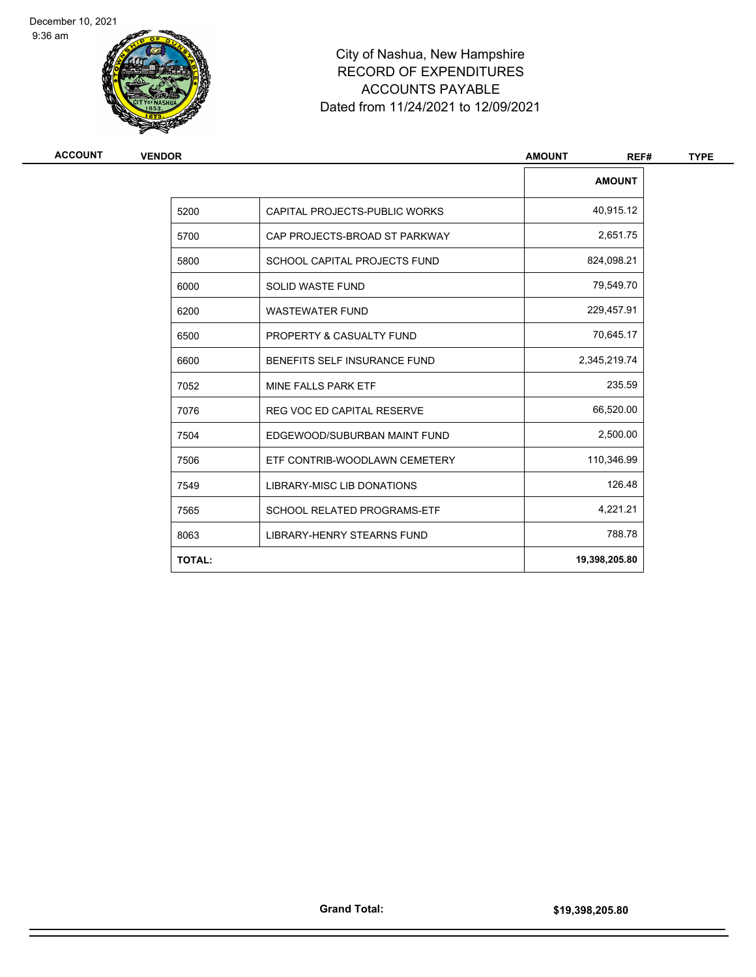9:36 am



| <b>AMOUNT</b><br>40,915.12<br>5200<br>CAPITAL PROJECTS-PUBLIC WORKS<br>2,651.75<br>5700<br>CAP PROJECTS-BROAD ST PARKWAY<br>824,098.21<br>5800<br>SCHOOL CAPITAL PROJECTS FUND<br>79,549.70<br>6000<br><b>SOLID WASTE FUND</b><br>229,457.91<br>6200<br><b>WASTEWATER FUND</b><br>70,645.17<br>6500<br>PROPERTY & CASUALTY FUND<br>2,345,219.74<br>6600<br>BENEFITS SELF INSURANCE FUND<br>235.59<br>7052<br>MINE FALLS PARK ETF<br>66,520.00<br>7076<br><b>REG VOC ED CAPITAL RESERVE</b><br>2,500.00<br>7504<br>EDGEWOOD/SUBURBAN MAINT FUND<br>110,346.99<br>7506<br>ETF CONTRIB-WOODLAWN CEMETERY<br>126.48<br>LIBRARY-MISC LIB DONATIONS<br>7549<br>4,221.21<br>7565<br><b>SCHOOL RELATED PROGRAMS-ETF</b><br>788.78<br>8063<br>LIBRARY-HENRY STEARNS FUND<br><b>TOTAL:</b><br>19,398,205.80 | <b>VENDOR</b> | <b>AMOUNT</b><br>REF# |
|---------------------------------------------------------------------------------------------------------------------------------------------------------------------------------------------------------------------------------------------------------------------------------------------------------------------------------------------------------------------------------------------------------------------------------------------------------------------------------------------------------------------------------------------------------------------------------------------------------------------------------------------------------------------------------------------------------------------------------------------------------------------------------------------------|---------------|-----------------------|
|                                                                                                                                                                                                                                                                                                                                                                                                                                                                                                                                                                                                                                                                                                                                                                                                   |               |                       |
|                                                                                                                                                                                                                                                                                                                                                                                                                                                                                                                                                                                                                                                                                                                                                                                                   |               |                       |
|                                                                                                                                                                                                                                                                                                                                                                                                                                                                                                                                                                                                                                                                                                                                                                                                   |               |                       |
|                                                                                                                                                                                                                                                                                                                                                                                                                                                                                                                                                                                                                                                                                                                                                                                                   |               |                       |
|                                                                                                                                                                                                                                                                                                                                                                                                                                                                                                                                                                                                                                                                                                                                                                                                   |               |                       |
|                                                                                                                                                                                                                                                                                                                                                                                                                                                                                                                                                                                                                                                                                                                                                                                                   |               |                       |
|                                                                                                                                                                                                                                                                                                                                                                                                                                                                                                                                                                                                                                                                                                                                                                                                   |               |                       |
|                                                                                                                                                                                                                                                                                                                                                                                                                                                                                                                                                                                                                                                                                                                                                                                                   |               |                       |
|                                                                                                                                                                                                                                                                                                                                                                                                                                                                                                                                                                                                                                                                                                                                                                                                   |               |                       |
|                                                                                                                                                                                                                                                                                                                                                                                                                                                                                                                                                                                                                                                                                                                                                                                                   |               |                       |
|                                                                                                                                                                                                                                                                                                                                                                                                                                                                                                                                                                                                                                                                                                                                                                                                   |               |                       |
|                                                                                                                                                                                                                                                                                                                                                                                                                                                                                                                                                                                                                                                                                                                                                                                                   |               |                       |
|                                                                                                                                                                                                                                                                                                                                                                                                                                                                                                                                                                                                                                                                                                                                                                                                   |               |                       |
|                                                                                                                                                                                                                                                                                                                                                                                                                                                                                                                                                                                                                                                                                                                                                                                                   |               |                       |
|                                                                                                                                                                                                                                                                                                                                                                                                                                                                                                                                                                                                                                                                                                                                                                                                   |               |                       |
|                                                                                                                                                                                                                                                                                                                                                                                                                                                                                                                                                                                                                                                                                                                                                                                                   |               |                       |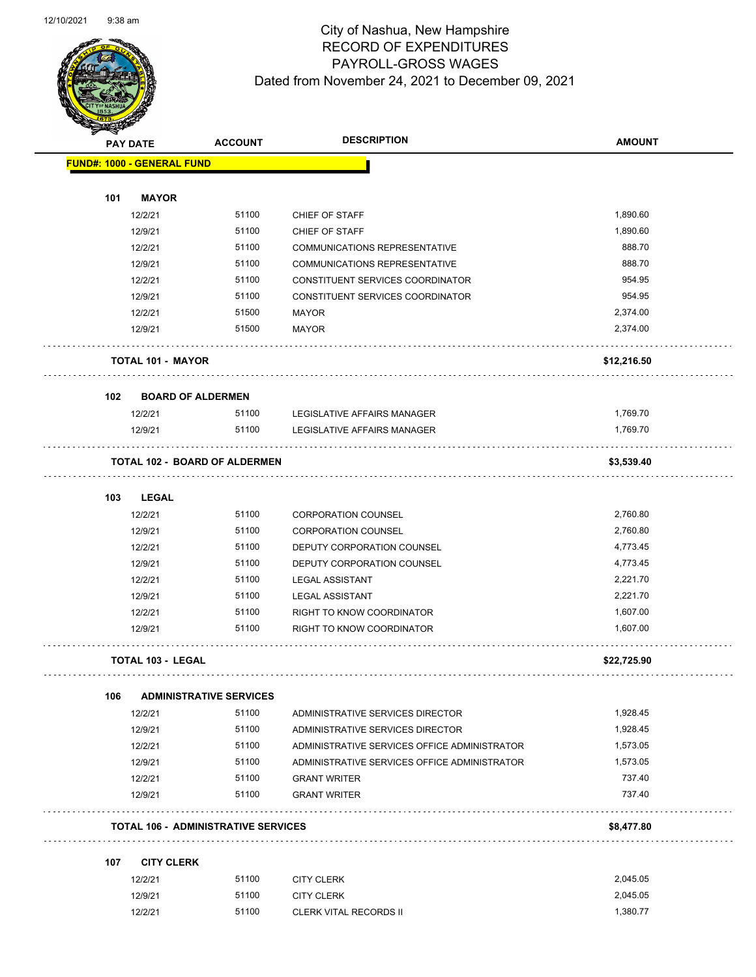

| $\blacktriangleleft$ . | <b>PAY DATE</b>                   | <b>ACCOUNT</b>                             | <b>DESCRIPTION</b>                                                   | <b>AMOUNT</b> |
|------------------------|-----------------------------------|--------------------------------------------|----------------------------------------------------------------------|---------------|
|                        | <b>FUND#: 1000 - GENERAL FUND</b> |                                            |                                                                      |               |
|                        |                                   |                                            |                                                                      |               |
| 101                    | <b>MAYOR</b>                      | 51100                                      |                                                                      | 1,890.60      |
|                        | 12/2/21                           | 51100                                      | CHIEF OF STAFF                                                       | 1,890.60      |
|                        | 12/9/21                           |                                            | CHIEF OF STAFF                                                       | 888.70        |
|                        | 12/2/21                           | 51100<br>51100                             | COMMUNICATIONS REPRESENTATIVE                                        | 888.70        |
|                        | 12/9/21                           | 51100                                      | <b>COMMUNICATIONS REPRESENTATIVE</b>                                 | 954.95        |
|                        | 12/2/21<br>12/9/21                | 51100                                      | CONSTITUENT SERVICES COORDINATOR<br>CONSTITUENT SERVICES COORDINATOR | 954.95        |
|                        | 12/2/21                           | 51500                                      | <b>MAYOR</b>                                                         | 2,374.00      |
|                        | 12/9/21                           | 51500                                      | <b>MAYOR</b>                                                         | 2,374.00      |
|                        |                                   |                                            |                                                                      |               |
|                        | <b>TOTAL 101 - MAYOR</b>          |                                            |                                                                      | \$12,216.50   |
| 102                    |                                   | <b>BOARD OF ALDERMEN</b>                   |                                                                      |               |
|                        | 12/2/21                           | 51100                                      | LEGISLATIVE AFFAIRS MANAGER                                          | 1,769.70      |
|                        | 12/9/21                           | 51100                                      | LEGISLATIVE AFFAIRS MANAGER                                          | 1,769.70      |
|                        |                                   | <b>TOTAL 102 - BOARD OF ALDERMEN</b>       |                                                                      | \$3,539.40    |
|                        |                                   |                                            |                                                                      |               |
| 103                    | <b>LEGAL</b>                      |                                            |                                                                      |               |
|                        | 12/2/21                           | 51100                                      | <b>CORPORATION COUNSEL</b>                                           | 2,760.80      |
|                        | 12/9/21                           | 51100                                      | <b>CORPORATION COUNSEL</b>                                           | 2,760.80      |
|                        | 12/2/21                           | 51100                                      | DEPUTY CORPORATION COUNSEL                                           | 4,773.45      |
|                        | 12/9/21                           | 51100                                      | DEPUTY CORPORATION COUNSEL                                           | 4,773.45      |
|                        | 12/2/21                           | 51100                                      | <b>LEGAL ASSISTANT</b>                                               | 2,221.70      |
|                        | 12/9/21                           | 51100                                      | <b>LEGAL ASSISTANT</b>                                               | 2,221.70      |
|                        | 12/2/21                           | 51100                                      | RIGHT TO KNOW COORDINATOR                                            | 1,607.00      |
|                        | 12/9/21                           | 51100                                      | RIGHT TO KNOW COORDINATOR                                            | 1,607.00      |
|                        | <b>TOTAL 103 - LEGAL</b>          |                                            |                                                                      | \$22,725.90   |
| 106                    |                                   | <b>ADMINISTRATIVE SERVICES</b>             |                                                                      |               |
|                        | 12/2/21                           | 51100                                      | ADMINISTRATIVE SERVICES DIRECTOR                                     | 1,928.45      |
|                        | 12/9/21                           | 51100                                      | ADMINISTRATIVE SERVICES DIRECTOR                                     | 1,928.45      |
|                        | 12/2/21                           | 51100                                      | ADMINISTRATIVE SERVICES OFFICE ADMINISTRATOR                         | 1,573.05      |
|                        | 12/9/21                           | 51100                                      | ADMINISTRATIVE SERVICES OFFICE ADMINISTRATOR                         | 1,573.05      |
|                        | 12/2/21                           | 51100                                      | <b>GRANT WRITER</b>                                                  | 737.40        |
|                        | 12/9/21                           | 51100                                      | <b>GRANT WRITER</b>                                                  | 737.40        |
|                        |                                   | <b>TOTAL 106 - ADMINISTRATIVE SERVICES</b> |                                                                      | \$8,477.80    |
|                        |                                   |                                            |                                                                      |               |
| 107                    | <b>CITY CLERK</b><br>12/2/21      | 51100                                      | <b>CITY CLERK</b>                                                    | 2,045.05      |
|                        | 12/9/21                           | 51100                                      | <b>CITY CLERK</b>                                                    | 2,045.05      |
|                        | 12/2/21                           | 51100                                      | <b>CLERK VITAL RECORDS II</b>                                        | 1,380.77      |
|                        |                                   |                                            |                                                                      |               |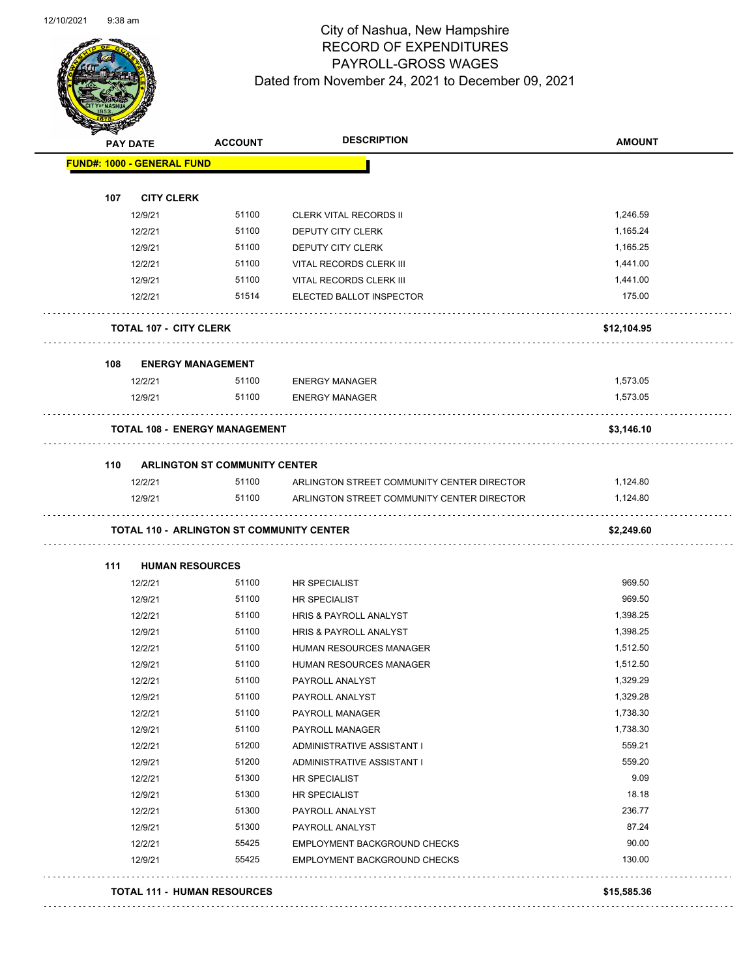

| <b>PAY DATE</b> |                                   | <b>ACCOUNT</b>                                   | <b>DESCRIPTION</b>                         | <b>AMOUNT</b> |
|-----------------|-----------------------------------|--------------------------------------------------|--------------------------------------------|---------------|
|                 | <b>FUND#: 1000 - GENERAL FUND</b> |                                                  |                                            |               |
|                 |                                   |                                                  |                                            |               |
| 107             | <b>CITY CLERK</b>                 |                                                  |                                            |               |
|                 | 12/9/21                           | 51100                                            | <b>CLERK VITAL RECORDS II</b>              | 1,246.59      |
|                 | 12/2/21                           | 51100                                            | DEPUTY CITY CLERK                          | 1,165.24      |
|                 | 12/9/21                           | 51100                                            | DEPUTY CITY CLERK                          | 1,165.25      |
|                 | 12/2/21                           | 51100                                            | VITAL RECORDS CLERK III                    | 1,441.00      |
|                 | 12/9/21                           | 51100                                            | <b>VITAL RECORDS CLERK III</b>             | 1,441.00      |
|                 | 12/2/21                           | 51514                                            | ELECTED BALLOT INSPECTOR                   | 175.00        |
|                 |                                   |                                                  |                                            |               |
|                 | <b>TOTAL 107 - CITY CLERK</b>     |                                                  |                                            | \$12,104.95   |
|                 |                                   |                                                  |                                            |               |
| 108             |                                   | <b>ENERGY MANAGEMENT</b>                         |                                            |               |
|                 | 12/2/21                           | 51100                                            | <b>ENERGY MANAGER</b>                      | 1,573.05      |
|                 | 12/9/21                           | 51100                                            | <b>ENERGY MANAGER</b>                      | 1,573.05      |
|                 |                                   |                                                  |                                            |               |
|                 |                                   | <b>TOTAL 108 - ENERGY MANAGEMENT</b>             |                                            | \$3,146.10    |
|                 |                                   |                                                  |                                            |               |
| 110             |                                   | <b>ARLINGTON ST COMMUNITY CENTER</b>             |                                            |               |
|                 | 12/2/21                           | 51100                                            | ARLINGTON STREET COMMUNITY CENTER DIRECTOR | 1,124.80      |
|                 | 12/9/21                           | 51100                                            | ARLINGTON STREET COMMUNITY CENTER DIRECTOR | 1,124.80      |
|                 |                                   | <b>TOTAL 110 - ARLINGTON ST COMMUNITY CENTER</b> |                                            | \$2,249.60    |
|                 |                                   |                                                  |                                            |               |
| 111             |                                   | <b>HUMAN RESOURCES</b>                           |                                            |               |
|                 | 12/2/21                           | 51100                                            | HR SPECIALIST                              | 969.50        |
|                 | 12/9/21                           | 51100                                            | HR SPECIALIST                              | 969.50        |
|                 | 12/2/21                           | 51100                                            | HRIS & PAYROLL ANALYST                     | 1,398.25      |
|                 | 12/9/21                           | 51100                                            | HRIS & PAYROLL ANALYST                     | 1,398.25      |
|                 | 12/2/21                           | 51100                                            | HUMAN RESOURCES MANAGER                    | 1,512.50      |
|                 | 12/9/21                           | 51100                                            | HUMAN RESOURCES MANAGER                    | 1,512.50      |
|                 | 12/2/21                           | 51100                                            | PAYROLL ANALYST                            | 1,329.29      |
|                 | 12/9/21                           | 51100                                            | PAYROLL ANALYST                            | 1,329.28      |
|                 | 12/2/21                           | 51100                                            | PAYROLL MANAGER                            | 1,738.30      |
|                 | 12/9/21                           | 51100                                            | PAYROLL MANAGER                            | 1,738.30      |
|                 | 12/2/21                           | 51200                                            | ADMINISTRATIVE ASSISTANT I                 | 559.21        |
|                 | 12/9/21                           | 51200                                            | ADMINISTRATIVE ASSISTANT I                 | 559.20        |
|                 | 12/2/21                           | 51300                                            | HR SPECIALIST                              | 9.09          |
|                 | 12/9/21                           | 51300                                            | HR SPECIALIST                              | 18.18         |
|                 | 12/2/21                           | 51300                                            | PAYROLL ANALYST                            | 236.77        |
|                 | 12/9/21                           | 51300                                            | PAYROLL ANALYST                            | 87.24         |
|                 | 12/2/21                           | 55425                                            | EMPLOYMENT BACKGROUND CHECKS               | 90.00         |
|                 | 12/9/21                           | 55425                                            | EMPLOYMENT BACKGROUND CHECKS               | 130.00        |
|                 |                                   |                                                  |                                            |               |
|                 |                                   | <b>TOTAL 111 - HUMAN RESOURCES</b>               |                                            | \$15,585.36   |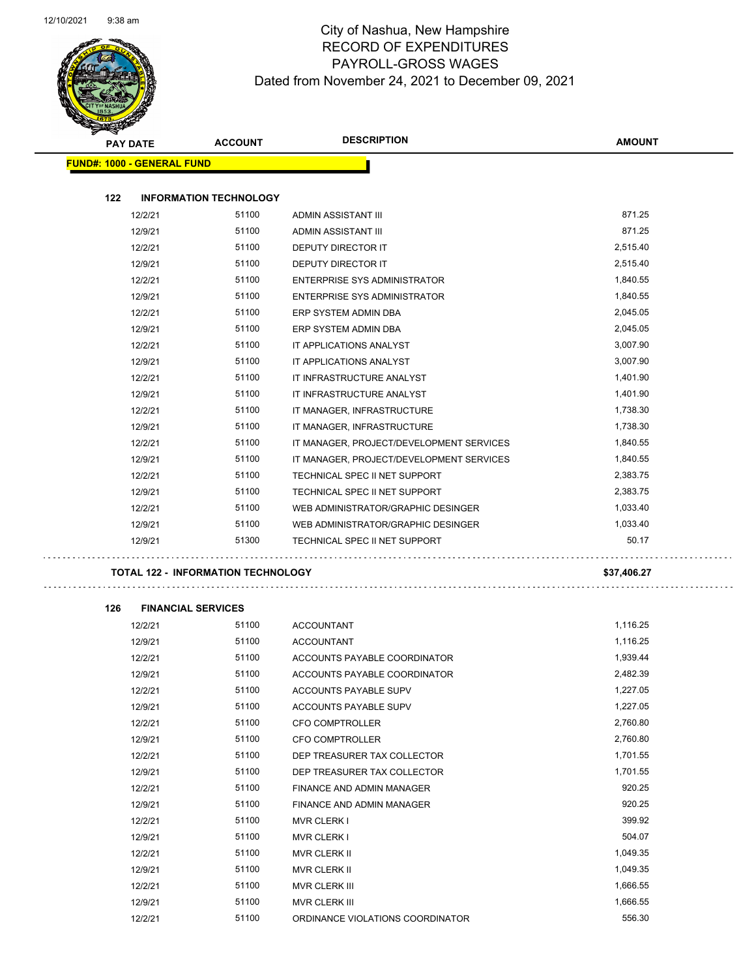$\sim$ 



| æ.<br><b>PAY DATE</b>             | <b>ACCOUNT</b>                            | <b>DESCRIPTION</b>                       | <b>AMOUNT</b> |
|-----------------------------------|-------------------------------------------|------------------------------------------|---------------|
| <b>FUND#: 1000 - GENERAL FUND</b> |                                           |                                          |               |
|                                   |                                           |                                          |               |
| 122                               | <b>INFORMATION TECHNOLOGY</b>             |                                          |               |
| 12/2/21                           | 51100                                     | ADMIN ASSISTANT III                      | 871.25        |
| 12/9/21                           | 51100                                     | ADMIN ASSISTANT III                      | 871.25        |
| 12/2/21                           | 51100                                     | DEPUTY DIRECTOR IT                       | 2,515.40      |
| 12/9/21                           | 51100                                     | <b>DEPUTY DIRECTOR IT</b>                | 2,515.40      |
| 12/2/21                           | 51100                                     | <b>ENTERPRISE SYS ADMINISTRATOR</b>      | 1,840.55      |
| 12/9/21                           | 51100                                     | ENTERPRISE SYS ADMINISTRATOR             | 1,840.55      |
| 12/2/21                           | 51100                                     | ERP SYSTEM ADMIN DBA                     | 2,045.05      |
| 12/9/21                           | 51100                                     | ERP SYSTEM ADMIN DBA                     | 2,045.05      |
| 12/2/21                           | 51100                                     | IT APPLICATIONS ANALYST                  | 3,007.90      |
| 12/9/21                           | 51100                                     | IT APPLICATIONS ANALYST                  | 3,007.90      |
| 12/2/21                           | 51100                                     | IT INFRASTRUCTURE ANALYST                | 1,401.90      |
| 12/9/21                           | 51100                                     | IT INFRASTRUCTURE ANALYST                | 1,401.90      |
| 12/2/21                           | 51100                                     | IT MANAGER, INFRASTRUCTURE               | 1,738.30      |
| 12/9/21                           | 51100                                     | IT MANAGER, INFRASTRUCTURE               | 1,738.30      |
| 12/2/21                           | 51100                                     | IT MANAGER, PROJECT/DEVELOPMENT SERVICES | 1,840.55      |
| 12/9/21                           | 51100                                     | IT MANAGER, PROJECT/DEVELOPMENT SERVICES | 1,840.55      |
| 12/2/21                           | 51100                                     | TECHNICAL SPEC II NET SUPPORT            | 2,383.75      |
| 12/9/21                           | 51100                                     | TECHNICAL SPEC II NET SUPPORT            | 2,383.75      |
| 12/2/21                           | 51100                                     | WEB ADMINISTRATOR/GRAPHIC DESINGER       | 1,033.40      |
| 12/9/21                           | 51100                                     | WEB ADMINISTRATOR/GRAPHIC DESINGER       | 1,033.40      |
| 12/9/21                           | 51300                                     | TECHNICAL SPEC II NET SUPPORT            | 50.17         |
|                                   | <b>TOTAL 122 - INFORMATION TECHNOLOGY</b> |                                          | \$37,406.27   |
|                                   |                                           |                                          |               |
| 126                               | <b>FINANCIAL SERVICES</b>                 |                                          |               |
| 12/2/21                           | 51100                                     | <b>ACCOUNTANT</b>                        | 1,116.25      |
| 12/9/21                           | 51100                                     | <b>ACCOUNTANT</b>                        | 1,116.25      |
| 12/2/21                           | 51100                                     | ACCOUNTS PAYABLE COORDINATOR             | 1,939.44      |
| 12/9/21                           | 51100                                     | ACCOUNTS PAYABLE COORDINATOR             | 2,482.39      |
| 12/2/21                           | 51100                                     | ACCOUNTS PAYABLE SUPV                    | 1,227.05      |
| 12/9/21                           | 51100                                     | ACCOUNTS PAYABLE SUPV                    | 1,227.05      |
| 12/2/21                           | 51100                                     | CFO COMPTROLLER                          | 2,760.80      |
| 12/9/21                           | 51100                                     | CFO COMPTROLLER                          | 2,760.80      |
| 12/2/21                           | 51100                                     | DEP TREASURER TAX COLLECTOR              | 1,701.55      |
| 12/9/21                           | 51100                                     | DEP TREASURER TAX COLLECTOR              | 1,701.55      |
| 12/2/21                           | 51100                                     | FINANCE AND ADMIN MANAGER                | 920.25        |
| 12/9/21                           | 51100                                     | FINANCE AND ADMIN MANAGER                | 920.25        |
| 12/2/21                           | 51100                                     | <b>MVR CLERK I</b>                       | 399.92        |
| 12/9/21                           | 51100                                     | <b>MVR CLERK I</b>                       | 504.07        |
| 12/2/21                           | 51100                                     | MVR CLERK II                             | 1,049.35      |
| 12/9/21                           | 51100                                     | MVR CLERK II                             | 1,049.35      |
| 12/2/21                           | 51100                                     | MVR CLERK III                            | 1,666.55      |
| 12/9/21                           | 51100                                     | MVR CLERK III                            | 1,666.55      |
|                                   |                                           |                                          |               |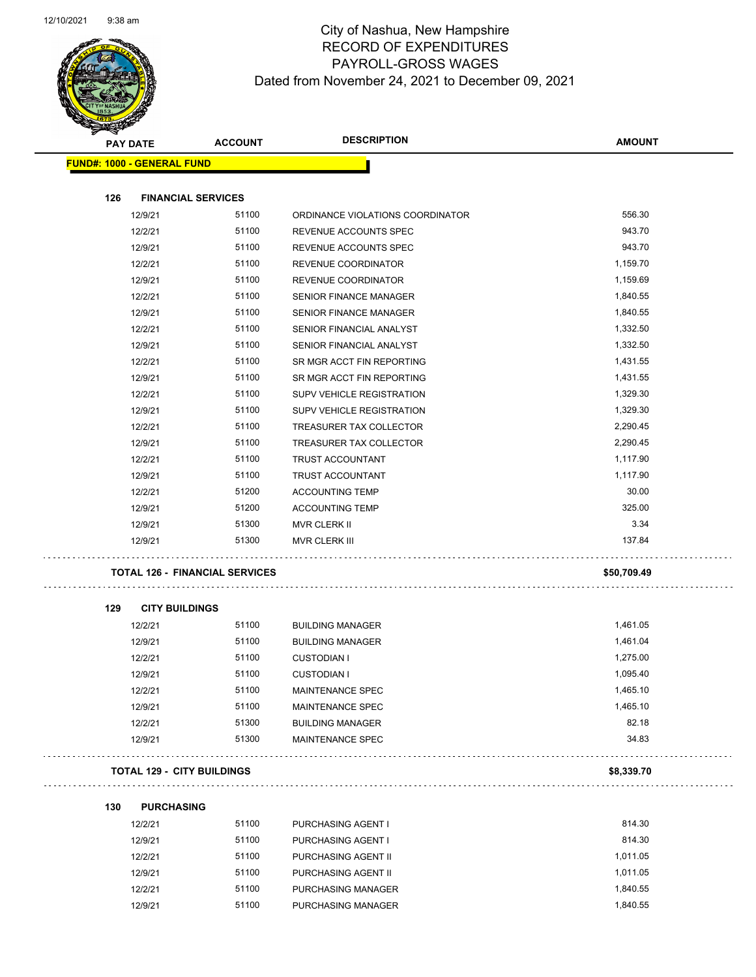

### City of Nashua, New Hampshire RECORD OF EXPENDITURES PAYROLL-GROSS WAGES Dated from November 24, 2021 to December 09, 2021

| $\checkmark$<br><b>PAY DATE</b> |                                       | <b>ACCOUNT</b> | <b>DESCRIPTION</b>               | <b>AMOUNT</b> |
|---------------------------------|---------------------------------------|----------------|----------------------------------|---------------|
|                                 | <b>FUND#: 1000 - GENERAL FUND</b>     |                |                                  |               |
|                                 |                                       |                |                                  |               |
| 126                             | <b>FINANCIAL SERVICES</b>             |                |                                  |               |
|                                 | 12/9/21                               | 51100          | ORDINANCE VIOLATIONS COORDINATOR | 556.30        |
|                                 | 12/2/21                               | 51100          | REVENUE ACCOUNTS SPEC            | 943.70        |
|                                 | 12/9/21                               | 51100          | REVENUE ACCOUNTS SPEC            | 943.70        |
|                                 | 12/2/21                               | 51100          | REVENUE COORDINATOR              | 1,159.70      |
|                                 | 12/9/21                               | 51100          | REVENUE COORDINATOR              | 1,159.69      |
|                                 | 12/2/21                               | 51100          | SENIOR FINANCE MANAGER           | 1,840.55      |
|                                 | 12/9/21                               | 51100          | <b>SENIOR FINANCE MANAGER</b>    | 1,840.55      |
|                                 | 12/2/21                               | 51100          | SENIOR FINANCIAL ANALYST         | 1,332.50      |
|                                 | 12/9/21                               | 51100          | SENIOR FINANCIAL ANALYST         | 1,332.50      |
|                                 | 12/2/21                               | 51100          | SR MGR ACCT FIN REPORTING        | 1,431.55      |
|                                 | 12/9/21                               | 51100          | SR MGR ACCT FIN REPORTING        | 1,431.55      |
|                                 | 12/2/21                               | 51100          | <b>SUPV VEHICLE REGISTRATION</b> | 1,329.30      |
|                                 | 12/9/21                               | 51100          | SUPV VEHICLE REGISTRATION        | 1,329.30      |
|                                 | 12/2/21                               | 51100          | TREASURER TAX COLLECTOR          | 2,290.45      |
|                                 | 12/9/21                               | 51100          | TREASURER TAX COLLECTOR          | 2,290.45      |
|                                 | 12/2/21                               | 51100          | TRUST ACCOUNTANT                 | 1,117.90      |
|                                 | 12/9/21                               | 51100          | <b>TRUST ACCOUNTANT</b>          | 1,117.90      |
|                                 | 12/2/21                               | 51200          | <b>ACCOUNTING TEMP</b>           | 30.00         |
|                                 | 12/9/21                               | 51200          | <b>ACCOUNTING TEMP</b>           | 325.00        |
|                                 | 12/9/21                               | 51300          | MVR CLERK II                     | 3.34          |
|                                 | 12/9/21                               | 51300          | MVR CLERK III                    | 137.84        |
|                                 | <b>TOTAL 126 - FINANCIAL SERVICES</b> |                |                                  | \$50,709.49   |
| 129                             | <b>CITY BUILDINGS</b>                 |                |                                  |               |
|                                 | 12/2/21                               | 51100          | <b>BUILDING MANAGER</b>          | 1,461.05      |
|                                 | 12/9/21                               | 51100          | <b>BUILDING MANAGER</b>          | 1,461.04      |
|                                 | 12/2/21                               | 51100          | <b>CUSTODIAN I</b>               | 1,275.00      |
|                                 | 12/9/21                               | 51100          | <b>CUSTODIAN I</b>               | 1,095.40      |
|                                 | 12/2/21                               | 51100          | MAINTENANCE SPEC                 | 1,465.10      |
|                                 | 12/9/21                               | 51100          | MAINTENANCE SPEC                 | 1,465.10      |
|                                 | 12/2/21                               | 51300          | <b>BUILDING MANAGER</b>          | 82.18         |
|                                 | 12/9/21                               | 51300          | MAINTENANCE SPEC                 | 34.83         |
|                                 | <b>TOTAL 129 - CITY BUILDINGS</b>     |                |                                  | \$8,339.70    |
| 130                             | <b>PURCHASING</b>                     |                |                                  |               |
|                                 | 12/2/21                               | 51100          | PURCHASING AGENT I               | 814.30        |
|                                 | 12/9/21                               | 51100          | PURCHASING AGENT I               | 814.30        |
|                                 | 12/2/21                               | 51100          | PURCHASING AGENT II              | 1,011.05      |
|                                 | 12/9/21                               | 51100          | PURCHASING AGENT II              | 1,011.05      |

12/2/21 51100 PURCHASING MANAGER 1,840.55 12/9/21 51100 PURCHASING MANAGER 1,840.55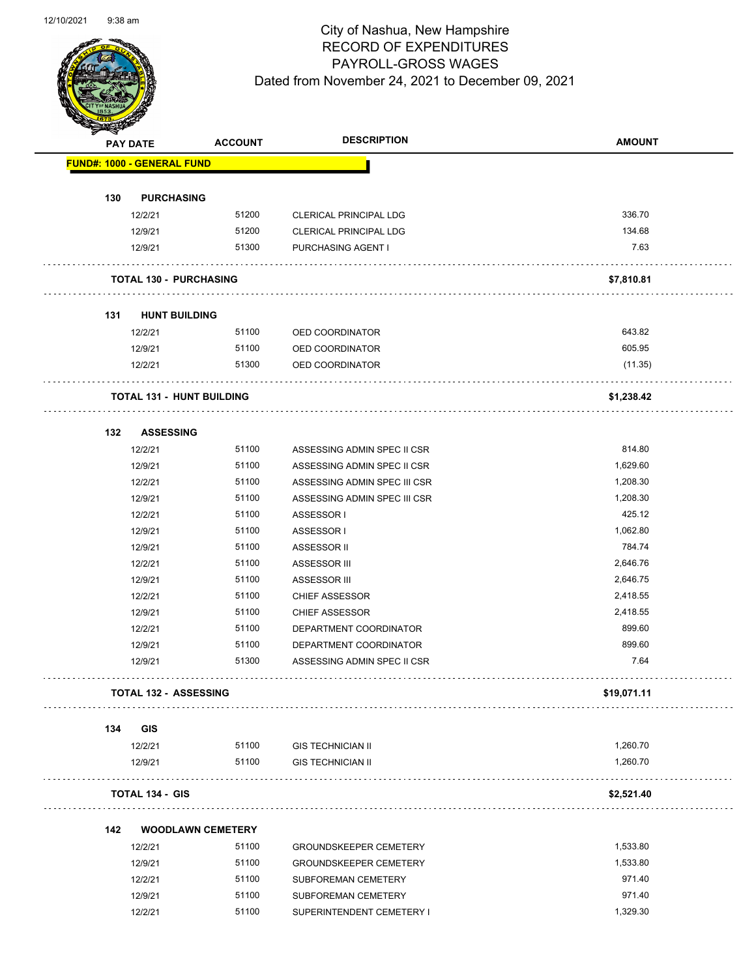

| B.  | <b>PAY DATE</b>                   | <b>ACCOUNT</b>           | <b>DESCRIPTION</b>            | <b>AMOUNT</b> |
|-----|-----------------------------------|--------------------------|-------------------------------|---------------|
|     | <b>FUND#: 1000 - GENERAL FUND</b> |                          |                               |               |
| 130 | <b>PURCHASING</b>                 |                          |                               |               |
|     | 12/2/21                           | 51200                    | <b>CLERICAL PRINCIPAL LDG</b> | 336.70        |
|     | 12/9/21                           | 51200                    | CLERICAL PRINCIPAL LDG        | 134.68        |
|     | 12/9/21                           | 51300                    | PURCHASING AGENT I            | 7.63          |
|     | <b>TOTAL 130 - PURCHASING</b>     |                          |                               | \$7,810.81    |
| 131 | <b>HUNT BUILDING</b>              |                          |                               |               |
|     | 12/2/21                           | 51100                    | OED COORDINATOR               | 643.82        |
|     | 12/9/21                           | 51100                    | OED COORDINATOR               | 605.95        |
|     | 12/2/21                           | 51300                    | OED COORDINATOR               | (11.35)       |
|     | <b>TOTAL 131 - HUNT BUILDING</b>  |                          | .                             | \$1,238.42    |
| 132 | <b>ASSESSING</b>                  |                          |                               |               |
|     | 12/2/21                           | 51100                    | ASSESSING ADMIN SPEC II CSR   | 814.80        |
|     | 12/9/21                           | 51100                    | ASSESSING ADMIN SPEC II CSR   | 1,629.60      |
|     | 12/2/21                           | 51100                    | ASSESSING ADMIN SPEC III CSR  | 1,208.30      |
|     | 12/9/21                           | 51100                    | ASSESSING ADMIN SPEC III CSR  | 1,208.30      |
|     | 12/2/21                           | 51100                    | ASSESSOR I                    | 425.12        |
|     | 12/9/21                           | 51100                    | ASSESSOR I                    | 1,062.80      |
|     | 12/9/21                           | 51100                    | ASSESSOR II                   | 784.74        |
|     | 12/2/21                           | 51100                    | ASSESSOR III                  | 2,646.76      |
|     | 12/9/21                           | 51100                    | ASSESSOR III                  | 2,646.75      |
|     | 12/2/21                           | 51100                    | <b>CHIEF ASSESSOR</b>         | 2,418.55      |
|     | 12/9/21                           | 51100                    | <b>CHIEF ASSESSOR</b>         | 2,418.55      |
|     | 12/2/21                           | 51100                    | DEPARTMENT COORDINATOR        | 899.60        |
|     | 12/9/21                           | 51100                    | DEPARTMENT COORDINATOR        | 899.60        |
|     | 12/9/21                           | 51300                    | ASSESSING ADMIN SPEC II CSR   | 7.64          |
|     | <b>TOTAL 132 - ASSESSING</b>      |                          |                               | \$19,071.11   |
| 134 | GIS                               |                          |                               |               |
|     | 12/2/21                           | 51100                    | <b>GIS TECHNICIAN II</b>      | 1,260.70      |
|     | 12/9/21                           | 51100                    | <b>GIS TECHNICIAN II</b>      | 1,260.70      |
|     | <b>TOTAL 134 - GIS</b>            |                          |                               | \$2,521.40    |
| 142 |                                   | <b>WOODLAWN CEMETERY</b> |                               |               |
|     | 12/2/21                           | 51100                    | <b>GROUNDSKEEPER CEMETERY</b> | 1,533.80      |
|     | 12/9/21                           | 51100                    | <b>GROUNDSKEEPER CEMETERY</b> | 1,533.80      |
|     | 12/2/21                           | 51100                    | SUBFOREMAN CEMETERY           | 971.40        |
|     | 12/9/21                           | 51100                    | SUBFOREMAN CEMETERY           | 971.40        |
|     | 12/2/21                           | 51100                    | SUPERINTENDENT CEMETERY I     | 1,329.30      |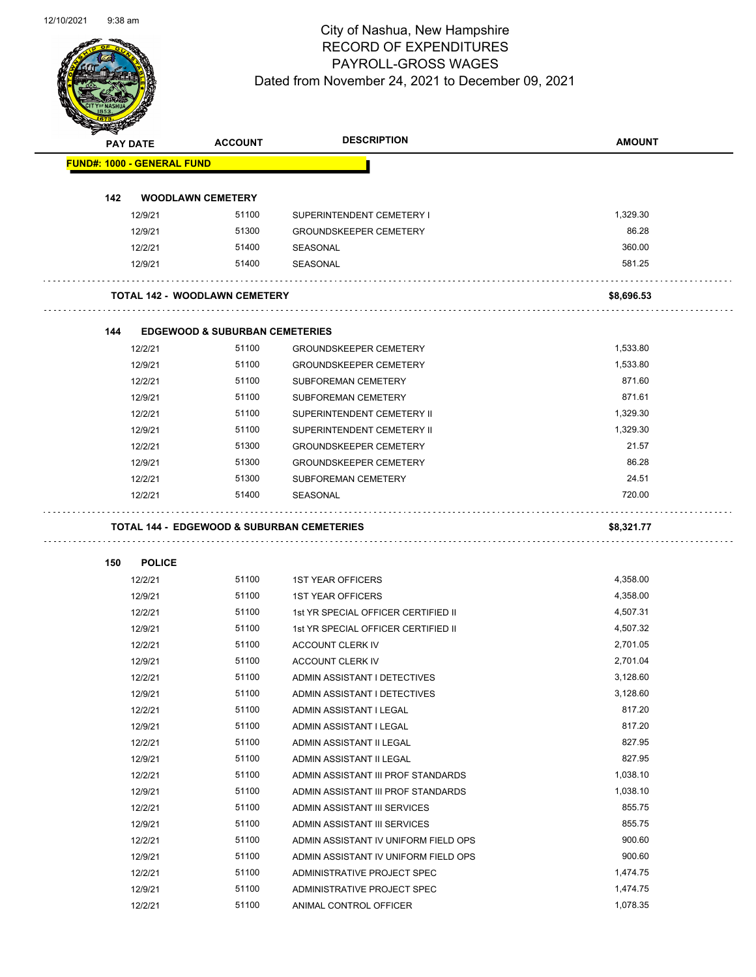

|     | <b>PAY DATE</b>                      | <b>ACCOUNT</b>                            | <b>DESCRIPTION</b>                                    | <b>AMOUNT</b> |
|-----|--------------------------------------|-------------------------------------------|-------------------------------------------------------|---------------|
|     | <b>FUND#: 1000 - GENERAL FUND</b>    |                                           |                                                       |               |
|     |                                      |                                           |                                                       |               |
| 142 | <b>WOODLAWN CEMETERY</b>             |                                           |                                                       |               |
|     | 12/9/21                              | 51100                                     | SUPERINTENDENT CEMETERY I                             | 1,329.30      |
|     | 12/9/21                              | 51300                                     | <b>GROUNDSKEEPER CEMETERY</b>                         | 86.28         |
|     | 12/2/21                              | 51400                                     | SEASONAL                                              | 360.00        |
|     | 12/9/21                              | 51400                                     | SEASONAL                                              | 581.25        |
|     | <b>TOTAL 142 - WOODLAWN CEMETERY</b> |                                           |                                                       | \$8,696.53    |
| 144 |                                      | <b>EDGEWOOD &amp; SUBURBAN CEMETERIES</b> |                                                       |               |
|     | 12/2/21                              | 51100                                     | <b>GROUNDSKEEPER CEMETERY</b>                         | 1,533.80      |
|     | 12/9/21                              | 51100                                     | <b>GROUNDSKEEPER CEMETERY</b>                         | 1,533.80      |
|     | 12/2/21                              | 51100                                     | <b>SUBFOREMAN CEMETERY</b>                            | 871.60        |
|     | 12/9/21                              | 51100                                     | <b>SUBFOREMAN CEMETERY</b>                            | 871.61        |
|     | 12/2/21                              | 51100                                     | SUPERINTENDENT CEMETERY II                            | 1,329.30      |
|     | 12/9/21                              | 51100                                     | SUPERINTENDENT CEMETERY II                            | 1,329.30      |
|     | 12/2/21                              | 51300                                     | <b>GROUNDSKEEPER CEMETERY</b>                         | 21.57         |
|     | 12/9/21                              | 51300                                     | <b>GROUNDSKEEPER CEMETERY</b>                         | 86.28         |
|     | 12/2/21                              | 51300                                     | <b>SUBFOREMAN CEMETERY</b>                            | 24.51         |
|     | 12/2/21                              | 51400                                     | SEASONAL                                              | 720.00        |
|     |                                      |                                           | <b>TOTAL 144 - EDGEWOOD &amp; SUBURBAN CEMETERIES</b> | \$8,321.77    |
|     |                                      |                                           |                                                       |               |
| 150 | <b>POLICE</b>                        |                                           |                                                       |               |
|     | 12/2/21                              | 51100                                     | <b>1ST YEAR OFFICERS</b>                              | 4,358.00      |
|     | 12/9/21                              | 51100                                     | <b>1ST YEAR OFFICERS</b>                              | 4,358.00      |
|     | 12/2/21                              | 51100                                     | 1st YR SPECIAL OFFICER CERTIFIED II                   | 4,507.31      |
|     | 12/9/21                              | 51100                                     | 1st YR SPECIAL OFFICER CERTIFIED II                   | 4,507.32      |
|     | 12/2/21                              | 51100                                     | ACCOUNT CLERK IV                                      | 2,701.05      |
|     | 12/9/21                              | 51100                                     | ACCOUNT CLERK IV                                      | 2,701.04      |
|     | 12/2/21                              | 51100                                     | ADMIN ASSISTANT I DETECTIVES                          | 3,128.60      |
|     | 12/9/21                              | 51100                                     | ADMIN ASSISTANT I DETECTIVES                          | 3,128.60      |
|     | 12/2/21                              | 51100                                     | ADMIN ASSISTANT I LEGAL                               | 817.20        |
|     | 12/9/21                              | 51100                                     | ADMIN ASSISTANT I LEGAL                               | 817.20        |
|     | 12/2/21                              | 51100                                     | ADMIN ASSISTANT II LEGAL                              | 827.95        |
|     | 12/9/21                              | 51100                                     | ADMIN ASSISTANT II LEGAL                              | 827.95        |
|     | 12/2/21                              | 51100                                     | ADMIN ASSISTANT III PROF STANDARDS                    | 1,038.10      |
|     | 12/9/21                              | 51100                                     | ADMIN ASSISTANT III PROF STANDARDS                    | 1,038.10      |
|     | 12/2/21                              | 51100                                     | ADMIN ASSISTANT III SERVICES                          | 855.75        |
|     | 12/9/21                              | 51100                                     | ADMIN ASSISTANT III SERVICES                          | 855.75        |
|     | 12/2/21                              | 51100                                     | ADMIN ASSISTANT IV UNIFORM FIELD OPS                  | 900.60        |
|     | 12/9/21                              | 51100                                     | ADMIN ASSISTANT IV UNIFORM FIELD OPS                  | 900.60        |
|     | 12/2/21                              | 51100                                     | ADMINISTRATIVE PROJECT SPEC                           | 1,474.75      |
|     | 12/9/21                              | 51100                                     | ADMINISTRATIVE PROJECT SPEC                           | 1,474.75      |
|     | 12/2/21                              | 51100                                     | ANIMAL CONTROL OFFICER                                | 1,078.35      |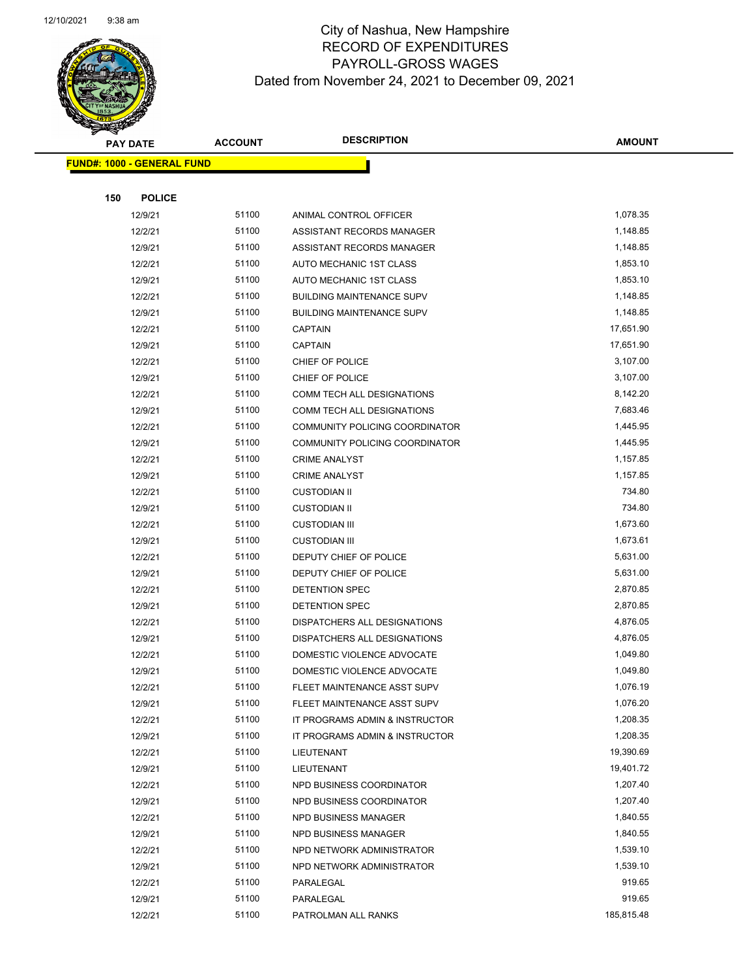

|     | <b>PAY DATE</b>                   |       | <b>DESCRIPTION</b>               | <b>AMOUNT</b> |
|-----|-----------------------------------|-------|----------------------------------|---------------|
|     | <b>FUND#: 1000 - GENERAL FUND</b> |       |                                  |               |
|     |                                   |       |                                  |               |
| 150 | <b>POLICE</b>                     |       |                                  |               |
|     | 12/9/21                           | 51100 | ANIMAL CONTROL OFFICER           | 1,078.35      |
|     | 12/2/21                           | 51100 | ASSISTANT RECORDS MANAGER        | 1,148.85      |
|     | 12/9/21                           | 51100 | ASSISTANT RECORDS MANAGER        | 1,148.85      |
|     | 12/2/21                           | 51100 | AUTO MECHANIC 1ST CLASS          | 1,853.10      |
|     | 12/9/21                           | 51100 | AUTO MECHANIC 1ST CLASS          | 1,853.10      |
|     | 12/2/21                           | 51100 | <b>BUILDING MAINTENANCE SUPV</b> | 1,148.85      |
|     | 12/9/21                           | 51100 | <b>BUILDING MAINTENANCE SUPV</b> | 1,148.85      |
|     | 12/2/21                           | 51100 | <b>CAPTAIN</b>                   | 17,651.90     |
|     | 12/9/21                           | 51100 | <b>CAPTAIN</b>                   | 17,651.90     |
|     | 12/2/21                           | 51100 | CHIEF OF POLICE                  | 3,107.00      |
|     | 12/9/21                           | 51100 | CHIEF OF POLICE                  | 3,107.00      |
|     | 12/2/21                           | 51100 | COMM TECH ALL DESIGNATIONS       | 8,142.20      |
|     | 12/9/21                           | 51100 | COMM TECH ALL DESIGNATIONS       | 7,683.46      |
|     | 12/2/21                           | 51100 | COMMUNITY POLICING COORDINATOR   | 1,445.95      |
|     | 12/9/21                           | 51100 | COMMUNITY POLICING COORDINATOR   | 1,445.95      |
|     | 12/2/21                           | 51100 | <b>CRIME ANALYST</b>             | 1,157.85      |
|     | 12/9/21                           | 51100 | <b>CRIME ANALYST</b>             | 1,157.85      |
|     | 12/2/21                           | 51100 | <b>CUSTODIAN II</b>              | 734.80        |
|     | 12/9/21                           | 51100 | <b>CUSTODIAN II</b>              | 734.80        |
|     | 12/2/21                           | 51100 | <b>CUSTODIAN III</b>             | 1,673.60      |
|     | 12/9/21                           | 51100 | <b>CUSTODIAN III</b>             | 1,673.61      |
|     | 12/2/21                           | 51100 | DEPUTY CHIEF OF POLICE           | 5,631.00      |
|     | 12/9/21                           | 51100 | DEPUTY CHIEF OF POLICE           | 5,631.00      |
|     | 12/2/21                           | 51100 | DETENTION SPEC                   | 2,870.85      |
|     | 12/9/21                           | 51100 | DETENTION SPEC                   | 2,870.85      |
|     | 12/2/21                           | 51100 | DISPATCHERS ALL DESIGNATIONS     | 4,876.05      |
|     | 12/9/21                           | 51100 | DISPATCHERS ALL DESIGNATIONS     | 4,876.05      |
|     | 12/2/21                           | 51100 | DOMESTIC VIOLENCE ADVOCATE       | 1,049.80      |
|     | 12/9/21                           | 51100 | DOMESTIC VIOLENCE ADVOCATE       | 1,049.80      |
|     | 12/2/21                           | 51100 | FLEET MAINTENANCE ASST SUPV      | 1,076.19      |
|     | 12/9/21                           | 51100 | FLEET MAINTENANCE ASST SUPV      | 1,076.20      |
|     | 12/2/21                           | 51100 | IT PROGRAMS ADMIN & INSTRUCTOR   | 1,208.35      |
|     | 12/9/21                           | 51100 | IT PROGRAMS ADMIN & INSTRUCTOR   | 1,208.35      |
|     | 12/2/21                           | 51100 | LIEUTENANT                       | 19,390.69     |
|     | 12/9/21                           | 51100 | LIEUTENANT                       | 19,401.72     |
|     | 12/2/21                           | 51100 | NPD BUSINESS COORDINATOR         | 1,207.40      |
|     | 12/9/21                           | 51100 | NPD BUSINESS COORDINATOR         | 1,207.40      |
|     | 12/2/21                           | 51100 | NPD BUSINESS MANAGER             | 1,840.55      |
|     | 12/9/21                           | 51100 | NPD BUSINESS MANAGER             | 1,840.55      |
|     | 12/2/21                           | 51100 | NPD NETWORK ADMINISTRATOR        | 1,539.10      |
|     | 12/9/21                           | 51100 | NPD NETWORK ADMINISTRATOR        | 1,539.10      |
|     | 12/2/21                           | 51100 | PARALEGAL                        | 919.65        |
|     | 12/9/21                           | 51100 | PARALEGAL                        | 919.65        |
|     | 12/2/21                           | 51100 | PATROLMAN ALL RANKS              | 185,815.48    |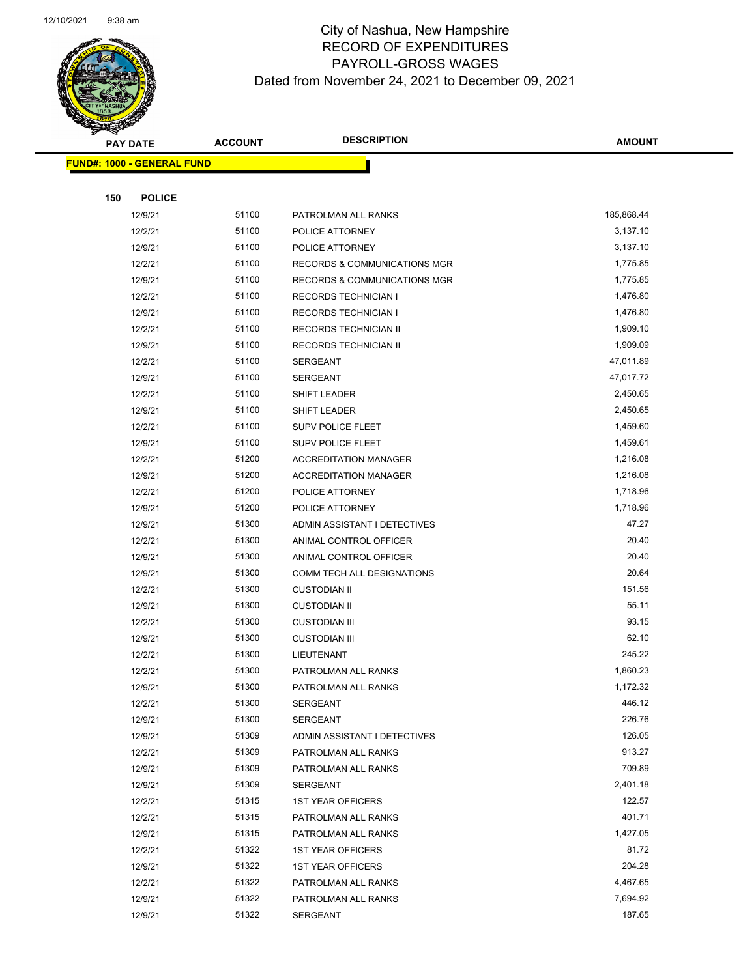

| <b>PAY DATE</b>                   |               | <b>ACCOUNT</b> | <b>DESCRIPTION</b>                      | <b>AMOUNT</b> |
|-----------------------------------|---------------|----------------|-----------------------------------------|---------------|
| <b>FUND#: 1000 - GENERAL FUND</b> |               |                |                                         |               |
|                                   |               |                |                                         |               |
| 150                               | <b>POLICE</b> |                |                                         |               |
|                                   | 12/9/21       | 51100          | PATROLMAN ALL RANKS                     | 185,868.44    |
|                                   | 12/2/21       | 51100          | POLICE ATTORNEY                         | 3,137.10      |
|                                   | 12/9/21       | 51100          | POLICE ATTORNEY                         | 3,137.10      |
|                                   | 12/2/21       | 51100          | <b>RECORDS &amp; COMMUNICATIONS MGR</b> | 1,775.85      |
|                                   | 12/9/21       | 51100          | RECORDS & COMMUNICATIONS MGR            | 1,775.85      |
|                                   | 12/2/21       | 51100          | <b>RECORDS TECHNICIAN I</b>             | 1,476.80      |
|                                   | 12/9/21       | 51100          | <b>RECORDS TECHNICIAN I</b>             | 1,476.80      |
|                                   | 12/2/21       | 51100          | RECORDS TECHNICIAN II                   | 1,909.10      |
|                                   | 12/9/21       | 51100          | RECORDS TECHNICIAN II                   | 1,909.09      |
|                                   | 12/2/21       | 51100          | <b>SERGEANT</b>                         | 47,011.89     |
|                                   | 12/9/21       | 51100          | <b>SERGEANT</b>                         | 47,017.72     |
|                                   | 12/2/21       | 51100          | SHIFT LEADER                            | 2,450.65      |
|                                   | 12/9/21       | 51100          | <b>SHIFT LEADER</b>                     | 2,450.65      |
|                                   | 12/2/21       | 51100          | SUPV POLICE FLEET                       | 1,459.60      |
|                                   | 12/9/21       | 51100          | <b>SUPV POLICE FLEET</b>                | 1,459.61      |
|                                   | 12/2/21       | 51200          | <b>ACCREDITATION MANAGER</b>            | 1,216.08      |
|                                   | 12/9/21       | 51200          | <b>ACCREDITATION MANAGER</b>            | 1,216.08      |
|                                   | 12/2/21       | 51200          | POLICE ATTORNEY                         | 1,718.96      |
|                                   | 12/9/21       | 51200          | POLICE ATTORNEY                         | 1,718.96      |
|                                   | 12/9/21       | 51300          | ADMIN ASSISTANT I DETECTIVES            | 47.27         |
|                                   | 12/2/21       | 51300          | ANIMAL CONTROL OFFICER                  | 20.40         |
|                                   | 12/9/21       | 51300          | ANIMAL CONTROL OFFICER                  | 20.40         |
|                                   | 12/9/21       | 51300          | COMM TECH ALL DESIGNATIONS              | 20.64         |
|                                   | 12/2/21       | 51300          | <b>CUSTODIAN II</b>                     | 151.56        |
|                                   | 12/9/21       | 51300          | <b>CUSTODIAN II</b>                     | 55.11         |
|                                   | 12/2/21       | 51300          | <b>CUSTODIAN III</b>                    | 93.15         |
|                                   | 12/9/21       | 51300          | <b>CUSTODIAN III</b>                    | 62.10         |
|                                   | 12/2/21       | 51300          | LIEUTENANT                              | 245.22        |
|                                   | 12/2/21       | 51300          | PATROLMAN ALL RANKS                     | 1,860.23      |
|                                   | 12/9/21       | 51300          | PATROLMAN ALL RANKS                     | 1,172.32      |
|                                   | 12/2/21       | 51300          | SERGEANT                                | 446.12        |
|                                   | 12/9/21       | 51300          | <b>SERGEANT</b>                         | 226.76        |
|                                   | 12/9/21       | 51309          | ADMIN ASSISTANT I DETECTIVES            | 126.05        |
|                                   | 12/2/21       | 51309          | PATROLMAN ALL RANKS                     | 913.27        |
|                                   | 12/9/21       | 51309          | PATROLMAN ALL RANKS                     | 709.89        |
|                                   | 12/9/21       | 51309          | SERGEANT                                | 2,401.18      |
|                                   | 12/2/21       | 51315          | <b>1ST YEAR OFFICERS</b>                | 122.57        |
|                                   | 12/2/21       | 51315          | PATROLMAN ALL RANKS                     | 401.71        |
|                                   | 12/9/21       | 51315          | PATROLMAN ALL RANKS                     | 1,427.05      |
|                                   | 12/2/21       | 51322          | <b>1ST YEAR OFFICERS</b>                | 81.72         |
|                                   | 12/9/21       | 51322          | <b>1ST YEAR OFFICERS</b>                | 204.28        |
|                                   | 12/2/21       | 51322          | PATROLMAN ALL RANKS                     | 4,467.65      |
|                                   | 12/9/21       | 51322          | PATROLMAN ALL RANKS                     | 7,694.92      |
|                                   | 12/9/21       | 51322          | SERGEANT                                | 187.65        |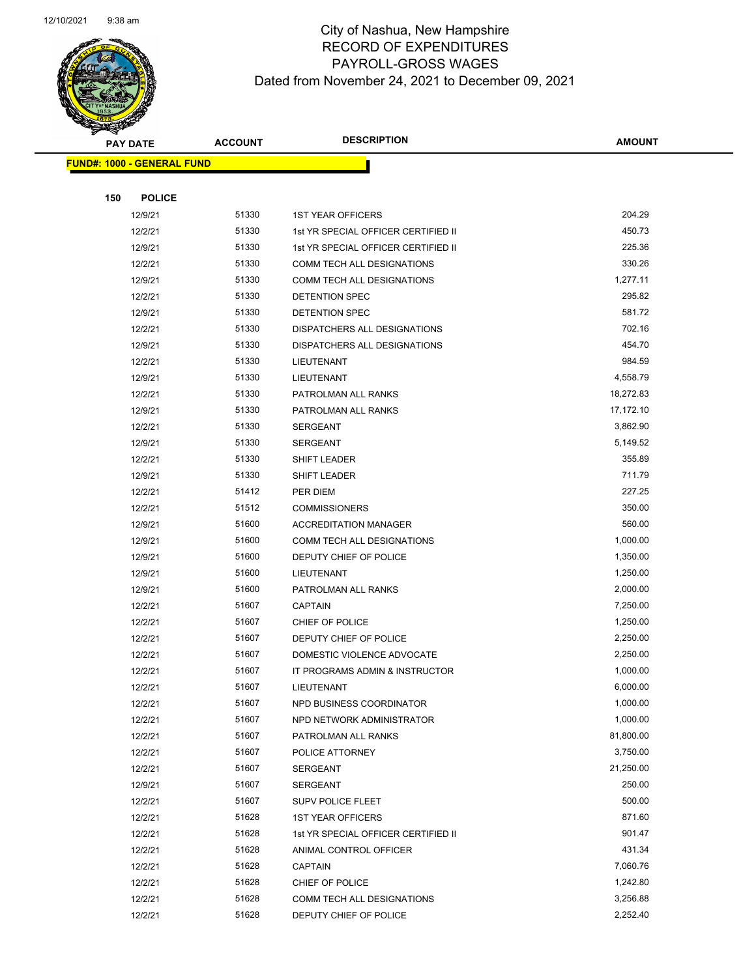

|                                   | <b>PAY DATE</b> | <b>ACCOUNT</b> | <b>DESCRIPTION</b>                  | <b>AMOUNT</b> |
|-----------------------------------|-----------------|----------------|-------------------------------------|---------------|
| <b>FUND#: 1000 - GENERAL FUND</b> |                 |                |                                     |               |
|                                   |                 |                |                                     |               |
| 150                               | <b>POLICE</b>   |                |                                     |               |
|                                   | 12/9/21         | 51330          | <b>1ST YEAR OFFICERS</b>            | 204.29        |
|                                   | 12/2/21         | 51330          | 1st YR SPECIAL OFFICER CERTIFIED II | 450.73        |
|                                   | 12/9/21         | 51330          | 1st YR SPECIAL OFFICER CERTIFIED II | 225.36        |
|                                   | 12/2/21         | 51330          | COMM TECH ALL DESIGNATIONS          | 330.26        |
|                                   | 12/9/21         | 51330          | COMM TECH ALL DESIGNATIONS          | 1,277.11      |
|                                   | 12/2/21         | 51330          | DETENTION SPEC                      | 295.82        |
|                                   | 12/9/21         | 51330          | <b>DETENTION SPEC</b>               | 581.72        |
|                                   | 12/2/21         | 51330          | DISPATCHERS ALL DESIGNATIONS        | 702.16        |
|                                   | 12/9/21         | 51330          | DISPATCHERS ALL DESIGNATIONS        | 454.70        |
|                                   | 12/2/21         | 51330          | LIEUTENANT                          | 984.59        |
|                                   | 12/9/21         | 51330          | LIEUTENANT                          | 4,558.79      |
|                                   | 12/2/21         | 51330          | PATROLMAN ALL RANKS                 | 18,272.83     |
|                                   | 12/9/21         | 51330          | PATROLMAN ALL RANKS                 | 17,172.10     |
|                                   | 12/2/21         | 51330          | <b>SERGEANT</b>                     | 3,862.90      |
|                                   | 12/9/21         | 51330          | <b>SERGEANT</b>                     | 5,149.52      |
|                                   | 12/2/21         | 51330          | SHIFT LEADER                        | 355.89        |
|                                   | 12/9/21         | 51330          | SHIFT LEADER                        | 711.79        |
|                                   | 12/2/21         | 51412          | PER DIEM                            | 227.25        |
|                                   | 12/2/21         | 51512          | <b>COMMISSIONERS</b>                | 350.00        |
|                                   | 12/9/21         | 51600          | <b>ACCREDITATION MANAGER</b>        | 560.00        |
|                                   | 12/9/21         | 51600          | COMM TECH ALL DESIGNATIONS          | 1,000.00      |
|                                   | 12/9/21         | 51600          | DEPUTY CHIEF OF POLICE              | 1,350.00      |
|                                   | 12/9/21         | 51600          | LIEUTENANT                          | 1,250.00      |
|                                   | 12/9/21         | 51600          | PATROLMAN ALL RANKS                 | 2,000.00      |
|                                   | 12/2/21         | 51607          | <b>CAPTAIN</b>                      | 7,250.00      |
|                                   | 12/2/21         | 51607          | CHIEF OF POLICE                     | 1,250.00      |
|                                   | 12/2/21         | 51607          | DEPUTY CHIEF OF POLICE              | 2,250.00      |
|                                   | 12/2/21         | 51607          | DOMESTIC VIOLENCE ADVOCATE          | 2,250.00      |
|                                   | 12/2/21         | 51607          | IT PROGRAMS ADMIN & INSTRUCTOR      | 1,000.00      |
|                                   | 12/2/21         | 51607          | LIEUTENANT                          | 6,000.00      |
|                                   | 12/2/21         | 51607          | NPD BUSINESS COORDINATOR            | 1,000.00      |
|                                   | 12/2/21         | 51607          | NPD NETWORK ADMINISTRATOR           | 1,000.00      |
|                                   | 12/2/21         | 51607          | PATROLMAN ALL RANKS                 | 81,800.00     |
|                                   | 12/2/21         | 51607          | POLICE ATTORNEY                     | 3,750.00      |
|                                   | 12/2/21         | 51607          | <b>SERGEANT</b>                     | 21,250.00     |
|                                   | 12/9/21         | 51607          | SERGEANT                            | 250.00        |
|                                   | 12/2/21         | 51607          | <b>SUPV POLICE FLEET</b>            | 500.00        |
|                                   | 12/2/21         | 51628          | <b>1ST YEAR OFFICERS</b>            | 871.60        |
|                                   | 12/2/21         | 51628          | 1st YR SPECIAL OFFICER CERTIFIED II | 901.47        |
|                                   | 12/2/21         | 51628          | ANIMAL CONTROL OFFICER              | 431.34        |
|                                   | 12/2/21         | 51628          | <b>CAPTAIN</b>                      | 7,060.76      |
|                                   | 12/2/21         | 51628          | CHIEF OF POLICE                     | 1,242.80      |
|                                   | 12/2/21         | 51628          | COMM TECH ALL DESIGNATIONS          | 3,256.88      |
|                                   | 12/2/21         | 51628          | DEPUTY CHIEF OF POLICE              | 2,252.40      |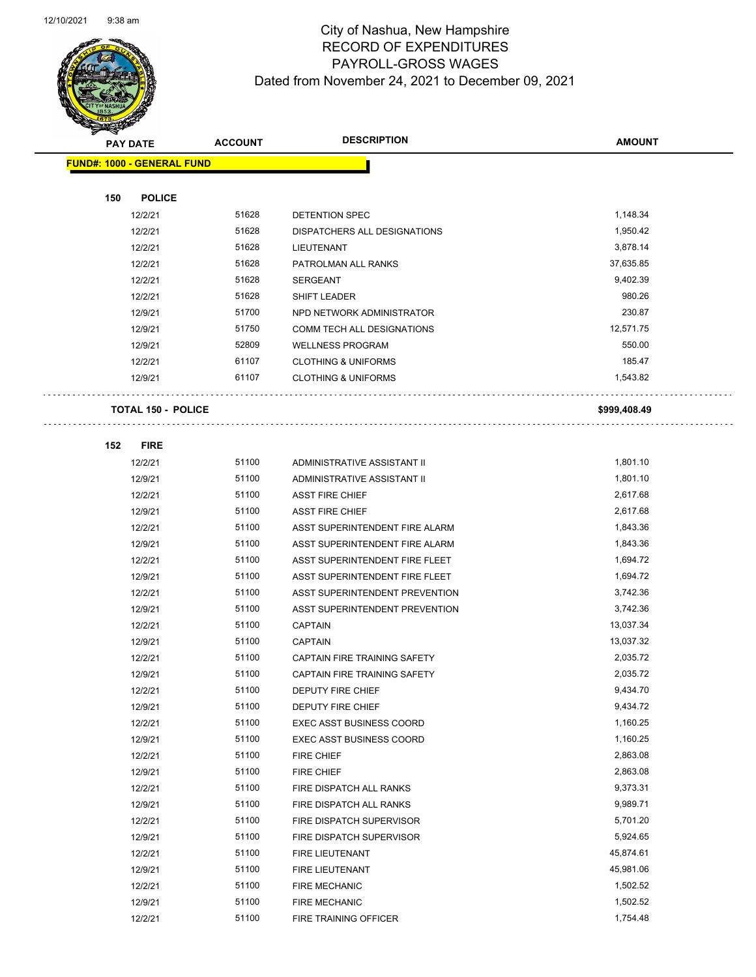

|     | <b>PAY DATE</b>                   | <b>ACCOUNT</b> | <b>DESCRIPTION</b>              | <b>AMOUNT</b> |
|-----|-----------------------------------|----------------|---------------------------------|---------------|
|     | <b>FUND#: 1000 - GENERAL FUND</b> |                |                                 |               |
|     |                                   |                |                                 |               |
| 150 | <b>POLICE</b>                     |                |                                 |               |
|     | 12/2/21                           | 51628          | DETENTION SPEC                  | 1,148.34      |
|     | 12/2/21                           | 51628          | DISPATCHERS ALL DESIGNATIONS    | 1,950.42      |
|     | 12/2/21                           | 51628          | LIEUTENANT                      | 3,878.14      |
|     | 12/2/21                           | 51628          | PATROLMAN ALL RANKS             | 37,635.85     |
|     | 12/2/21                           | 51628          | <b>SERGEANT</b>                 | 9,402.39      |
|     | 12/2/21                           | 51628          | <b>SHIFT LEADER</b>             | 980.26        |
|     | 12/9/21                           | 51700          | NPD NETWORK ADMINISTRATOR       | 230.87        |
|     | 12/9/21                           | 51750          | COMM TECH ALL DESIGNATIONS      | 12,571.75     |
|     | 12/9/21                           | 52809          | <b>WELLNESS PROGRAM</b>         | 550.00        |
|     | 12/2/21                           | 61107          | <b>CLOTHING &amp; UNIFORMS</b>  | 185.47        |
|     | 12/9/21                           | 61107          | <b>CLOTHING &amp; UNIFORMS</b>  | 1,543.82      |
|     |                                   |                |                                 |               |
|     | <b>TOTAL 150 - POLICE</b>         |                |                                 | \$999,408.49  |
|     |                                   |                |                                 |               |
| 152 | <b>FIRE</b>                       |                |                                 |               |
|     | 12/2/21                           | 51100          | ADMINISTRATIVE ASSISTANT II     | 1,801.10      |
|     | 12/9/21                           | 51100          | ADMINISTRATIVE ASSISTANT II     | 1,801.10      |
|     | 12/2/21                           | 51100          | <b>ASST FIRE CHIEF</b>          | 2,617.68      |
|     | 12/9/21                           | 51100          | <b>ASST FIRE CHIEF</b>          | 2,617.68      |
|     | 12/2/21                           | 51100          | ASST SUPERINTENDENT FIRE ALARM  | 1,843.36      |
|     | 12/9/21                           | 51100          | ASST SUPERINTENDENT FIRE ALARM  | 1,843.36      |
|     | 12/2/21                           | 51100          | ASST SUPERINTENDENT FIRE FLEET  | 1,694.72      |
|     | 12/9/21                           | 51100          | ASST SUPERINTENDENT FIRE FLEET  | 1,694.72      |
|     | 12/2/21                           | 51100          | ASST SUPERINTENDENT PREVENTION  | 3,742.36      |
|     | 12/9/21                           | 51100          | ASST SUPERINTENDENT PREVENTION  | 3,742.36      |
|     | 12/2/21                           | 51100          | <b>CAPTAIN</b>                  | 13,037.34     |
|     | 12/9/21                           | 51100          | <b>CAPTAIN</b>                  | 13,037.32     |
|     | 12/2/21                           | 51100          | CAPTAIN FIRE TRAINING SAFETY    | 2,035.72      |
|     | 12/9/21                           | 51100          | CAPTAIN FIRE TRAINING SAFETY    | 2,035.72      |
|     | 12/2/21                           | 51100          | DEPUTY FIRE CHIEF               | 9,434.70      |
|     | 12/9/21                           | 51100          | DEPUTY FIRE CHIEF               | 9,434.72      |
|     | 12/2/21                           | 51100          | <b>EXEC ASST BUSINESS COORD</b> | 1,160.25      |
|     | 12/9/21                           | 51100          | <b>EXEC ASST BUSINESS COORD</b> | 1,160.25      |
|     | 12/2/21                           | 51100          | <b>FIRE CHIEF</b>               | 2,863.08      |
|     | 12/9/21                           | 51100          | FIRE CHIEF                      | 2,863.08      |
|     | 12/2/21                           | 51100          | FIRE DISPATCH ALL RANKS         | 9,373.31      |
|     | 12/9/21                           | 51100          | FIRE DISPATCH ALL RANKS         | 9,989.71      |
|     | 12/2/21                           | 51100          | FIRE DISPATCH SUPERVISOR        | 5,701.20      |
|     | 12/9/21                           | 51100          | FIRE DISPATCH SUPERVISOR        | 5,924.65      |
|     | 12/2/21                           | 51100          | FIRE LIEUTENANT                 | 45,874.61     |
|     | 12/9/21                           | 51100          | FIRE LIEUTENANT                 | 45,981.06     |
|     | 12/2/21                           | 51100          | <b>FIRE MECHANIC</b>            | 1,502.52      |
|     | 12/9/21                           | 51100          | <b>FIRE MECHANIC</b>            | 1,502.52      |
|     | 12/2/21                           | 51100          | FIRE TRAINING OFFICER           | 1,754.48      |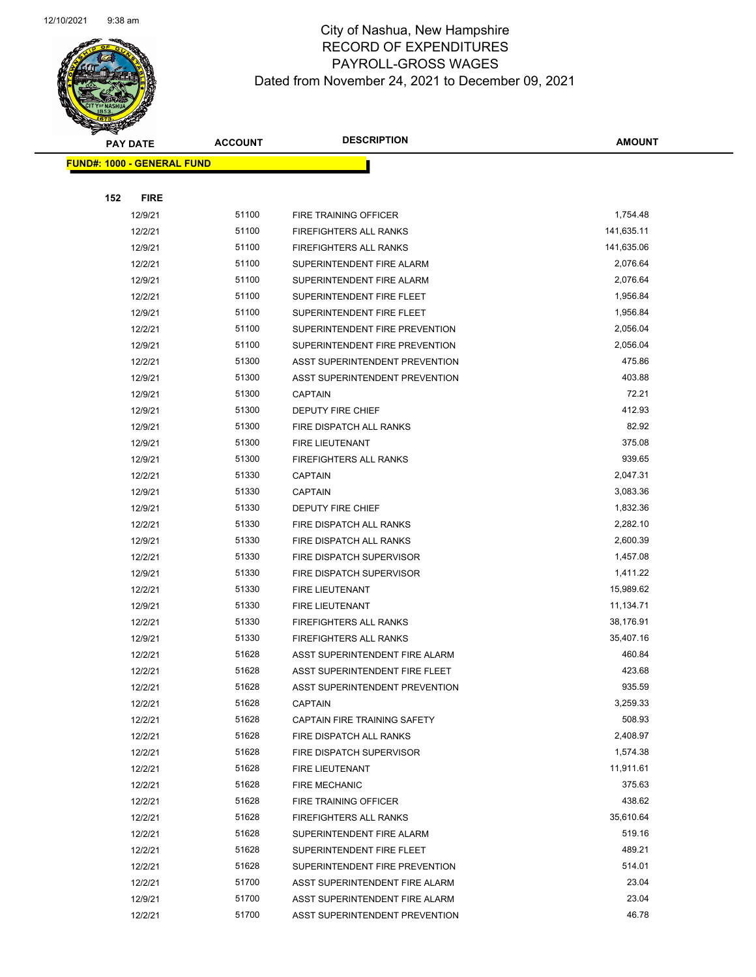

|     | <b>PAY DATE</b>                   | <b>ACCOUNT</b> | <b>DESCRIPTION</b>             | <b>AMOUNT</b> |
|-----|-----------------------------------|----------------|--------------------------------|---------------|
|     | <b>FUND#: 1000 - GENERAL FUND</b> |                |                                |               |
|     |                                   |                |                                |               |
| 152 | <b>FIRE</b>                       |                |                                |               |
|     | 12/9/21                           | 51100          | FIRE TRAINING OFFICER          | 1,754.48      |
|     | 12/2/21                           | 51100          | <b>FIREFIGHTERS ALL RANKS</b>  | 141,635.11    |
|     | 12/9/21                           | 51100          | <b>FIREFIGHTERS ALL RANKS</b>  | 141,635.06    |
|     | 12/2/21                           | 51100          | SUPERINTENDENT FIRE ALARM      | 2,076.64      |
|     | 12/9/21                           | 51100          | SUPERINTENDENT FIRE ALARM      | 2,076.64      |
|     | 12/2/21                           | 51100          | SUPERINTENDENT FIRE FLEET      | 1,956.84      |
|     | 12/9/21                           | 51100          | SUPERINTENDENT FIRE FLEET      | 1,956.84      |
|     | 12/2/21                           | 51100          | SUPERINTENDENT FIRE PREVENTION | 2,056.04      |
|     | 12/9/21                           | 51100          | SUPERINTENDENT FIRE PREVENTION | 2,056.04      |
|     | 12/2/21                           | 51300          | ASST SUPERINTENDENT PREVENTION | 475.86        |
|     | 12/9/21                           | 51300          | ASST SUPERINTENDENT PREVENTION | 403.88        |
|     | 12/9/21                           | 51300          | <b>CAPTAIN</b>                 | 72.21         |
|     | 12/9/21                           | 51300          | DEPUTY FIRE CHIEF              | 412.93        |
|     | 12/9/21                           | 51300          | FIRE DISPATCH ALL RANKS        | 82.92         |
|     | 12/9/21                           | 51300          | FIRE LIEUTENANT                | 375.08        |
|     | 12/9/21                           | 51300          | <b>FIREFIGHTERS ALL RANKS</b>  | 939.65        |
|     | 12/2/21                           | 51330          | <b>CAPTAIN</b>                 | 2,047.31      |
|     | 12/9/21                           | 51330          | <b>CAPTAIN</b>                 | 3,083.36      |
|     | 12/9/21                           | 51330          | DEPUTY FIRE CHIEF              | 1,832.36      |
|     | 12/2/21                           | 51330          | FIRE DISPATCH ALL RANKS        | 2,282.10      |
|     | 12/9/21                           | 51330          | FIRE DISPATCH ALL RANKS        | 2,600.39      |
|     | 12/2/21                           | 51330          | FIRE DISPATCH SUPERVISOR       | 1,457.08      |
|     | 12/9/21                           | 51330          | FIRE DISPATCH SUPERVISOR       | 1,411.22      |
|     | 12/2/21                           | 51330          | FIRE LIEUTENANT                | 15,989.62     |
|     | 12/9/21                           | 51330          | FIRE LIEUTENANT                | 11,134.71     |
|     | 12/2/21                           | 51330          | FIREFIGHTERS ALL RANKS         | 38,176.91     |
|     | 12/9/21                           | 51330          | FIREFIGHTERS ALL RANKS         | 35,407.16     |
|     | 12/2/21                           | 51628          | ASST SUPERINTENDENT FIRE ALARM | 460.84        |
|     | 12/2/21                           | 51628          | ASST SUPERINTENDENT FIRE FLEET | 423.68        |
|     | 12/2/21                           | 51628          | ASST SUPERINTENDENT PREVENTION | 935.59        |
|     | 12/2/21                           | 51628          | <b>CAPTAIN</b>                 | 3,259.33      |
|     | 12/2/21                           | 51628          | CAPTAIN FIRE TRAINING SAFETY   | 508.93        |
|     | 12/2/21                           | 51628          | FIRE DISPATCH ALL RANKS        | 2,408.97      |
|     | 12/2/21                           | 51628          | FIRE DISPATCH SUPERVISOR       | 1,574.38      |
|     | 12/2/21                           | 51628          | FIRE LIEUTENANT                | 11,911.61     |
|     | 12/2/21                           | 51628          | <b>FIRE MECHANIC</b>           | 375.63        |
|     | 12/2/21                           | 51628          | FIRE TRAINING OFFICER          | 438.62        |
|     | 12/2/21                           | 51628          | FIREFIGHTERS ALL RANKS         | 35,610.64     |
|     | 12/2/21                           | 51628          | SUPERINTENDENT FIRE ALARM      | 519.16        |
|     | 12/2/21                           | 51628          | SUPERINTENDENT FIRE FLEET      | 489.21        |
|     | 12/2/21                           | 51628          | SUPERINTENDENT FIRE PREVENTION | 514.01        |
|     | 12/2/21                           | 51700          | ASST SUPERINTENDENT FIRE ALARM | 23.04         |
|     | 12/9/21                           | 51700          | ASST SUPERINTENDENT FIRE ALARM | 23.04         |
|     | 12/2/21                           | 51700          | ASST SUPERINTENDENT PREVENTION | 46.78         |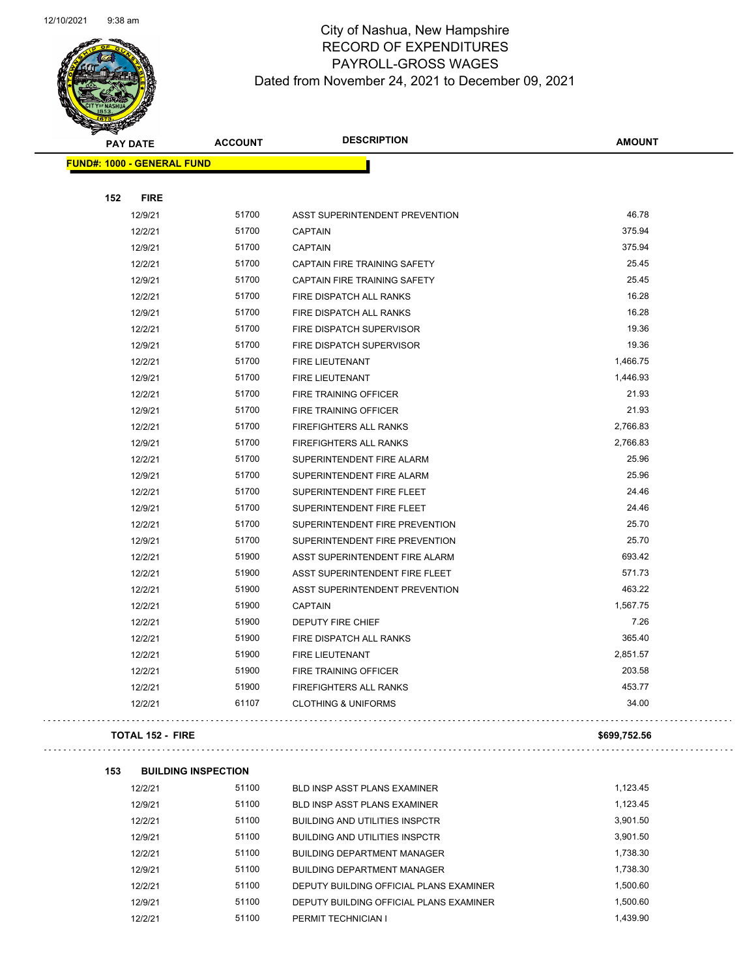$\bar{\omega}$  .

 $\Box$ 



|     | <b>PAY DATE</b>                   | <b>ACCOUNT</b>             | <b>DESCRIPTION</b>                    | <b>AMOUNT</b> |
|-----|-----------------------------------|----------------------------|---------------------------------------|---------------|
|     | <b>FUND#: 1000 - GENERAL FUND</b> |                            |                                       |               |
|     |                                   |                            |                                       |               |
| 152 | <b>FIRE</b>                       |                            |                                       |               |
|     | 12/9/21                           | 51700                      | ASST SUPERINTENDENT PREVENTION        | 46.78         |
|     | 12/2/21                           | 51700                      | <b>CAPTAIN</b>                        | 375.94        |
|     | 12/9/21                           | 51700                      | <b>CAPTAIN</b>                        | 375.94        |
|     | 12/2/21                           | 51700                      | CAPTAIN FIRE TRAINING SAFETY          | 25.45         |
|     | 12/9/21                           | 51700                      | CAPTAIN FIRE TRAINING SAFETY          | 25.45         |
|     | 12/2/21                           | 51700                      | FIRE DISPATCH ALL RANKS               | 16.28         |
|     | 12/9/21                           | 51700                      | FIRE DISPATCH ALL RANKS               | 16.28         |
|     | 12/2/21                           | 51700                      | FIRE DISPATCH SUPERVISOR              | 19.36         |
|     | 12/9/21                           | 51700                      | FIRE DISPATCH SUPERVISOR              | 19.36         |
|     | 12/2/21                           | 51700                      | FIRE LIEUTENANT                       | 1,466.75      |
|     | 12/9/21                           | 51700                      | FIRE LIEUTENANT                       | 1,446.93      |
|     | 12/2/21                           | 51700                      | <b>FIRE TRAINING OFFICER</b>          | 21.93         |
|     | 12/9/21                           | 51700                      | FIRE TRAINING OFFICER                 | 21.93         |
|     | 12/2/21                           | 51700                      | <b>FIREFIGHTERS ALL RANKS</b>         | 2,766.83      |
|     | 12/9/21                           | 51700                      | <b>FIREFIGHTERS ALL RANKS</b>         | 2,766.83      |
|     | 12/2/21                           | 51700                      | SUPERINTENDENT FIRE ALARM             | 25.96         |
|     | 12/9/21                           | 51700                      | SUPERINTENDENT FIRE ALARM             | 25.96         |
|     | 12/2/21                           | 51700                      | SUPERINTENDENT FIRE FLEET             | 24.46         |
|     | 12/9/21                           | 51700                      | SUPERINTENDENT FIRE FLEET             | 24.46         |
|     | 12/2/21                           | 51700                      | SUPERINTENDENT FIRE PREVENTION        | 25.70         |
|     | 12/9/21                           | 51700                      | SUPERINTENDENT FIRE PREVENTION        | 25.70         |
|     | 12/2/21                           | 51900                      | ASST SUPERINTENDENT FIRE ALARM        | 693.42        |
|     | 12/2/21                           | 51900                      | ASST SUPERINTENDENT FIRE FLEET        | 571.73        |
|     | 12/2/21                           | 51900                      | ASST SUPERINTENDENT PREVENTION        | 463.22        |
|     | 12/2/21                           | 51900                      | CAPTAIN                               | 1,567.75      |
|     | 12/2/21                           | 51900                      | DEPUTY FIRE CHIEF                     | 7.26          |
|     | 12/2/21                           | 51900                      | FIRE DISPATCH ALL RANKS               | 365.40        |
|     | 12/2/21                           | 51900                      | FIRE LIEUTENANT                       | 2,851.57      |
|     | 12/2/21                           | 51900                      | FIRE TRAINING OFFICER                 | 203.58        |
|     | 12/2/21                           | 51900                      | FIREFIGHTERS ALL RANKS                | 453.77        |
|     | 12/2/21                           | 61107                      | <b>CLOTHING &amp; UNIFORMS</b>        | 34.00         |
|     |                                   |                            |                                       |               |
|     | <b>TOTAL 152 - FIRE</b>           |                            |                                       | \$699,752.56  |
| 153 |                                   | <b>BUILDING INSPECTION</b> |                                       |               |
|     | 12/2/21                           | 51100                      | <b>BLD INSP ASST PLANS EXAMINER</b>   | 1,123.45      |
|     | 12/9/21                           | 51100                      | BLD INSP ASST PLANS EXAMINER          | 1,123.45      |
|     | 12/2/21                           | 51100                      | <b>BUILDING AND UTILITIES INSPCTR</b> | 3,901.50      |
|     | 12/9/21                           | 51100                      | <b>BUILDING AND UTILITIES INSPCTR</b> | 3,901.50      |
|     | 1010101                           | 51100                      | <b>DUILDING BERADTMENT MANAGER</b>    | 173830        |

| 12/9/21 | 51100 | BUILDING AND UTILITIES INSPCTR          | 3.901.50 |
|---------|-------|-----------------------------------------|----------|
| 12/2/21 | 51100 | <b>BUILDING DEPARTMENT MANAGER</b>      | 1,738.30 |
| 12/9/21 | 51100 | <b>BUILDING DEPARTMENT MANAGER</b>      | 1.738.30 |
| 12/2/21 | 51100 | DEPUTY BUILDING OFFICIAL PLANS EXAMINER | 1.500.60 |
| 12/9/21 | 51100 | DEPUTY BUILDING OFFICIAL PLANS EXAMINER | 1.500.60 |
| 12/2/21 | 51100 | PERMIT TECHNICIAN I                     | 1.439.90 |
|         |       |                                         |          |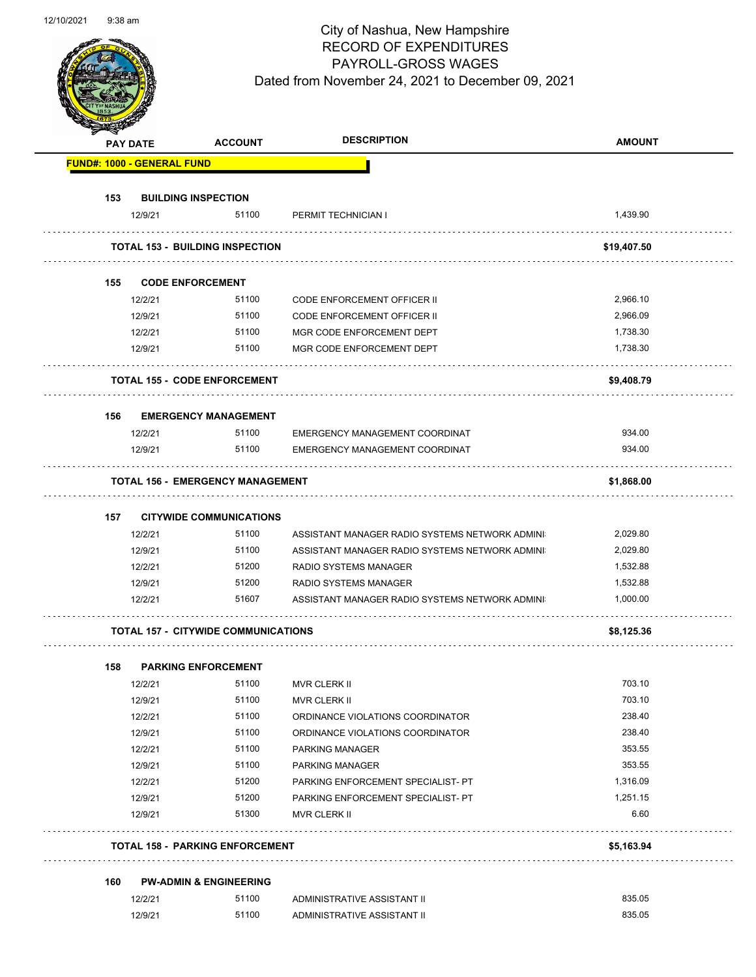|                                   | <b>PAY DATE</b>    | <b>ACCOUNT</b>                             | <b>DESCRIPTION</b>                               | <b>AMOUNT</b> |
|-----------------------------------|--------------------|--------------------------------------------|--------------------------------------------------|---------------|
| <b>FUND#: 1000 - GENERAL FUND</b> |                    |                                            |                                                  |               |
| 153                               |                    | <b>BUILDING INSPECTION</b>                 |                                                  |               |
|                                   | 12/9/21            | 51100                                      | PERMIT TECHNICIAN I                              | 1,439.90      |
|                                   |                    | <b>TOTAL 153 - BUILDING INSPECTION</b>     |                                                  | \$19,407.50   |
|                                   |                    |                                            |                                                  |               |
| 155                               |                    | <b>CODE ENFORCEMENT</b>                    |                                                  |               |
|                                   | 12/2/21            | 51100                                      | <b>CODE ENFORCEMENT OFFICER II</b>               | 2,966.10      |
|                                   | 12/9/21            | 51100                                      | CODE ENFORCEMENT OFFICER II                      | 2,966.09      |
|                                   | 12/2/21            | 51100                                      | MGR CODE ENFORCEMENT DEPT                        | 1,738.30      |
|                                   | 12/9/21            | 51100                                      | MGR CODE ENFORCEMENT DEPT                        | 1,738.30      |
|                                   |                    | <b>TOTAL 155 - CODE ENFORCEMENT</b>        |                                                  | \$9,408.79    |
| 156                               |                    | <b>EMERGENCY MANAGEMENT</b>                |                                                  |               |
|                                   | 12/2/21            | 51100                                      | EMERGENCY MANAGEMENT COORDINAT                   | 934.00        |
|                                   | 12/9/21            | 51100                                      | EMERGENCY MANAGEMENT COORDINAT                   | 934.00        |
|                                   |                    | TOTAL 156 - EMERGENCY MANAGEMENT           |                                                  | \$1,868.00    |
| 157                               |                    | <b>CITYWIDE COMMUNICATIONS</b>             |                                                  |               |
|                                   | 12/2/21            | 51100                                      | ASSISTANT MANAGER RADIO SYSTEMS NETWORK ADMINI   | 2,029.80      |
|                                   | 12/9/21            | 51100                                      | ASSISTANT MANAGER RADIO SYSTEMS NETWORK ADMINI   | 2,029.80      |
|                                   | 12/2/21            | 51200                                      | RADIO SYSTEMS MANAGER                            | 1,532.88      |
|                                   | 12/9/21            | 51200                                      | RADIO SYSTEMS MANAGER                            | 1,532.88      |
|                                   | 12/2/21            | 51607                                      | ASSISTANT MANAGER RADIO SYSTEMS NETWORK ADMINI   | 1,000.00      |
|                                   |                    | <b>TOTAL 157 - CITYWIDE COMMUNICATIONS</b> |                                                  | \$8,125.36    |
|                                   |                    |                                            |                                                  |               |
| 158                               | 12/2/21            | <b>PARKING ENFORCEMENT</b><br>51100        | MVR CLERK II                                     | 703.10        |
|                                   |                    | 51100                                      |                                                  | 703.10        |
|                                   | 12/9/21<br>12/2/21 | 51100                                      | MVR CLERK II<br>ORDINANCE VIOLATIONS COORDINATOR | 238.40        |
|                                   | 12/9/21            | 51100                                      | ORDINANCE VIOLATIONS COORDINATOR                 | 238.40        |
|                                   |                    | 51100                                      |                                                  | 353.55        |
|                                   | 12/2/21<br>12/9/21 | 51100                                      | PARKING MANAGER<br>PARKING MANAGER               | 353.55        |
|                                   | 12/2/21            | 51200                                      | PARKING ENFORCEMENT SPECIALIST- PT               | 1,316.09      |
|                                   | 12/9/21            | 51200                                      | PARKING ENFORCEMENT SPECIALIST- PT               | 1,251.15      |
|                                   | 12/9/21            | 51300                                      | MVR CLERK II                                     | 6.60          |
|                                   |                    | <b>TOTAL 158 - PARKING ENFORCEMENT</b>     |                                                  | \$5,163.94    |
|                                   |                    |                                            |                                                  |               |
| 160                               |                    | <b>PW-ADMIN &amp; ENGINEERING</b>          |                                                  |               |
|                                   | 12/2/21            | 51100                                      | ADMINISTRATIVE ASSISTANT II                      | 835.05        |
|                                   | 12/9/21            | 51100                                      | ADMINISTRATIVE ASSISTANT II                      | 835.05        |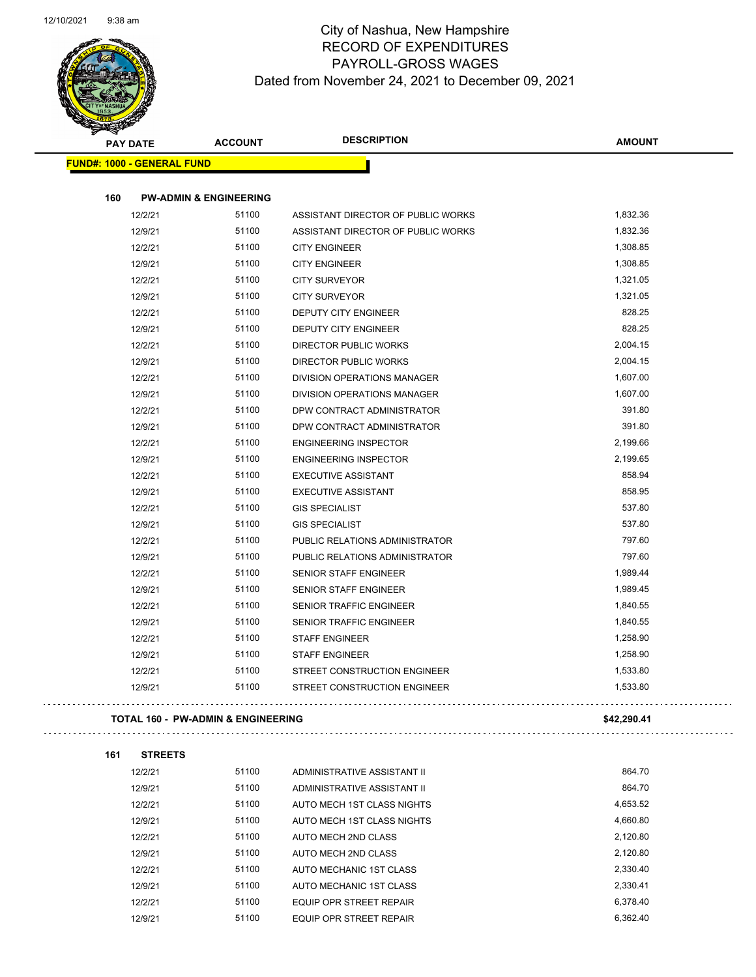

| B.                                | <b>PAY DATE</b> | <b>ACCOUNT</b>                                | <b>DESCRIPTION</b>                 | <b>AMOUNT</b> |
|-----------------------------------|-----------------|-----------------------------------------------|------------------------------------|---------------|
| <b>FUND#: 1000 - GENERAL FUND</b> |                 |                                               |                                    |               |
|                                   |                 |                                               |                                    |               |
| 160                               |                 | <b>PW-ADMIN &amp; ENGINEERING</b>             |                                    |               |
|                                   | 12/2/21         | 51100                                         | ASSISTANT DIRECTOR OF PUBLIC WORKS | 1,832.36      |
|                                   | 12/9/21         | 51100                                         | ASSISTANT DIRECTOR OF PUBLIC WORKS | 1,832.36      |
|                                   | 12/2/21         | 51100                                         | <b>CITY ENGINEER</b>               | 1,308.85      |
|                                   | 12/9/21         | 51100                                         | <b>CITY ENGINEER</b>               | 1,308.85      |
|                                   | 12/2/21         | 51100                                         | <b>CITY SURVEYOR</b>               | 1,321.05      |
|                                   | 12/9/21         | 51100                                         | <b>CITY SURVEYOR</b>               | 1,321.05      |
|                                   | 12/2/21         | 51100                                         | DEPUTY CITY ENGINEER               | 828.25        |
|                                   | 12/9/21         | 51100                                         | DEPUTY CITY ENGINEER               | 828.25        |
|                                   | 12/2/21         | 51100                                         | <b>DIRECTOR PUBLIC WORKS</b>       | 2,004.15      |
|                                   | 12/9/21         | 51100                                         | DIRECTOR PUBLIC WORKS              | 2,004.15      |
|                                   | 12/2/21         | 51100                                         | DIVISION OPERATIONS MANAGER        | 1,607.00      |
|                                   | 12/9/21         | 51100                                         | DIVISION OPERATIONS MANAGER        | 1,607.00      |
|                                   | 12/2/21         | 51100                                         | DPW CONTRACT ADMINISTRATOR         | 391.80        |
|                                   | 12/9/21         | 51100                                         | DPW CONTRACT ADMINISTRATOR         | 391.80        |
|                                   | 12/2/21         | 51100                                         | <b>ENGINEERING INSPECTOR</b>       | 2,199.66      |
|                                   | 12/9/21         | 51100                                         | <b>ENGINEERING INSPECTOR</b>       | 2,199.65      |
|                                   | 12/2/21         | 51100                                         | <b>EXECUTIVE ASSISTANT</b>         | 858.94        |
|                                   | 12/9/21         | 51100                                         | <b>EXECUTIVE ASSISTANT</b>         | 858.95        |
|                                   | 12/2/21         | 51100                                         | <b>GIS SPECIALIST</b>              | 537.80        |
|                                   | 12/9/21         | 51100                                         | <b>GIS SPECIALIST</b>              | 537.80        |
|                                   | 12/2/21         | 51100                                         | PUBLIC RELATIONS ADMINISTRATOR     | 797.60        |
|                                   | 12/9/21         | 51100                                         | PUBLIC RELATIONS ADMINISTRATOR     | 797.60        |
|                                   | 12/2/21         | 51100                                         | SENIOR STAFF ENGINEER              | 1,989.44      |
|                                   | 12/9/21         | 51100                                         | <b>SENIOR STAFF ENGINEER</b>       | 1,989.45      |
|                                   | 12/2/21         | 51100                                         | SENIOR TRAFFIC ENGINEER            | 1,840.55      |
|                                   | 12/9/21         | 51100                                         | SENIOR TRAFFIC ENGINEER            | 1,840.55      |
|                                   | 12/2/21         | 51100                                         | <b>STAFF ENGINEER</b>              | 1,258.90      |
|                                   | 12/9/21         | 51100                                         | <b>STAFF ENGINEER</b>              | 1,258.90      |
|                                   | 12/2/21         | 51100                                         | STREET CONSTRUCTION ENGINEER       | 1,533.80      |
|                                   | 12/9/21         | 51100                                         | STREET CONSTRUCTION ENGINEER       | 1,533.80      |
|                                   |                 | <b>TOTAL 160 - PW-ADMIN &amp; ENGINEERING</b> |                                    | \$42,290.41   |
|                                   |                 |                                               |                                    |               |
| 161                               | <b>STREETS</b>  |                                               |                                    |               |
|                                   | 12/2/21         | 51100                                         | ADMINISTRATIVE ASSISTANT II        | 864.70        |
|                                   | 12/9/21         | 51100                                         | ADMINISTRATIVE ASSISTANT II        | 864.70        |
|                                   | 12/2/21         | 51100                                         | AUTO MECH 1ST CLASS NIGHTS         | 4,653.52      |
|                                   | 12/9/21         | 51100                                         | AUTO MECH 1ST CLASS NIGHTS         | 4,660.80      |
|                                   | 12/2/21         | 51100                                         | AUTO MECH 2ND CLASS                | 2,120.80      |
|                                   | 12/9/21         | 51100                                         | AUTO MECH 2ND CLASS                | 2,120.80      |
|                                   | 12/2/21         | 51100                                         | AUTO MECHANIC 1ST CLASS            | 2,330.40      |
|                                   | 12/9/21         | 51100                                         | AUTO MECHANIC 1ST CLASS            | 2,330.41      |
|                                   | 12/2/21         | 51100                                         | EQUIP OPR STREET REPAIR            | 6,378.40      |

12/9/21 51100 EQUIP OPR STREET REPAIR 6,362.40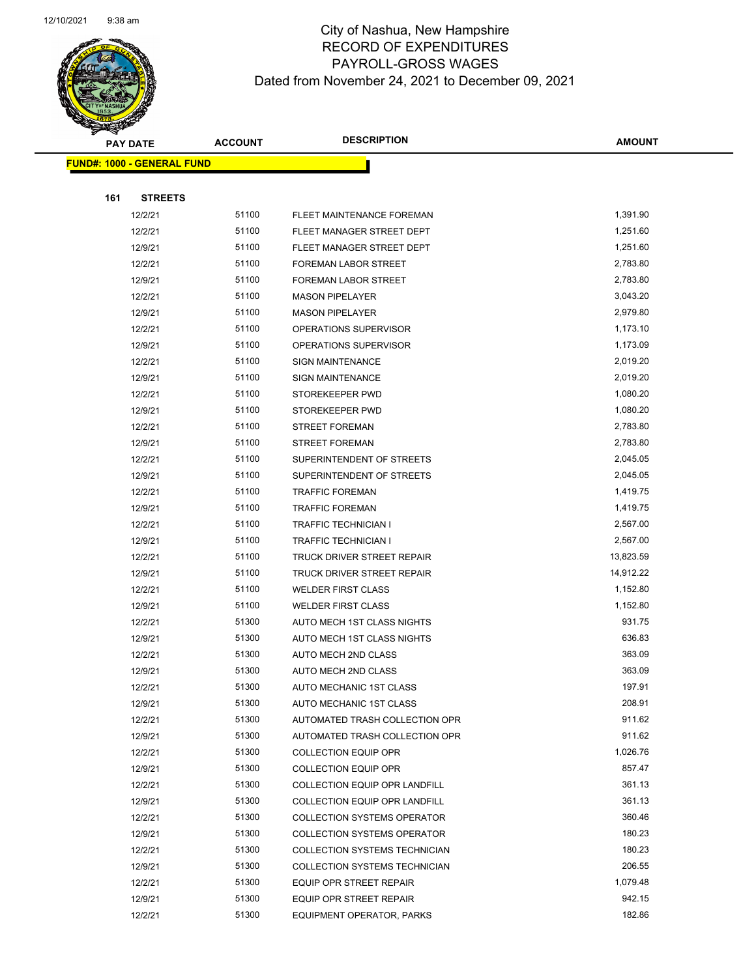

| <b>PAY DATE</b> |                                   | <b>DESCRIPTION</b><br><b>ACCOUNT</b> |                                      | <b>AMOUNT</b>      |
|-----------------|-----------------------------------|--------------------------------------|--------------------------------------|--------------------|
|                 | <b>FUND#: 1000 - GENERAL FUND</b> |                                      |                                      |                    |
|                 |                                   |                                      |                                      |                    |
| 161             | <b>STREETS</b>                    |                                      |                                      |                    |
|                 | 12/2/21                           | 51100                                | FLEET MAINTENANCE FOREMAN            | 1,391.90           |
|                 | 12/2/21                           | 51100                                | FLEET MANAGER STREET DEPT            | 1,251.60           |
|                 | 12/9/21                           | 51100                                | FLEET MANAGER STREET DEPT            | 1,251.60           |
|                 | 12/2/21                           | 51100                                | FOREMAN LABOR STREET                 | 2,783.80           |
|                 | 12/9/21                           | 51100                                | FOREMAN LABOR STREET                 | 2,783.80           |
|                 | 12/2/21                           | 51100                                | <b>MASON PIPELAYER</b>               | 3,043.20           |
|                 | 12/9/21                           | 51100                                | <b>MASON PIPELAYER</b>               | 2,979.80           |
|                 | 12/2/21                           | 51100                                | OPERATIONS SUPERVISOR                | 1,173.10           |
|                 | 12/9/21                           | 51100                                | OPERATIONS SUPERVISOR                | 1,173.09           |
|                 | 12/2/21                           | 51100                                | <b>SIGN MAINTENANCE</b>              | 2,019.20           |
|                 | 12/9/21                           | 51100                                | <b>SIGN MAINTENANCE</b>              | 2,019.20           |
|                 | 12/2/21                           | 51100                                | STOREKEEPER PWD                      | 1,080.20           |
|                 | 12/9/21                           | 51100                                | STOREKEEPER PWD                      | 1,080.20           |
|                 | 12/2/21                           | 51100                                | <b>STREET FOREMAN</b>                | 2,783.80           |
|                 | 12/9/21                           | 51100                                | <b>STREET FOREMAN</b>                | 2,783.80           |
|                 | 12/2/21                           | 51100                                | SUPERINTENDENT OF STREETS            | 2,045.05           |
|                 | 12/9/21                           | 51100                                | SUPERINTENDENT OF STREETS            | 2,045.05           |
|                 | 12/2/21                           | 51100                                | <b>TRAFFIC FOREMAN</b>               | 1,419.75           |
|                 | 12/9/21                           | 51100                                | <b>TRAFFIC FOREMAN</b>               | 1,419.75           |
|                 | 12/2/21                           | 51100                                | <b>TRAFFIC TECHNICIAN I</b>          | 2,567.00           |
|                 | 12/9/21                           | 51100                                | <b>TRAFFIC TECHNICIAN I</b>          | 2,567.00           |
|                 | 12/2/21                           | 51100                                | <b>TRUCK DRIVER STREET REPAIR</b>    | 13,823.59          |
|                 | 12/9/21                           | 51100                                | TRUCK DRIVER STREET REPAIR           | 14,912.22          |
|                 | 12/2/21                           | 51100                                | <b>WELDER FIRST CLASS</b>            | 1,152.80           |
|                 | 12/9/21                           | 51100                                | <b>WELDER FIRST CLASS</b>            | 1,152.80           |
|                 | 12/2/21                           | 51300                                | AUTO MECH 1ST CLASS NIGHTS           | 931.75             |
|                 | 12/9/21                           | 51300                                | AUTO MECH 1ST CLASS NIGHTS           | 636.83             |
|                 | 12/2/21                           | 51300                                | AUTO MECH 2ND CLASS                  | 363.09             |
|                 | 12/9/21                           | 51300                                | AUTO MECH 2ND CLASS                  | 363.09             |
|                 | 12/2/21                           | 51300                                | AUTO MECHANIC 1ST CLASS              | 197.91             |
|                 | 12/9/21                           | 51300                                | AUTO MECHANIC 1ST CLASS              | 208.91             |
|                 | 12/2/21                           | 51300                                | AUTOMATED TRASH COLLECTION OPR       | 911.62             |
|                 | 12/9/21                           | 51300                                | AUTOMATED TRASH COLLECTION OPR       | 911.62             |
|                 | 12/2/21                           | 51300                                | <b>COLLECTION EQUIP OPR</b>          | 1,026.76           |
|                 | 12/9/21                           | 51300                                | <b>COLLECTION EQUIP OPR</b>          | 857.47             |
|                 | 12/2/21                           | 51300                                | COLLECTION EQUIP OPR LANDFILL        | 361.13             |
|                 | 12/9/21                           | 51300                                | COLLECTION EQUIP OPR LANDFILL        | 361.13             |
|                 | 12/2/21                           | 51300                                | <b>COLLECTION SYSTEMS OPERATOR</b>   | 360.46             |
|                 | 12/9/21                           | 51300                                | <b>COLLECTION SYSTEMS OPERATOR</b>   | 180.23             |
|                 | 12/2/21                           | 51300                                | COLLECTION SYSTEMS TECHNICIAN        | 180.23             |
|                 | 12/9/21                           | 51300                                | <b>COLLECTION SYSTEMS TECHNICIAN</b> | 206.55<br>1,079.48 |
|                 | 12/2/21                           | 51300                                | EQUIP OPR STREET REPAIR              |                    |
|                 | 12/9/21                           | 51300                                | EQUIP OPR STREET REPAIR              | 942.15             |
|                 | 12/2/21                           | 51300                                | EQUIPMENT OPERATOR, PARKS            | 182.86             |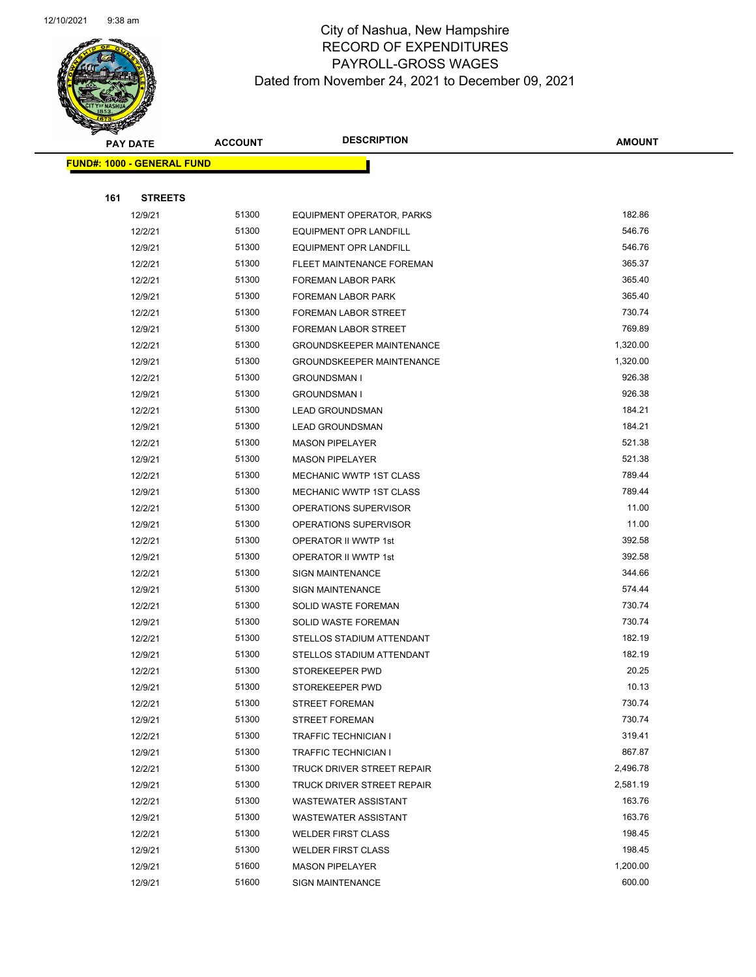

|     | <b>PAY DATE</b>                   | <b>ACCOUNT</b> | <b>DESCRIPTION</b>               | <b>AMOUNT</b> |  |  |  |
|-----|-----------------------------------|----------------|----------------------------------|---------------|--|--|--|
|     | <b>FUND#: 1000 - GENERAL FUND</b> |                |                                  |               |  |  |  |
|     |                                   |                |                                  |               |  |  |  |
| 161 | <b>STREETS</b>                    |                |                                  |               |  |  |  |
|     | 12/9/21                           | 51300          | EQUIPMENT OPERATOR, PARKS        | 182.86        |  |  |  |
|     | 12/2/21                           | 51300          | EQUIPMENT OPR LANDFILL           | 546.76        |  |  |  |
|     | 12/9/21                           | 51300          | <b>EQUIPMENT OPR LANDFILL</b>    | 546.76        |  |  |  |
|     | 12/2/21                           | 51300          | FLEET MAINTENANCE FOREMAN        | 365.37        |  |  |  |
|     | 12/2/21                           | 51300          | <b>FOREMAN LABOR PARK</b>        | 365.40        |  |  |  |
|     | 12/9/21                           | 51300          | FOREMAN LABOR PARK               | 365.40        |  |  |  |
|     | 12/2/21                           | 51300          | <b>FOREMAN LABOR STREET</b>      | 730.74        |  |  |  |
|     | 12/9/21                           | 51300          | FOREMAN LABOR STREET             | 769.89        |  |  |  |
|     | 12/2/21                           | 51300          | <b>GROUNDSKEEPER MAINTENANCE</b> | 1,320.00      |  |  |  |
|     | 12/9/21                           | 51300          | <b>GROUNDSKEEPER MAINTENANCE</b> | 1,320.00      |  |  |  |
|     | 12/2/21                           | 51300          | <b>GROUNDSMAN I</b>              | 926.38        |  |  |  |
|     | 12/9/21                           | 51300          | <b>GROUNDSMAN I</b>              | 926.38        |  |  |  |
|     | 12/2/21                           | 51300          | <b>LEAD GROUNDSMAN</b>           | 184.21        |  |  |  |
|     | 12/9/21                           | 51300          | <b>LEAD GROUNDSMAN</b>           | 184.21        |  |  |  |
|     | 12/2/21                           | 51300          | <b>MASON PIPELAYER</b>           | 521.38        |  |  |  |
|     | 12/9/21                           | 51300          | <b>MASON PIPELAYER</b>           | 521.38        |  |  |  |
|     | 12/2/21                           | 51300          | MECHANIC WWTP 1ST CLASS          | 789.44        |  |  |  |
|     | 12/9/21                           | 51300          | MECHANIC WWTP 1ST CLASS          | 789.44        |  |  |  |
|     | 12/2/21                           | 51300          | OPERATIONS SUPERVISOR            | 11.00         |  |  |  |
|     | 12/9/21                           | 51300          | OPERATIONS SUPERVISOR            | 11.00         |  |  |  |
|     | 12/2/21                           | 51300          | OPERATOR II WWTP 1st             | 392.58        |  |  |  |
|     | 12/9/21                           | 51300          | OPERATOR II WWTP 1st             | 392.58        |  |  |  |
|     | 12/2/21                           | 51300          | <b>SIGN MAINTENANCE</b>          | 344.66        |  |  |  |
|     | 12/9/21                           | 51300          | <b>SIGN MAINTENANCE</b>          | 574.44        |  |  |  |
|     | 12/2/21                           | 51300          | SOLID WASTE FOREMAN              | 730.74        |  |  |  |
|     | 12/9/21                           | 51300          | <b>SOLID WASTE FOREMAN</b>       | 730.74        |  |  |  |
|     | 12/2/21                           | 51300          | STELLOS STADIUM ATTENDANT        | 182.19        |  |  |  |
|     | 12/9/21                           | 51300          | STELLOS STADIUM ATTENDANT        | 182.19        |  |  |  |
|     | 12/2/21                           | 51300          | STOREKEEPER PWD                  | 20.25         |  |  |  |
|     | 12/9/21                           | 51300          | STOREKEEPER PWD                  | 10.13         |  |  |  |
|     | 12/2/21                           | 51300          | <b>STREET FOREMAN</b>            | 730.74        |  |  |  |
|     | 12/9/21                           | 51300          | <b>STREET FOREMAN</b>            | 730.74        |  |  |  |
|     | 12/2/21                           | 51300          | <b>TRAFFIC TECHNICIAN I</b>      | 319.41        |  |  |  |
|     | 12/9/21                           | 51300          | TRAFFIC TECHNICIAN I             | 867.87        |  |  |  |
|     | 12/2/21                           | 51300          | TRUCK DRIVER STREET REPAIR       | 2,496.78      |  |  |  |
|     | 12/9/21                           | 51300          | TRUCK DRIVER STREET REPAIR       | 2,581.19      |  |  |  |
|     | 12/2/21                           | 51300          | <b>WASTEWATER ASSISTANT</b>      | 163.76        |  |  |  |
|     | 12/9/21                           | 51300          | <b>WASTEWATER ASSISTANT</b>      | 163.76        |  |  |  |
|     | 12/2/21                           | 51300          | <b>WELDER FIRST CLASS</b>        | 198.45        |  |  |  |
|     | 12/9/21                           | 51300          | <b>WELDER FIRST CLASS</b>        | 198.45        |  |  |  |
|     | 12/9/21                           | 51600          | <b>MASON PIPELAYER</b>           | 1,200.00      |  |  |  |
|     | 12/9/21                           | 51600          | <b>SIGN MAINTENANCE</b>          | 600.00        |  |  |  |
|     |                                   |                |                                  |               |  |  |  |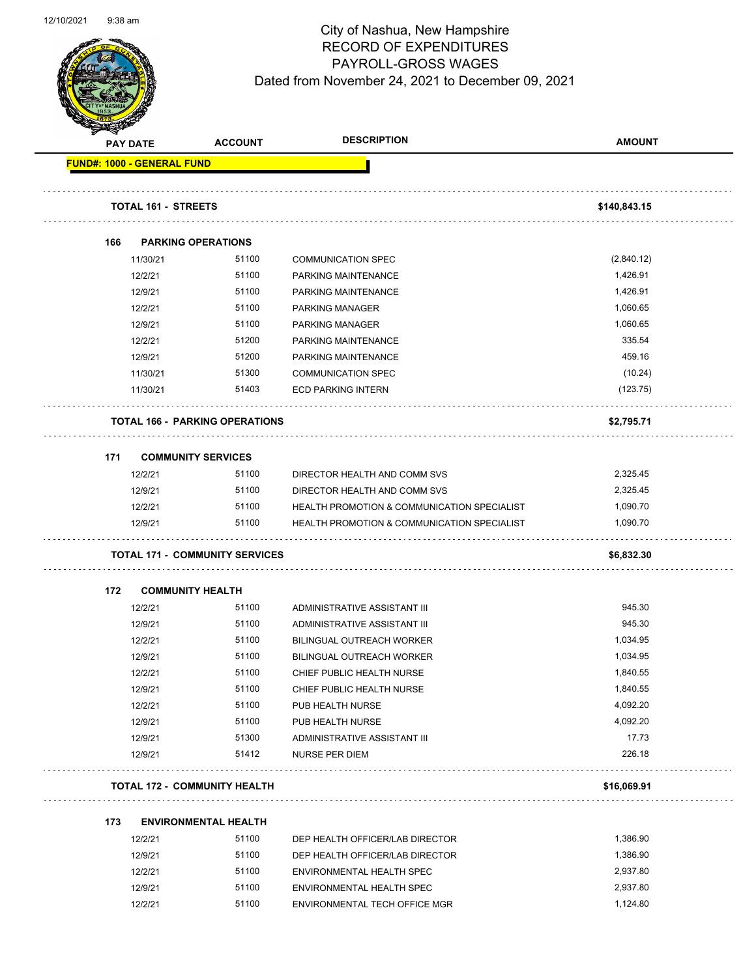

|     | <b>PAY DATE</b>                   | <b>ACCOUNT</b>                        | <b>DESCRIPTION</b>                                     | <b>AMOUNT</b> |
|-----|-----------------------------------|---------------------------------------|--------------------------------------------------------|---------------|
|     | <b>FUND#: 1000 - GENERAL FUND</b> |                                       |                                                        |               |
|     | <b>TOTAL 161 - STREETS</b>        |                                       |                                                        | \$140,843.15  |
| 166 |                                   | <b>PARKING OPERATIONS</b>             |                                                        |               |
|     | 11/30/21                          | 51100                                 | <b>COMMUNICATION SPEC</b>                              | (2,840.12)    |
|     | 12/2/21                           | 51100                                 | PARKING MAINTENANCE                                    | 1,426.91      |
|     | 12/9/21                           | 51100                                 | PARKING MAINTENANCE                                    | 1,426.91      |
|     | 12/2/21                           | 51100                                 | PARKING MANAGER                                        | 1,060.65      |
|     | 12/9/21                           | 51100                                 | PARKING MANAGER                                        | 1,060.65      |
|     | 12/2/21                           | 51200                                 | PARKING MAINTENANCE                                    | 335.54        |
|     | 12/9/21                           | 51200                                 | PARKING MAINTENANCE                                    | 459.16        |
|     | 11/30/21                          | 51300                                 | <b>COMMUNICATION SPEC</b>                              | (10.24)       |
|     | 11/30/21                          | 51403                                 | <b>ECD PARKING INTERN</b>                              | (123.75)      |
|     |                                   | <b>TOTAL 166 - PARKING OPERATIONS</b> |                                                        | \$2,795.71    |
| 171 |                                   | <b>COMMUNITY SERVICES</b>             |                                                        |               |
|     | 12/2/21                           | 51100                                 | DIRECTOR HEALTH AND COMM SVS                           | 2,325.45      |
|     | 12/9/21                           | 51100                                 | DIRECTOR HEALTH AND COMM SVS                           | 2,325.45      |
|     | 12/2/21                           | 51100                                 | HEALTH PROMOTION & COMMUNICATION SPECIALIST            | 1,090.70      |
|     | 12/9/21                           | 51100                                 | <b>HEALTH PROMOTION &amp; COMMUNICATION SPECIALIST</b> | 1,090.70      |
|     |                                   | <b>TOTAL 171 - COMMUNITY SERVICES</b> |                                                        | \$6,832.30    |
| 172 |                                   | <b>COMMUNITY HEALTH</b>               |                                                        |               |
|     | 12/2/21                           | 51100                                 | ADMINISTRATIVE ASSISTANT III                           | 945.30        |
|     | 12/9/21                           | 51100                                 | ADMINISTRATIVE ASSISTANT III                           | 945.30        |
|     | 12/2/21                           | 51100                                 | BILINGUAL OUTREACH WORKER                              | 1,034.95      |
|     | 12/9/21                           | 51100                                 | <b>BILINGUAL OUTREACH WORKER</b>                       | 1,034.95      |
|     | 12/2/21                           | 51100                                 | CHIEF PUBLIC HEALTH NURSE                              | 1,840.55      |
|     | 12/9/21                           | 51100                                 | CHIEF PUBLIC HEALTH NURSE                              | 1,840.55      |
|     | 12/2/21                           | 51100                                 | PUB HEALTH NURSE                                       | 4,092.20      |
|     | 12/9/21                           | 51100                                 | PUB HEALTH NURSE                                       | 4,092.20      |
|     | 12/9/21                           | 51300                                 | ADMINISTRATIVE ASSISTANT III                           | 17.73         |
|     | 12/9/21                           | 51412                                 | <b>NURSE PER DIEM</b>                                  | 226.18        |
|     |                                   | <b>TOTAL 172 - COMMUNITY HEALTH</b>   |                                                        | \$16,069.91   |
| 173 |                                   | <b>ENVIRONMENTAL HEALTH</b>           |                                                        |               |
|     | 12/2/21                           | 51100                                 | DEP HEALTH OFFICER/LAB DIRECTOR                        | 1,386.90      |
|     | 12/9/21                           | 51100                                 | DEP HEALTH OFFICER/LAB DIRECTOR                        | 1,386.90      |
|     | 12/2/21                           | 51100                                 | ENVIRONMENTAL HEALTH SPEC                              | 2,937.80      |
|     | 12/9/21                           | 51100                                 | ENVIRONMENTAL HEALTH SPEC                              | 2,937.80      |
|     | 12/2/21                           | 51100                                 | ENVIRONMENTAL TECH OFFICE MGR                          | 1,124.80      |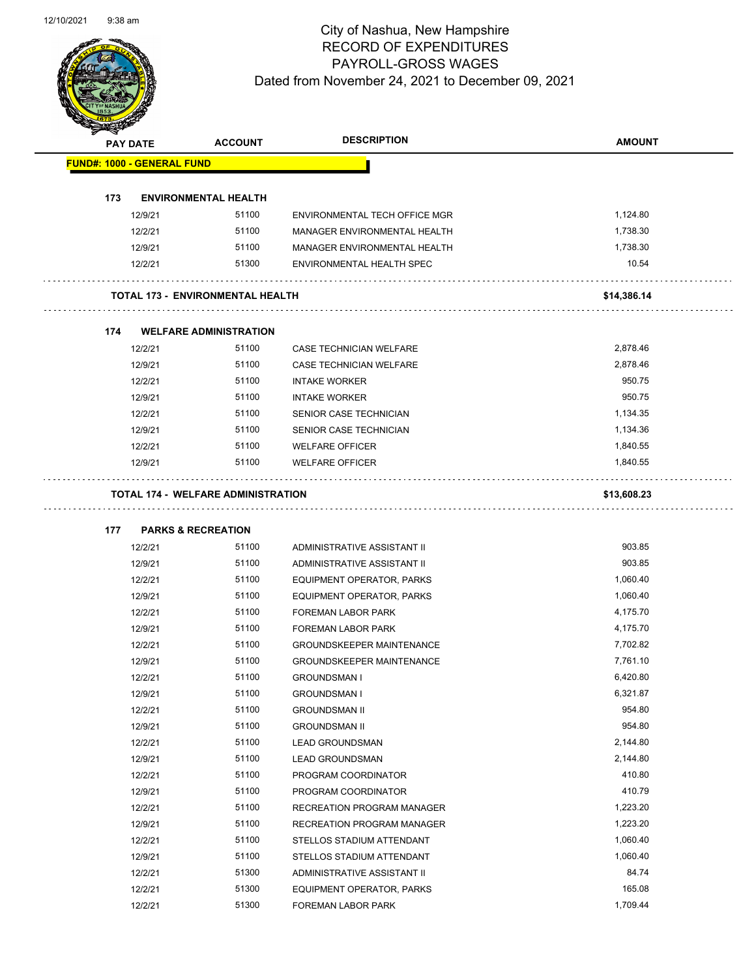

| $\sum_{i=1}^n a_i$                | <b>PAY DATE</b> | <b>ACCOUNT</b>                            | <b>DESCRIPTION</b>               | <b>AMOUNT</b> |
|-----------------------------------|-----------------|-------------------------------------------|----------------------------------|---------------|
| <b>FUND#: 1000 - GENERAL FUND</b> |                 |                                           |                                  |               |
|                                   |                 |                                           |                                  |               |
| 173                               |                 | <b>ENVIRONMENTAL HEALTH</b>               |                                  |               |
|                                   | 12/9/21         | 51100                                     | ENVIRONMENTAL TECH OFFICE MGR    | 1,124.80      |
|                                   | 12/2/21         | 51100                                     | MANAGER ENVIRONMENTAL HEALTH     | 1,738.30      |
|                                   | 12/9/21         | 51100                                     | MANAGER ENVIRONMENTAL HEALTH     | 1,738.30      |
|                                   | 12/2/21         | 51300                                     | ENVIRONMENTAL HEALTH SPEC        | 10.54         |
|                                   |                 | <b>TOTAL 173 - ENVIRONMENTAL HEALTH</b>   |                                  | \$14,386.14   |
|                                   |                 |                                           |                                  |               |
| 174                               |                 | <b>WELFARE ADMINISTRATION</b>             |                                  |               |
|                                   | 12/2/21         | 51100                                     | CASE TECHNICIAN WELFARE          | 2,878.46      |
|                                   | 12/9/21         | 51100                                     | CASE TECHNICIAN WELFARE          | 2,878.46      |
|                                   | 12/2/21         | 51100                                     | <b>INTAKE WORKER</b>             | 950.75        |
|                                   | 12/9/21         | 51100                                     | <b>INTAKE WORKER</b>             | 950.75        |
|                                   | 12/2/21         | 51100                                     | SENIOR CASE TECHNICIAN           | 1,134.35      |
|                                   | 12/9/21         | 51100                                     | SENIOR CASE TECHNICIAN           | 1,134.36      |
|                                   | 12/2/21         | 51100                                     | <b>WELFARE OFFICER</b>           | 1,840.55      |
|                                   | 12/9/21         | 51100                                     | <b>WELFARE OFFICER</b>           | 1,840.55      |
|                                   |                 | <b>TOTAL 174 - WELFARE ADMINISTRATION</b> |                                  | \$13,608.23   |
|                                   |                 |                                           |                                  |               |
| 177                               |                 | <b>PARKS &amp; RECREATION</b>             |                                  |               |
|                                   | 12/2/21         | 51100                                     | ADMINISTRATIVE ASSISTANT II      | 903.85        |
|                                   | 12/9/21         | 51100                                     | ADMINISTRATIVE ASSISTANT II      | 903.85        |
|                                   | 12/2/21         | 51100                                     | EQUIPMENT OPERATOR, PARKS        | 1,060.40      |
|                                   | 12/9/21         | 51100                                     | EQUIPMENT OPERATOR, PARKS        | 1,060.40      |
|                                   | 12/2/21         | 51100                                     | <b>FOREMAN LABOR PARK</b>        | 4,175.70      |
|                                   | 12/9/21         | 51100                                     | <b>FOREMAN LABOR PARK</b>        | 4,175.70      |
|                                   | 12/2/21         | 51100                                     | <b>GROUNDSKEEPER MAINTENANCE</b> | 7,702.82      |
|                                   | 12/9/21         | 51100                                     | <b>GROUNDSKEEPER MAINTENANCE</b> | 7,761.10      |
|                                   | 12/2/21         | 51100                                     | <b>GROUNDSMAN I</b>              | 6,420.80      |
|                                   | 12/9/21         | 51100                                     | <b>GROUNDSMAN I</b>              | 6,321.87      |
|                                   | 12/2/21         | 51100                                     | <b>GROUNDSMAN II</b>             | 954.80        |
|                                   | 12/9/21         | 51100                                     | <b>GROUNDSMAN II</b>             | 954.80        |
|                                   | 12/2/21         | 51100                                     | <b>LEAD GROUNDSMAN</b>           | 2,144.80      |
|                                   | 12/9/21         | 51100                                     | <b>LEAD GROUNDSMAN</b>           | 2,144.80      |
|                                   | 12/2/21         | 51100                                     | PROGRAM COORDINATOR              | 410.80        |
|                                   | 12/9/21         | 51100                                     | PROGRAM COORDINATOR              | 410.79        |
|                                   | 12/2/21         | 51100                                     | RECREATION PROGRAM MANAGER       | 1,223.20      |
|                                   | 12/9/21         | 51100                                     | RECREATION PROGRAM MANAGER       | 1,223.20      |
|                                   | 12/2/21         | 51100                                     | STELLOS STADIUM ATTENDANT        | 1,060.40      |
|                                   | 12/9/21         | 51100                                     | STELLOS STADIUM ATTENDANT        | 1,060.40      |
|                                   | 12/2/21         | 51300                                     | ADMINISTRATIVE ASSISTANT II      | 84.74         |
|                                   | 12/2/21         | 51300                                     | EQUIPMENT OPERATOR, PARKS        | 165.08        |
|                                   | 12/2/21         | 51300                                     | FOREMAN LABOR PARK               | 1,709.44      |
|                                   |                 |                                           |                                  |               |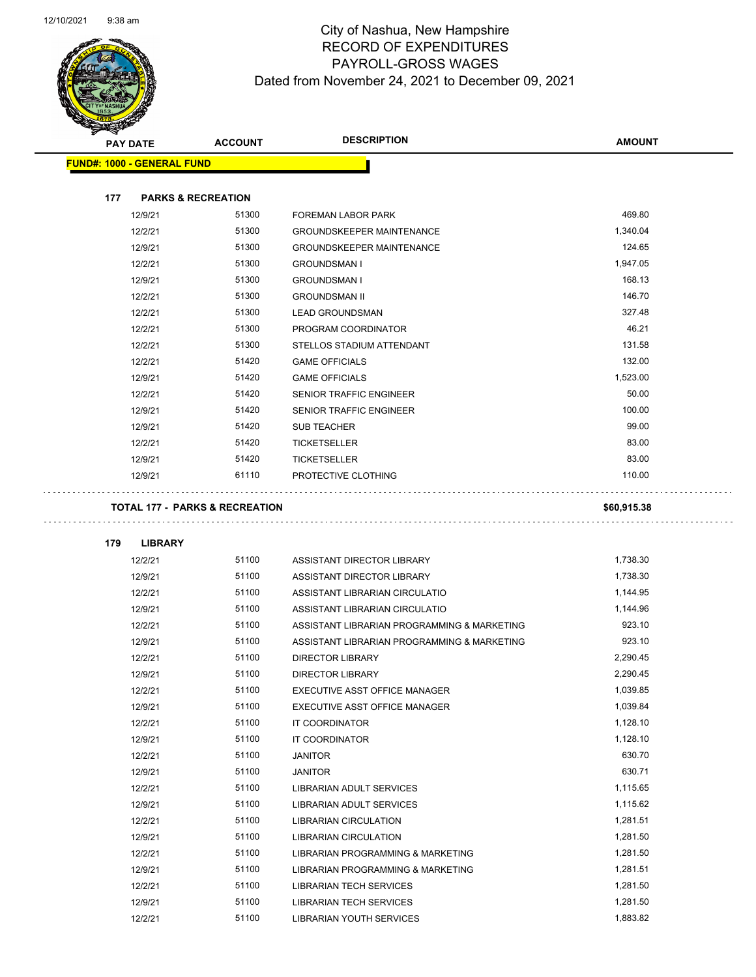

| <b>PAY DATE</b>                   | <b>ACCOUNT</b>                            | <b>DESCRIPTION</b>                          | <b>AMOUNT</b> |  |
|-----------------------------------|-------------------------------------------|---------------------------------------------|---------------|--|
| <b>FUND#: 1000 - GENERAL FUND</b> |                                           |                                             |               |  |
|                                   |                                           |                                             |               |  |
| 177                               | <b>PARKS &amp; RECREATION</b>             |                                             |               |  |
| 12/9/21                           | 51300                                     | FOREMAN LABOR PARK                          | 469.80        |  |
| 12/2/21                           | 51300                                     | <b>GROUNDSKEEPER MAINTENANCE</b>            | 1,340.04      |  |
| 12/9/21                           | 51300                                     | <b>GROUNDSKEEPER MAINTENANCE</b>            | 124.65        |  |
| 12/2/21                           | 51300                                     | <b>GROUNDSMAN I</b>                         | 1,947.05      |  |
| 12/9/21                           | 51300                                     | <b>GROUNDSMAN I</b>                         | 168.13        |  |
| 12/2/21                           | 51300                                     | <b>GROUNDSMAN II</b>                        | 146.70        |  |
| 12/2/21                           | 51300                                     | <b>LEAD GROUNDSMAN</b>                      | 327.48        |  |
| 12/2/21                           | 51300                                     | PROGRAM COORDINATOR                         | 46.21         |  |
| 12/2/21                           | 51300                                     | STELLOS STADIUM ATTENDANT                   | 131.58        |  |
| 12/2/21                           | 51420                                     | <b>GAME OFFICIALS</b>                       | 132.00        |  |
| 12/9/21                           | 51420                                     | <b>GAME OFFICIALS</b>                       | 1,523.00      |  |
| 12/2/21                           | 51420                                     | SENIOR TRAFFIC ENGINEER                     | 50.00         |  |
| 12/9/21                           | 51420                                     | <b>SENIOR TRAFFIC ENGINEER</b>              | 100.00        |  |
| 12/9/21                           | 51420                                     | <b>SUB TEACHER</b>                          | 99.00         |  |
| 12/2/21                           | 51420                                     | <b>TICKETSELLER</b>                         | 83.00         |  |
| 12/9/21                           | 51420                                     | <b>TICKETSELLER</b>                         | 83.00         |  |
| 12/9/21                           | 61110                                     | PROTECTIVE CLOTHING                         | 110.00        |  |
|                                   | <b>TOTAL 177 - PARKS &amp; RECREATION</b> |                                             |               |  |
|                                   |                                           |                                             | \$60,915.38   |  |
| 179<br><b>LIBRARY</b>             |                                           |                                             |               |  |
| 12/2/21                           | 51100                                     | ASSISTANT DIRECTOR LIBRARY                  | 1,738.30      |  |
| 12/9/21                           | 51100                                     | ASSISTANT DIRECTOR LIBRARY                  | 1,738.30      |  |
| 12/2/21                           | 51100                                     | ASSISTANT LIBRARIAN CIRCULATIO              | 1,144.95      |  |
| 12/9/21                           | 51100                                     | ASSISTANT LIBRARIAN CIRCULATIO              | 1,144.96      |  |
| 12/2/21                           | 51100                                     | ASSISTANT LIBRARIAN PROGRAMMING & MARKETING | 923.10        |  |
| 12/9/21                           | 51100                                     | ASSISTANT LIBRARIAN PROGRAMMING & MARKETING | 923.10        |  |
| 12/2/21                           | 51100                                     | <b>DIRECTOR LIBRARY</b>                     | 2,290.45      |  |
| 12/9/21                           | 51100                                     | <b>DIRECTOR LIBRARY</b>                     | 2,290.45      |  |
| 12/2/21                           | 51100                                     | EXECUTIVE ASST OFFICE MANAGER               | 1,039.85      |  |
| 12/9/21                           | 51100                                     | EXECUTIVE ASST OFFICE MANAGER               | 1,039.84      |  |
| 12/2/21                           | 51100                                     | IT COORDINATOR                              | 1,128.10      |  |
| 12/9/21                           | 51100                                     | IT COORDINATOR                              | 1,128.10      |  |
| 12/2/21                           | 51100                                     | <b>JANITOR</b>                              | 630.70        |  |
| 12/9/21                           | 51100                                     | <b>JANITOR</b>                              | 630.71        |  |
| 12/2/21                           | 51100                                     | <b>LIBRARIAN ADULT SERVICES</b>             | 1,115.65      |  |
| 12/9/21                           | 51100                                     | LIBRARIAN ADULT SERVICES                    | 1,115.62      |  |
| 12/2/21                           | 51100                                     | LIBRARIAN CIRCULATION                       | 1,281.51      |  |
| 12/9/21                           | 51100                                     | LIBRARIAN CIRCULATION                       | 1,281.50      |  |
| 12/2/21                           | 51100                                     | LIBRARIAN PROGRAMMING & MARKETING           | 1,281.50      |  |
| 12/9/21                           | 51100                                     | LIBRARIAN PROGRAMMING & MARKETING           | 1,281.51      |  |
| 12/2/21                           | 51100                                     | <b>LIBRARIAN TECH SERVICES</b>              | 1,281.50      |  |
| 12/9/21                           | 51100                                     | <b>LIBRARIAN TECH SERVICES</b>              | 1,281.50      |  |
| 12/2/21                           | 51100                                     | LIBRARIAN YOUTH SERVICES                    | 1,883.82      |  |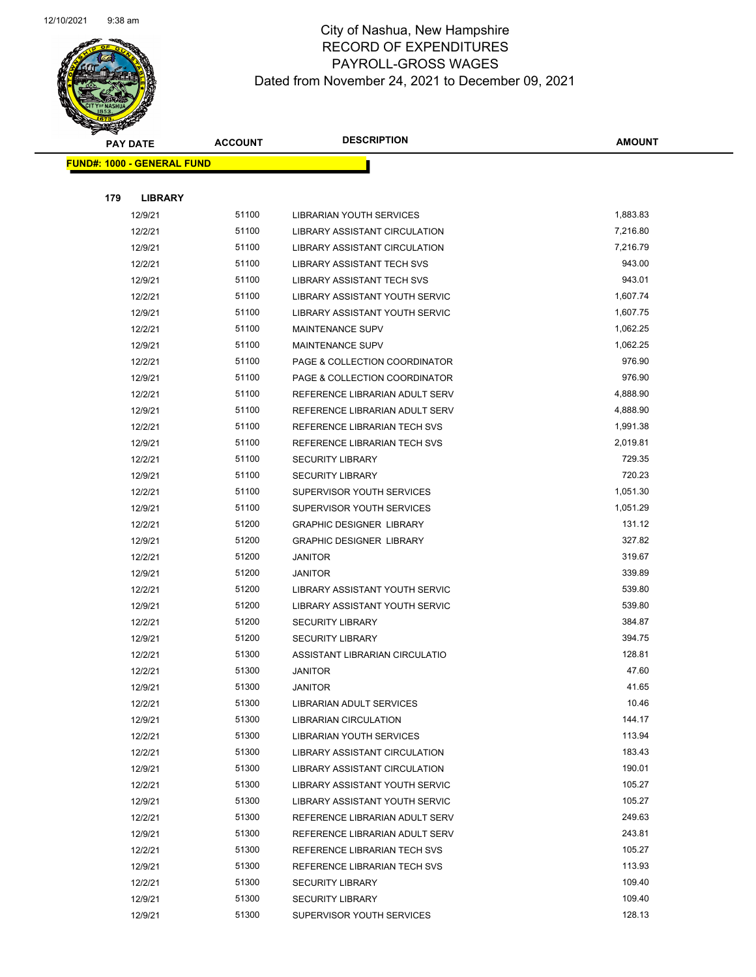

|     | <b>PAY DATE</b>                   | <b>ACCOUNT</b> | <b>DESCRIPTION</b>                                               | <b>AMOUNT</b>   |
|-----|-----------------------------------|----------------|------------------------------------------------------------------|-----------------|
|     | <b>FUND#: 1000 - GENERAL FUND</b> |                |                                                                  |                 |
|     |                                   |                |                                                                  |                 |
| 179 | <b>LIBRARY</b>                    |                |                                                                  |                 |
|     | 12/9/21                           | 51100          | LIBRARIAN YOUTH SERVICES                                         | 1,883.83        |
|     | 12/2/21                           | 51100          | <b>LIBRARY ASSISTANT CIRCULATION</b>                             | 7,216.80        |
|     | 12/9/21                           | 51100          | LIBRARY ASSISTANT CIRCULATION                                    | 7,216.79        |
|     | 12/2/21                           | 51100          | LIBRARY ASSISTANT TECH SVS                                       | 943.00          |
|     | 12/9/21                           | 51100          | LIBRARY ASSISTANT TECH SVS                                       | 943.01          |
|     | 12/2/21                           | 51100          | LIBRARY ASSISTANT YOUTH SERVIC                                   | 1,607.74        |
|     | 12/9/21                           | 51100          | LIBRARY ASSISTANT YOUTH SERVIC                                   | 1,607.75        |
|     | 12/2/21                           | 51100          | <b>MAINTENANCE SUPV</b>                                          | 1,062.25        |
|     | 12/9/21                           | 51100          | <b>MAINTENANCE SUPV</b>                                          | 1,062.25        |
|     | 12/2/21                           | 51100          | PAGE & COLLECTION COORDINATOR                                    | 976.90          |
|     | 12/9/21                           | 51100          | PAGE & COLLECTION COORDINATOR                                    | 976.90          |
|     | 12/2/21                           | 51100          | REFERENCE LIBRARIAN ADULT SERV                                   | 4,888.90        |
|     | 12/9/21                           | 51100          | REFERENCE LIBRARIAN ADULT SERV                                   | 4,888.90        |
|     | 12/2/21                           | 51100          | REFERENCE LIBRARIAN TECH SVS                                     | 1,991.38        |
|     | 12/9/21                           | 51100          | REFERENCE LIBRARIAN TECH SVS                                     | 2,019.81        |
|     | 12/2/21                           | 51100          | <b>SECURITY LIBRARY</b>                                          | 729.35          |
|     | 12/9/21                           | 51100          | <b>SECURITY LIBRARY</b>                                          | 720.23          |
|     | 12/2/21                           | 51100          | SUPERVISOR YOUTH SERVICES                                        | 1,051.30        |
|     | 12/9/21                           | 51100          | SUPERVISOR YOUTH SERVICES                                        | 1,051.29        |
|     | 12/2/21                           | 51200          | <b>GRAPHIC DESIGNER LIBRARY</b>                                  | 131.12          |
|     | 12/9/21                           | 51200          | <b>GRAPHIC DESIGNER LIBRARY</b>                                  | 327.82          |
|     | 12/2/21                           | 51200          | <b>JANITOR</b>                                                   | 319.67          |
|     | 12/9/21                           | 51200          | JANITOR                                                          | 339.89          |
|     | 12/2/21                           | 51200          | LIBRARY ASSISTANT YOUTH SERVIC                                   | 539.80          |
|     | 12/9/21                           | 51200          | LIBRARY ASSISTANT YOUTH SERVIC                                   | 539.80          |
|     | 12/2/21                           | 51200          | <b>SECURITY LIBRARY</b>                                          | 384.87          |
|     | 12/9/21                           | 51200          | <b>SECURITY LIBRARY</b>                                          | 394.75          |
|     | 12/2/21                           | 51300          | ASSISTANT LIBRARIAN CIRCULATIO                                   | 128.81          |
|     | 12/2/21                           | 51300          | <b>JANITOR</b>                                                   | 47.60           |
|     | 12/9/21                           | 51300          | JANITOR                                                          | 41.65           |
|     | 12/2/21                           | 51300          | LIBRARIAN ADULT SERVICES                                         | 10.46<br>144.17 |
|     | 12/9/21                           | 51300<br>51300 | <b>LIBRARIAN CIRCULATION</b>                                     | 113.94          |
|     | 12/2/21<br>12/2/21                | 51300          | LIBRARIAN YOUTH SERVICES<br><b>LIBRARY ASSISTANT CIRCULATION</b> | 183.43          |
|     | 12/9/21                           | 51300          | LIBRARY ASSISTANT CIRCULATION                                    | 190.01          |
|     | 12/2/21                           | 51300          | LIBRARY ASSISTANT YOUTH SERVIC                                   | 105.27          |
|     | 12/9/21                           | 51300          | LIBRARY ASSISTANT YOUTH SERVIC                                   | 105.27          |
|     | 12/2/21                           | 51300          | REFERENCE LIBRARIAN ADULT SERV                                   | 249.63          |
|     | 12/9/21                           | 51300          | REFERENCE LIBRARIAN ADULT SERV                                   | 243.81          |
|     | 12/2/21                           | 51300          | REFERENCE LIBRARIAN TECH SVS                                     | 105.27          |
|     | 12/9/21                           | 51300          | REFERENCE LIBRARIAN TECH SVS                                     | 113.93          |
|     | 12/2/21                           | 51300          | <b>SECURITY LIBRARY</b>                                          | 109.40          |
|     | 12/9/21                           | 51300          | <b>SECURITY LIBRARY</b>                                          | 109.40          |
|     | 12/9/21                           | 51300          | SUPERVISOR YOUTH SERVICES                                        | 128.13          |
|     |                                   |                |                                                                  |                 |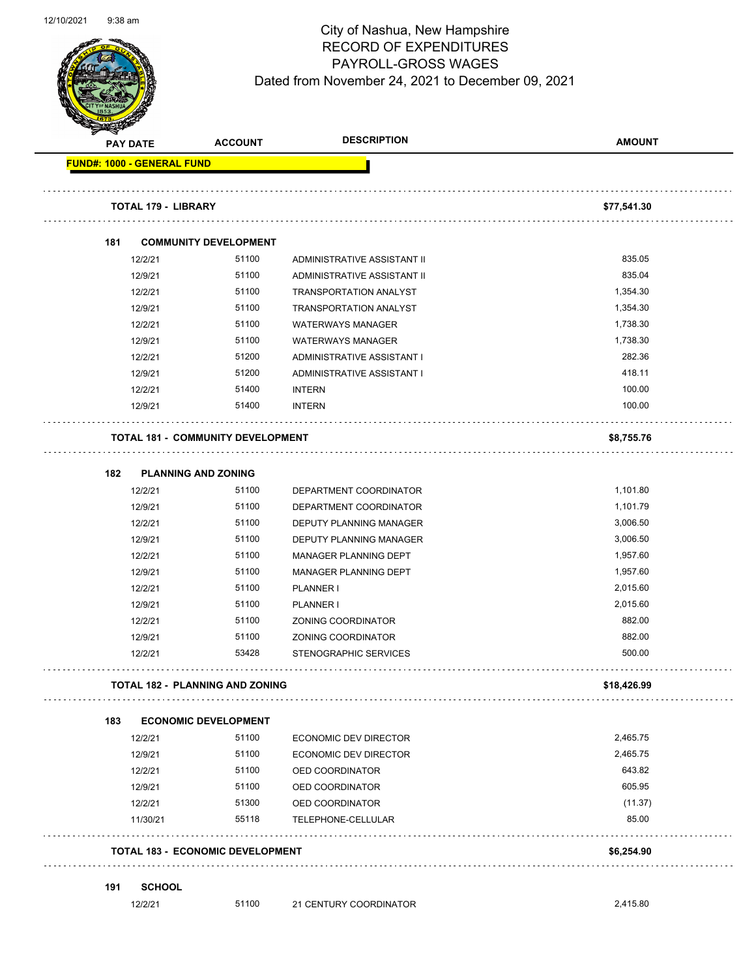

| <b>PAY DATE</b> |                                   | <b>ACCOUNT</b>                           | <b>DESCRIPTION</b>            | <b>AMOUNT</b> |
|-----------------|-----------------------------------|------------------------------------------|-------------------------------|---------------|
|                 | <b>FUND#: 1000 - GENERAL FUND</b> |                                          |                               |               |
|                 | <b>TOTAL 179 - LIBRARY</b>        |                                          |                               | \$77,541.30   |
| 181             |                                   | <b>COMMUNITY DEVELOPMENT</b>             |                               |               |
|                 | 12/2/21                           | 51100                                    | ADMINISTRATIVE ASSISTANT II   | 835.05        |
|                 | 12/9/21                           | 51100                                    | ADMINISTRATIVE ASSISTANT II   | 835.04        |
|                 | 12/2/21                           | 51100                                    | <b>TRANSPORTATION ANALYST</b> | 1,354.30      |
|                 | 12/9/21                           | 51100                                    | <b>TRANSPORTATION ANALYST</b> | 1,354.30      |
|                 | 12/2/21                           | 51100                                    | <b>WATERWAYS MANAGER</b>      | 1,738.30      |
|                 | 12/9/21                           | 51100                                    | <b>WATERWAYS MANAGER</b>      | 1,738.30      |
|                 | 12/2/21                           | 51200                                    | ADMINISTRATIVE ASSISTANT I    | 282.36        |
|                 | 12/9/21                           | 51200                                    | ADMINISTRATIVE ASSISTANT I    | 418.11        |
|                 | 12/2/21                           | 51400                                    | <b>INTERN</b>                 | 100.00        |
|                 | 12/9/21                           | 51400                                    | <b>INTERN</b>                 | 100.00        |
|                 |                                   | <b>TOTAL 181 - COMMUNITY DEVELOPMENT</b> |                               | \$8,755.76    |
| 182             |                                   | <b>PLANNING AND ZONING</b>               |                               |               |
|                 | 12/2/21                           | 51100                                    | DEPARTMENT COORDINATOR        | 1,101.80      |
|                 | 12/9/21                           | 51100                                    | DEPARTMENT COORDINATOR        | 1,101.79      |
|                 | 12/2/21                           | 51100                                    | DEPUTY PLANNING MANAGER       | 3,006.50      |
|                 | 12/9/21                           | 51100                                    | DEPUTY PLANNING MANAGER       | 3,006.50      |
|                 | 12/2/21                           | 51100                                    | MANAGER PLANNING DEPT         | 1,957.60      |
|                 | 12/9/21                           | 51100                                    | MANAGER PLANNING DEPT         | 1,957.60      |
|                 | 12/2/21                           | 51100                                    | PLANNER I                     | 2,015.60      |
|                 | 12/9/21                           | 51100                                    | PLANNER I                     | 2,015.60      |
|                 | 12/2/21                           | 51100                                    | ZONING COORDINATOR            | 882.00        |
|                 | 12/9/21                           | 51100                                    | ZONING COORDINATOR            | 882.00        |
|                 | 12/2/21                           | 53428                                    | STENOGRAPHIC SERVICES         | 500.00        |
|                 |                                   | TOTAL 182 - PLANNING AND ZONING          |                               | \$18,426.99   |
| 183             |                                   | <b>ECONOMIC DEVELOPMENT</b>              |                               |               |
|                 | 12/2/21                           | 51100                                    | ECONOMIC DEV DIRECTOR         | 2,465.75      |
|                 | 12/9/21                           | 51100                                    | ECONOMIC DEV DIRECTOR         | 2,465.75      |
|                 | 12/2/21                           | 51100                                    | OED COORDINATOR               | 643.82        |
|                 | 12/9/21                           | 51100                                    | OED COORDINATOR               | 605.95        |
|                 | 12/2/21                           | 51300                                    | OED COORDINATOR               | (11.37)       |
|                 | 11/30/21                          | 55118                                    | TELEPHONE-CELLULAR            | 85.00         |
|                 |                                   | <b>TOTAL 183 - ECONOMIC DEVELOPMENT</b>  |                               | \$6,254.90    |
| 191             | <b>SCHOOL</b>                     |                                          |                               |               |
|                 | 12/2/21                           | 51100                                    | 21 CENTURY COORDINATOR        | 2,415.80      |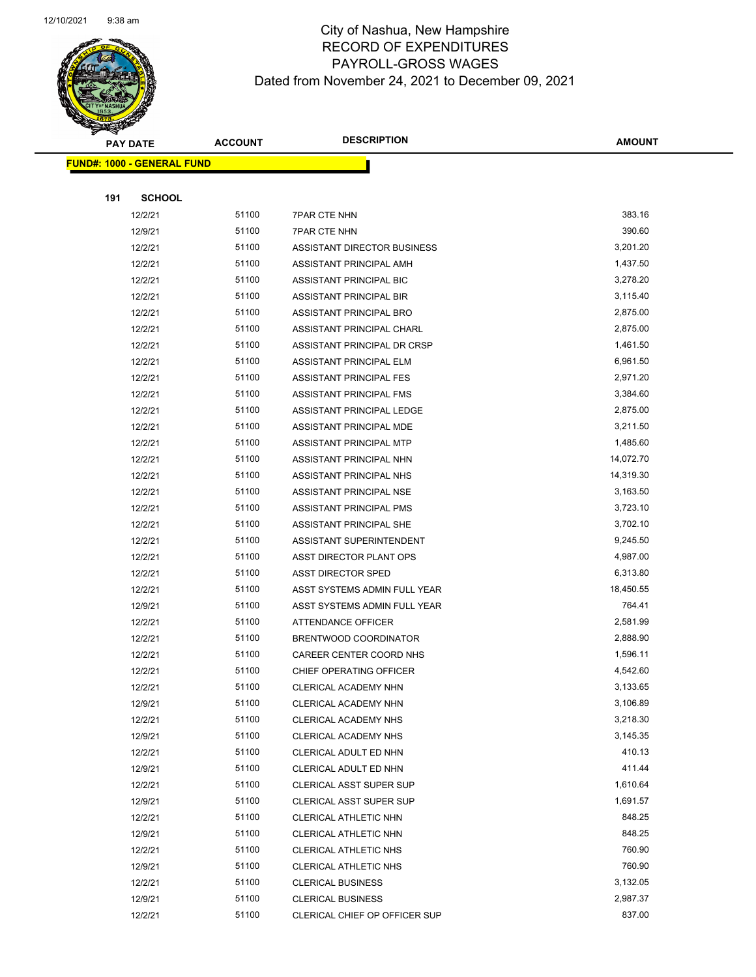

| <b>PAY DATE</b>                   |               | <b>ACCOUNT</b> | <b>DESCRIPTION</b>             | <b>AMOUNT</b> |  |
|-----------------------------------|---------------|----------------|--------------------------------|---------------|--|
| <b>FUND#: 1000 - GENERAL FUND</b> |               |                |                                |               |  |
|                                   |               |                |                                |               |  |
| 191                               | <b>SCHOOL</b> |                |                                |               |  |
|                                   | 12/2/21       | 51100          | <b>7PAR CTE NHN</b>            | 383.16        |  |
|                                   | 12/9/21       | 51100          | <b>7PAR CTE NHN</b>            | 390.60        |  |
|                                   | 12/2/21       | 51100          | ASSISTANT DIRECTOR BUSINESS    | 3,201.20      |  |
|                                   | 12/2/21       | 51100          | ASSISTANT PRINCIPAL AMH        | 1,437.50      |  |
|                                   | 12/2/21       | 51100          | ASSISTANT PRINCIPAL BIC        | 3,278.20      |  |
|                                   | 12/2/21       | 51100          | <b>ASSISTANT PRINCIPAL BIR</b> | 3,115.40      |  |
|                                   | 12/2/21       | 51100          | ASSISTANT PRINCIPAL BRO        | 2,875.00      |  |
|                                   | 12/2/21       | 51100          | ASSISTANT PRINCIPAL CHARL      | 2,875.00      |  |
|                                   | 12/2/21       | 51100          | ASSISTANT PRINCIPAL DR CRSP    | 1,461.50      |  |
|                                   | 12/2/21       | 51100          | ASSISTANT PRINCIPAL ELM        | 6,961.50      |  |
|                                   | 12/2/21       | 51100          | ASSISTANT PRINCIPAL FES        | 2,971.20      |  |
|                                   | 12/2/21       | 51100          | ASSISTANT PRINCIPAL FMS        | 3,384.60      |  |
|                                   | 12/2/21       | 51100          | ASSISTANT PRINCIPAL LEDGE      | 2,875.00      |  |
|                                   | 12/2/21       | 51100          | ASSISTANT PRINCIPAL MDE        | 3,211.50      |  |
|                                   | 12/2/21       | 51100          | ASSISTANT PRINCIPAL MTP        | 1,485.60      |  |
|                                   | 12/2/21       | 51100          | ASSISTANT PRINCIPAL NHN        | 14,072.70     |  |
|                                   | 12/2/21       | 51100          | ASSISTANT PRINCIPAL NHS        | 14,319.30     |  |
|                                   | 12/2/21       | 51100          | ASSISTANT PRINCIPAL NSE        | 3,163.50      |  |
|                                   | 12/2/21       | 51100          | ASSISTANT PRINCIPAL PMS        | 3,723.10      |  |
|                                   | 12/2/21       | 51100          | ASSISTANT PRINCIPAL SHE        | 3,702.10      |  |
|                                   | 12/2/21       | 51100          | ASSISTANT SUPERINTENDENT       | 9,245.50      |  |
|                                   | 12/2/21       | 51100          | ASST DIRECTOR PLANT OPS        | 4,987.00      |  |
|                                   | 12/2/21       | 51100          | <b>ASST DIRECTOR SPED</b>      | 6,313.80      |  |
|                                   | 12/2/21       | 51100          | ASST SYSTEMS ADMIN FULL YEAR   | 18,450.55     |  |
|                                   | 12/9/21       | 51100          | ASST SYSTEMS ADMIN FULL YEAR   | 764.41        |  |
|                                   | 12/2/21       | 51100          | ATTENDANCE OFFICER             | 2,581.99      |  |
|                                   | 12/2/21       | 51100          | BRENTWOOD COORDINATOR          | 2,888.90      |  |
|                                   | 12/2/21       | 51100          | CAREER CENTER COORD NHS        | 1,596.11      |  |
|                                   | 12/2/21       | 51100          | CHIEF OPERATING OFFICER        | 4,542.60      |  |
|                                   | 12/2/21       | 51100          | CLERICAL ACADEMY NHN           | 3,133.65      |  |
|                                   | 12/9/21       | 51100          | CLERICAL ACADEMY NHN           | 3,106.89      |  |
|                                   | 12/2/21       | 51100          | <b>CLERICAL ACADEMY NHS</b>    | 3,218.30      |  |
|                                   | 12/9/21       | 51100          | CLERICAL ACADEMY NHS           | 3,145.35      |  |
|                                   | 12/2/21       | 51100          | CLERICAL ADULT ED NHN          | 410.13        |  |
|                                   | 12/9/21       | 51100          | CLERICAL ADULT ED NHN          | 411.44        |  |
|                                   | 12/2/21       | 51100          | <b>CLERICAL ASST SUPER SUP</b> | 1,610.64      |  |
|                                   | 12/9/21       | 51100          | <b>CLERICAL ASST SUPER SUP</b> | 1,691.57      |  |
|                                   | 12/2/21       | 51100          | CLERICAL ATHLETIC NHN          | 848.25        |  |
|                                   | 12/9/21       | 51100          | CLERICAL ATHLETIC NHN          | 848.25        |  |
|                                   | 12/2/21       | 51100          | <b>CLERICAL ATHLETIC NHS</b>   | 760.90        |  |
|                                   | 12/9/21       | 51100          | <b>CLERICAL ATHLETIC NHS</b>   | 760.90        |  |
|                                   | 12/2/21       | 51100          | <b>CLERICAL BUSINESS</b>       | 3,132.05      |  |
|                                   | 12/9/21       | 51100          | <b>CLERICAL BUSINESS</b>       | 2,987.37      |  |
|                                   | 12/2/21       | 51100          | CLERICAL CHIEF OP OFFICER SUP  | 837.00        |  |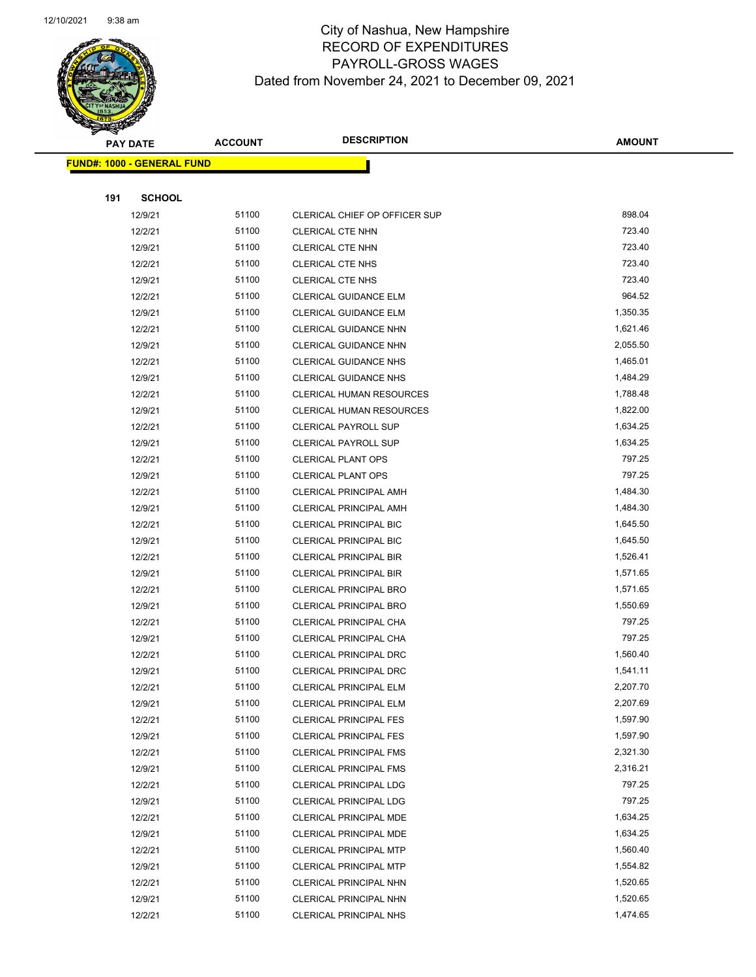

|                                   | <b>PAY DATE</b> | <b>ACCOUNT</b> | <b>DESCRIPTION</b>              | <b>AMOUNT</b> |
|-----------------------------------|-----------------|----------------|---------------------------------|---------------|
| <b>FUND#: 1000 - GENERAL FUND</b> |                 |                |                                 |               |
|                                   |                 |                |                                 |               |
| 191                               | <b>SCHOOL</b>   |                |                                 |               |
|                                   | 12/9/21         | 51100          | CLERICAL CHIEF OP OFFICER SUP   | 898.04        |
|                                   | 12/2/21         | 51100          | CLERICAL CTE NHN                | 723.40        |
|                                   | 12/9/21         | 51100          | <b>CLERICAL CTE NHN</b>         | 723.40        |
|                                   | 12/2/21         | 51100          | <b>CLERICAL CTE NHS</b>         | 723.40        |
|                                   | 12/9/21         | 51100          | <b>CLERICAL CTE NHS</b>         | 723.40        |
|                                   | 12/2/21         | 51100          | CLERICAL GUIDANCE ELM           | 964.52        |
|                                   | 12/9/21         | 51100          | <b>CLERICAL GUIDANCE ELM</b>    | 1,350.35      |
|                                   | 12/2/21         | 51100          | CLERICAL GUIDANCE NHN           | 1,621.46      |
|                                   | 12/9/21         | 51100          | CLERICAL GUIDANCE NHN           | 2,055.50      |
|                                   | 12/2/21         | 51100          | CLERICAL GUIDANCE NHS           | 1,465.01      |
|                                   | 12/9/21         | 51100          | <b>CLERICAL GUIDANCE NHS</b>    | 1,484.29      |
|                                   | 12/2/21         | 51100          | <b>CLERICAL HUMAN RESOURCES</b> | 1,788.48      |
|                                   | 12/9/21         | 51100          | <b>CLERICAL HUMAN RESOURCES</b> | 1,822.00      |
|                                   | 12/2/21         | 51100          | <b>CLERICAL PAYROLL SUP</b>     | 1,634.25      |
|                                   | 12/9/21         | 51100          | <b>CLERICAL PAYROLL SUP</b>     | 1,634.25      |
|                                   | 12/2/21         | 51100          | <b>CLERICAL PLANT OPS</b>       | 797.25        |
|                                   | 12/9/21         | 51100          | <b>CLERICAL PLANT OPS</b>       | 797.25        |
|                                   | 12/2/21         | 51100          | <b>CLERICAL PRINCIPAL AMH</b>   | 1,484.30      |
|                                   | 12/9/21         | 51100          | <b>CLERICAL PRINCIPAL AMH</b>   | 1,484.30      |
|                                   | 12/2/21         | 51100          | CLERICAL PRINCIPAL BIC          | 1,645.50      |
|                                   | 12/9/21         | 51100          | <b>CLERICAL PRINCIPAL BIC</b>   | 1,645.50      |
|                                   | 12/2/21         | 51100          | <b>CLERICAL PRINCIPAL BIR</b>   | 1,526.41      |
|                                   | 12/9/21         | 51100          | <b>CLERICAL PRINCIPAL BIR</b>   | 1,571.65      |
|                                   | 12/2/21         | 51100          | <b>CLERICAL PRINCIPAL BRO</b>   | 1,571.65      |
|                                   | 12/9/21         | 51100          | CLERICAL PRINCIPAL BRO          | 1,550.69      |
|                                   | 12/2/21         | 51100          | CLERICAL PRINCIPAL CHA          | 797.25        |
|                                   | 12/9/21         | 51100          | CLERICAL PRINCIPAL CHA          | 797.25        |
|                                   | 12/2/21         | 51100          | <b>CLERICAL PRINCIPAL DRC</b>   | 1,560.40      |
|                                   | 12/9/21         | 51100          | CLERICAL PRINCIPAL DRC          | 1,541.11      |
|                                   | 12/2/21         | 51100          | CLERICAL PRINCIPAL ELM          | 2,207.70      |
|                                   | 12/9/21         | 51100          | <b>CLERICAL PRINCIPAL ELM</b>   | 2,207.69      |
|                                   | 12/2/21         | 51100          | <b>CLERICAL PRINCIPAL FES</b>   | 1,597.90      |
|                                   | 12/9/21         | 51100          | <b>CLERICAL PRINCIPAL FES</b>   | 1,597.90      |
|                                   | 12/2/21         | 51100          | <b>CLERICAL PRINCIPAL FMS</b>   | 2,321.30      |
|                                   | 12/9/21         | 51100          | <b>CLERICAL PRINCIPAL FMS</b>   | 2,316.21      |
|                                   | 12/2/21         | 51100          | <b>CLERICAL PRINCIPAL LDG</b>   | 797.25        |
|                                   | 12/9/21         | 51100          | <b>CLERICAL PRINCIPAL LDG</b>   | 797.25        |
|                                   | 12/2/21         | 51100          | CLERICAL PRINCIPAL MDE          | 1,634.25      |
|                                   | 12/9/21         | 51100          | CLERICAL PRINCIPAL MDE          | 1,634.25      |
|                                   | 12/2/21         | 51100          | <b>CLERICAL PRINCIPAL MTP</b>   | 1,560.40      |
|                                   | 12/9/21         | 51100          | <b>CLERICAL PRINCIPAL MTP</b>   | 1,554.82      |
|                                   | 12/2/21         | 51100          | CLERICAL PRINCIPAL NHN          | 1,520.65      |
|                                   | 12/9/21         | 51100          | CLERICAL PRINCIPAL NHN          | 1,520.65      |
|                                   | 12/2/21         | 51100          | <b>CLERICAL PRINCIPAL NHS</b>   | 1,474.65      |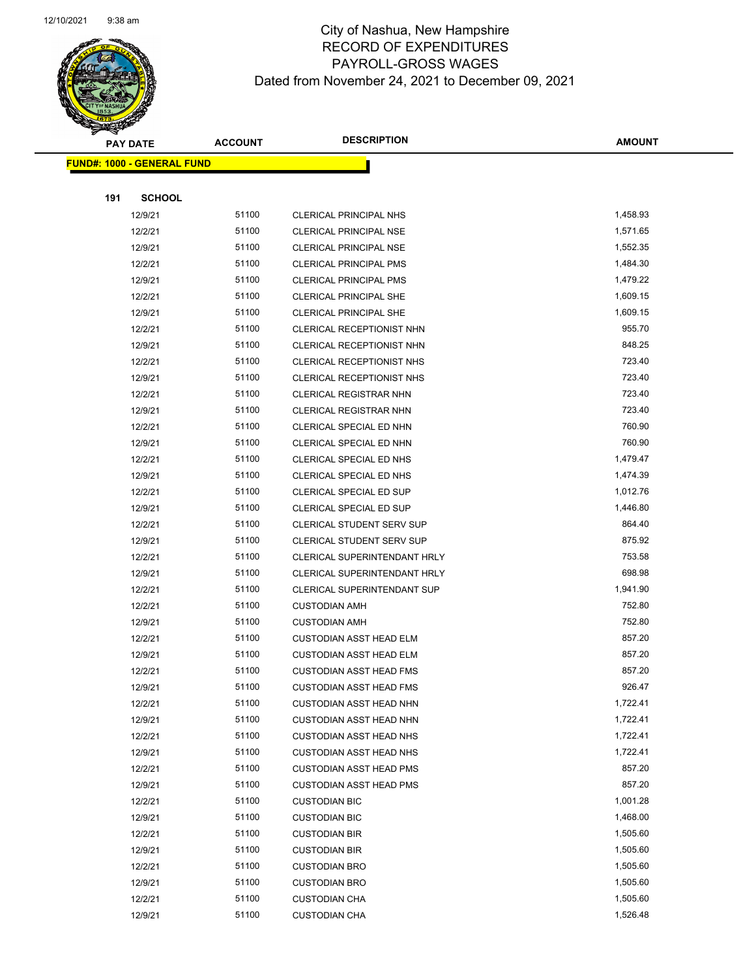

|     | <b>PAY DATE</b>                   | <b>ACCOUNT</b> | <b>DESCRIPTION</b>                 | <b>AMOUNT</b> |
|-----|-----------------------------------|----------------|------------------------------------|---------------|
|     | <b>FUND#: 1000 - GENERAL FUND</b> |                |                                    |               |
|     |                                   |                |                                    |               |
| 191 | <b>SCHOOL</b>                     |                |                                    |               |
|     | 12/9/21                           | 51100          | CLERICAL PRINCIPAL NHS             | 1,458.93      |
|     | 12/2/21                           | 51100          | <b>CLERICAL PRINCIPAL NSE</b>      | 1,571.65      |
|     | 12/9/21                           | 51100          | <b>CLERICAL PRINCIPAL NSE</b>      | 1,552.35      |
|     | 12/2/21                           | 51100          | <b>CLERICAL PRINCIPAL PMS</b>      | 1,484.30      |
|     | 12/9/21                           | 51100          | CLERICAL PRINCIPAL PMS             | 1,479.22      |
|     | 12/2/21                           | 51100          | <b>CLERICAL PRINCIPAL SHE</b>      | 1,609.15      |
|     | 12/9/21                           | 51100          | <b>CLERICAL PRINCIPAL SHE</b>      | 1,609.15      |
|     | 12/2/21                           | 51100          | CLERICAL RECEPTIONIST NHN          | 955.70        |
|     | 12/9/21                           | 51100          | CLERICAL RECEPTIONIST NHN          | 848.25        |
|     | 12/2/21                           | 51100          | CLERICAL RECEPTIONIST NHS          | 723.40        |
|     | 12/9/21                           | 51100          | CLERICAL RECEPTIONIST NHS          | 723.40        |
|     | 12/2/21                           | 51100          | <b>CLERICAL REGISTRAR NHN</b>      | 723.40        |
|     | 12/9/21                           | 51100          | <b>CLERICAL REGISTRAR NHN</b>      | 723.40        |
|     | 12/2/21                           | 51100          | CLERICAL SPECIAL ED NHN            | 760.90        |
|     | 12/9/21                           | 51100          | CLERICAL SPECIAL ED NHN            | 760.90        |
|     | 12/2/21                           | 51100          | CLERICAL SPECIAL ED NHS            | 1,479.47      |
|     | 12/9/21                           | 51100          | CLERICAL SPECIAL ED NHS            | 1,474.39      |
|     | 12/2/21                           | 51100          | <b>CLERICAL SPECIAL ED SUP</b>     | 1,012.76      |
|     | 12/9/21                           | 51100          | CLERICAL SPECIAL ED SUP            | 1,446.80      |
|     | 12/2/21                           | 51100          | CLERICAL STUDENT SERV SUP          | 864.40        |
|     | 12/9/21                           | 51100          | CLERICAL STUDENT SERV SUP          | 875.92        |
|     | 12/2/21                           | 51100          | CLERICAL SUPERINTENDANT HRLY       | 753.58        |
|     | 12/9/21                           | 51100          | CLERICAL SUPERINTENDANT HRLY       | 698.98        |
|     | 12/2/21                           | 51100          | <b>CLERICAL SUPERINTENDANT SUP</b> | 1,941.90      |
|     | 12/2/21                           | 51100          | <b>CUSTODIAN AMH</b>               | 752.80        |
|     | 12/9/21                           | 51100          | <b>CUSTODIAN AMH</b>               | 752.80        |
|     | 12/2/21                           | 51100          | <b>CUSTODIAN ASST HEAD ELM</b>     | 857.20        |
|     | 12/9/21                           | 51100          | <b>CUSTODIAN ASST HEAD ELM</b>     | 857.20        |
|     | 12/2/21                           | 51100          | <b>CUSTODIAN ASST HEAD FMS</b>     | 857.20        |
|     | 12/9/21                           | 51100          | <b>CUSTODIAN ASST HEAD FMS</b>     | 926.47        |
|     | 12/2/21                           | 51100          | <b>CUSTODIAN ASST HEAD NHN</b>     | 1,722.41      |
|     | 12/9/21                           | 51100          | <b>CUSTODIAN ASST HEAD NHN</b>     | 1,722.41      |
|     | 12/2/21                           | 51100          | <b>CUSTODIAN ASST HEAD NHS</b>     | 1,722.41      |
|     | 12/9/21                           | 51100          | <b>CUSTODIAN ASST HEAD NHS</b>     | 1,722.41      |
|     | 12/2/21                           | 51100          | <b>CUSTODIAN ASST HEAD PMS</b>     | 857.20        |
|     | 12/9/21                           | 51100          | <b>CUSTODIAN ASST HEAD PMS</b>     | 857.20        |
|     | 12/2/21                           | 51100          | <b>CUSTODIAN BIC</b>               | 1,001.28      |
|     | 12/9/21                           | 51100          | <b>CUSTODIAN BIC</b>               | 1,468.00      |
|     | 12/2/21                           | 51100          | <b>CUSTODIAN BIR</b>               | 1,505.60      |
|     | 12/9/21                           | 51100          | <b>CUSTODIAN BIR</b>               | 1,505.60      |
|     | 12/2/21                           | 51100          | <b>CUSTODIAN BRO</b>               | 1,505.60      |
|     | 12/9/21                           | 51100          | <b>CUSTODIAN BRO</b>               | 1,505.60      |
|     | 12/2/21                           | 51100          | <b>CUSTODIAN CHA</b>               | 1,505.60      |
|     | 12/9/21                           | 51100          | <b>CUSTODIAN CHA</b>               | 1,526.48      |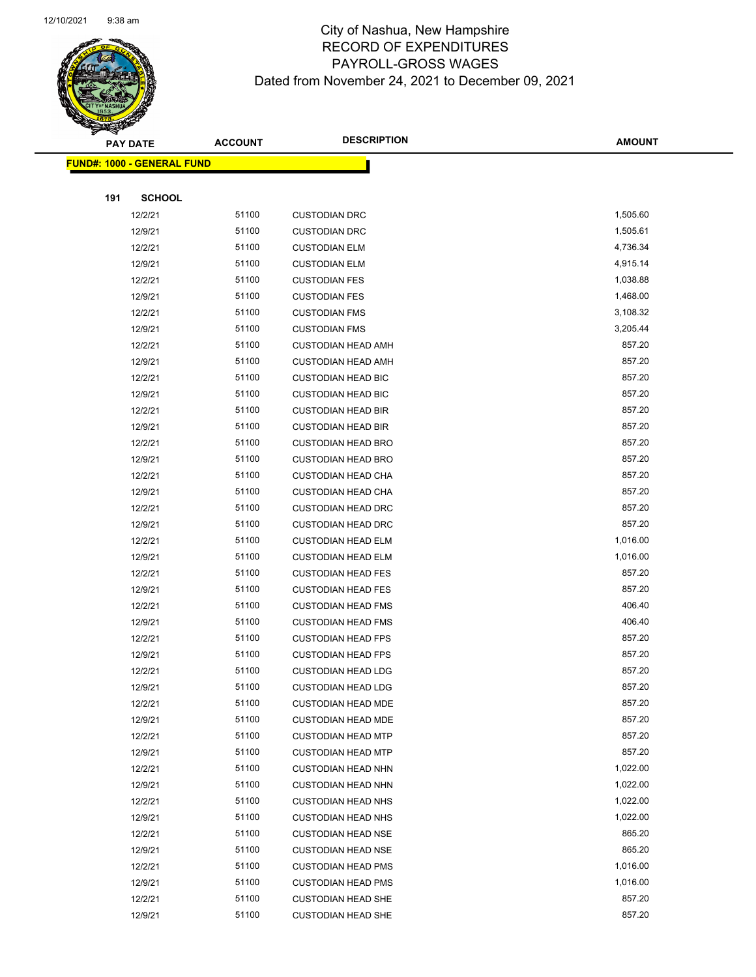

|                                   | <b>PAY DATE</b> | <b>ACCOUNT</b> | <b>DESCRIPTION</b>        | <b>AMOUNT</b> |
|-----------------------------------|-----------------|----------------|---------------------------|---------------|
| <b>FUND#: 1000 - GENERAL FUND</b> |                 |                |                           |               |
|                                   |                 |                |                           |               |
| 191                               | <b>SCHOOL</b>   |                |                           |               |
|                                   | 12/2/21         | 51100          | <b>CUSTODIAN DRC</b>      | 1,505.60      |
|                                   | 12/9/21         | 51100          | <b>CUSTODIAN DRC</b>      | 1,505.61      |
|                                   | 12/2/21         | 51100          | <b>CUSTODIAN ELM</b>      | 4,736.34      |
|                                   | 12/9/21         | 51100          | <b>CUSTODIAN ELM</b>      | 4,915.14      |
|                                   | 12/2/21         | 51100          | <b>CUSTODIAN FES</b>      | 1,038.88      |
|                                   | 12/9/21         | 51100          | <b>CUSTODIAN FES</b>      | 1,468.00      |
|                                   | 12/2/21         | 51100          | <b>CUSTODIAN FMS</b>      | 3,108.32      |
|                                   | 12/9/21         | 51100          | <b>CUSTODIAN FMS</b>      | 3,205.44      |
|                                   | 12/2/21         | 51100          | <b>CUSTODIAN HEAD AMH</b> | 857.20        |
|                                   | 12/9/21         | 51100          | <b>CUSTODIAN HEAD AMH</b> | 857.20        |
|                                   | 12/2/21         | 51100          | <b>CUSTODIAN HEAD BIC</b> | 857.20        |
|                                   | 12/9/21         | 51100          | <b>CUSTODIAN HEAD BIC</b> | 857.20        |
|                                   | 12/2/21         | 51100          | <b>CUSTODIAN HEAD BIR</b> | 857.20        |
|                                   | 12/9/21         | 51100          | <b>CUSTODIAN HEAD BIR</b> | 857.20        |
|                                   | 12/2/21         | 51100          | <b>CUSTODIAN HEAD BRO</b> | 857.20        |
|                                   | 12/9/21         | 51100          | <b>CUSTODIAN HEAD BRO</b> | 857.20        |
|                                   | 12/2/21         | 51100          | <b>CUSTODIAN HEAD CHA</b> | 857.20        |
|                                   | 12/9/21         | 51100          | <b>CUSTODIAN HEAD CHA</b> | 857.20        |
|                                   | 12/2/21         | 51100          | <b>CUSTODIAN HEAD DRC</b> | 857.20        |
|                                   | 12/9/21         | 51100          | <b>CUSTODIAN HEAD DRC</b> | 857.20        |
|                                   | 12/2/21         | 51100          | <b>CUSTODIAN HEAD ELM</b> | 1,016.00      |
|                                   | 12/9/21         | 51100          | <b>CUSTODIAN HEAD ELM</b> | 1,016.00      |
|                                   | 12/2/21         | 51100          | <b>CUSTODIAN HEAD FES</b> | 857.20        |
|                                   | 12/9/21         | 51100          | <b>CUSTODIAN HEAD FES</b> | 857.20        |
|                                   | 12/2/21         | 51100          | <b>CUSTODIAN HEAD FMS</b> | 406.40        |
|                                   | 12/9/21         | 51100          | <b>CUSTODIAN HEAD FMS</b> | 406.40        |
|                                   | 12/2/21         | 51100          | <b>CUSTODIAN HEAD FPS</b> | 857.20        |
|                                   | 12/9/21         | 51100          | <b>CUSTODIAN HEAD FPS</b> | 857.20        |
|                                   | 12/2/21         | 51100          | <b>CUSTODIAN HEAD LDG</b> | 857.20        |
|                                   | 12/9/21         | 51100          | <b>CUSTODIAN HEAD LDG</b> | 857.20        |
|                                   | 12/2/21         | 51100          | <b>CUSTODIAN HEAD MDE</b> | 857.20        |
|                                   | 12/9/21         | 51100          | <b>CUSTODIAN HEAD MDE</b> | 857.20        |
|                                   | 12/2/21         | 51100          | <b>CUSTODIAN HEAD MTP</b> | 857.20        |
|                                   | 12/9/21         | 51100          | <b>CUSTODIAN HEAD MTP</b> | 857.20        |
|                                   | 12/2/21         | 51100          | <b>CUSTODIAN HEAD NHN</b> | 1,022.00      |
|                                   | 12/9/21         | 51100          | <b>CUSTODIAN HEAD NHN</b> | 1,022.00      |
|                                   | 12/2/21         | 51100          | <b>CUSTODIAN HEAD NHS</b> | 1,022.00      |
|                                   | 12/9/21         | 51100          | <b>CUSTODIAN HEAD NHS</b> | 1,022.00      |
|                                   | 12/2/21         | 51100          | <b>CUSTODIAN HEAD NSE</b> | 865.20        |
|                                   | 12/9/21         | 51100          | <b>CUSTODIAN HEAD NSE</b> | 865.20        |
|                                   | 12/2/21         | 51100          | <b>CUSTODIAN HEAD PMS</b> | 1,016.00      |
|                                   | 12/9/21         | 51100          | <b>CUSTODIAN HEAD PMS</b> | 1,016.00      |
|                                   | 12/2/21         | 51100          | <b>CUSTODIAN HEAD SHE</b> | 857.20        |
|                                   | 12/9/21         | 51100          | <b>CUSTODIAN HEAD SHE</b> | 857.20        |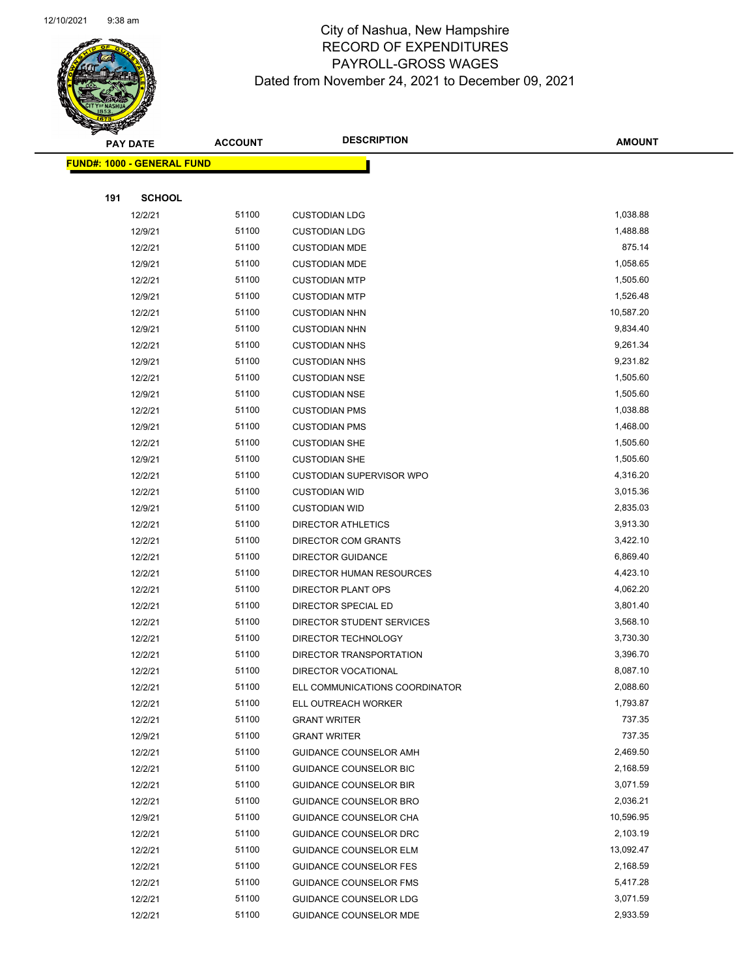

|     | <b>PAY DATE</b>                   | <b>ACCOUNT</b> | <b>DESCRIPTION</b>              | <b>AMOUNT</b>        |
|-----|-----------------------------------|----------------|---------------------------------|----------------------|
|     | <b>FUND#: 1000 - GENERAL FUND</b> |                |                                 |                      |
|     |                                   |                |                                 |                      |
| 191 | <b>SCHOOL</b>                     |                |                                 |                      |
|     | 12/2/21                           | 51100          | <b>CUSTODIAN LDG</b>            | 1,038.88             |
|     | 12/9/21                           | 51100          | <b>CUSTODIAN LDG</b>            | 1,488.88             |
|     | 12/2/21                           | 51100          | <b>CUSTODIAN MDE</b>            | 875.14               |
|     | 12/9/21                           | 51100          | <b>CUSTODIAN MDE</b>            | 1,058.65             |
|     | 12/2/21                           | 51100          | <b>CUSTODIAN MTP</b>            | 1,505.60             |
|     | 12/9/21                           | 51100          | <b>CUSTODIAN MTP</b>            | 1,526.48             |
|     | 12/2/21                           | 51100          | <b>CUSTODIAN NHN</b>            | 10,587.20            |
|     | 12/9/21                           | 51100          | <b>CUSTODIAN NHN</b>            | 9,834.40             |
|     | 12/2/21                           | 51100          | <b>CUSTODIAN NHS</b>            | 9,261.34             |
|     | 12/9/21                           | 51100          | <b>CUSTODIAN NHS</b>            | 9,231.82             |
|     | 12/2/21                           | 51100          | <b>CUSTODIAN NSE</b>            | 1,505.60             |
|     | 12/9/21                           | 51100          | <b>CUSTODIAN NSE</b>            | 1,505.60             |
|     | 12/2/21                           | 51100          | <b>CUSTODIAN PMS</b>            | 1,038.88             |
|     | 12/9/21                           | 51100          | <b>CUSTODIAN PMS</b>            | 1,468.00             |
|     | 12/2/21                           | 51100          | <b>CUSTODIAN SHE</b>            | 1,505.60             |
|     | 12/9/21                           | 51100          | <b>CUSTODIAN SHE</b>            | 1,505.60             |
|     | 12/2/21                           | 51100          | <b>CUSTODIAN SUPERVISOR WPO</b> | 4,316.20             |
|     | 12/2/21                           | 51100          | <b>CUSTODIAN WID</b>            | 3,015.36             |
|     | 12/9/21                           | 51100          | <b>CUSTODIAN WID</b>            | 2,835.03             |
|     | 12/2/21                           | 51100          | <b>DIRECTOR ATHLETICS</b>       | 3,913.30             |
|     | 12/2/21                           | 51100          | DIRECTOR COM GRANTS             | 3,422.10             |
|     | 12/2/21                           | 51100          | <b>DIRECTOR GUIDANCE</b>        | 6,869.40             |
|     | 12/2/21                           | 51100          | DIRECTOR HUMAN RESOURCES        | 4,423.10             |
|     | 12/2/21                           | 51100          | DIRECTOR PLANT OPS              | 4,062.20             |
|     | 12/2/21                           | 51100          | DIRECTOR SPECIAL ED             | 3,801.40             |
|     | 12/2/21                           | 51100          | DIRECTOR STUDENT SERVICES       | 3,568.10             |
|     | 12/2/21                           | 51100          | DIRECTOR TECHNOLOGY             | 3,730.30             |
|     | 12/2/21                           | 51100          | DIRECTOR TRANSPORTATION         | 3,396.70             |
|     | 12/2/21                           | 51100          | DIRECTOR VOCATIONAL             | 8,087.10             |
|     | 12/2/21                           | 51100          | ELL COMMUNICATIONS COORDINATOR  | 2,088.60             |
|     | 12/2/21                           | 51100          | ELL OUTREACH WORKER             | 1,793.87             |
|     | 12/2/21                           | 51100          | <b>GRANT WRITER</b>             | 737.35               |
|     | 12/9/21                           | 51100          | <b>GRANT WRITER</b>             | 737.35               |
|     | 12/2/21                           | 51100          | GUIDANCE COUNSELOR AMH          | 2,469.50             |
|     | 12/2/21                           | 51100          | <b>GUIDANCE COUNSELOR BIC</b>   | 2,168.59             |
|     | 12/2/21                           | 51100          | <b>GUIDANCE COUNSELOR BIR</b>   | 3,071.59             |
|     | 12/2/21                           | 51100          | <b>GUIDANCE COUNSELOR BRO</b>   | 2,036.21             |
|     | 12/9/21                           | 51100          | GUIDANCE COUNSELOR CHA          | 10,596.95            |
|     | 12/2/21                           | 51100          | GUIDANCE COUNSELOR DRC          | 2,103.19             |
|     | 12/2/21                           | 51100          | <b>GUIDANCE COUNSELOR ELM</b>   | 13,092.47            |
|     | 12/2/21                           | 51100          | <b>GUIDANCE COUNSELOR FES</b>   | 2,168.59<br>5,417.28 |
|     | 12/2/21                           | 51100          | GUIDANCE COUNSELOR FMS          |                      |
|     | 12/2/21                           | 51100          | <b>GUIDANCE COUNSELOR LDG</b>   | 3,071.59             |
|     | 12/2/21                           | 51100          | GUIDANCE COUNSELOR MDE          | 2,933.59             |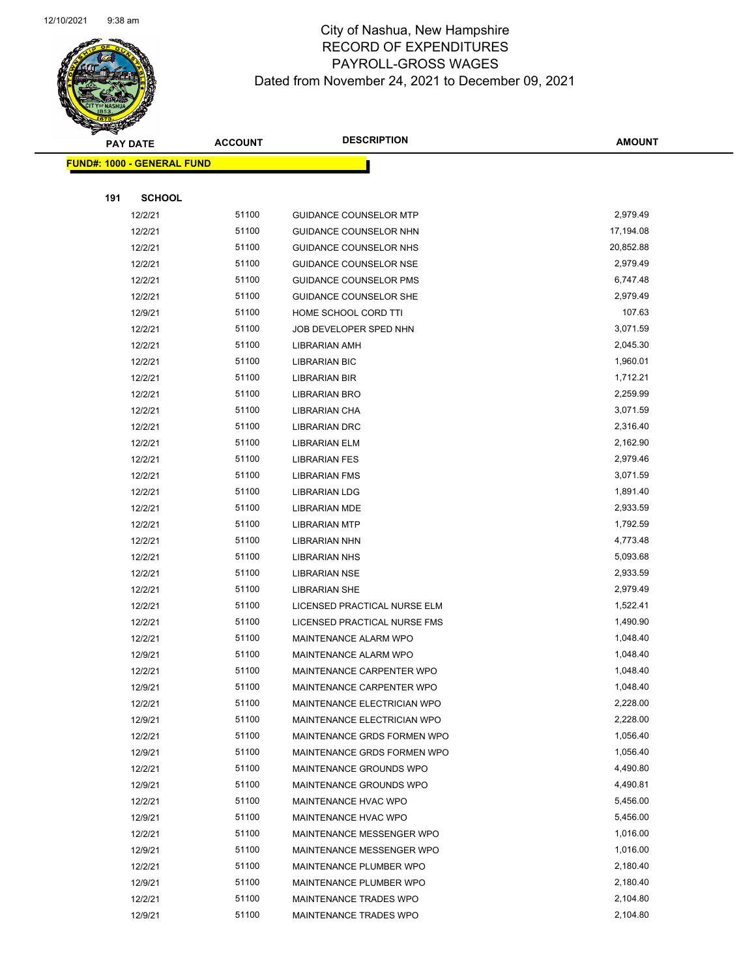

| <b>PAY DATE</b>                   |                    | <b>ACCOUNT</b> | <b>DESCRIPTION</b>            | <b>AMOUNT</b>        |
|-----------------------------------|--------------------|----------------|-------------------------------|----------------------|
| <b>FUND#: 1000 - GENERAL FUND</b> |                    |                |                               |                      |
|                                   |                    |                |                               |                      |
| 191                               | <b>SCHOOL</b>      |                |                               |                      |
|                                   | 12/2/21            | 51100          | <b>GUIDANCE COUNSELOR MTP</b> | 2,979.49             |
|                                   | 12/2/21            | 51100          | GUIDANCE COUNSELOR NHN        | 17,194.08            |
|                                   | 12/2/21            | 51100          | GUIDANCE COUNSELOR NHS        | 20,852.88            |
|                                   | 12/2/21            | 51100          | <b>GUIDANCE COUNSELOR NSE</b> | 2,979.49             |
|                                   | 12/2/21            | 51100          | <b>GUIDANCE COUNSELOR PMS</b> | 6,747.48             |
|                                   | 12/2/21            | 51100          | GUIDANCE COUNSELOR SHE        | 2,979.49             |
|                                   | 12/9/21            | 51100          | HOME SCHOOL CORD TTI          | 107.63               |
|                                   | 12/2/21            | 51100          | JOB DEVELOPER SPED NHN        | 3,071.59             |
|                                   | 12/2/21            | 51100          | <b>LIBRARIAN AMH</b>          | 2,045.30             |
|                                   | 12/2/21            | 51100          | <b>LIBRARIAN BIC</b>          | 1,960.01             |
|                                   | 12/2/21            | 51100          | LIBRARIAN BIR                 | 1,712.21             |
|                                   | 12/2/21            | 51100          | <b>LIBRARIAN BRO</b>          | 2,259.99             |
|                                   | 12/2/21            | 51100          | LIBRARIAN CHA                 | 3,071.59             |
|                                   | 12/2/21            | 51100          | <b>LIBRARIAN DRC</b>          | 2,316.40             |
|                                   | 12/2/21            | 51100          | <b>LIBRARIAN ELM</b>          | 2,162.90             |
|                                   | 12/2/21            | 51100          | <b>LIBRARIAN FES</b>          | 2,979.46             |
|                                   | 12/2/21            | 51100          | <b>LIBRARIAN FMS</b>          | 3,071.59             |
|                                   | 12/2/21            | 51100          | <b>LIBRARIAN LDG</b>          | 1,891.40             |
|                                   | 12/2/21            | 51100          | <b>LIBRARIAN MDE</b>          | 2,933.59             |
|                                   | 12/2/21            | 51100          | <b>LIBRARIAN MTP</b>          | 1,792.59             |
|                                   | 12/2/21            | 51100          | <b>LIBRARIAN NHN</b>          | 4,773.48             |
|                                   | 12/2/21            | 51100          | <b>LIBRARIAN NHS</b>          | 5,093.68             |
|                                   | 12/2/21            | 51100          | <b>LIBRARIAN NSE</b>          | 2,933.59             |
|                                   | 12/2/21            | 51100          | <b>LIBRARIAN SHE</b>          | 2,979.49             |
|                                   | 12/2/21            | 51100          | LICENSED PRACTICAL NURSE ELM  | 1,522.41             |
|                                   | 12/2/21            | 51100          | LICENSED PRACTICAL NURSE FMS  | 1,490.90             |
|                                   | 12/2/21            | 51100          | MAINTENANCE ALARM WPO         | 1,048.40             |
|                                   | 12/9/21            | 51100          | MAINTENANCE ALARM WPO         | 1,048.40             |
|                                   | 12/2/21            | 51100          | MAINTENANCE CARPENTER WPO     | 1,048.40             |
|                                   | 12/9/21            | 51100          | MAINTENANCE CARPENTER WPO     | 1,048.40             |
|                                   | 12/2/21            | 51100          | MAINTENANCE ELECTRICIAN WPO   | 2,228.00             |
|                                   | 12/9/21            | 51100          | MAINTENANCE ELECTRICIAN WPO   | 2,228.00             |
|                                   | 12/2/21            | 51100          | MAINTENANCE GRDS FORMEN WPO   | 1,056.40             |
|                                   | 12/9/21            | 51100          | MAINTENANCE GRDS FORMEN WPO   | 1,056.40             |
|                                   | 12/2/21            | 51100          | MAINTENANCE GROUNDS WPO       | 4,490.80             |
|                                   | 12/9/21            | 51100          | MAINTENANCE GROUNDS WPO       | 4,490.81             |
|                                   | 12/2/21            | 51100          | MAINTENANCE HVAC WPO          | 5,456.00             |
|                                   | 12/9/21            | 51100          | MAINTENANCE HVAC WPO          | 5,456.00             |
|                                   | 12/2/21            | 51100          | MAINTENANCE MESSENGER WPO     | 1,016.00             |
|                                   | 12/9/21            | 51100          | MAINTENANCE MESSENGER WPO     | 1,016.00<br>2,180.40 |
|                                   | 12/2/21            | 51100<br>51100 | MAINTENANCE PLUMBER WPO       | 2,180.40             |
|                                   | 12/9/21<br>12/2/21 | 51100          | MAINTENANCE PLUMBER WPO       | 2,104.80             |
|                                   | 12/9/21            | 51100          | MAINTENANCE TRADES WPO        | 2,104.80             |
|                                   |                    |                | MAINTENANCE TRADES WPO        |                      |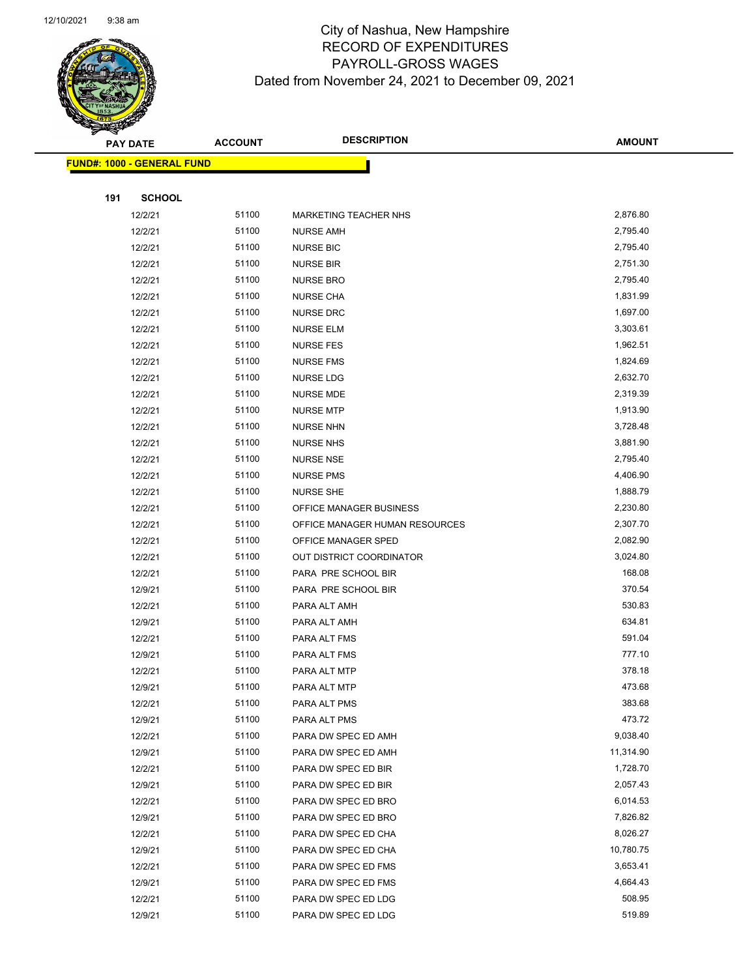

|     | <b>PAY DATE</b>                   | <b>ACCOUNT</b> | <b>DESCRIPTION</b>             | <b>AMOUNT</b> |
|-----|-----------------------------------|----------------|--------------------------------|---------------|
|     | <b>FUND#: 1000 - GENERAL FUND</b> |                |                                |               |
|     |                                   |                |                                |               |
| 191 | <b>SCHOOL</b>                     |                |                                |               |
|     | 12/2/21                           | 51100          | MARKETING TEACHER NHS          | 2,876.80      |
|     | 12/2/21                           | 51100          | <b>NURSE AMH</b>               | 2,795.40      |
|     | 12/2/21                           | 51100          | <b>NURSE BIC</b>               | 2,795.40      |
|     | 12/2/21                           | 51100          | <b>NURSE BIR</b>               | 2,751.30      |
|     | 12/2/21                           | 51100          | <b>NURSE BRO</b>               | 2,795.40      |
|     | 12/2/21                           | 51100          | <b>NURSE CHA</b>               | 1,831.99      |
|     | 12/2/21                           | 51100          | <b>NURSE DRC</b>               | 1,697.00      |
|     | 12/2/21                           | 51100          | <b>NURSE ELM</b>               | 3,303.61      |
|     | 12/2/21                           | 51100          | <b>NURSE FES</b>               | 1,962.51      |
|     | 12/2/21                           | 51100          | <b>NURSE FMS</b>               | 1,824.69      |
|     | 12/2/21                           | 51100          | <b>NURSE LDG</b>               | 2,632.70      |
|     | 12/2/21                           | 51100          | <b>NURSE MDE</b>               | 2,319.39      |
|     | 12/2/21                           | 51100          | <b>NURSE MTP</b>               | 1,913.90      |
|     | 12/2/21                           | 51100          | <b>NURSE NHN</b>               | 3,728.48      |
|     | 12/2/21                           | 51100          | <b>NURSE NHS</b>               | 3,881.90      |
|     | 12/2/21                           | 51100          | <b>NURSE NSE</b>               | 2,795.40      |
|     | 12/2/21                           | 51100          | <b>NURSE PMS</b>               | 4,406.90      |
|     | 12/2/21                           | 51100          | <b>NURSE SHE</b>               | 1,888.79      |
|     | 12/2/21                           | 51100          | OFFICE MANAGER BUSINESS        | 2,230.80      |
|     | 12/2/21                           | 51100          | OFFICE MANAGER HUMAN RESOURCES | 2,307.70      |
|     | 12/2/21                           | 51100          | OFFICE MANAGER SPED            | 2,082.90      |
|     | 12/2/21                           | 51100          | OUT DISTRICT COORDINATOR       | 3,024.80      |
|     | 12/2/21                           | 51100          | PARA PRE SCHOOL BIR            | 168.08        |
|     | 12/9/21                           | 51100          | PARA PRE SCHOOL BIR            | 370.54        |
|     | 12/2/21                           | 51100          | PARA ALT AMH                   | 530.83        |
|     | 12/9/21                           | 51100          | PARA ALT AMH                   | 634.81        |
|     | 12/2/21                           | 51100          | PARA ALT FMS                   | 591.04        |
|     | 12/9/21                           | 51100          | PARA ALT FMS                   | 777.10        |
|     | 12/2/21                           | 51100          | PARA ALT MTP                   | 378.18        |
|     | 12/9/21                           | 51100          | PARA ALT MTP                   | 473.68        |
|     | 12/2/21                           | 51100          | PARA ALT PMS                   | 383.68        |
|     | 12/9/21                           | 51100          | PARA ALT PMS                   | 473.72        |
|     | 12/2/21                           | 51100          | PARA DW SPEC ED AMH            | 9,038.40      |
|     | 12/9/21                           | 51100          | PARA DW SPEC ED AMH            | 11,314.90     |
|     | 12/2/21                           | 51100          | PARA DW SPEC ED BIR            | 1,728.70      |
|     | 12/9/21                           | 51100          | PARA DW SPEC ED BIR            | 2,057.43      |
|     | 12/2/21                           | 51100          | PARA DW SPEC ED BRO            | 6,014.53      |
|     | 12/9/21                           | 51100          | PARA DW SPEC ED BRO            | 7,826.82      |
|     | 12/2/21                           | 51100          | PARA DW SPEC ED CHA            | 8,026.27      |
|     | 12/9/21                           | 51100          | PARA DW SPEC ED CHA            | 10,780.75     |
|     | 12/2/21                           | 51100          | PARA DW SPEC ED FMS            | 3,653.41      |
|     | 12/9/21                           | 51100          | PARA DW SPEC ED FMS            | 4,664.43      |
|     | 12/2/21                           | 51100          | PARA DW SPEC ED LDG            | 508.95        |
|     | 12/9/21                           | 51100          | PARA DW SPEC ED LDG            | 519.89        |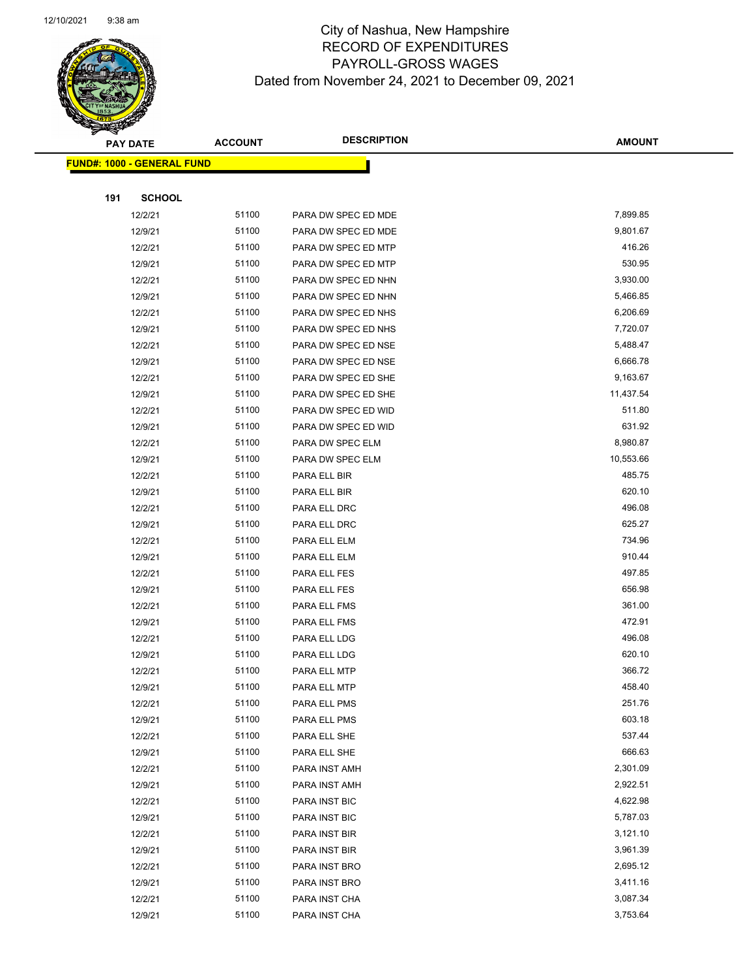

| <b>PAY DATE</b>                   |               | <b>ACCOUNT</b> | <b>DESCRIPTION</b>  | <b>AMOUNT</b> |  |
|-----------------------------------|---------------|----------------|---------------------|---------------|--|
| <b>FUND#: 1000 - GENERAL FUND</b> |               |                |                     |               |  |
|                                   |               |                |                     |               |  |
| 191                               | <b>SCHOOL</b> |                |                     |               |  |
|                                   | 12/2/21       | 51100          | PARA DW SPEC ED MDE | 7,899.85      |  |
|                                   | 12/9/21       | 51100          | PARA DW SPEC ED MDE | 9,801.67      |  |
|                                   | 12/2/21       | 51100          | PARA DW SPEC ED MTP | 416.26        |  |
|                                   | 12/9/21       | 51100          | PARA DW SPEC ED MTP | 530.95        |  |
|                                   | 12/2/21       | 51100          | PARA DW SPEC ED NHN | 3,930.00      |  |
|                                   | 12/9/21       | 51100          | PARA DW SPEC ED NHN | 5,466.85      |  |
|                                   | 12/2/21       | 51100          | PARA DW SPEC ED NHS | 6,206.69      |  |
|                                   | 12/9/21       | 51100          | PARA DW SPEC ED NHS | 7,720.07      |  |
|                                   | 12/2/21       | 51100          | PARA DW SPEC ED NSE | 5,488.47      |  |
|                                   | 12/9/21       | 51100          | PARA DW SPEC ED NSE | 6,666.78      |  |
|                                   | 12/2/21       | 51100          | PARA DW SPEC ED SHE | 9,163.67      |  |
|                                   | 12/9/21       | 51100          | PARA DW SPEC ED SHE | 11,437.54     |  |
|                                   | 12/2/21       | 51100          | PARA DW SPEC ED WID | 511.80        |  |
|                                   | 12/9/21       | 51100          | PARA DW SPEC ED WID | 631.92        |  |
|                                   | 12/2/21       | 51100          | PARA DW SPEC ELM    | 8,980.87      |  |
|                                   | 12/9/21       | 51100          | PARA DW SPEC ELM    | 10,553.66     |  |
|                                   | 12/2/21       | 51100          | PARA ELL BIR        | 485.75        |  |
|                                   | 12/9/21       | 51100          | PARA ELL BIR        | 620.10        |  |
|                                   | 12/2/21       | 51100          | PARA ELL DRC        | 496.08        |  |
|                                   | 12/9/21       | 51100          | PARA ELL DRC        | 625.27        |  |
|                                   | 12/2/21       | 51100          | PARA ELL ELM        | 734.96        |  |
|                                   | 12/9/21       | 51100          | PARA ELL ELM        | 910.44        |  |
|                                   | 12/2/21       | 51100          | PARA ELL FES        | 497.85        |  |
|                                   | 12/9/21       | 51100          | PARA ELL FES        | 656.98        |  |
|                                   | 12/2/21       | 51100          | PARA ELL FMS        | 361.00        |  |
|                                   | 12/9/21       | 51100          | PARA ELL FMS        | 472.91        |  |
|                                   | 12/2/21       | 51100          | PARA ELL LDG        | 496.08        |  |
|                                   | 12/9/21       | 51100          | PARA ELL LDG        | 620.10        |  |
|                                   | 12/2/21       | 51100          | PARA ELL MTP        | 366.72        |  |
|                                   | 12/9/21       | 51100          | PARA ELL MTP        | 458.40        |  |
|                                   | 12/2/21       | 51100          | PARA ELL PMS        | 251.76        |  |
|                                   | 12/9/21       | 51100          | PARA ELL PMS        | 603.18        |  |
|                                   | 12/2/21       | 51100          | PARA ELL SHE        | 537.44        |  |
|                                   | 12/9/21       | 51100          | PARA ELL SHE        | 666.63        |  |
|                                   | 12/2/21       | 51100          | PARA INST AMH       | 2,301.09      |  |
|                                   | 12/9/21       | 51100          | PARA INST AMH       | 2,922.51      |  |
|                                   | 12/2/21       | 51100          | PARA INST BIC       | 4,622.98      |  |
|                                   | 12/9/21       | 51100          | PARA INST BIC       | 5,787.03      |  |
|                                   | 12/2/21       | 51100          | PARA INST BIR       | 3,121.10      |  |
|                                   | 12/9/21       | 51100          | PARA INST BIR       | 3,961.39      |  |
|                                   | 12/2/21       | 51100          | PARA INST BRO       | 2,695.12      |  |
|                                   | 12/9/21       | 51100          | PARA INST BRO       | 3,411.16      |  |
|                                   | 12/2/21       | 51100          | PARA INST CHA       | 3,087.34      |  |
|                                   | 12/9/21       | 51100          | PARA INST CHA       | 3,753.64      |  |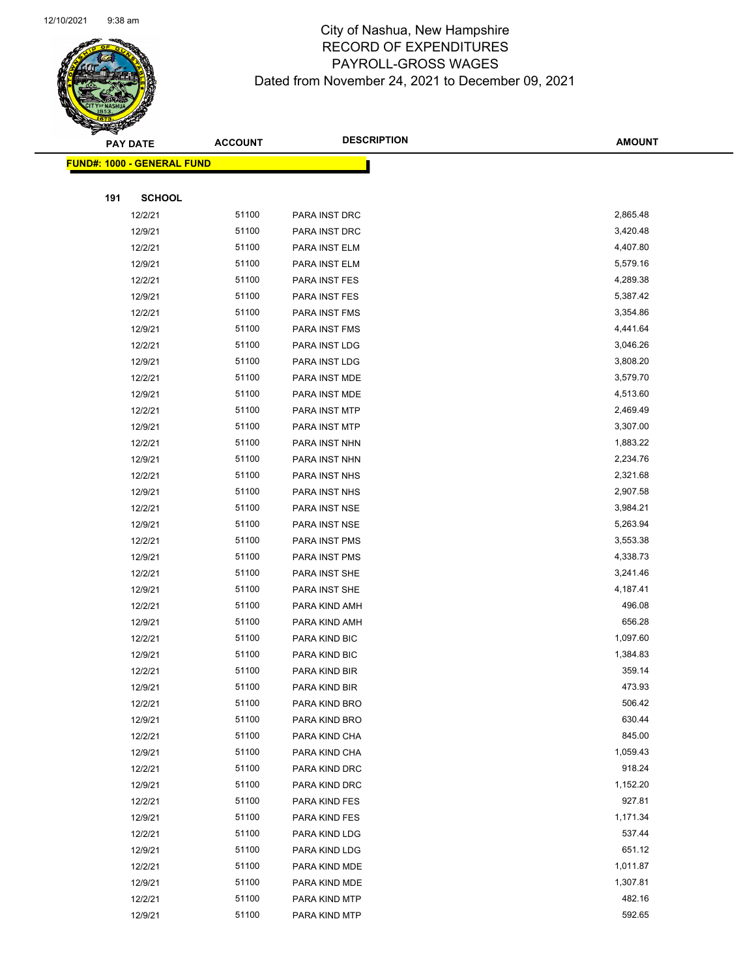

|     | <b>PAY DATE</b>                   | <b>ACCOUNT</b> | <b>DESCRIPTION</b> | <b>AMOUNT</b> |  |
|-----|-----------------------------------|----------------|--------------------|---------------|--|
|     | <b>FUND#: 1000 - GENERAL FUND</b> |                |                    |               |  |
|     |                                   |                |                    |               |  |
| 191 | <b>SCHOOL</b>                     |                |                    |               |  |
|     | 12/2/21                           | 51100          | PARA INST DRC      | 2,865.48      |  |
|     | 12/9/21                           | 51100          | PARA INST DRC      | 3,420.48      |  |
|     | 12/2/21                           | 51100          | PARA INST ELM      | 4,407.80      |  |
|     | 12/9/21                           | 51100          | PARA INST ELM      | 5,579.16      |  |
|     | 12/2/21                           | 51100          | PARA INST FES      | 4,289.38      |  |
|     | 12/9/21                           | 51100          | PARA INST FES      | 5,387.42      |  |
|     | 12/2/21                           | 51100          | PARA INST FMS      | 3,354.86      |  |
|     | 12/9/21                           | 51100          | PARA INST FMS      | 4,441.64      |  |
|     | 12/2/21                           | 51100          | PARA INST LDG      | 3,046.26      |  |
|     | 12/9/21                           | 51100          | PARA INST LDG      | 3,808.20      |  |
|     | 12/2/21                           | 51100          | PARA INST MDE      | 3,579.70      |  |
|     | 12/9/21                           | 51100          | PARA INST MDE      | 4,513.60      |  |
|     | 12/2/21                           | 51100          | PARA INST MTP      | 2,469.49      |  |
|     | 12/9/21                           | 51100          | PARA INST MTP      | 3,307.00      |  |
|     | 12/2/21                           | 51100          | PARA INST NHN      | 1,883.22      |  |
|     | 12/9/21                           | 51100          | PARA INST NHN      | 2,234.76      |  |
|     | 12/2/21                           | 51100          | PARA INST NHS      | 2,321.68      |  |
|     | 12/9/21                           | 51100          | PARA INST NHS      | 2,907.58      |  |
|     | 12/2/21                           | 51100          | PARA INST NSE      | 3,984.21      |  |
|     | 12/9/21                           | 51100          | PARA INST NSE      | 5,263.94      |  |
|     | 12/2/21                           | 51100          | PARA INST PMS      | 3,553.38      |  |
|     | 12/9/21                           | 51100          | PARA INST PMS      | 4,338.73      |  |
|     | 12/2/21                           | 51100          | PARA INST SHE      | 3,241.46      |  |
|     | 12/9/21                           | 51100          | PARA INST SHE      | 4,187.41      |  |
|     | 12/2/21                           | 51100          | PARA KIND AMH      | 496.08        |  |
|     | 12/9/21                           | 51100          | PARA KIND AMH      | 656.28        |  |
|     | 12/2/21                           | 51100          | PARA KIND BIC      | 1,097.60      |  |
|     | 12/9/21                           | 51100          | PARA KIND BIC      | 1,384.83      |  |
|     | 12/2/21                           | 51100          | PARA KIND BIR      | 359.14        |  |
|     | 12/9/21                           | 51100          | PARA KIND BIR      | 473.93        |  |
|     | 12/2/21                           | 51100          | PARA KIND BRO      | 506.42        |  |
|     | 12/9/21                           | 51100          | PARA KIND BRO      | 630.44        |  |
|     | 12/2/21                           | 51100          | PARA KIND CHA      | 845.00        |  |
|     | 12/9/21                           | 51100          | PARA KIND CHA      | 1,059.43      |  |
|     | 12/2/21                           | 51100          | PARA KIND DRC      | 918.24        |  |
|     | 12/9/21                           | 51100          | PARA KIND DRC      | 1,152.20      |  |
|     | 12/2/21                           | 51100          | PARA KIND FES      | 927.81        |  |
|     | 12/9/21                           | 51100          | PARA KIND FES      | 1,171.34      |  |
|     | 12/2/21                           | 51100          | PARA KIND LDG      | 537.44        |  |
|     | 12/9/21                           | 51100          | PARA KIND LDG      | 651.12        |  |
|     | 12/2/21                           | 51100          | PARA KIND MDE      | 1,011.87      |  |
|     | 12/9/21                           | 51100          | PARA KIND MDE      | 1,307.81      |  |
|     | 12/2/21                           | 51100          | PARA KIND MTP      | 482.16        |  |
|     | 12/9/21                           | 51100          | PARA KIND MTP      | 592.65        |  |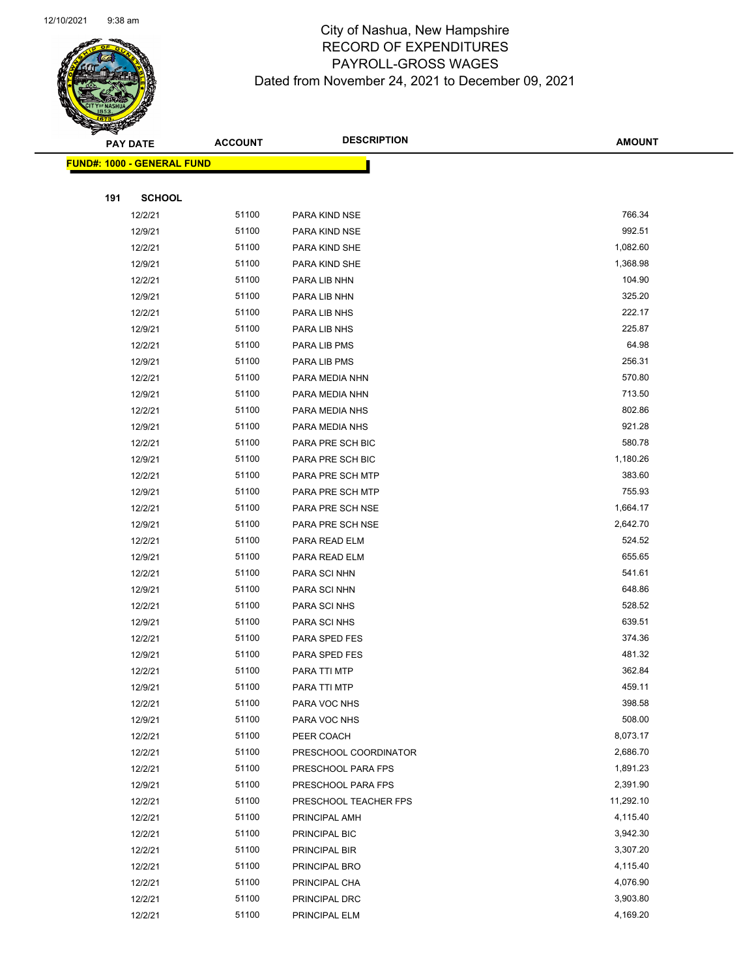

| <b>PAY DATE</b>                   | <b>ACCOUNT</b> | <b>DESCRIPTION</b>    | <b>AMOUNT</b> |
|-----------------------------------|----------------|-----------------------|---------------|
| <b>FUND#: 1000 - GENERAL FUND</b> |                |                       |               |
|                                   |                |                       |               |
| 191<br><b>SCHOOL</b>              |                |                       |               |
| 12/2/21                           | 51100          | PARA KIND NSE         | 766.34        |
| 12/9/21                           | 51100          | PARA KIND NSE         | 992.51        |
| 12/2/21                           | 51100          | PARA KIND SHE         | 1,082.60      |
| 12/9/21                           | 51100          | PARA KIND SHE         | 1,368.98      |
| 12/2/21                           | 51100          | PARA LIB NHN          | 104.90        |
| 12/9/21                           | 51100          | PARA LIB NHN          | 325.20        |
| 12/2/21                           | 51100          | PARA LIB NHS          | 222.17        |
| 12/9/21                           | 51100          | PARA LIB NHS          | 225.87        |
| 12/2/21                           | 51100          | PARA LIB PMS          | 64.98         |
| 12/9/21                           | 51100          | PARA LIB PMS          | 256.31        |
| 12/2/21                           | 51100          | PARA MEDIA NHN        | 570.80        |
| 12/9/21                           | 51100          | PARA MEDIA NHN        | 713.50        |
| 12/2/21                           | 51100          | PARA MEDIA NHS        | 802.86        |
| 12/9/21                           | 51100          | PARA MEDIA NHS        | 921.28        |
| 12/2/21                           | 51100          | PARA PRE SCH BIC      | 580.78        |
| 12/9/21                           | 51100          | PARA PRE SCH BIC      | 1,180.26      |
| 12/2/21                           | 51100          | PARA PRE SCH MTP      | 383.60        |
| 12/9/21                           | 51100          | PARA PRE SCH MTP      | 755.93        |
| 12/2/21                           | 51100          | PARA PRE SCH NSE      | 1,664.17      |
| 12/9/21                           | 51100          | PARA PRE SCH NSE      | 2,642.70      |
| 12/2/21                           | 51100          | PARA READ ELM         | 524.52        |
| 12/9/21                           | 51100          | PARA READ ELM         | 655.65        |
| 12/2/21                           | 51100          | PARA SCI NHN          | 541.61        |
| 12/9/21                           | 51100          | PARA SCI NHN          | 648.86        |
| 12/2/21                           | 51100          | PARA SCI NHS          | 528.52        |
| 12/9/21                           | 51100          | PARA SCI NHS          | 639.51        |
| 12/2/21                           | 51100          | PARA SPED FES         | 374.36        |
| 12/9/21                           | 51100          | PARA SPED FES         | 481.32        |
| 12/2/21                           | 51100          | PARA TTI MTP          | 362.84        |
| 12/9/21                           | 51100          | PARA TTI MTP          | 459.11        |
| 12/2/21                           | 51100          | PARA VOC NHS          | 398.58        |
| 12/9/21                           | 51100          | PARA VOC NHS          | 508.00        |
| 12/2/21                           | 51100          | PEER COACH            | 8,073.17      |
| 12/2/21                           | 51100          | PRESCHOOL COORDINATOR | 2,686.70      |
| 12/2/21                           | 51100          | PRESCHOOL PARA FPS    | 1,891.23      |
| 12/9/21                           | 51100          | PRESCHOOL PARA FPS    | 2,391.90      |
| 12/2/21                           | 51100          | PRESCHOOL TEACHER FPS | 11,292.10     |
| 12/2/21                           | 51100          | PRINCIPAL AMH         | 4,115.40      |
| 12/2/21                           | 51100          | PRINCIPAL BIC         | 3,942.30      |
| 12/2/21                           | 51100          | PRINCIPAL BIR         | 3,307.20      |
| 12/2/21                           | 51100          | PRINCIPAL BRO         | 4,115.40      |
| 12/2/21                           | 51100          | PRINCIPAL CHA         | 4,076.90      |
| 12/2/21                           | 51100          | PRINCIPAL DRC         | 3,903.80      |
| 12/2/21                           | 51100          | PRINCIPAL ELM         | 4,169.20      |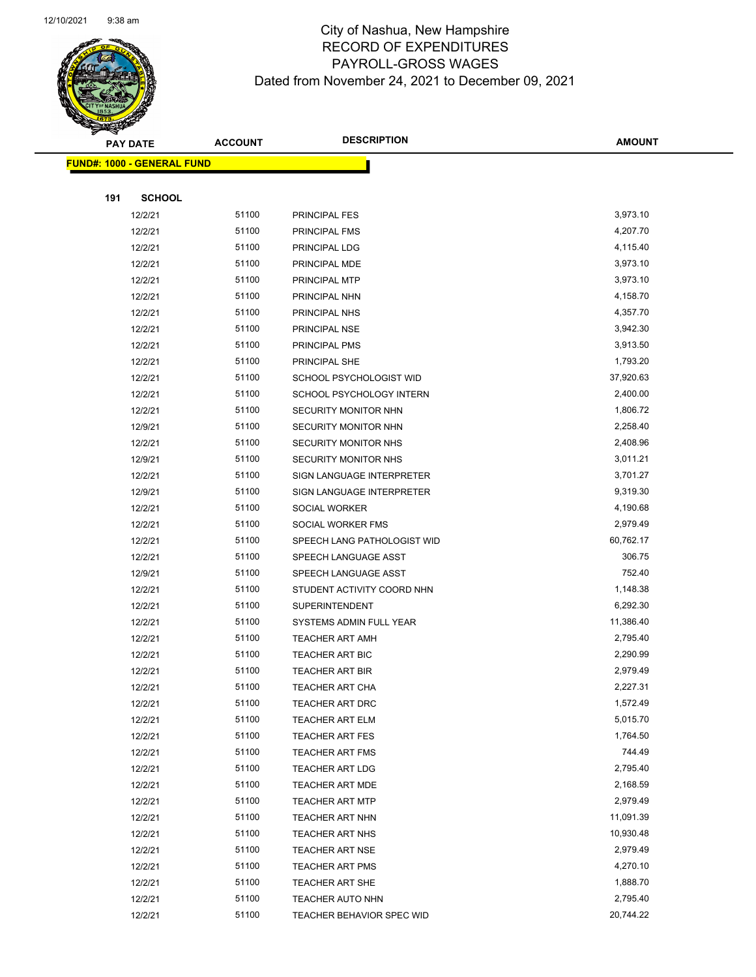

| <b>PAY DATE</b>                   |               | <b>ACCOUNT</b> | <b>DESCRIPTION</b>          | <b>AMOUNT</b> |
|-----------------------------------|---------------|----------------|-----------------------------|---------------|
| <b>FUND#: 1000 - GENERAL FUND</b> |               |                |                             |               |
|                                   |               |                |                             |               |
| 191                               | <b>SCHOOL</b> |                |                             |               |
|                                   | 12/2/21       | 51100          | PRINCIPAL FES               | 3,973.10      |
|                                   | 12/2/21       | 51100          | <b>PRINCIPAL FMS</b>        | 4,207.70      |
|                                   | 12/2/21       | 51100          | PRINCIPAL LDG               | 4,115.40      |
|                                   | 12/2/21       | 51100          | PRINCIPAL MDE               | 3,973.10      |
|                                   | 12/2/21       | 51100          | PRINCIPAL MTP               | 3,973.10      |
|                                   | 12/2/21       | 51100          | PRINCIPAL NHN               | 4,158.70      |
|                                   | 12/2/21       | 51100          | PRINCIPAL NHS               | 4,357.70      |
|                                   | 12/2/21       | 51100          | PRINCIPAL NSE               | 3,942.30      |
|                                   | 12/2/21       | 51100          | PRINCIPAL PMS               | 3,913.50      |
|                                   | 12/2/21       | 51100          | PRINCIPAL SHE               | 1,793.20      |
|                                   | 12/2/21       | 51100          | SCHOOL PSYCHOLOGIST WID     | 37,920.63     |
|                                   | 12/2/21       | 51100          | SCHOOL PSYCHOLOGY INTERN    | 2,400.00      |
|                                   | 12/2/21       | 51100          | SECURITY MONITOR NHN        | 1,806.72      |
|                                   | 12/9/21       | 51100          | SECURITY MONITOR NHN        | 2,258.40      |
|                                   | 12/2/21       | 51100          | SECURITY MONITOR NHS        | 2,408.96      |
|                                   | 12/9/21       | 51100          | <b>SECURITY MONITOR NHS</b> | 3,011.21      |
|                                   | 12/2/21       | 51100          | SIGN LANGUAGE INTERPRETER   | 3,701.27      |
|                                   | 12/9/21       | 51100          | SIGN LANGUAGE INTERPRETER   | 9,319.30      |
|                                   | 12/2/21       | 51100          | SOCIAL WORKER               | 4,190.68      |
|                                   | 12/2/21       | 51100          | SOCIAL WORKER FMS           | 2,979.49      |
|                                   | 12/2/21       | 51100          | SPEECH LANG PATHOLOGIST WID | 60,762.17     |
|                                   | 12/2/21       | 51100          | SPEECH LANGUAGE ASST        | 306.75        |
|                                   | 12/9/21       | 51100          | SPEECH LANGUAGE ASST        | 752.40        |
|                                   | 12/2/21       | 51100          | STUDENT ACTIVITY COORD NHN  | 1,148.38      |
|                                   | 12/2/21       | 51100          | <b>SUPERINTENDENT</b>       | 6,292.30      |
|                                   | 12/2/21       | 51100          | SYSTEMS ADMIN FULL YEAR     | 11,386.40     |
|                                   | 12/2/21       | 51100          | <b>TEACHER ART AMH</b>      | 2,795.40      |
|                                   | 12/2/21       | 51100          | TEACHER ART BIC             | 2,290.99      |
|                                   | 12/2/21       | 51100          | <b>TEACHER ART BIR</b>      | 2,979.49      |
|                                   | 12/2/21       | 51100          | <b>TEACHER ART CHA</b>      | 2,227.31      |
|                                   | 12/2/21       | 51100          | TEACHER ART DRC             | 1,572.49      |
|                                   | 12/2/21       | 51100          | <b>TEACHER ART ELM</b>      | 5,015.70      |
|                                   | 12/2/21       | 51100          | <b>TEACHER ART FES</b>      | 1,764.50      |
|                                   | 12/2/21       | 51100          | TEACHER ART FMS             | 744.49        |
|                                   | 12/2/21       | 51100          | <b>TEACHER ART LDG</b>      | 2,795.40      |
|                                   | 12/2/21       | 51100          | <b>TEACHER ART MDE</b>      | 2,168.59      |
|                                   | 12/2/21       | 51100          | <b>TEACHER ART MTP</b>      | 2,979.49      |
|                                   | 12/2/21       | 51100          | TEACHER ART NHN             | 11,091.39     |
|                                   | 12/2/21       | 51100          | TEACHER ART NHS             | 10,930.48     |
|                                   | 12/2/21       | 51100          | <b>TEACHER ART NSE</b>      | 2,979.49      |
|                                   | 12/2/21       | 51100          | <b>TEACHER ART PMS</b>      | 4,270.10      |
|                                   | 12/2/21       | 51100          | TEACHER ART SHE             | 1,888.70      |
|                                   | 12/2/21       | 51100          | <b>TEACHER AUTO NHN</b>     | 2,795.40      |
|                                   | 12/2/21       | 51100          | TEACHER BEHAVIOR SPEC WID   | 20,744.22     |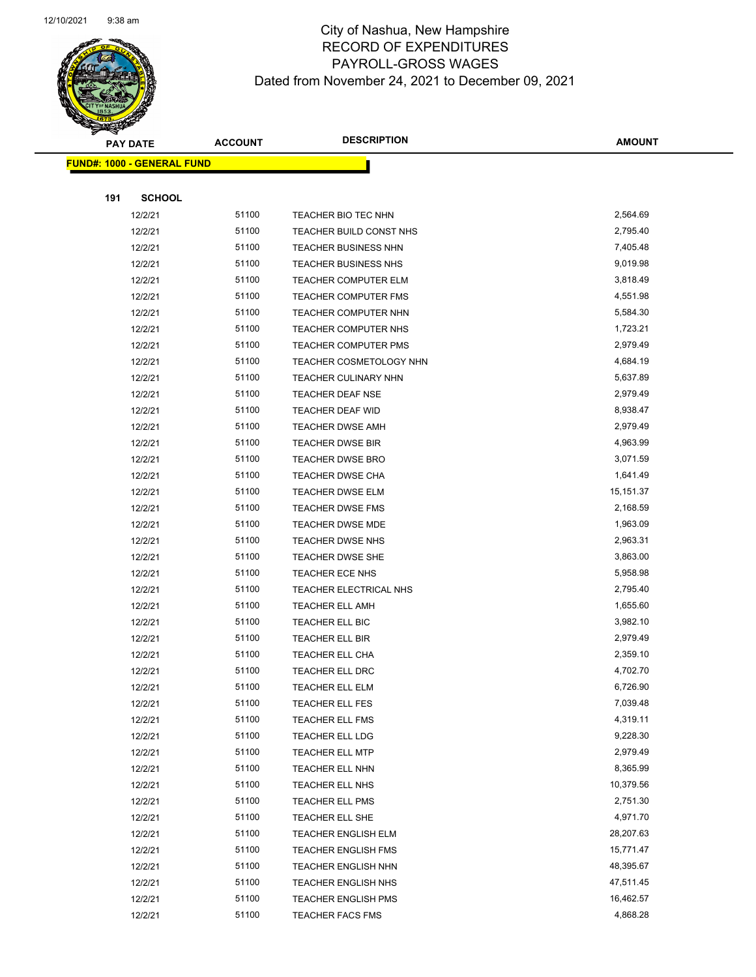

|     | <b>PAY DATE</b>                   | <b>ACCOUNT</b> | <b>DESCRIPTION</b>          | <b>AMOUNT</b> |
|-----|-----------------------------------|----------------|-----------------------------|---------------|
|     | <b>FUND#: 1000 - GENERAL FUND</b> |                |                             |               |
|     |                                   |                |                             |               |
| 191 | <b>SCHOOL</b>                     |                |                             |               |
|     | 12/2/21                           | 51100          | TEACHER BIO TEC NHN         | 2,564.69      |
|     | 12/2/21                           | 51100          | TEACHER BUILD CONST NHS     | 2,795.40      |
|     | 12/2/21                           | 51100          | <b>TEACHER BUSINESS NHN</b> | 7,405.48      |
|     | 12/2/21                           | 51100          | <b>TEACHER BUSINESS NHS</b> | 9,019.98      |
|     | 12/2/21                           | 51100          | <b>TEACHER COMPUTER ELM</b> | 3,818.49      |
|     | 12/2/21                           | 51100          | TEACHER COMPUTER FMS        | 4,551.98      |
|     | 12/2/21                           | 51100          | TEACHER COMPUTER NHN        | 5,584.30      |
|     | 12/2/21                           | 51100          | <b>TEACHER COMPUTER NHS</b> | 1,723.21      |
|     | 12/2/21                           | 51100          | TEACHER COMPUTER PMS        | 2,979.49      |
|     | 12/2/21                           | 51100          | TEACHER COSMETOLOGY NHN     | 4,684.19      |
|     | 12/2/21                           | 51100          | TEACHER CULINARY NHN        | 5,637.89      |
|     | 12/2/21                           | 51100          | <b>TEACHER DEAF NSE</b>     | 2,979.49      |
|     | 12/2/21                           | 51100          | <b>TEACHER DEAF WID</b>     | 8,938.47      |
|     | 12/2/21                           | 51100          | <b>TEACHER DWSE AMH</b>     | 2,979.49      |
|     | 12/2/21                           | 51100          | <b>TEACHER DWSE BIR</b>     | 4,963.99      |
|     | 12/2/21                           | 51100          | <b>TEACHER DWSE BRO</b>     | 3,071.59      |
|     | 12/2/21                           | 51100          | <b>TEACHER DWSE CHA</b>     | 1,641.49      |
|     | 12/2/21                           | 51100          | <b>TEACHER DWSE ELM</b>     | 15,151.37     |
|     | 12/2/21                           | 51100          | TEACHER DWSE FMS            | 2,168.59      |
|     | 12/2/21                           | 51100          | TEACHER DWSE MDE            | 1,963.09      |
|     | 12/2/21                           | 51100          | TEACHER DWSE NHS            | 2,963.31      |
|     | 12/2/21                           | 51100          | <b>TEACHER DWSE SHE</b>     | 3,863.00      |
|     | 12/2/21                           | 51100          | TEACHER ECE NHS             | 5,958.98      |
|     | 12/2/21                           | 51100          | TEACHER ELECTRICAL NHS      | 2,795.40      |
|     | 12/2/21                           | 51100          | <b>TEACHER ELL AMH</b>      | 1,655.60      |
|     | 12/2/21                           | 51100          | TEACHER ELL BIC             | 3,982.10      |
|     | 12/2/21                           | 51100          | <b>TEACHER ELL BIR</b>      | 2,979.49      |
|     | 12/2/21                           | 51100          | <b>TEACHER ELL CHA</b>      | 2,359.10      |
|     | 12/2/21                           | 51100          | <b>TEACHER ELL DRC</b>      | 4,702.70      |
|     | 12/2/21                           | 51100          | TEACHER ELL ELM             | 6,726.90      |
|     | 12/2/21                           | 51100          | <b>TEACHER ELL FES</b>      | 7,039.48      |
|     | 12/2/21                           | 51100          | <b>TEACHER ELL FMS</b>      | 4,319.11      |
|     | 12/2/21                           | 51100          | TEACHER ELL LDG             | 9,228.30      |
|     | 12/2/21                           | 51100          | <b>TEACHER ELL MTP</b>      | 2,979.49      |
|     | 12/2/21                           | 51100          | TEACHER ELL NHN             | 8,365.99      |
|     | 12/2/21                           | 51100          | TEACHER ELL NHS             | 10,379.56     |
|     | 12/2/21                           | 51100          | <b>TEACHER ELL PMS</b>      | 2,751.30      |
|     | 12/2/21                           | 51100          | TEACHER ELL SHE             | 4,971.70      |
|     | 12/2/21                           | 51100          | TEACHER ENGLISH ELM         | 28,207.63     |
|     | 12/2/21                           | 51100          | <b>TEACHER ENGLISH FMS</b>  | 15,771.47     |
|     | 12/2/21                           | 51100          | <b>TEACHER ENGLISH NHN</b>  | 48,395.67     |
|     | 12/2/21                           | 51100          | <b>TEACHER ENGLISH NHS</b>  | 47,511.45     |
|     | 12/2/21                           | 51100          | <b>TEACHER ENGLISH PMS</b>  | 16,462.57     |
|     | 12/2/21                           | 51100          | TEACHER FACS FMS            | 4,868.28      |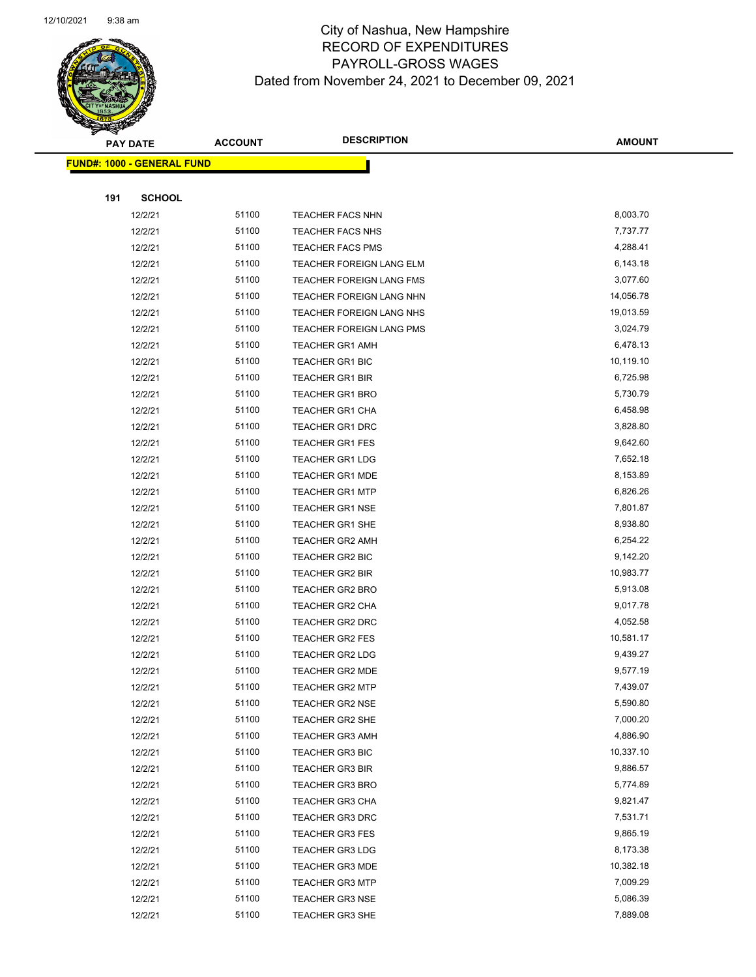

|     | <b>PAY DATE</b>                   | <b>ACCOUNT</b> | <b>DESCRIPTION</b>       | <b>AMOUNT</b> |
|-----|-----------------------------------|----------------|--------------------------|---------------|
|     | <b>FUND#: 1000 - GENERAL FUND</b> |                |                          |               |
|     |                                   |                |                          |               |
| 191 | <b>SCHOOL</b>                     |                |                          |               |
|     | 12/2/21                           | 51100          | <b>TEACHER FACS NHN</b>  | 8,003.70      |
|     | 12/2/21                           | 51100          | <b>TEACHER FACS NHS</b>  | 7,737.77      |
|     | 12/2/21                           | 51100          | <b>TEACHER FACS PMS</b>  | 4,288.41      |
|     | 12/2/21                           | 51100          | TEACHER FOREIGN LANG ELM | 6,143.18      |
|     | 12/2/21                           | 51100          | TEACHER FOREIGN LANG FMS | 3,077.60      |
|     | 12/2/21                           | 51100          | TEACHER FOREIGN LANG NHN | 14,056.78     |
|     | 12/2/21                           | 51100          | TEACHER FOREIGN LANG NHS | 19,013.59     |
|     | 12/2/21                           | 51100          | TEACHER FOREIGN LANG PMS | 3,024.79      |
|     | 12/2/21                           | 51100          | <b>TEACHER GR1 AMH</b>   | 6,478.13      |
|     | 12/2/21                           | 51100          | TEACHER GR1 BIC          | 10,119.10     |
|     | 12/2/21                           | 51100          | <b>TEACHER GR1 BIR</b>   | 6,725.98      |
|     | 12/2/21                           | 51100          | <b>TEACHER GR1 BRO</b>   | 5,730.79      |
|     | 12/2/21                           | 51100          | TEACHER GR1 CHA          | 6,458.98      |
|     | 12/2/21                           | 51100          | <b>TEACHER GR1 DRC</b>   | 3,828.80      |
|     | 12/2/21                           | 51100          | <b>TEACHER GR1 FES</b>   | 9,642.60      |
|     | 12/2/21                           | 51100          | <b>TEACHER GR1 LDG</b>   | 7,652.18      |
|     | 12/2/21                           | 51100          | <b>TEACHER GR1 MDE</b>   | 8,153.89      |
|     | 12/2/21                           | 51100          | <b>TEACHER GR1 MTP</b>   | 6,826.26      |
|     | 12/2/21                           | 51100          | <b>TEACHER GR1 NSE</b>   | 7,801.87      |
|     | 12/2/21                           | 51100          | TEACHER GR1 SHE          | 8,938.80      |
|     | 12/2/21                           | 51100          | <b>TEACHER GR2 AMH</b>   | 6,254.22      |
|     | 12/2/21                           | 51100          | TEACHER GR2 BIC          | 9,142.20      |
|     | 12/2/21                           | 51100          | <b>TEACHER GR2 BIR</b>   | 10,983.77     |
|     | 12/2/21                           | 51100          | TEACHER GR2 BRO          | 5,913.08      |
|     | 12/2/21                           | 51100          | TEACHER GR2 CHA          | 9,017.78      |
|     | 12/2/21                           | 51100          | TEACHER GR2 DRC          | 4,052.58      |
|     | 12/2/21                           | 51100          | <b>TEACHER GR2 FES</b>   | 10,581.17     |
|     | 12/2/21                           | 51100          | <b>TEACHER GR2 LDG</b>   | 9,439.27      |
|     | 12/2/21                           | 51100          | <b>TEACHER GR2 MDE</b>   | 9,577.19      |
|     | 12/2/21                           | 51100          | TEACHER GR2 MTP          | 7,439.07      |
|     | 12/2/21                           | 51100          | <b>TEACHER GR2 NSE</b>   | 5,590.80      |
|     | 12/2/21                           | 51100          | TEACHER GR2 SHE          | 7,000.20      |
|     | 12/2/21                           | 51100          | <b>TEACHER GR3 AMH</b>   | 4,886.90      |
|     | 12/2/21                           | 51100          | <b>TEACHER GR3 BIC</b>   | 10,337.10     |
|     | 12/2/21                           | 51100          | <b>TEACHER GR3 BIR</b>   | 9,886.57      |
|     | 12/2/21                           | 51100          | <b>TEACHER GR3 BRO</b>   | 5,774.89      |
|     | 12/2/21                           | 51100          | <b>TEACHER GR3 CHA</b>   | 9,821.47      |
|     | 12/2/21                           | 51100          | <b>TEACHER GR3 DRC</b>   | 7,531.71      |
|     | 12/2/21                           | 51100          | <b>TEACHER GR3 FES</b>   | 9,865.19      |
|     | 12/2/21                           | 51100          | <b>TEACHER GR3 LDG</b>   | 8,173.38      |
|     | 12/2/21                           | 51100          | <b>TEACHER GR3 MDE</b>   | 10,382.18     |
|     | 12/2/21                           | 51100          | <b>TEACHER GR3 MTP</b>   | 7,009.29      |
|     | 12/2/21                           | 51100          | <b>TEACHER GR3 NSE</b>   | 5,086.39      |
|     | 12/2/21                           | 51100          | <b>TEACHER GR3 SHE</b>   | 7,889.08      |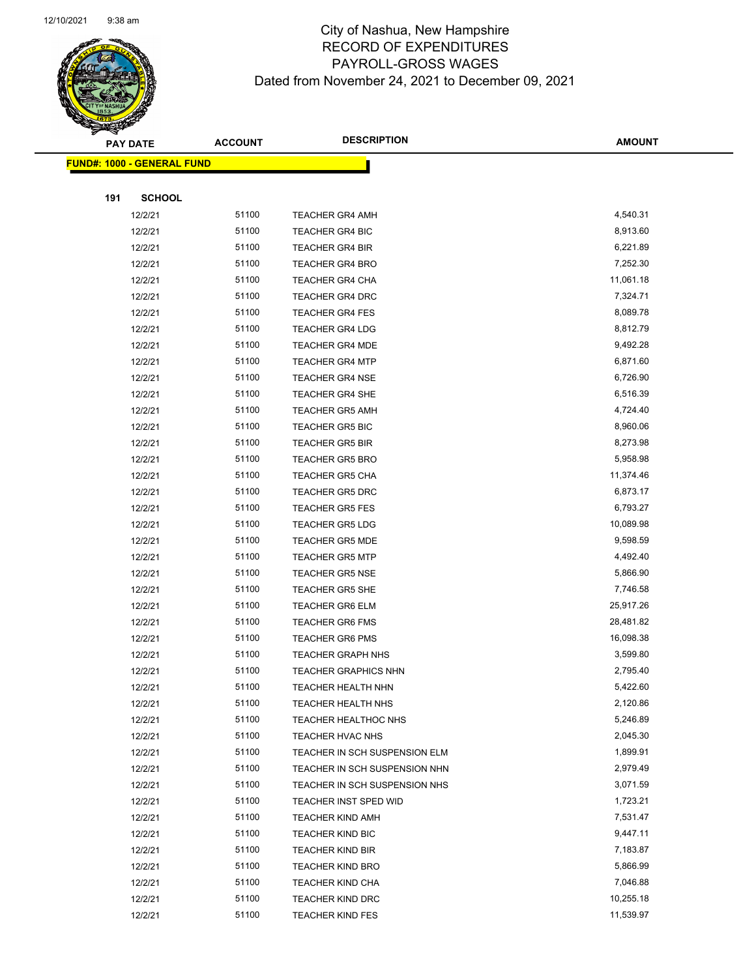

|     | <b>PAY DATE</b>                   | <b>ACCOUNT</b> | <b>DESCRIPTION</b>            | <b>AMOUNT</b> |
|-----|-----------------------------------|----------------|-------------------------------|---------------|
|     | <b>FUND#: 1000 - GENERAL FUND</b> |                |                               |               |
|     |                                   |                |                               |               |
| 191 | <b>SCHOOL</b>                     |                |                               |               |
|     | 12/2/21                           | 51100          | <b>TEACHER GR4 AMH</b>        | 4,540.31      |
|     | 12/2/21                           | 51100          | <b>TEACHER GR4 BIC</b>        | 8,913.60      |
|     | 12/2/21                           | 51100          | <b>TEACHER GR4 BIR</b>        | 6,221.89      |
|     | 12/2/21                           | 51100          | <b>TEACHER GR4 BRO</b>        | 7,252.30      |
|     | 12/2/21                           | 51100          | <b>TEACHER GR4 CHA</b>        | 11,061.18     |
|     | 12/2/21                           | 51100          | <b>TEACHER GR4 DRC</b>        | 7,324.71      |
|     | 12/2/21                           | 51100          | <b>TEACHER GR4 FES</b>        | 8,089.78      |
|     | 12/2/21                           | 51100          | <b>TEACHER GR4 LDG</b>        | 8,812.79      |
|     | 12/2/21                           | 51100          | <b>TEACHER GR4 MDE</b>        | 9,492.28      |
|     | 12/2/21                           | 51100          | <b>TEACHER GR4 MTP</b>        | 6,871.60      |
|     | 12/2/21                           | 51100          | <b>TEACHER GR4 NSE</b>        | 6,726.90      |
|     | 12/2/21                           | 51100          | <b>TEACHER GR4 SHE</b>        | 6,516.39      |
|     | 12/2/21                           | 51100          | <b>TEACHER GR5 AMH</b>        | 4,724.40      |
|     | 12/2/21                           | 51100          | <b>TEACHER GR5 BIC</b>        | 8,960.06      |
|     | 12/2/21                           | 51100          | <b>TEACHER GR5 BIR</b>        | 8,273.98      |
|     | 12/2/21                           | 51100          | <b>TEACHER GR5 BRO</b>        | 5,958.98      |
|     | 12/2/21                           | 51100          | <b>TEACHER GR5 CHA</b>        | 11,374.46     |
|     | 12/2/21                           | 51100          | <b>TEACHER GR5 DRC</b>        | 6,873.17      |
|     | 12/2/21                           | 51100          | <b>TEACHER GR5 FES</b>        | 6,793.27      |
|     | 12/2/21                           | 51100          | <b>TEACHER GR5 LDG</b>        | 10,089.98     |
|     | 12/2/21                           | 51100          | <b>TEACHER GR5 MDE</b>        | 9,598.59      |
|     | 12/2/21                           | 51100          | <b>TEACHER GR5 MTP</b>        | 4,492.40      |
|     | 12/2/21                           | 51100          | <b>TEACHER GR5 NSE</b>        | 5,866.90      |
|     | 12/2/21                           | 51100          | <b>TEACHER GR5 SHE</b>        | 7,746.58      |
|     | 12/2/21                           | 51100          | <b>TEACHER GR6 ELM</b>        | 25,917.26     |
|     | 12/2/21                           | 51100          | <b>TEACHER GR6 FMS</b>        | 28,481.82     |
|     | 12/2/21                           | 51100          | <b>TEACHER GR6 PMS</b>        | 16,098.38     |
|     | 12/2/21                           | 51100          | <b>TEACHER GRAPH NHS</b>      | 3,599.80      |
|     | 12/2/21                           | 51100          | <b>TEACHER GRAPHICS NHN</b>   | 2,795.40      |
|     | 12/2/21                           | 51100          | TEACHER HEALTH NHN            | 5,422.60      |
|     | 12/2/21                           | 51100          | <b>TEACHER HEALTH NHS</b>     | 2,120.86      |
|     | 12/2/21                           | 51100          | TEACHER HEALTHOC NHS          | 5,246.89      |
|     | 12/2/21                           | 51100          | TEACHER HVAC NHS              | 2,045.30      |
|     | 12/2/21                           | 51100          | TEACHER IN SCH SUSPENSION ELM | 1,899.91      |
|     | 12/2/21                           | 51100          | TEACHER IN SCH SUSPENSION NHN | 2,979.49      |
|     | 12/2/21                           | 51100          | TEACHER IN SCH SUSPENSION NHS | 3,071.59      |
|     | 12/2/21                           | 51100          | TEACHER INST SPED WID         | 1,723.21      |
|     | 12/2/21                           | 51100          | <b>TEACHER KIND AMH</b>       | 7,531.47      |
|     | 12/2/21                           | 51100          | TEACHER KIND BIC              | 9,447.11      |
|     | 12/2/21                           | 51100          | <b>TEACHER KIND BIR</b>       | 7,183.87      |
|     | 12/2/21                           | 51100          | <b>TEACHER KIND BRO</b>       | 5,866.99      |
|     | 12/2/21                           | 51100          | <b>TEACHER KIND CHA</b>       | 7,046.88      |
|     | 12/2/21                           | 51100          | <b>TEACHER KIND DRC</b>       | 10,255.18     |
|     | 12/2/21                           | 51100          | <b>TEACHER KIND FES</b>       | 11,539.97     |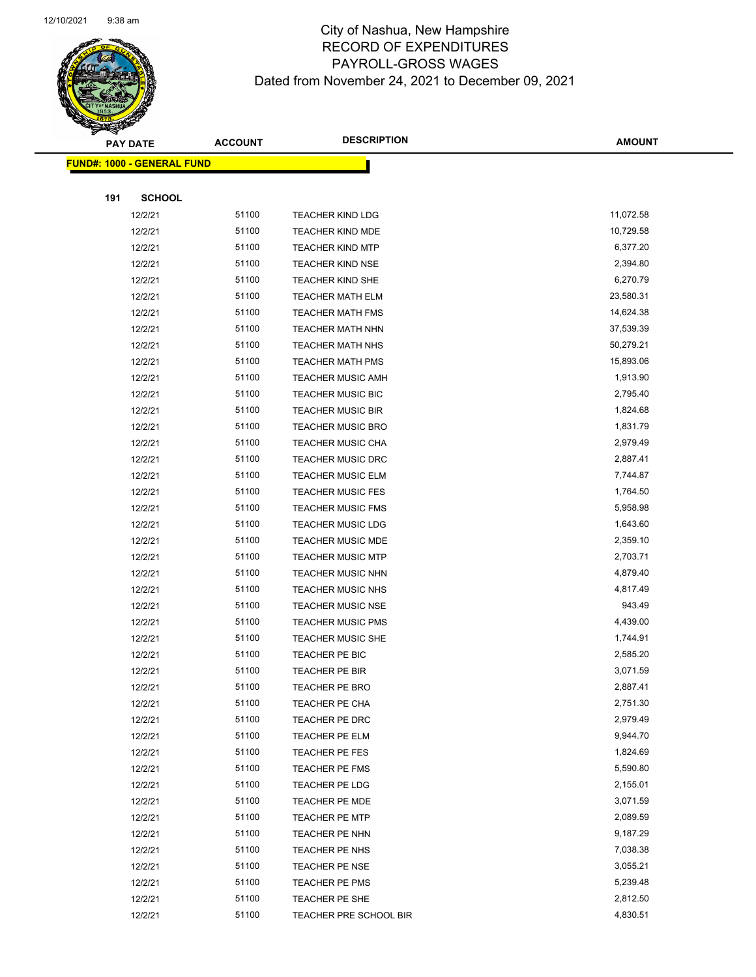

|     | <b>PAY DATE</b>                   | <b>ACCOUNT</b> | <b>DESCRIPTION</b>       | <b>AMOUNT</b> |
|-----|-----------------------------------|----------------|--------------------------|---------------|
|     | <b>FUND#: 1000 - GENERAL FUND</b> |                |                          |               |
|     |                                   |                |                          |               |
| 191 | <b>SCHOOL</b>                     |                |                          |               |
|     | 12/2/21                           | 51100          | <b>TEACHER KIND LDG</b>  | 11,072.58     |
|     | 12/2/21                           | 51100          | <b>TEACHER KIND MDE</b>  | 10,729.58     |
|     | 12/2/21                           | 51100          | <b>TEACHER KIND MTP</b>  | 6,377.20      |
|     | 12/2/21                           | 51100          | <b>TEACHER KIND NSE</b>  | 2,394.80      |
|     | 12/2/21                           | 51100          | TEACHER KIND SHE         | 6,270.79      |
|     | 12/2/21                           | 51100          | <b>TEACHER MATH ELM</b>  | 23,580.31     |
|     | 12/2/21                           | 51100          | <b>TEACHER MATH FMS</b>  | 14,624.38     |
|     | 12/2/21                           | 51100          | <b>TEACHER MATH NHN</b>  | 37,539.39     |
|     | 12/2/21                           | 51100          | <b>TEACHER MATH NHS</b>  | 50,279.21     |
|     | 12/2/21                           | 51100          | <b>TEACHER MATH PMS</b>  | 15,893.06     |
|     | 12/2/21                           | 51100          | <b>TEACHER MUSIC AMH</b> | 1,913.90      |
|     | 12/2/21                           | 51100          | <b>TEACHER MUSIC BIC</b> | 2,795.40      |
|     | 12/2/21                           | 51100          | <b>TEACHER MUSIC BIR</b> | 1,824.68      |
|     | 12/2/21                           | 51100          | <b>TEACHER MUSIC BRO</b> | 1,831.79      |
|     | 12/2/21                           | 51100          | <b>TEACHER MUSIC CHA</b> | 2,979.49      |
|     | 12/2/21                           | 51100          | <b>TEACHER MUSIC DRC</b> | 2,887.41      |
|     | 12/2/21                           | 51100          | <b>TEACHER MUSIC ELM</b> | 7,744.87      |
|     | 12/2/21                           | 51100          | <b>TEACHER MUSIC FES</b> | 1,764.50      |
|     | 12/2/21                           | 51100          | <b>TEACHER MUSIC FMS</b> | 5,958.98      |
|     | 12/2/21                           | 51100          | <b>TEACHER MUSIC LDG</b> | 1,643.60      |
|     | 12/2/21                           | 51100          | <b>TEACHER MUSIC MDE</b> | 2,359.10      |
|     | 12/2/21                           | 51100          | <b>TEACHER MUSIC MTP</b> | 2,703.71      |
|     | 12/2/21                           | 51100          | <b>TEACHER MUSIC NHN</b> | 4,879.40      |
|     | 12/2/21                           | 51100          | <b>TEACHER MUSIC NHS</b> | 4,817.49      |
|     | 12/2/21                           | 51100          | <b>TEACHER MUSIC NSE</b> | 943.49        |
|     | 12/2/21                           | 51100          | <b>TEACHER MUSIC PMS</b> | 4,439.00      |
|     | 12/2/21                           | 51100          | <b>TEACHER MUSIC SHE</b> | 1,744.91      |
|     | 12/2/21                           | 51100          | TEACHER PE BIC           | 2,585.20      |
|     | 12/2/21                           | 51100          | <b>TEACHER PE BIR</b>    | 3,071.59      |
|     | 12/2/21                           | 51100          | TEACHER PE BRO           | 2,887.41      |
|     | 12/2/21                           | 51100          | TEACHER PE CHA           | 2,751.30      |
|     | 12/2/21                           | 51100          | TEACHER PE DRC           | 2,979.49      |
|     | 12/2/21                           | 51100          | TEACHER PE ELM           | 9,944.70      |
|     | 12/2/21                           | 51100          | TEACHER PE FES           | 1,824.69      |
|     | 12/2/21                           | 51100          | TEACHER PE FMS           | 5,590.80      |
|     | 12/2/21                           | 51100          | TEACHER PE LDG           | 2,155.01      |
|     | 12/2/21                           | 51100          | TEACHER PE MDE           | 3,071.59      |
|     | 12/2/21                           | 51100          | TEACHER PE MTP           | 2,089.59      |
|     | 12/2/21                           | 51100          | TEACHER PE NHN           | 9,187.29      |
|     | 12/2/21                           | 51100          | TEACHER PE NHS           | 7,038.38      |
|     | 12/2/21                           | 51100          | <b>TEACHER PE NSE</b>    | 3,055.21      |
|     | 12/2/21                           | 51100          | TEACHER PE PMS           | 5,239.48      |
|     | 12/2/21                           | 51100          | TEACHER PE SHE           | 2,812.50      |
|     | 12/2/21                           | 51100          | TEACHER PRE SCHOOL BIR   | 4,830.51      |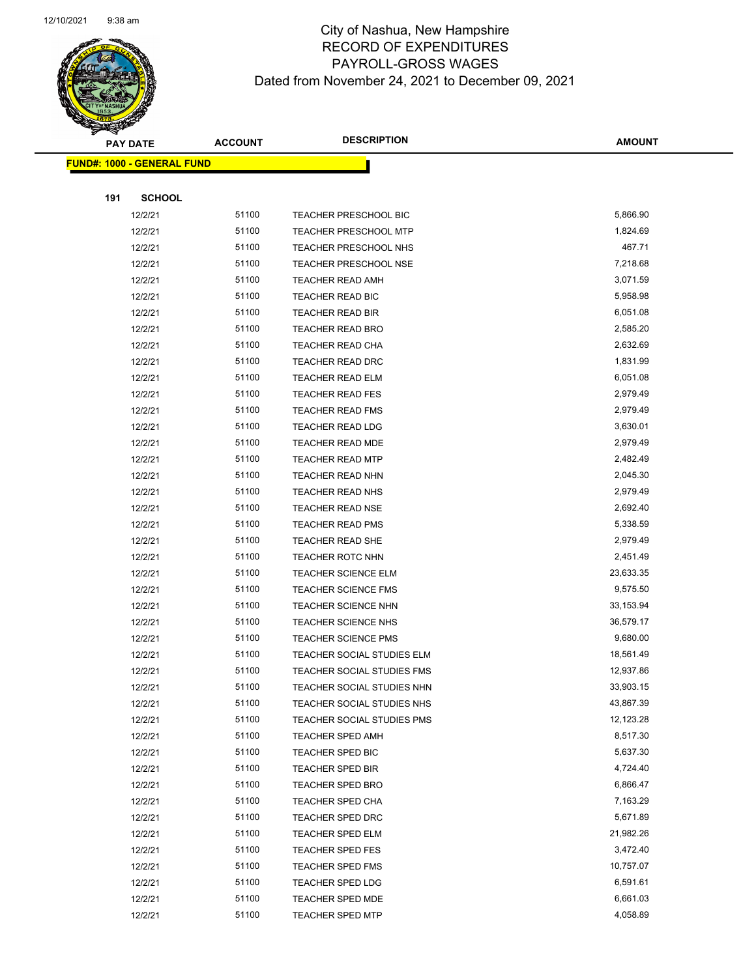

|     | <b>PAY DATE</b>                   | <b>ACCOUNT</b> | <b>DESCRIPTION</b>           | <b>AMOUNT</b> |  |
|-----|-----------------------------------|----------------|------------------------------|---------------|--|
|     | <b>FUND#: 1000 - GENERAL FUND</b> |                |                              |               |  |
|     |                                   |                |                              |               |  |
| 191 | <b>SCHOOL</b>                     |                |                              |               |  |
|     | 12/2/21                           | 51100          | TEACHER PRESCHOOL BIC        | 5,866.90      |  |
|     | 12/2/21                           | 51100          | <b>TEACHER PRESCHOOL MTP</b> | 1,824.69      |  |
|     | 12/2/21                           | 51100          | <b>TEACHER PRESCHOOL NHS</b> | 467.71        |  |
|     | 12/2/21                           | 51100          | <b>TEACHER PRESCHOOL NSE</b> | 7,218.68      |  |
|     | 12/2/21                           | 51100          | TEACHER READ AMH             | 3,071.59      |  |
|     | 12/2/21                           | 51100          | TEACHER READ BIC             | 5,958.98      |  |
|     | 12/2/21                           | 51100          | <b>TEACHER READ BIR</b>      | 6,051.08      |  |
|     | 12/2/21                           | 51100          | TEACHER READ BRO             | 2,585.20      |  |
|     | 12/2/21                           | 51100          | TEACHER READ CHA             | 2,632.69      |  |
|     | 12/2/21                           | 51100          | TEACHER READ DRC             | 1,831.99      |  |
|     | 12/2/21                           | 51100          | <b>TEACHER READ ELM</b>      | 6,051.08      |  |
|     | 12/2/21                           | 51100          | <b>TEACHER READ FES</b>      | 2,979.49      |  |
|     | 12/2/21                           | 51100          | <b>TEACHER READ FMS</b>      | 2,979.49      |  |
|     | 12/2/21                           | 51100          | <b>TEACHER READ LDG</b>      | 3,630.01      |  |
|     | 12/2/21                           | 51100          | TEACHER READ MDE             | 2,979.49      |  |
|     | 12/2/21                           | 51100          | <b>TEACHER READ MTP</b>      | 2,482.49      |  |
|     | 12/2/21                           | 51100          | <b>TEACHER READ NHN</b>      | 2,045.30      |  |
|     | 12/2/21                           | 51100          | <b>TEACHER READ NHS</b>      | 2,979.49      |  |
|     | 12/2/21                           | 51100          | <b>TEACHER READ NSE</b>      | 2,692.40      |  |
|     | 12/2/21                           | 51100          | TEACHER READ PMS             | 5,338.59      |  |
|     | 12/2/21                           | 51100          | TEACHER READ SHE             | 2,979.49      |  |
|     | 12/2/21                           | 51100          | <b>TEACHER ROTC NHN</b>      | 2,451.49      |  |
|     | 12/2/21                           | 51100          | <b>TEACHER SCIENCE ELM</b>   | 23,633.35     |  |
|     | 12/2/21                           | 51100          | TEACHER SCIENCE FMS          | 9,575.50      |  |
|     | 12/2/21                           | 51100          | TEACHER SCIENCE NHN          | 33,153.94     |  |
|     | 12/2/21                           | 51100          | <b>TEACHER SCIENCE NHS</b>   | 36,579.17     |  |
|     | 12/2/21                           | 51100          | <b>TEACHER SCIENCE PMS</b>   | 9,680.00      |  |
|     | 12/2/21                           | 51100          | TEACHER SOCIAL STUDIES ELM   | 18,561.49     |  |
|     | 12/2/21                           | 51100          | TEACHER SOCIAL STUDIES FMS   | 12,937.86     |  |
|     | 12/2/21                           | 51100          | TEACHER SOCIAL STUDIES NHN   | 33,903.15     |  |
|     | 12/2/21                           | 51100          | TEACHER SOCIAL STUDIES NHS   | 43,867.39     |  |
|     | 12/2/21                           | 51100          | TEACHER SOCIAL STUDIES PMS   | 12,123.28     |  |
|     | 12/2/21                           | 51100          | <b>TEACHER SPED AMH</b>      | 8,517.30      |  |
|     | 12/2/21                           | 51100          | TEACHER SPED BIC             | 5,637.30      |  |
|     | 12/2/21                           | 51100          | <b>TEACHER SPED BIR</b>      | 4,724.40      |  |
|     | 12/2/21                           | 51100          | <b>TEACHER SPED BRO</b>      | 6,866.47      |  |
|     | 12/2/21                           | 51100          | TEACHER SPED CHA             | 7,163.29      |  |
|     | 12/2/21                           | 51100          | TEACHER SPED DRC             | 5,671.89      |  |
|     | 12/2/21                           | 51100          | TEACHER SPED ELM             | 21,982.26     |  |
|     | 12/2/21                           | 51100          | <b>TEACHER SPED FES</b>      | 3,472.40      |  |
|     | 12/2/21                           | 51100          | <b>TEACHER SPED FMS</b>      | 10,757.07     |  |
|     | 12/2/21                           | 51100          | <b>TEACHER SPED LDG</b>      | 6,591.61      |  |
|     | 12/2/21                           | 51100          | <b>TEACHER SPED MDE</b>      | 6,661.03      |  |
|     | 12/2/21                           | 51100          | TEACHER SPED MTP             | 4,058.89      |  |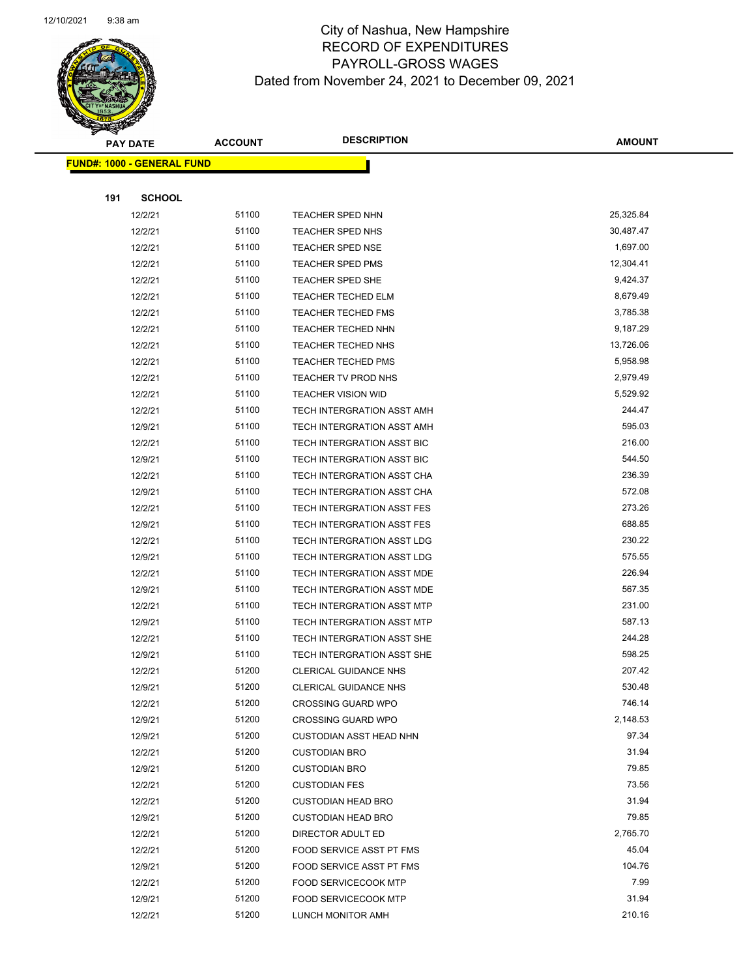

|     | <b>PAY DATE</b>                   | <b>ACCOUNT</b> | <b>DESCRIPTION</b>                | <b>AMOUNT</b>   |
|-----|-----------------------------------|----------------|-----------------------------------|-----------------|
|     | <b>FUND#: 1000 - GENERAL FUND</b> |                |                                   |                 |
|     |                                   |                |                                   |                 |
| 191 | <b>SCHOOL</b>                     |                |                                   |                 |
|     | 12/2/21                           | 51100          | TEACHER SPED NHN                  | 25,325.84       |
|     | 12/2/21                           | 51100          | TEACHER SPED NHS                  | 30,487.47       |
|     | 12/2/21                           | 51100          | <b>TEACHER SPED NSE</b>           | 1,697.00        |
|     | 12/2/21                           | 51100          | <b>TEACHER SPED PMS</b>           | 12,304.41       |
|     | 12/2/21                           | 51100          | TEACHER SPED SHE                  | 9,424.37        |
|     | 12/2/21                           | 51100          | <b>TEACHER TECHED ELM</b>         | 8,679.49        |
|     | 12/2/21                           | 51100          | <b>TEACHER TECHED FMS</b>         | 3,785.38        |
|     | 12/2/21                           | 51100          | TEACHER TECHED NHN                | 9,187.29        |
|     | 12/2/21                           | 51100          | <b>TEACHER TECHED NHS</b>         | 13,726.06       |
|     | 12/2/21                           | 51100          | <b>TEACHER TECHED PMS</b>         | 5,958.98        |
|     | 12/2/21                           | 51100          | TEACHER TV PROD NHS               | 2,979.49        |
|     | 12/2/21                           | 51100          | <b>TEACHER VISION WID</b>         | 5,529.92        |
|     | 12/2/21                           | 51100          | TECH INTERGRATION ASST AMH        | 244.47          |
|     | 12/9/21                           | 51100          | TECH INTERGRATION ASST AMH        | 595.03          |
|     | 12/2/21                           | 51100          | TECH INTERGRATION ASST BIC        | 216.00          |
|     | 12/9/21                           | 51100          | <b>TECH INTERGRATION ASST BIC</b> | 544.50          |
|     | 12/2/21                           | 51100          | TECH INTERGRATION ASST CHA        | 236.39          |
|     | 12/9/21                           | 51100          | TECH INTERGRATION ASST CHA        | 572.08          |
|     | 12/2/21                           | 51100          | TECH INTERGRATION ASST FES        | 273.26          |
|     | 12/9/21                           | 51100          | TECH INTERGRATION ASST FES        | 688.85          |
|     | 12/2/21                           | 51100          | TECH INTERGRATION ASST LDG        | 230.22          |
|     | 12/9/21                           | 51100          | TECH INTERGRATION ASST LDG        | 575.55          |
|     | 12/2/21                           | 51100          | TECH INTERGRATION ASST MDE        | 226.94          |
|     | 12/9/21                           | 51100          | TECH INTERGRATION ASST MDE        | 567.35          |
|     | 12/2/21                           | 51100          | TECH INTERGRATION ASST MTP        | 231.00          |
|     | 12/9/21                           | 51100          | <b>TECH INTERGRATION ASST MTP</b> | 587.13          |
|     | 12/2/21                           | 51100          | TECH INTERGRATION ASST SHE        | 244.28          |
|     | 12/9/21                           | 51100          | TECH INTERGRATION ASST SHE        | 598.25          |
|     | 12/2/21                           | 51200          | <b>CLERICAL GUIDANCE NHS</b>      | 207.42          |
|     | 12/9/21                           | 51200          | CLERICAL GUIDANCE NHS             | 530.48          |
|     | 12/2/21                           | 51200          | <b>CROSSING GUARD WPO</b>         | 746.14          |
|     | 12/9/21                           | 51200          | <b>CROSSING GUARD WPO</b>         | 2,148.53        |
|     | 12/9/21                           | 51200          | <b>CUSTODIAN ASST HEAD NHN</b>    | 97.34           |
|     | 12/2/21                           | 51200          | <b>CUSTODIAN BRO</b>              | 31.94           |
|     | 12/9/21                           | 51200          | <b>CUSTODIAN BRO</b>              | 79.85           |
|     | 12/2/21                           | 51200          | <b>CUSTODIAN FES</b>              | 73.56           |
|     | 12/2/21                           | 51200          | <b>CUSTODIAN HEAD BRO</b>         | 31.94           |
|     | 12/9/21                           | 51200          | <b>CUSTODIAN HEAD BRO</b>         | 79.85           |
|     | 12/2/21                           | 51200          | DIRECTOR ADULT ED                 | 2,765.70        |
|     | 12/2/21                           | 51200          | FOOD SERVICE ASST PT FMS          | 45.04<br>104.76 |
|     | 12/9/21                           | 51200<br>51200 | FOOD SERVICE ASST PT FMS          | 7.99            |
|     | 12/2/21<br>12/9/21                | 51200          | <b>FOOD SERVICECOOK MTP</b>       | 31.94           |
|     | 12/2/21                           | 51200          | <b>FOOD SERVICECOOK MTP</b>       | 210.16          |
|     |                                   |                | LUNCH MONITOR AMH                 |                 |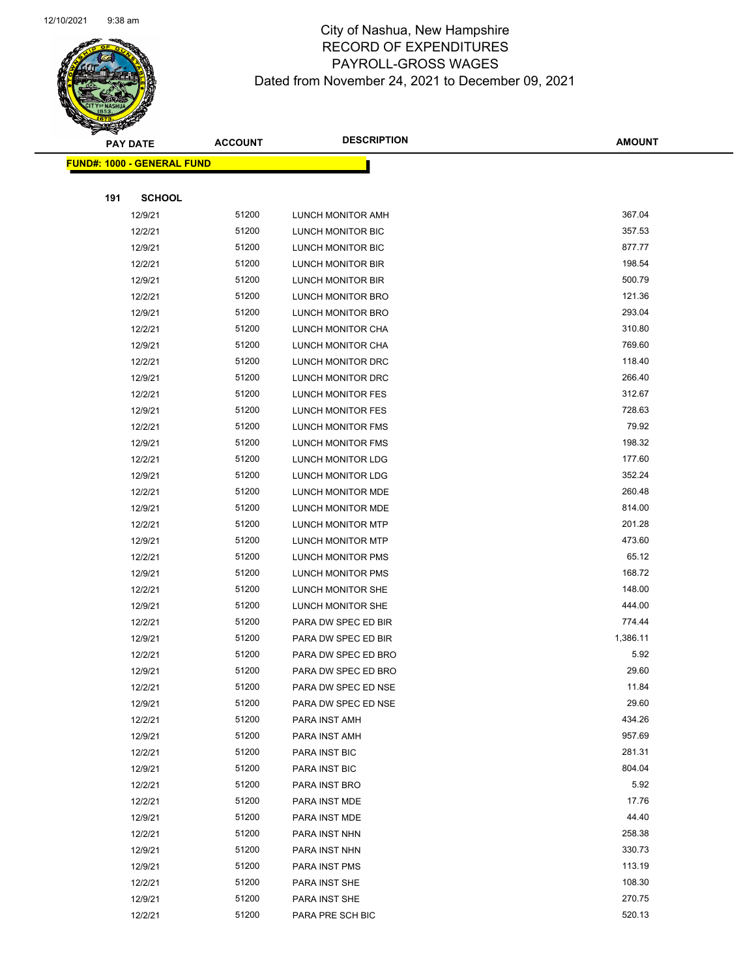

|     | <b>PAY DATE</b>                   | <b>ACCOUNT</b> | <b>DESCRIPTION</b>       | <b>AMOUNT</b> |
|-----|-----------------------------------|----------------|--------------------------|---------------|
|     | <b>FUND#: 1000 - GENERAL FUND</b> |                |                          |               |
|     |                                   |                |                          |               |
| 191 | <b>SCHOOL</b>                     |                |                          |               |
|     | 12/9/21                           | 51200          | LUNCH MONITOR AMH        | 367.04        |
|     | 12/2/21                           | 51200          | LUNCH MONITOR BIC        | 357.53        |
|     | 12/9/21                           | 51200          | LUNCH MONITOR BIC        | 877.77        |
|     | 12/2/21                           | 51200          | LUNCH MONITOR BIR        | 198.54        |
|     | 12/9/21                           | 51200          | LUNCH MONITOR BIR        | 500.79        |
|     | 12/2/21                           | 51200          | LUNCH MONITOR BRO        | 121.36        |
|     | 12/9/21                           | 51200          | LUNCH MONITOR BRO        | 293.04        |
|     | 12/2/21                           | 51200          | LUNCH MONITOR CHA        | 310.80        |
|     | 12/9/21                           | 51200          | LUNCH MONITOR CHA        | 769.60        |
|     | 12/2/21                           | 51200          | LUNCH MONITOR DRC        | 118.40        |
|     | 12/9/21                           | 51200          | LUNCH MONITOR DRC        | 266.40        |
|     | 12/2/21                           | 51200          | LUNCH MONITOR FES        | 312.67        |
|     | 12/9/21                           | 51200          | LUNCH MONITOR FES        | 728.63        |
|     | 12/2/21                           | 51200          | LUNCH MONITOR FMS        | 79.92         |
|     | 12/9/21                           | 51200          | LUNCH MONITOR FMS        | 198.32        |
|     | 12/2/21                           | 51200          | LUNCH MONITOR LDG        | 177.60        |
|     | 12/9/21                           | 51200          | LUNCH MONITOR LDG        | 352.24        |
|     | 12/2/21                           | 51200          | LUNCH MONITOR MDE        | 260.48        |
|     | 12/9/21                           | 51200          | LUNCH MONITOR MDE        | 814.00        |
|     | 12/2/21                           | 51200          | <b>LUNCH MONITOR MTP</b> | 201.28        |
|     | 12/9/21                           | 51200          | LUNCH MONITOR MTP        | 473.60        |
|     | 12/2/21                           | 51200          | LUNCH MONITOR PMS        | 65.12         |
|     | 12/9/21                           | 51200          | LUNCH MONITOR PMS        | 168.72        |
|     | 12/2/21                           | 51200          | LUNCH MONITOR SHE        | 148.00        |
|     | 12/9/21                           | 51200          | LUNCH MONITOR SHE        | 444.00        |
|     | 12/2/21                           | 51200          | PARA DW SPEC ED BIR      | 774.44        |
|     | 12/9/21                           | 51200          | PARA DW SPEC ED BIR      | 1,386.11      |
|     | 12/2/21                           | 51200          | PARA DW SPEC ED BRO      | 5.92          |
|     | 12/9/21                           | 51200          | PARA DW SPEC ED BRO      | 29.60         |
|     | 12/2/21                           | 51200          | PARA DW SPEC ED NSE      | 11.84         |
|     | 12/9/21                           | 51200          | PARA DW SPEC ED NSE      | 29.60         |
|     | 12/2/21                           | 51200          | PARA INST AMH            | 434.26        |
|     | 12/9/21                           | 51200          | PARA INST AMH            | 957.69        |
|     | 12/2/21                           | 51200          | PARA INST BIC            | 281.31        |
|     | 12/9/21                           | 51200          | PARA INST BIC            | 804.04        |
|     | 12/2/21                           | 51200          | PARA INST BRO            | 5.92          |
|     | 12/2/21                           | 51200          | PARA INST MDE            | 17.76         |
|     | 12/9/21                           | 51200          | PARA INST MDE            | 44.40         |
|     | 12/2/21                           | 51200          | PARA INST NHN            | 258.38        |
|     | 12/9/21                           | 51200          | PARA INST NHN            | 330.73        |
|     | 12/9/21                           | 51200          | PARA INST PMS            | 113.19        |
|     | 12/2/21                           | 51200          | PARA INST SHE            | 108.30        |
|     | 12/9/21                           | 51200          | PARA INST SHE            | 270.75        |
|     | 12/2/21                           | 51200          | PARA PRE SCH BIC         | 520.13        |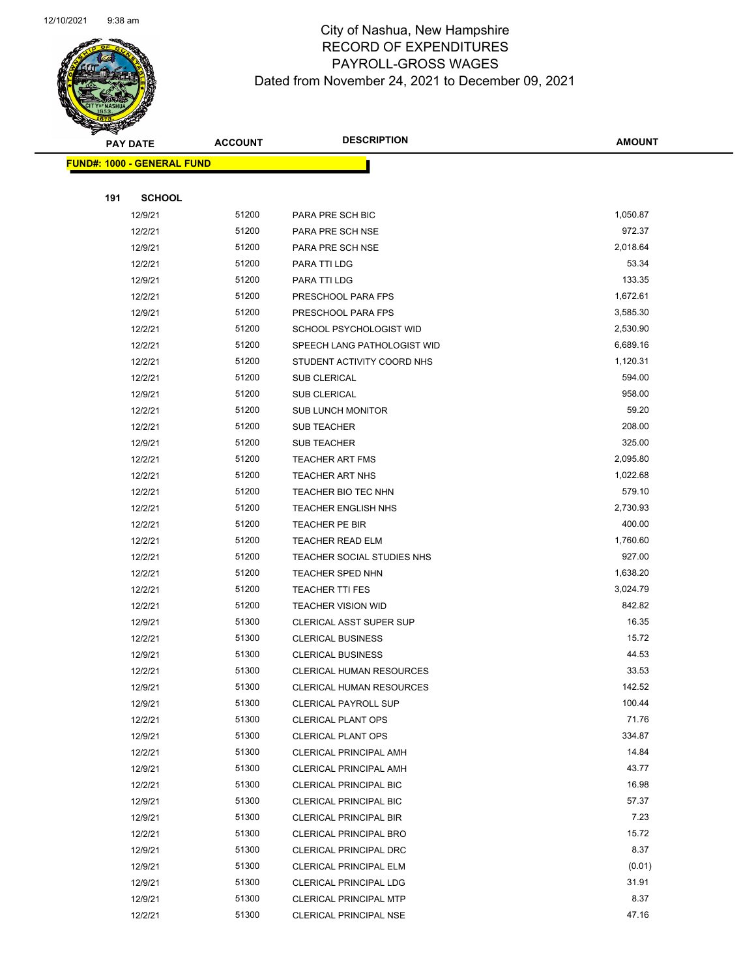

|     | <b>PAY DATE</b>                   | <b>ACCOUNT</b> | <b>DESCRIPTION</b>              | <b>AMOUNT</b> |
|-----|-----------------------------------|----------------|---------------------------------|---------------|
|     | <b>FUND#: 1000 - GENERAL FUND</b> |                |                                 |               |
|     |                                   |                |                                 |               |
| 191 | <b>SCHOOL</b>                     |                |                                 |               |
|     | 12/9/21                           | 51200          | PARA PRE SCH BIC                | 1,050.87      |
|     | 12/2/21                           | 51200          | PARA PRE SCH NSE                | 972.37        |
|     | 12/9/21                           | 51200          | PARA PRE SCH NSE                | 2,018.64      |
|     | 12/2/21                           | 51200          | PARA TTI LDG                    | 53.34         |
|     | 12/9/21                           | 51200          | PARA TTI LDG                    | 133.35        |
|     | 12/2/21                           | 51200          | PRESCHOOL PARA FPS              | 1,672.61      |
|     | 12/9/21                           | 51200          | PRESCHOOL PARA FPS              | 3,585.30      |
|     | 12/2/21                           | 51200          | SCHOOL PSYCHOLOGIST WID         | 2,530.90      |
|     | 12/2/21                           | 51200          | SPEECH LANG PATHOLOGIST WID     | 6,689.16      |
|     | 12/2/21                           | 51200          | STUDENT ACTIVITY COORD NHS      | 1,120.31      |
|     | 12/2/21                           | 51200          | SUB CLERICAL                    | 594.00        |
|     | 12/9/21                           | 51200          | <b>SUB CLERICAL</b>             | 958.00        |
|     | 12/2/21                           | 51200          | <b>SUB LUNCH MONITOR</b>        | 59.20         |
|     | 12/2/21                           | 51200          | <b>SUB TEACHER</b>              | 208.00        |
|     | 12/9/21                           | 51200          | <b>SUB TEACHER</b>              | 325.00        |
|     | 12/2/21                           | 51200          | <b>TEACHER ART FMS</b>          | 2,095.80      |
|     | 12/2/21                           | 51200          | <b>TEACHER ART NHS</b>          | 1,022.68      |
|     | 12/2/21                           | 51200          | TEACHER BIO TEC NHN             | 579.10        |
|     | 12/2/21                           | 51200          | <b>TEACHER ENGLISH NHS</b>      | 2,730.93      |
|     | 12/2/21                           | 51200          | TEACHER PE BIR                  | 400.00        |
|     | 12/2/21                           | 51200          | <b>TEACHER READ ELM</b>         | 1,760.60      |
|     | 12/2/21                           | 51200          | TEACHER SOCIAL STUDIES NHS      | 927.00        |
|     | 12/2/21                           | 51200          | <b>TEACHER SPED NHN</b>         | 1,638.20      |
|     | 12/2/21                           | 51200          | <b>TEACHER TTI FES</b>          | 3,024.79      |
|     | 12/2/21                           | 51200          | <b>TEACHER VISION WID</b>       | 842.82        |
|     | 12/9/21                           | 51300          | <b>CLERICAL ASST SUPER SUP</b>  | 16.35         |
|     | 12/2/21                           | 51300          | <b>CLERICAL BUSINESS</b>        | 15.72         |
|     | 12/9/21                           | 51300          | <b>CLERICAL BUSINESS</b>        | 44.53         |
|     | 12/2/21                           | 51300          | <b>CLERICAL HUMAN RESOURCES</b> | 33.53         |
|     | 12/9/21                           | 51300          | <b>CLERICAL HUMAN RESOURCES</b> | 142.52        |
|     | 12/9/21                           | 51300          | <b>CLERICAL PAYROLL SUP</b>     | 100.44        |
|     | 12/2/21                           | 51300          | <b>CLERICAL PLANT OPS</b>       | 71.76         |
|     | 12/9/21                           | 51300          | <b>CLERICAL PLANT OPS</b>       | 334.87        |
|     | 12/2/21                           | 51300          | <b>CLERICAL PRINCIPAL AMH</b>   | 14.84         |
|     | 12/9/21                           | 51300          | <b>CLERICAL PRINCIPAL AMH</b>   | 43.77         |
|     | 12/2/21                           | 51300          | CLERICAL PRINCIPAL BIC          | 16.98         |
|     | 12/9/21                           | 51300          | <b>CLERICAL PRINCIPAL BIC</b>   | 57.37         |
|     | 12/9/21                           | 51300          | <b>CLERICAL PRINCIPAL BIR</b>   | 7.23          |
|     | 12/2/21                           | 51300          | <b>CLERICAL PRINCIPAL BRO</b>   | 15.72         |
|     | 12/9/21                           | 51300          | CLERICAL PRINCIPAL DRC          | 8.37          |
|     | 12/9/21                           | 51300          | <b>CLERICAL PRINCIPAL ELM</b>   | (0.01)        |
|     | 12/9/21                           | 51300          | <b>CLERICAL PRINCIPAL LDG</b>   | 31.91         |
|     | 12/9/21                           | 51300          | <b>CLERICAL PRINCIPAL MTP</b>   | 8.37          |
|     | 12/2/21                           | 51300          | CLERICAL PRINCIPAL NSE          | 47.16         |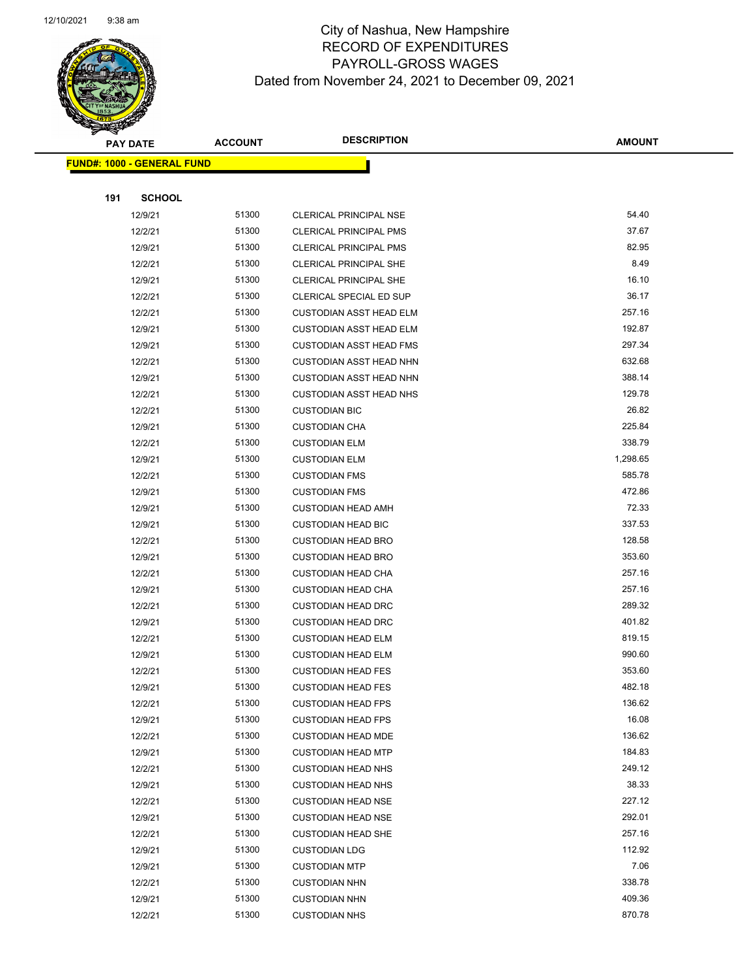

|     | <b>PAY DATE</b>                   | <b>ACCOUNT</b> | <b>DESCRIPTION</b>             | <b>AMOUNT</b> |
|-----|-----------------------------------|----------------|--------------------------------|---------------|
|     | <b>FUND#: 1000 - GENERAL FUND</b> |                |                                |               |
|     |                                   |                |                                |               |
| 191 | <b>SCHOOL</b>                     |                |                                |               |
|     | 12/9/21                           | 51300          | <b>CLERICAL PRINCIPAL NSE</b>  | 54.40         |
|     | 12/2/21                           | 51300          | <b>CLERICAL PRINCIPAL PMS</b>  | 37.67         |
|     | 12/9/21                           | 51300          | <b>CLERICAL PRINCIPAL PMS</b>  | 82.95         |
|     | 12/2/21                           | 51300          | CLERICAL PRINCIPAL SHE         | 8.49          |
|     | 12/9/21                           | 51300          | <b>CLERICAL PRINCIPAL SHE</b>  | 16.10         |
|     | 12/2/21                           | 51300          | CLERICAL SPECIAL ED SUP        | 36.17         |
|     | 12/2/21                           | 51300          | <b>CUSTODIAN ASST HEAD ELM</b> | 257.16        |
|     | 12/9/21                           | 51300          | <b>CUSTODIAN ASST HEAD ELM</b> | 192.87        |
|     | 12/9/21                           | 51300          | <b>CUSTODIAN ASST HEAD FMS</b> | 297.34        |
|     | 12/2/21                           | 51300          | <b>CUSTODIAN ASST HEAD NHN</b> | 632.68        |
|     | 12/9/21                           | 51300          | <b>CUSTODIAN ASST HEAD NHN</b> | 388.14        |
|     | 12/2/21                           | 51300          | <b>CUSTODIAN ASST HEAD NHS</b> | 129.78        |
|     | 12/2/21                           | 51300          | <b>CUSTODIAN BIC</b>           | 26.82         |
|     | 12/9/21                           | 51300          | <b>CUSTODIAN CHA</b>           | 225.84        |
|     | 12/2/21                           | 51300          | <b>CUSTODIAN ELM</b>           | 338.79        |
|     | 12/9/21                           | 51300          | <b>CUSTODIAN ELM</b>           | 1,298.65      |
|     | 12/2/21                           | 51300          | <b>CUSTODIAN FMS</b>           | 585.78        |
|     | 12/9/21                           | 51300          | <b>CUSTODIAN FMS</b>           | 472.86        |
|     | 12/9/21                           | 51300          | <b>CUSTODIAN HEAD AMH</b>      | 72.33         |
|     | 12/9/21                           | 51300          | <b>CUSTODIAN HEAD BIC</b>      | 337.53        |
|     | 12/2/21                           | 51300          | <b>CUSTODIAN HEAD BRO</b>      | 128.58        |
|     | 12/9/21                           | 51300          | <b>CUSTODIAN HEAD BRO</b>      | 353.60        |
|     | 12/2/21                           | 51300          | <b>CUSTODIAN HEAD CHA</b>      | 257.16        |
|     | 12/9/21                           | 51300          | <b>CUSTODIAN HEAD CHA</b>      | 257.16        |
|     | 12/2/21                           | 51300          | <b>CUSTODIAN HEAD DRC</b>      | 289.32        |
|     | 12/9/21                           | 51300          | <b>CUSTODIAN HEAD DRC</b>      | 401.82        |
|     | 12/2/21                           | 51300          | <b>CUSTODIAN HEAD ELM</b>      | 819.15        |
|     | 12/9/21                           | 51300          | <b>CUSTODIAN HEAD ELM</b>      | 990.60        |
|     | 12/2/21                           | 51300          | <b>CUSTODIAN HEAD FES</b>      | 353.60        |
|     | 12/9/21                           | 51300          | <b>CUSTODIAN HEAD FES</b>      | 482.18        |
|     | 12/2/21                           | 51300          | <b>CUSTODIAN HEAD FPS</b>      | 136.62        |
|     | 12/9/21                           | 51300          | <b>CUSTODIAN HEAD FPS</b>      | 16.08         |
|     | 12/2/21                           | 51300          | <b>CUSTODIAN HEAD MDE</b>      | 136.62        |
|     | 12/9/21                           | 51300          | <b>CUSTODIAN HEAD MTP</b>      | 184.83        |
|     | 12/2/21                           | 51300          | <b>CUSTODIAN HEAD NHS</b>      | 249.12        |
|     | 12/9/21                           | 51300          | <b>CUSTODIAN HEAD NHS</b>      | 38.33         |
|     | 12/2/21                           | 51300          | <b>CUSTODIAN HEAD NSE</b>      | 227.12        |
|     | 12/9/21                           | 51300          | <b>CUSTODIAN HEAD NSE</b>      | 292.01        |
|     | 12/2/21                           | 51300          | <b>CUSTODIAN HEAD SHE</b>      | 257.16        |
|     | 12/9/21                           | 51300          | <b>CUSTODIAN LDG</b>           | 112.92        |
|     | 12/9/21                           | 51300          | <b>CUSTODIAN MTP</b>           | 7.06          |
|     | 12/2/21                           | 51300          | <b>CUSTODIAN NHN</b>           | 338.78        |
|     | 12/9/21                           | 51300          | <b>CUSTODIAN NHN</b>           | 409.36        |
|     | 12/2/21                           | 51300          | <b>CUSTODIAN NHS</b>           | 870.78        |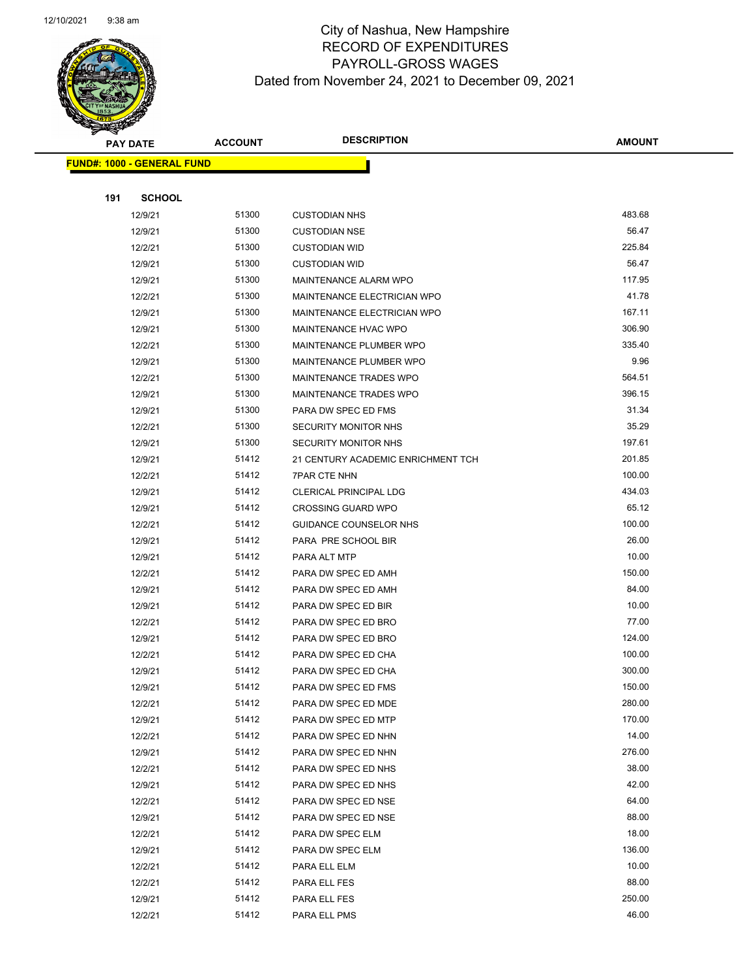

|     | <b>PAY DATE</b>                   | <b>ACCOUNT</b> | <b>DESCRIPTION</b>                 | <b>AMOUNT</b> |
|-----|-----------------------------------|----------------|------------------------------------|---------------|
|     | <b>FUND#: 1000 - GENERAL FUND</b> |                |                                    |               |
|     |                                   |                |                                    |               |
| 191 | <b>SCHOOL</b>                     |                |                                    |               |
|     | 12/9/21                           | 51300          | <b>CUSTODIAN NHS</b>               | 483.68        |
|     | 12/9/21                           | 51300          | <b>CUSTODIAN NSE</b>               | 56.47         |
|     | 12/2/21                           | 51300          | <b>CUSTODIAN WID</b>               | 225.84        |
|     | 12/9/21                           | 51300          | <b>CUSTODIAN WID</b>               | 56.47         |
|     | 12/9/21                           | 51300          | <b>MAINTENANCE ALARM WPO</b>       | 117.95        |
|     | 12/2/21                           | 51300          | MAINTENANCE ELECTRICIAN WPO        | 41.78         |
|     | 12/9/21                           | 51300          | <b>MAINTENANCE ELECTRICIAN WPO</b> | 167.11        |
|     | 12/9/21                           | 51300          | <b>MAINTENANCE HVAC WPO</b>        | 306.90        |
|     | 12/2/21                           | 51300          | MAINTENANCE PLUMBER WPO            | 335.40        |
|     | 12/9/21                           | 51300          | MAINTENANCE PLUMBER WPO            | 9.96          |
|     | 12/2/21                           | 51300          | <b>MAINTENANCE TRADES WPO</b>      | 564.51        |
|     | 12/9/21                           | 51300          | MAINTENANCE TRADES WPO             | 396.15        |
|     | 12/9/21                           | 51300          | PARA DW SPEC ED FMS                | 31.34         |
|     | 12/2/21                           | 51300          | <b>SECURITY MONITOR NHS</b>        | 35.29         |
|     | 12/9/21                           | 51300          | <b>SECURITY MONITOR NHS</b>        | 197.61        |
|     | 12/9/21                           | 51412          | 21 CENTURY ACADEMIC ENRICHMENT TCH | 201.85        |
|     | 12/2/21                           | 51412          | <b>7PAR CTE NHN</b>                | 100.00        |
|     | 12/9/21                           | 51412          | <b>CLERICAL PRINCIPAL LDG</b>      | 434.03        |
|     | 12/9/21                           | 51412          | <b>CROSSING GUARD WPO</b>          | 65.12         |
|     | 12/2/21                           | 51412          | GUIDANCE COUNSELOR NHS             | 100.00        |
|     | 12/9/21                           | 51412          | PARA PRE SCHOOL BIR                | 26.00         |
|     | 12/9/21                           | 51412          | PARA ALT MTP                       | 10.00         |
|     | 12/2/21                           | 51412          | PARA DW SPEC ED AMH                | 150.00        |
|     | 12/9/21                           | 51412          | PARA DW SPEC ED AMH                | 84.00         |
|     | 12/9/21                           | 51412          | PARA DW SPEC ED BIR                | 10.00         |
|     | 12/2/21                           | 51412          | PARA DW SPEC ED BRO                | 77.00         |
|     | 12/9/21                           | 51412          | PARA DW SPEC ED BRO                | 124.00        |
|     | 12/2/21                           | 51412          | PARA DW SPEC ED CHA                | 100.00        |
|     | 12/9/21                           | 51412          | PARA DW SPEC ED CHA                | 300.00        |
|     | 12/9/21                           | 51412          | PARA DW SPEC ED FMS                | 150.00        |
|     | 12/2/21                           | 51412          | PARA DW SPEC ED MDE                | 280.00        |
|     | 12/9/21                           | 51412          | PARA DW SPEC ED MTP                | 170.00        |
|     | 12/2/21                           | 51412          | PARA DW SPEC ED NHN                | 14.00         |
|     | 12/9/21                           | 51412          | PARA DW SPEC ED NHN                | 276.00        |
|     | 12/2/21                           | 51412          | PARA DW SPEC ED NHS                | 38.00         |
|     | 12/9/21                           | 51412          | PARA DW SPEC ED NHS                | 42.00         |
|     | 12/2/21                           | 51412          | PARA DW SPEC ED NSE                | 64.00         |
|     | 12/9/21                           | 51412          | PARA DW SPEC ED NSE                | 88.00         |
|     | 12/2/21                           | 51412          | PARA DW SPEC ELM                   | 18.00         |
|     | 12/9/21                           | 51412          | PARA DW SPEC ELM                   | 136.00        |
|     | 12/2/21                           | 51412          | PARA ELL ELM                       | 10.00         |
|     | 12/2/21                           | 51412          | PARA ELL FES                       | 88.00         |
|     | 12/9/21                           | 51412          | PARA ELL FES                       | 250.00        |
|     | 12/2/21                           | 51412          | PARA ELL PMS                       | 46.00         |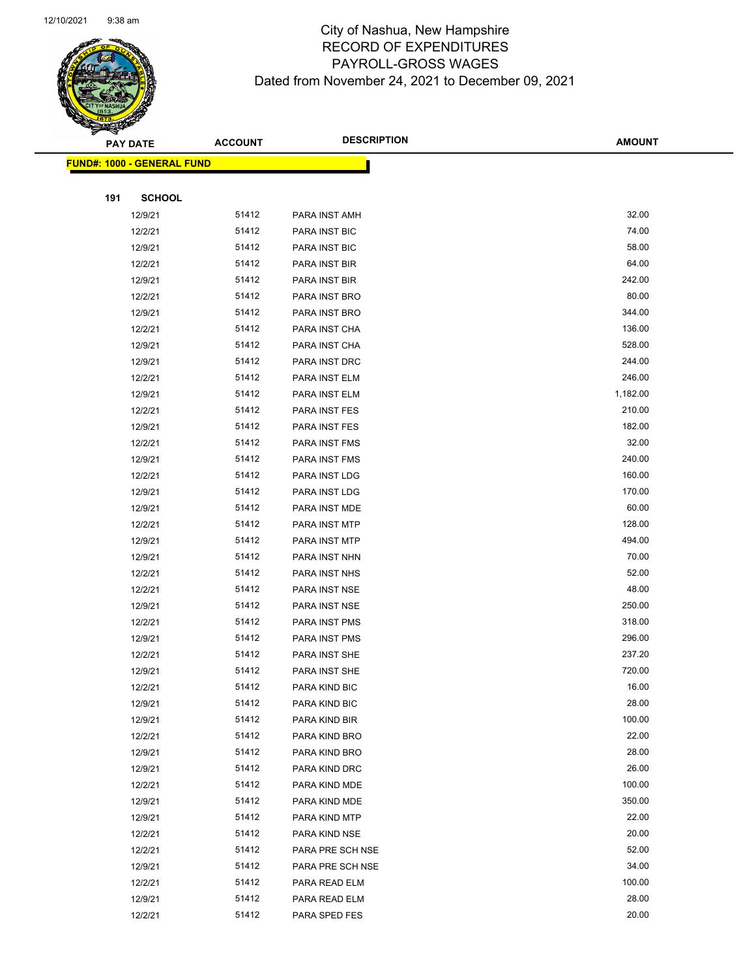

|     | <b>PAY DATE</b>                   | <b>ACCOUNT</b> | <b>DESCRIPTION</b> | <b>AMOUNT</b> |
|-----|-----------------------------------|----------------|--------------------|---------------|
|     | <b>FUND#: 1000 - GENERAL FUND</b> |                |                    |               |
|     |                                   |                |                    |               |
| 191 | <b>SCHOOL</b>                     |                |                    |               |
|     | 12/9/21                           | 51412          | PARA INST AMH      | 32.00         |
|     | 12/2/21                           | 51412          | PARA INST BIC      | 74.00         |
|     | 12/9/21                           | 51412          | PARA INST BIC      | 58.00         |
|     | 12/2/21                           | 51412          | PARA INST BIR      | 64.00         |
|     | 12/9/21                           | 51412          | PARA INST BIR      | 242.00        |
|     | 12/2/21                           | 51412          | PARA INST BRO      | 80.00         |
|     | 12/9/21                           | 51412          | PARA INST BRO      | 344.00        |
|     | 12/2/21                           | 51412          | PARA INST CHA      | 136.00        |
|     | 12/9/21                           | 51412          | PARA INST CHA      | 528.00        |
|     | 12/9/21                           | 51412          | PARA INST DRC      | 244.00        |
|     | 12/2/21                           | 51412          | PARA INST ELM      | 246.00        |
|     | 12/9/21                           | 51412          | PARA INST ELM      | 1,182.00      |
|     | 12/2/21                           | 51412          | PARA INST FES      | 210.00        |
|     | 12/9/21                           | 51412          | PARA INST FES      | 182.00        |
|     | 12/2/21                           | 51412          | PARA INST FMS      | 32.00         |
|     | 12/9/21                           | 51412          | PARA INST FMS      | 240.00        |
|     | 12/2/21                           | 51412          | PARA INST LDG      | 160.00        |
|     | 12/9/21                           | 51412          | PARA INST LDG      | 170.00        |
|     | 12/9/21                           | 51412          | PARA INST MDE      | 60.00         |
|     | 12/2/21                           | 51412          | PARA INST MTP      | 128.00        |
|     | 12/9/21                           | 51412          | PARA INST MTP      | 494.00        |
|     | 12/9/21                           | 51412          | PARA INST NHN      | 70.00         |
|     | 12/2/21                           | 51412          | PARA INST NHS      | 52.00         |
|     | 12/2/21                           | 51412          | PARA INST NSE      | 48.00         |
|     | 12/9/21                           | 51412          | PARA INST NSE      | 250.00        |
|     | 12/2/21                           | 51412          | PARA INST PMS      | 318.00        |
|     | 12/9/21                           | 51412          | PARA INST PMS      | 296.00        |
|     | 12/2/21                           | 51412          | PARA INST SHE      | 237.20        |
|     | 12/9/21                           | 51412          | PARA INST SHE      | 720.00        |
|     | 12/2/21                           | 51412          | PARA KIND BIC      | 16.00         |
|     | 12/9/21                           | 51412          | PARA KIND BIC      | 28.00         |
|     | 12/9/21                           | 51412          | PARA KIND BIR      | 100.00        |
|     | 12/2/21                           | 51412          | PARA KIND BRO      | 22.00         |
|     | 12/9/21                           | 51412          | PARA KIND BRO      | 28.00         |
|     | 12/9/21                           | 51412          | PARA KIND DRC      | 26.00         |
|     | 12/2/21                           | 51412          | PARA KIND MDE      | 100.00        |
|     | 12/9/21                           | 51412          | PARA KIND MDE      | 350.00        |
|     | 12/9/21                           | 51412          | PARA KIND MTP      | 22.00         |
|     | 12/2/21                           | 51412          | PARA KIND NSE      | 20.00         |
|     | 12/2/21                           | 51412          | PARA PRE SCH NSE   | 52.00         |
|     | 12/9/21                           | 51412          | PARA PRE SCH NSE   | 34.00         |
|     | 12/2/21                           | 51412          | PARA READ ELM      | 100.00        |
|     | 12/9/21                           | 51412          | PARA READ ELM      | 28.00         |
|     | 12/2/21                           | 51412          | PARA SPED FES      | 20.00         |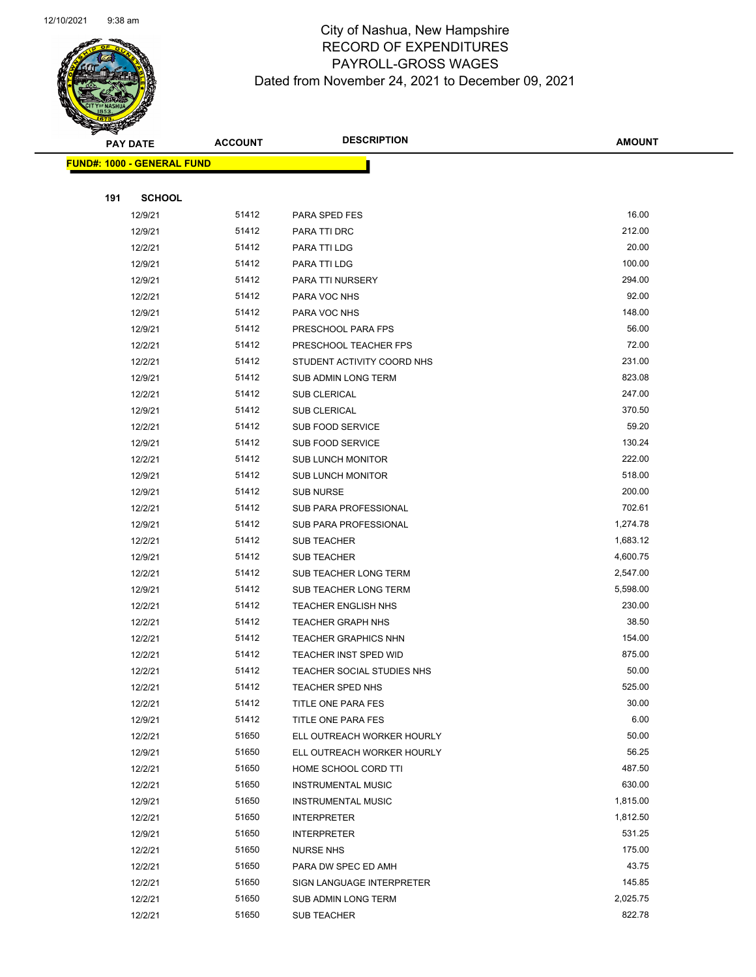

|     | <b>PAY DATE</b>                   | <b>ACCOUNT</b> | <b>DESCRIPTION</b>                | <b>AMOUNT</b> |
|-----|-----------------------------------|----------------|-----------------------------------|---------------|
|     | <b>FUND#: 1000 - GENERAL FUND</b> |                |                                   |               |
|     |                                   |                |                                   |               |
| 191 | <b>SCHOOL</b>                     |                |                                   |               |
|     | 12/9/21                           | 51412          | PARA SPED FES                     | 16.00         |
|     | 12/9/21                           | 51412          | PARA TTI DRC                      | 212.00        |
|     | 12/2/21                           | 51412          | PARA TTI LDG                      | 20.00         |
|     | 12/9/21                           | 51412          | PARA TTI LDG                      | 100.00        |
|     | 12/9/21                           | 51412          | PARA TTI NURSERY                  | 294.00        |
|     | 12/2/21                           | 51412          | PARA VOC NHS                      | 92.00         |
|     | 12/9/21                           | 51412          | PARA VOC NHS                      | 148.00        |
|     | 12/9/21                           | 51412          | PRESCHOOL PARA FPS                | 56.00         |
|     | 12/2/21                           | 51412          | PRESCHOOL TEACHER FPS             | 72.00         |
|     | 12/2/21                           | 51412          | STUDENT ACTIVITY COORD NHS        | 231.00        |
|     | 12/9/21                           | 51412          | SUB ADMIN LONG TERM               | 823.08        |
|     | 12/2/21                           | 51412          | <b>SUB CLERICAL</b>               | 247.00        |
|     | 12/9/21                           | 51412          | <b>SUB CLERICAL</b>               | 370.50        |
|     | 12/2/21                           | 51412          | <b>SUB FOOD SERVICE</b>           | 59.20         |
|     | 12/9/21                           | 51412          | SUB FOOD SERVICE                  | 130.24        |
|     | 12/2/21                           | 51412          | <b>SUB LUNCH MONITOR</b>          | 222.00        |
|     | 12/9/21                           | 51412          | <b>SUB LUNCH MONITOR</b>          | 518.00        |
|     | 12/9/21                           | 51412          | <b>SUB NURSE</b>                  | 200.00        |
|     | 12/2/21                           | 51412          | SUB PARA PROFESSIONAL             | 702.61        |
|     | 12/9/21                           | 51412          | SUB PARA PROFESSIONAL             | 1,274.78      |
|     | 12/2/21                           | 51412          | <b>SUB TEACHER</b>                | 1,683.12      |
|     | 12/9/21                           | 51412          | <b>SUB TEACHER</b>                | 4,600.75      |
|     | 12/2/21                           | 51412          | SUB TEACHER LONG TERM             | 2,547.00      |
|     | 12/9/21                           | 51412          | SUB TEACHER LONG TERM             | 5,598.00      |
|     | 12/2/21                           | 51412          | <b>TEACHER ENGLISH NHS</b>        | 230.00        |
|     | 12/2/21                           | 51412          | <b>TEACHER GRAPH NHS</b>          | 38.50         |
|     | 12/2/21                           | 51412          | <b>TEACHER GRAPHICS NHN</b>       | 154.00        |
|     | 12/2/21                           | 51412          | <b>TEACHER INST SPED WID</b>      | 875.00        |
|     | 12/2/21                           | 51412          | <b>TEACHER SOCIAL STUDIES NHS</b> | 50.00         |
|     | 12/2/21                           | 51412          | TEACHER SPED NHS                  | 525.00        |
|     | 12/2/21                           | 51412          | TITLE ONE PARA FES                | 30.00         |
|     | 12/9/21                           | 51412          | TITLE ONE PARA FES                | 6.00          |
|     | 12/2/21                           | 51650          | ELL OUTREACH WORKER HOURLY        | 50.00         |
|     | 12/9/21                           | 51650          | ELL OUTREACH WORKER HOURLY        | 56.25         |
|     | 12/2/21                           | 51650          | HOME SCHOOL CORD TTI              | 487.50        |
|     | 12/2/21                           | 51650          | <b>INSTRUMENTAL MUSIC</b>         | 630.00        |
|     | 12/9/21                           | 51650          | <b>INSTRUMENTAL MUSIC</b>         | 1,815.00      |
|     | 12/2/21                           | 51650          | <b>INTERPRETER</b>                | 1,812.50      |
|     | 12/9/21                           | 51650          | <b>INTERPRETER</b>                | 531.25        |
|     | 12/2/21                           | 51650          | <b>NURSE NHS</b>                  | 175.00        |
|     | 12/2/21                           | 51650          | PARA DW SPEC ED AMH               | 43.75         |
|     | 12/2/21                           | 51650          | SIGN LANGUAGE INTERPRETER         | 145.85        |
|     | 12/2/21                           | 51650          | SUB ADMIN LONG TERM               | 2,025.75      |
|     | 12/2/21                           | 51650          | SUB TEACHER                       | 822.78        |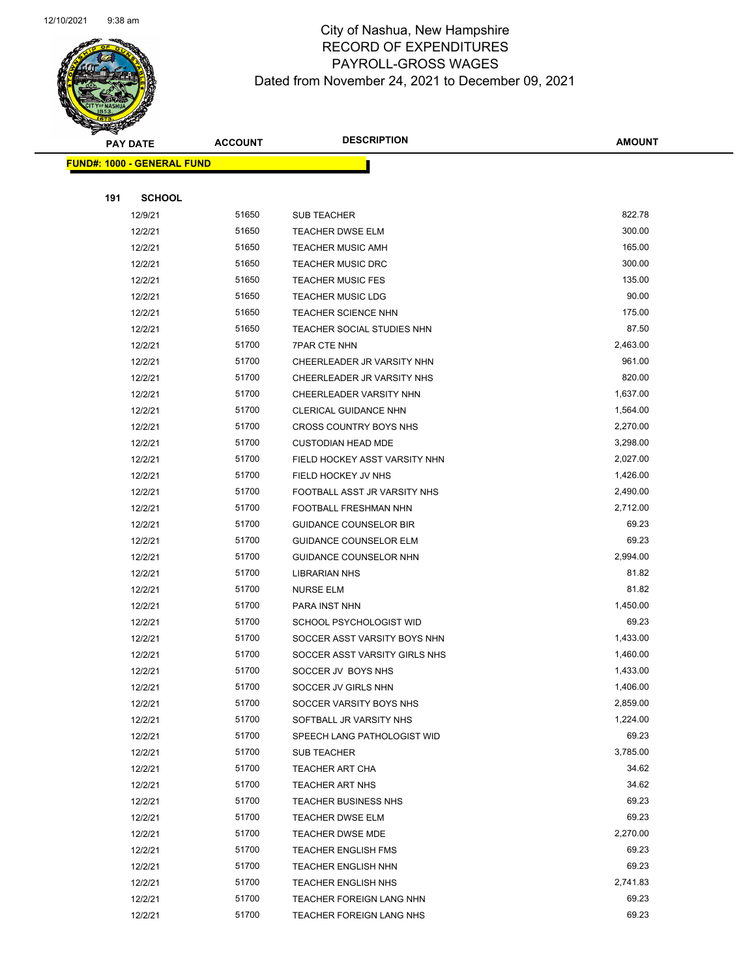

|     | <b>PAY DATE</b>                   | <b>ACCOUNT</b> | <b>DESCRIPTION</b>            | <b>AMOUNT</b> |
|-----|-----------------------------------|----------------|-------------------------------|---------------|
|     | <b>FUND#: 1000 - GENERAL FUND</b> |                |                               |               |
|     |                                   |                |                               |               |
| 191 | <b>SCHOOL</b>                     |                |                               |               |
|     | 12/9/21                           | 51650          | <b>SUB TEACHER</b>            | 822.78        |
|     | 12/2/21                           | 51650          | <b>TEACHER DWSE ELM</b>       | 300.00        |
|     | 12/2/21                           | 51650          | <b>TEACHER MUSIC AMH</b>      | 165.00        |
|     | 12/2/21                           | 51650          | <b>TEACHER MUSIC DRC</b>      | 300.00        |
|     | 12/2/21                           | 51650          | <b>TEACHER MUSIC FES</b>      | 135.00        |
|     | 12/2/21                           | 51650          | <b>TEACHER MUSIC LDG</b>      | 90.00         |
|     | 12/2/21                           | 51650          | <b>TEACHER SCIENCE NHN</b>    | 175.00        |
|     | 12/2/21                           | 51650          | TEACHER SOCIAL STUDIES NHN    | 87.50         |
|     | 12/2/21                           | 51700          | <b>7PAR CTE NHN</b>           | 2,463.00      |
|     | 12/2/21                           | 51700          | CHEERLEADER JR VARSITY NHN    | 961.00        |
|     | 12/2/21                           | 51700          | CHEERLEADER JR VARSITY NHS    | 820.00        |
|     | 12/2/21                           | 51700          | CHEERLEADER VARSITY NHN       | 1,637.00      |
|     | 12/2/21                           | 51700          | CLERICAL GUIDANCE NHN         | 1,564.00      |
|     | 12/2/21                           | 51700          | CROSS COUNTRY BOYS NHS        | 2,270.00      |
|     | 12/2/21                           | 51700          | <b>CUSTODIAN HEAD MDE</b>     | 3,298.00      |
|     | 12/2/21                           | 51700          | FIELD HOCKEY ASST VARSITY NHN | 2,027.00      |
|     | 12/2/21                           | 51700          | FIELD HOCKEY JV NHS           | 1,426.00      |
|     | 12/2/21                           | 51700          | FOOTBALL ASST JR VARSITY NHS  | 2,490.00      |
|     | 12/2/21                           | 51700          | FOOTBALL FRESHMAN NHN         | 2,712.00      |
|     | 12/2/21                           | 51700          | <b>GUIDANCE COUNSELOR BIR</b> | 69.23         |
|     | 12/2/21                           | 51700          | <b>GUIDANCE COUNSELOR ELM</b> | 69.23         |
|     | 12/2/21                           | 51700          | GUIDANCE COUNSELOR NHN        | 2,994.00      |
|     | 12/2/21                           | 51700          | <b>LIBRARIAN NHS</b>          | 81.82         |
|     | 12/2/21                           | 51700          | <b>NURSE ELM</b>              | 81.82         |
|     | 12/2/21                           | 51700          | PARA INST NHN                 | 1,450.00      |
|     | 12/2/21                           | 51700          | SCHOOL PSYCHOLOGIST WID       | 69.23         |
|     | 12/2/21                           | 51700          | SOCCER ASST VARSITY BOYS NHN  | 1,433.00      |
|     | 12/2/21                           | 51700          | SOCCER ASST VARSITY GIRLS NHS | 1,460.00      |
|     | 12/2/21                           | 51700          | SOCCER JV BOYS NHS            | 1,433.00      |
|     | 12/2/21                           | 51700          | SOCCER JV GIRLS NHN           | 1,406.00      |
|     | 12/2/21                           | 51700          | SOCCER VARSITY BOYS NHS       | 2,859.00      |
|     | 12/2/21                           | 51700          | SOFTBALL JR VARSITY NHS       | 1,224.00      |
|     | 12/2/21                           | 51700          | SPEECH LANG PATHOLOGIST WID   | 69.23         |
|     | 12/2/21                           | 51700          | SUB TEACHER                   | 3,785.00      |
|     | 12/2/21                           | 51700          | TEACHER ART CHA               | 34.62         |
|     | 12/2/21                           | 51700          | TEACHER ART NHS               | 34.62         |
|     | 12/2/21                           | 51700          | <b>TEACHER BUSINESS NHS</b>   | 69.23         |
|     | 12/2/21                           | 51700          | <b>TEACHER DWSE ELM</b>       | 69.23         |
|     | 12/2/21                           | 51700          | <b>TEACHER DWSE MDE</b>       | 2,270.00      |
|     | 12/2/21                           | 51700          | <b>TEACHER ENGLISH FMS</b>    | 69.23         |
|     | 12/2/21                           | 51700          | <b>TEACHER ENGLISH NHN</b>    | 69.23         |
|     | 12/2/21                           | 51700          | <b>TEACHER ENGLISH NHS</b>    | 2,741.83      |
|     | 12/2/21                           | 51700          | TEACHER FOREIGN LANG NHN      | 69.23         |
|     | 12/2/21                           | 51700          | TEACHER FOREIGN LANG NHS      | 69.23         |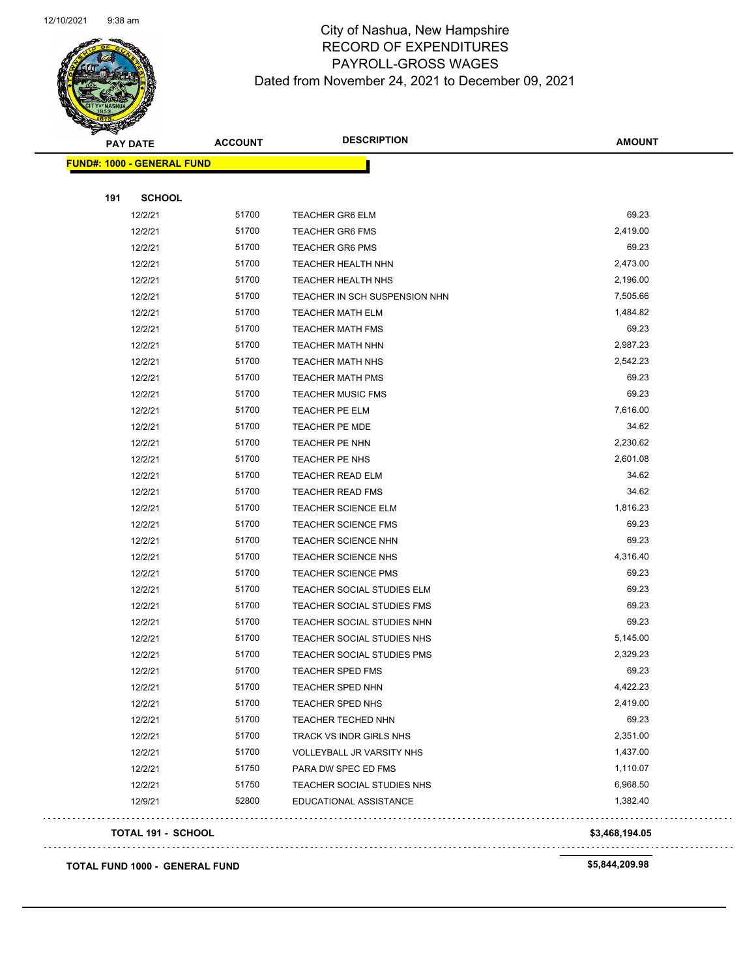

| <b>PAY DATE</b>                   | <b>ACCOUNT</b> | <b>DESCRIPTION</b>            | <b>AMOUNT</b>  |
|-----------------------------------|----------------|-------------------------------|----------------|
| <b>FUND#: 1000 - GENERAL FUND</b> |                |                               |                |
|                                   |                |                               |                |
| 191<br><b>SCHOOL</b>              |                |                               |                |
| 12/2/21                           | 51700          | <b>TEACHER GR6 ELM</b>        | 69.23          |
| 12/2/21                           | 51700          | <b>TEACHER GR6 FMS</b>        | 2,419.00       |
| 12/2/21                           | 51700          | <b>TEACHER GR6 PMS</b>        | 69.23          |
| 12/2/21                           | 51700          | <b>TEACHER HEALTH NHN</b>     | 2,473.00       |
| 12/2/21                           | 51700          | <b>TEACHER HEALTH NHS</b>     | 2,196.00       |
| 12/2/21                           | 51700          | TEACHER IN SCH SUSPENSION NHN | 7,505.66       |
| 12/2/21                           | 51700          | <b>TEACHER MATH ELM</b>       | 1,484.82       |
| 12/2/21                           | 51700          | <b>TEACHER MATH FMS</b>       | 69.23          |
| 12/2/21                           | 51700          | <b>TEACHER MATH NHN</b>       | 2,987.23       |
| 12/2/21                           | 51700          | <b>TEACHER MATH NHS</b>       | 2,542.23       |
| 12/2/21                           | 51700          | <b>TEACHER MATH PMS</b>       | 69.23          |
| 12/2/21                           | 51700          | <b>TEACHER MUSIC FMS</b>      | 69.23          |
| 12/2/21                           | 51700          | TEACHER PE ELM                | 7,616.00       |
| 12/2/21                           | 51700          | TEACHER PE MDE                | 34.62          |
| 12/2/21                           | 51700          | TEACHER PE NHN                | 2,230.62       |
| 12/2/21                           | 51700          | TEACHER PE NHS                | 2,601.08       |
| 12/2/21                           | 51700          | <b>TEACHER READ ELM</b>       | 34.62          |
| 12/2/21                           | 51700          | <b>TEACHER READ FMS</b>       | 34.62          |
| 12/2/21                           | 51700          | <b>TEACHER SCIENCE ELM</b>    | 1,816.23       |
| 12/2/21                           | 51700          | <b>TEACHER SCIENCE FMS</b>    | 69.23          |
| 12/2/21                           | 51700          | <b>TEACHER SCIENCE NHN</b>    | 69.23          |
| 12/2/21                           | 51700          | <b>TEACHER SCIENCE NHS</b>    | 4,316.40       |
| 12/2/21                           | 51700          | <b>TEACHER SCIENCE PMS</b>    | 69.23          |
| 12/2/21                           | 51700          | TEACHER SOCIAL STUDIES ELM    | 69.23          |
| 12/2/21                           | 51700          | TEACHER SOCIAL STUDIES FMS    | 69.23          |
| 12/2/21                           | 51700          | TEACHER SOCIAL STUDIES NHN    | 69.23          |
| 12/2/21                           | 51700          | TEACHER SOCIAL STUDIES NHS    | 5,145.00       |
| 12/2/21                           | 51700          | TEACHER SOCIAL STUDIES PMS    | 2,329.23       |
| 12/2/21                           | 51700          | <b>TEACHER SPED FMS</b>       | 69.23          |
| 12/2/21                           | 51700          | TEACHER SPED NHN              | 4,422.23       |
| 12/2/21                           | 51700          | <b>TEACHER SPED NHS</b>       | 2,419.00       |
| 12/2/21                           | 51700          | TEACHER TECHED NHN            | 69.23          |
| 12/2/21                           | 51700          | TRACK VS INDR GIRLS NHS       | 2,351.00       |
| 12/2/21                           | 51700          | VOLLEYBALL JR VARSITY NHS     | 1,437.00       |
| 12/2/21                           | 51750          | PARA DW SPEC ED FMS           | 1,110.07       |
| 12/2/21                           | 51750          | TEACHER SOCIAL STUDIES NHS    | 6,968.50       |
| 12/9/21                           | 52800          | EDUCATIONAL ASSISTANCE        | 1,382.40       |
| <b>TOTAL 191 - SCHOOL</b>         |                |                               | \$3,468,194.05 |
|                                   |                |                               |                |
| TOTAL FUND 1000 - GENERAL FUND    |                |                               | \$5,844,209.98 |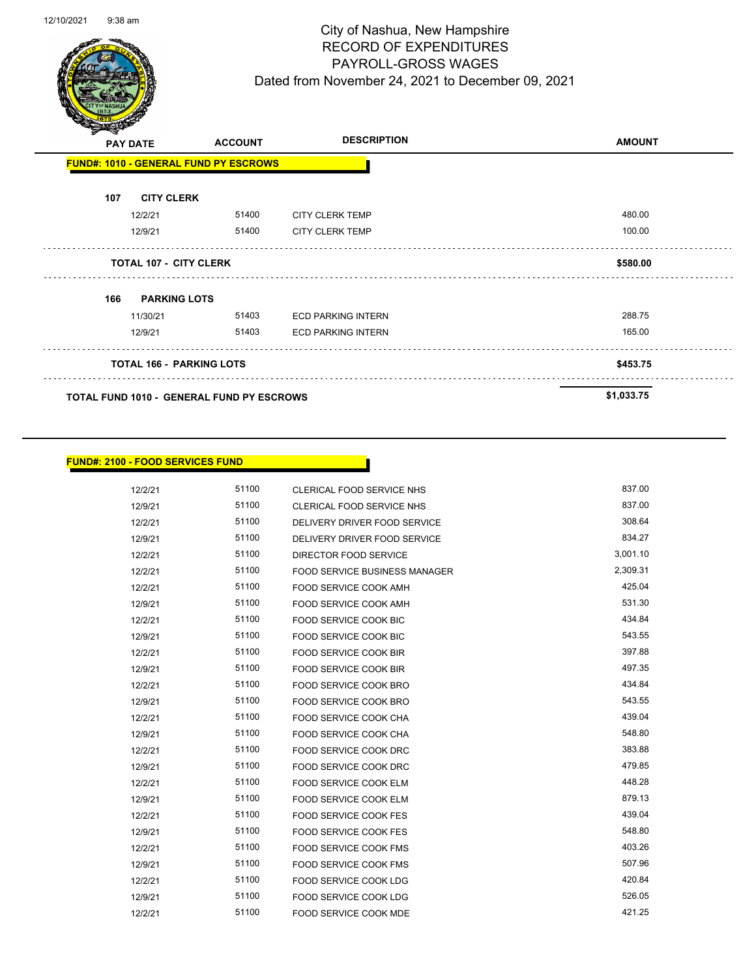

| $\mathbf{z}$<br>∼ | <b>PAY DATE</b>                 | <b>ACCOUNT</b>                               | <b>DESCRIPTION</b>        | <b>AMOUNT</b> |
|-------------------|---------------------------------|----------------------------------------------|---------------------------|---------------|
|                   |                                 | <b>FUND#: 1010 - GENERAL FUND PY ESCROWS</b> |                           |               |
| 107               | <b>CITY CLERK</b>               |                                              |                           |               |
|                   | 12/2/21                         | 51400                                        | <b>CITY CLERK TEMP</b>    | 480.00        |
|                   | 12/9/21                         | 51400                                        | <b>CITY CLERK TEMP</b>    | 100.00        |
|                   | <b>TOTAL 107 - CITY CLERK</b>   |                                              |                           | \$580.00      |
| 166               | <b>PARKING LOTS</b>             |                                              |                           |               |
|                   | 11/30/21                        | 51403                                        | <b>ECD PARKING INTERN</b> | 288.75        |
|                   | 12/9/21                         | 51403                                        | <b>ECD PARKING INTERN</b> | 165.00        |
|                   | <b>TOTAL 166 - PARKING LOTS</b> |                                              |                           | \$453.75      |
|                   |                                 | TOTAL FUND 1010 - GENERAL FUND PY ESCROWS    |                           | \$1,033.75    |

#### **FUND#: 2100 - FOOD SERVICES FUND**

12/2/21 51100 CLERICAL FOOD SERVICE NHS 637.00 12/9/21 51100 CLERICAL FOOD SERVICE NHS 837.00 12/2/21 51100 DELIVERY DRIVER FOOD SERVICE 308.64 12/9/21 51100 DELIVERY DRIVER FOOD SERVICE 834.27 12/2/21 51100 DIRECTOR FOOD SERVICE 3,001.10 12/2/21 51100 FOOD SERVICE BUSINESS MANAGER 2,309.31 12/2/21 51100 FOOD SERVICE COOK AMH 425.04 12/9/21 51100 FOOD SERVICE COOK AMH 12/2/21 51100 FOOD SERVICE COOK BIC 434.84 12/9/21 51100 FOOD SERVICE COOK BIC 543.55 12/2/21 51100 FOOD SERVICE COOK BIR 397.88 12/9/21 51100 FOOD SERVICE COOK BIR 497.35 12/2/21 51100 FOOD SERVICE COOK BRO 434.84 12/9/21 51100 FOOD SERVICE COOK BRO 543.55 12/2/21 51100 FOOD SERVICE COOK CHA 439.04 12/9/21 51100 FOOD SERVICE COOK CHA 548.80 12/2/21 51100 FOOD SERVICE COOK DRC 383.88 12/9/21 51100 FOOD SERVICE COOK DRC 479.85 12/2/21 51100 FOOD SERVICE COOK ELM 448.28 12/9/21 51100 FOOD SERVICE COOK ELM 579.13 12/2/21 51100 FOOD SERVICE COOK FES 439.04 12/9/21 51100 FOOD SERVICE COOK FES 548.80 12/2/21 51100 FOOD SERVICE COOK FMS 403.26 12/9/21 51100 FOOD SERVICE COOK FMS 507.96 12/2/21 51100 FOOD SERVICE COOK LDG 420.84 12/9/21 51100 FOOD SERVICE COOK LDG 526.05

12/2/21 51100 FOOD SERVICE COOK MDE 421.25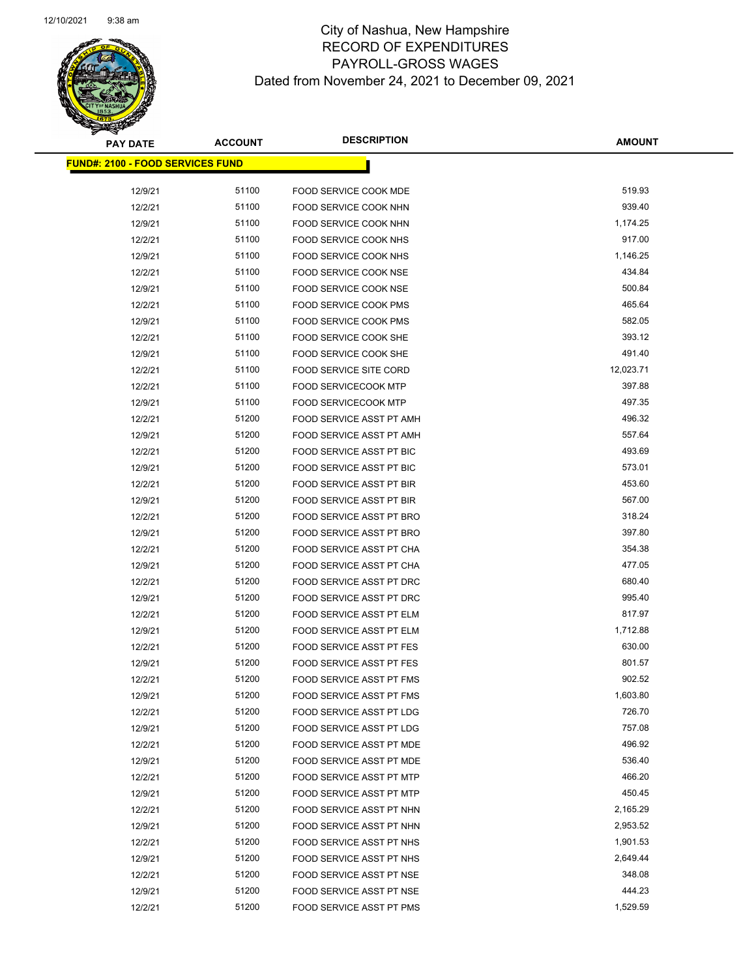

| <b>PAY DATE</b>                         | <b>ACCOUNT</b> | <b>DESCRIPTION</b>                                   | <b>AMOUNT</b>      |
|-----------------------------------------|----------------|------------------------------------------------------|--------------------|
| <b>FUND#: 2100 - FOOD SERVICES FUND</b> |                |                                                      |                    |
| 12/9/21                                 | 51100          | <b>FOOD SERVICE COOK MDE</b>                         | 519.93             |
| 12/2/21                                 | 51100          | FOOD SERVICE COOK NHN                                | 939.40             |
| 12/9/21                                 | 51100          | <b>FOOD SERVICE COOK NHN</b>                         | 1,174.25           |
| 12/2/21                                 | 51100          | FOOD SERVICE COOK NHS                                | 917.00             |
| 12/9/21                                 | 51100          | FOOD SERVICE COOK NHS                                | 1,146.25           |
| 12/2/21                                 | 51100          | FOOD SERVICE COOK NSE                                | 434.84             |
| 12/9/21                                 | 51100          | FOOD SERVICE COOK NSE                                | 500.84             |
| 12/2/21                                 | 51100          | <b>FOOD SERVICE COOK PMS</b>                         | 465.64             |
| 12/9/21                                 | 51100          | FOOD SERVICE COOK PMS                                | 582.05             |
| 12/2/21                                 | 51100          | FOOD SERVICE COOK SHE                                | 393.12             |
| 12/9/21                                 | 51100          | FOOD SERVICE COOK SHE                                | 491.40             |
| 12/2/21                                 | 51100          | <b>FOOD SERVICE SITE CORD</b>                        | 12,023.71          |
| 12/2/21                                 | 51100          | FOOD SERVICECOOK MTP                                 | 397.88             |
| 12/9/21                                 | 51100          | <b>FOOD SERVICECOOK MTP</b>                          | 497.35             |
| 12/2/21                                 | 51200          | FOOD SERVICE ASST PT AMH                             | 496.32             |
| 12/9/21                                 | 51200          | <b>FOOD SERVICE ASST PT AMH</b>                      | 557.64             |
| 12/2/21                                 | 51200          | FOOD SERVICE ASST PT BIC                             | 493.69             |
| 12/9/21                                 | 51200          | FOOD SERVICE ASST PT BIC                             | 573.01             |
| 12/2/21                                 | 51200          | FOOD SERVICE ASST PT BIR                             | 453.60             |
| 12/9/21                                 | 51200          | FOOD SERVICE ASST PT BIR                             | 567.00             |
| 12/2/21                                 | 51200          | FOOD SERVICE ASST PT BRO                             | 318.24             |
| 12/9/21                                 | 51200          | FOOD SERVICE ASST PT BRO                             | 397.80             |
| 12/2/21                                 | 51200          | FOOD SERVICE ASST PT CHA                             | 354.38             |
| 12/9/21                                 | 51200          | FOOD SERVICE ASST PT CHA                             | 477.05             |
| 12/2/21                                 | 51200          | FOOD SERVICE ASST PT DRC                             | 680.40             |
| 12/9/21                                 | 51200          | FOOD SERVICE ASST PT DRC                             | 995.40             |
| 12/2/21                                 | 51200          | FOOD SERVICE ASST PT ELM                             | 817.97             |
| 12/9/21                                 | 51200          | <b>FOOD SERVICE ASST PT ELM</b>                      | 1,712.88           |
| 12/2/21                                 | 51200          | FOOD SERVICE ASST PT FES                             | 630.00             |
| 12/9/21                                 | 51200          | <b>FOOD SERVICE ASST PT FES</b>                      | 801.57             |
| 12/2/21                                 | 51200          | FOOD SERVICE ASST PT FMS                             | 902.52             |
| 12/9/21<br>12/2/21                      | 51200<br>51200 | FOOD SERVICE ASST PT FMS<br>FOOD SERVICE ASST PT LDG | 1,603.80<br>726.70 |
| 12/9/21                                 | 51200          | FOOD SERVICE ASST PT LDG                             | 757.08             |
| 12/2/21                                 | 51200          | FOOD SERVICE ASST PT MDE                             | 496.92             |
| 12/9/21                                 | 51200          | <b>FOOD SERVICE ASST PT MDE</b>                      | 536.40             |
| 12/2/21                                 | 51200          | <b>FOOD SERVICE ASST PT MTP</b>                      | 466.20             |
| 12/9/21                                 | 51200          | <b>FOOD SERVICE ASST PT MTP</b>                      | 450.45             |
| 12/2/21                                 | 51200          | FOOD SERVICE ASST PT NHN                             | 2,165.29           |
| 12/9/21                                 | 51200          | FOOD SERVICE ASST PT NHN                             | 2,953.52           |
| 12/2/21                                 | 51200          | FOOD SERVICE ASST PT NHS                             | 1,901.53           |
| 12/9/21                                 | 51200          | FOOD SERVICE ASST PT NHS                             | 2,649.44           |
| 12/2/21                                 | 51200          | FOOD SERVICE ASST PT NSE                             | 348.08             |
| 12/9/21                                 | 51200          | FOOD SERVICE ASST PT NSE                             | 444.23             |
| 12/2/21                                 | 51200          | FOOD SERVICE ASST PT PMS                             | 1,529.59           |
|                                         |                |                                                      |                    |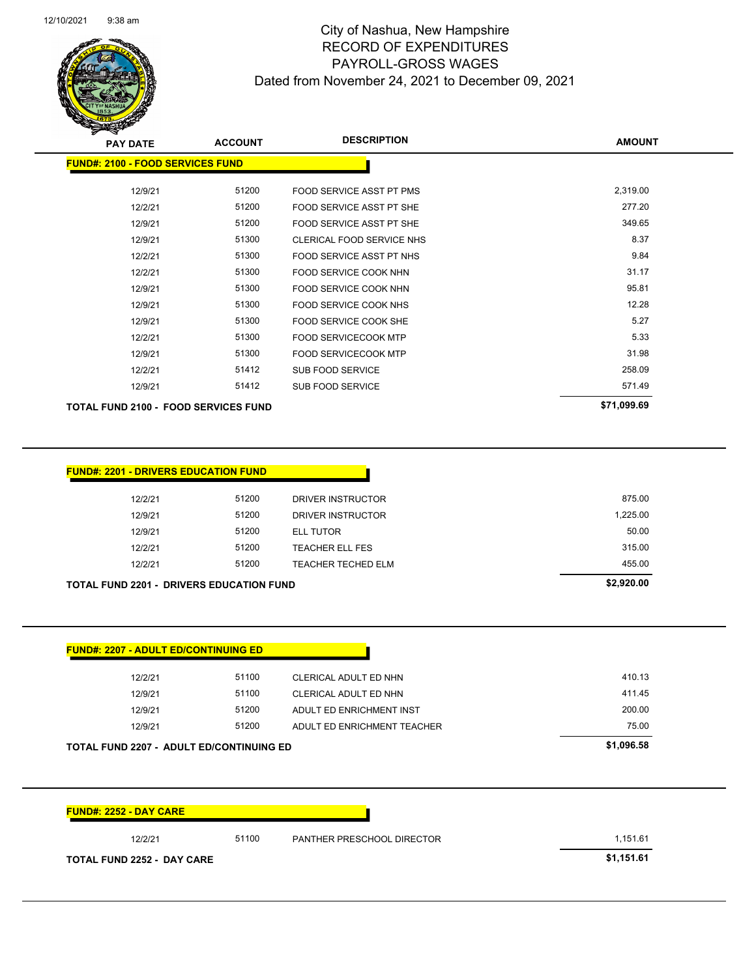

| z<br><b>PAY DATE</b>                        | <b>ACCOUNT</b> | <b>DESCRIPTION</b>              | <b>AMOUNT</b> |
|---------------------------------------------|----------------|---------------------------------|---------------|
| <b>FUND#: 2100 - FOOD SERVICES FUND</b>     |                |                                 |               |
| 12/9/21                                     | 51200          | <b>FOOD SERVICE ASST PT PMS</b> | 2,319.00      |
| 12/2/21                                     | 51200          | FOOD SERVICE ASST PT SHE        | 277.20        |
| 12/9/21                                     | 51200          | FOOD SERVICE ASST PT SHE        | 349.65        |
| 12/9/21                                     | 51300          | CLERICAL FOOD SERVICE NHS       | 8.37          |
| 12/2/21                                     | 51300          | FOOD SERVICE ASST PT NHS        | 9.84          |
| 12/2/21                                     | 51300          | FOOD SERVICE COOK NHN           | 31.17         |
| 12/9/21                                     | 51300          | FOOD SERVICE COOK NHN           | 95.81         |
| 12/9/21                                     | 51300          | FOOD SERVICE COOK NHS           | 12.28         |
| 12/9/21                                     | 51300          | FOOD SERVICE COOK SHE           | 5.27          |
| 12/2/21                                     | 51300          | <b>FOOD SERVICECOOK MTP</b>     | 5.33          |
| 12/9/21                                     | 51300          | <b>FOOD SERVICECOOK MTP</b>     | 31.98         |
| 12/2/21                                     | 51412          | SUB FOOD SERVICE                | 258.09        |
| 12/9/21                                     | 51412          | <b>SUB FOOD SERVICE</b>         | 571.49        |
| <b>TOTAL FUND 2100 - FOOD SERVICES FUND</b> |                |                                 | \$71,099.69   |

| <b>FUND#: 2201 - DRIVERS EDUCATION FUND</b>     |       |                        |            |
|-------------------------------------------------|-------|------------------------|------------|
| 12/2/21                                         | 51200 | DRIVER INSTRUCTOR      | 875.00     |
| 12/9/21                                         | 51200 | DRIVER INSTRUCTOR      | 1,225.00   |
| 12/9/21                                         | 51200 | <b>ELL TUTOR</b>       | 50.00      |
| 12/2/21                                         | 51200 | <b>TEACHER ELL FES</b> | 315.00     |
| 12/2/21                                         | 51200 | TEACHER TECHED ELM     | 455.00     |
| <b>TOTAL FUND 2201 - DRIVERS EDUCATION FUND</b> |       |                        | \$2,920.00 |

| 12/2/21 | 51100 | CLERICAL ADULT ED NHN       | 410.13 |
|---------|-------|-----------------------------|--------|
| 12/9/21 | 51100 | CLERICAL ADULT ED NHN       | 411.45 |
| 12/9/21 | 51200 | ADULT ED ENRICHMENT INST    | 200.00 |
| 12/9/21 | 51200 | ADULT ED ENRICHMENT TEACHER | 75.00  |

**FUND#: 2252 - DAY CARE** 12/2/21 51100 PANTHER PRESCHOOL DIRECTOR 1,151.61 **TOTAL FUND 2252 - DAY CARE \$1,151.61**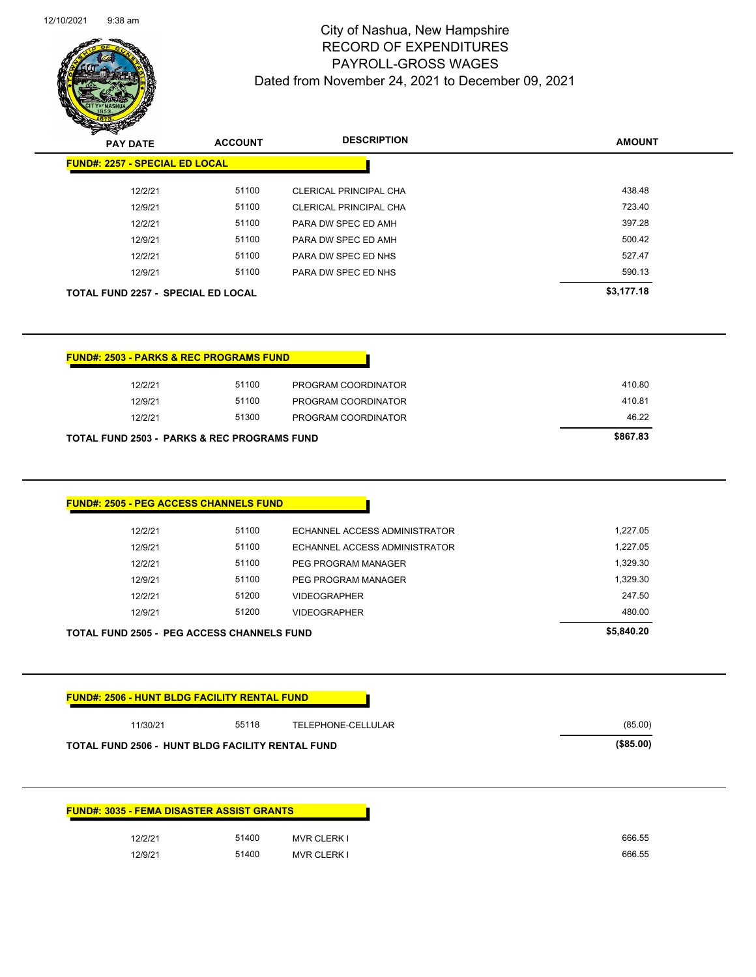$\overline{\phantom{a}}$ 



# City of Nashua, New Hampshire RECORD OF EXPENDITURES PAYROLL-GROSS WAGES Dated from November 24, 2021 to December 09, 2021

| <b>STARRA</b><br><b>PAY DATE</b>                       | <b>ACCOUNT</b> | <b>DESCRIPTION</b>            | <b>AMOUNT</b>      |
|--------------------------------------------------------|----------------|-------------------------------|--------------------|
| <b>FUND#: 2257 - SPECIAL ED LOCAL</b>                  |                |                               |                    |
|                                                        |                |                               |                    |
| 12/2/21                                                | 51100          | CLERICAL PRINCIPAL CHA        | 438.48             |
| 12/9/21                                                | 51100          | <b>CLERICAL PRINCIPAL CHA</b> | 723.40             |
| 12/2/21                                                | 51100          | PARA DW SPEC ED AMH           | 397.28             |
| 12/9/21                                                | 51100          | PARA DW SPEC ED AMH           | 500.42             |
| 12/2/21                                                | 51100          | PARA DW SPEC ED NHS           | 527.47             |
| 12/9/21                                                | 51100          | PARA DW SPEC ED NHS           | 590.13             |
| <b>TOTAL FUND 2257 - SPECIAL ED LOCAL</b>              |                |                               | \$3,177.18         |
| <b>FUND#: 2503 - PARKS &amp; REC PROGRAMS FUND</b>     |                |                               |                    |
| 12/2/21                                                | 51100          | PROGRAM COORDINATOR           | 410.80             |
| 12/9/21                                                | 51100          | PROGRAM COORDINATOR           | 410.81             |
| 12/2/21                                                | 51300          | PROGRAM COORDINATOR           | 46.22              |
| <b>TOTAL FUND 2503 - PARKS &amp; REC PROGRAMS FUND</b> |                |                               | \$867.83           |
| <b>FUND#: 2505 - PEG ACCESS CHANNELS FUND</b>          |                |                               |                    |
|                                                        |                |                               |                    |
| 12/2/21                                                | 51100          | ECHANNEL ACCESS ADMINISTRATOR | 1,227.05           |
| 12/9/21                                                | 51100          | ECHANNEL ACCESS ADMINISTRATOR | 1,227.05           |
| 12/2/21                                                | 51100          | PEG PROGRAM MANAGER           | 1,329.30           |
| 12/9/21                                                | 51100          | <b>PEG PROGRAM MANAGER</b>    |                    |
| 12/2/21                                                | 51200          | <b>VIDEOGRAPHER</b>           | 1,329.30<br>247.50 |

**TOTAL FUND 2505 - PEG ACCESS CHANNELS FUND \$5,840.20** 

| 11/30/21 | 55118 | TELEPHONE-CELLULAR | (85.00) |
|----------|-------|--------------------|---------|
|----------|-------|--------------------|---------|

12/9/21 51200 VIDEOGRAPHER 480.00

|         | <b>FUND#: 3035 - FEMA DISASTER ASSIST GRANTS</b> |                    |
|---------|--------------------------------------------------|--------------------|
| 12/2/21 | 51400                                            | <b>MVR CLERK I</b> |
| 12/9/21 | 51400                                            | <b>MVR CLERK I</b> |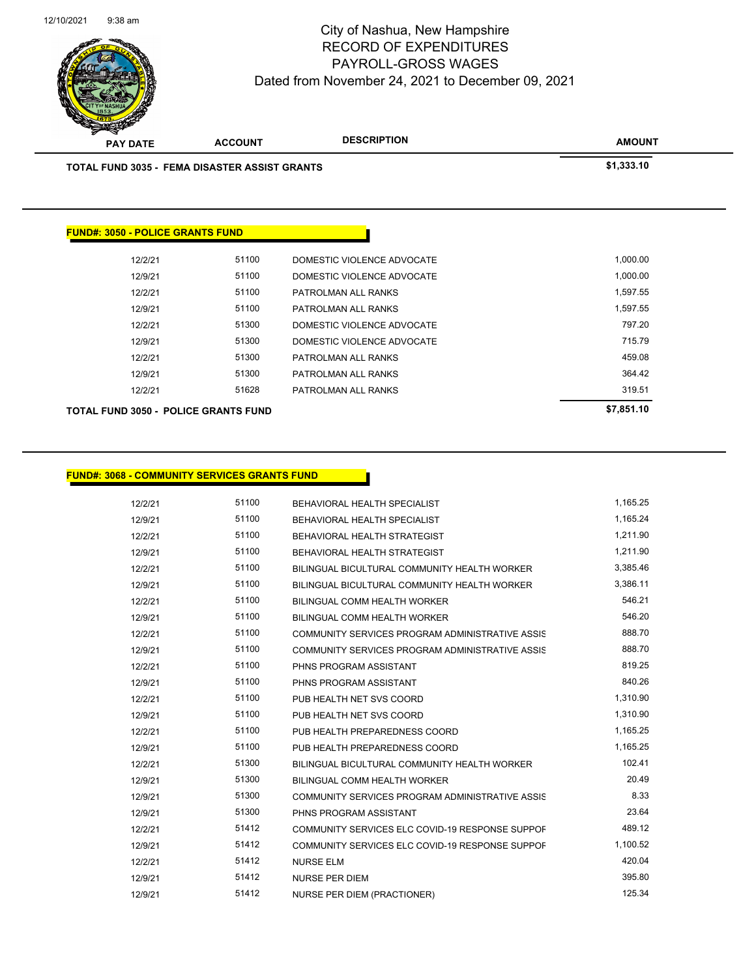

| <b>TOTAL FUND 3035 - FEMA DISASTER ASSIST GRANTS</b> |       |                            | \$1,333.10 |
|------------------------------------------------------|-------|----------------------------|------------|
|                                                      |       |                            |            |
| <b>FUND#: 3050 - POLICE GRANTS FUND</b>              |       |                            |            |
|                                                      |       |                            |            |
| 12/2/21                                              | 51100 | DOMESTIC VIOLENCE ADVOCATE | 1,000.00   |
| 12/9/21                                              | 51100 | DOMESTIC VIOLENCE ADVOCATE | 1,000.00   |
| 12/2/21                                              | 51100 | PATROLMAN ALL RANKS        | 1,597.55   |
| 12/9/21                                              | 51100 | PATROLMAN ALL RANKS        | 1,597.55   |
| 12/2/21                                              | 51300 | DOMESTIC VIOLENCE ADVOCATE | 797.20     |
| 12/9/21                                              | 51300 | DOMESTIC VIOLENCE ADVOCATE | 715.79     |
| 12/2/21                                              | 51300 | PATROLMAN ALL RANKS        | 459.08     |
| 12/9/21                                              | 51300 | PATROLMAN ALL RANKS        | 364.42     |
| 12/2/21                                              | 51628 | PATROLMAN ALL RANKS        | 319.51     |
|                                                      |       |                            |            |

### **FUND#: 3068 - COMMUNITY SERVICES GRANTS FUND**

| 12/2/21 | 51100 | BEHAVIORAL HEALTH SPECIALIST                    | 1,165.25 |
|---------|-------|-------------------------------------------------|----------|
| 12/9/21 | 51100 | <b>BEHAVIORAL HEALTH SPECIALIST</b>             | 1,165.24 |
| 12/2/21 | 51100 | BEHAVIORAL HEALTH STRATEGIST                    | 1,211.90 |
| 12/9/21 | 51100 | <b>BEHAVIORAL HEALTH STRATEGIST</b>             | 1,211.90 |
| 12/2/21 | 51100 | BILINGUAL BICULTURAL COMMUNITY HEALTH WORKER    | 3,385.46 |
| 12/9/21 | 51100 | BILINGUAL BICULTURAL COMMUNITY HEALTH WORKER    | 3.386.11 |
| 12/2/21 | 51100 | BILINGUAL COMM HEALTH WORKER                    | 546.21   |
| 12/9/21 | 51100 | BILINGUAL COMM HEALTH WORKER                    | 546.20   |
| 12/2/21 | 51100 | COMMUNITY SERVICES PROGRAM ADMINISTRATIVE ASSIS | 888.70   |
| 12/9/21 | 51100 | COMMUNITY SERVICES PROGRAM ADMINISTRATIVE ASSIS | 888.70   |
| 12/2/21 | 51100 | PHNS PROGRAM ASSISTANT                          | 819.25   |
| 12/9/21 | 51100 | PHNS PROGRAM ASSISTANT                          | 840.26   |
| 12/2/21 | 51100 | PUB HEALTH NET SVS COORD                        | 1,310.90 |
| 12/9/21 | 51100 | PUB HEALTH NET SVS COORD                        | 1,310.90 |
| 12/2/21 | 51100 | PUB HEALTH PREPAREDNESS COORD                   | 1,165.25 |
| 12/9/21 | 51100 | PUB HEALTH PREPAREDNESS COORD                   | 1,165.25 |
| 12/2/21 | 51300 | BILINGUAL BICULTURAL COMMUNITY HEALTH WORKER    | 102.41   |
| 12/9/21 | 51300 | BILINGUAL COMM HEALTH WORKER                    | 20.49    |
| 12/9/21 | 51300 | COMMUNITY SERVICES PROGRAM ADMINISTRATIVE ASSIS | 8.33     |
| 12/9/21 | 51300 | PHNS PROGRAM ASSISTANT                          | 23.64    |
| 12/2/21 | 51412 | COMMUNITY SERVICES ELC COVID-19 RESPONSE SUPPOF | 489.12   |
| 12/9/21 | 51412 | COMMUNITY SERVICES ELC COVID-19 RESPONSE SUPPOF | 1,100.52 |
| 12/2/21 | 51412 | <b>NURSE ELM</b>                                | 420.04   |
| 12/9/21 | 51412 | <b>NURSE PER DIEM</b>                           | 395.80   |
| 12/9/21 | 51412 | <b>NURSE PER DIEM (PRACTIONER)</b>              | 125.34   |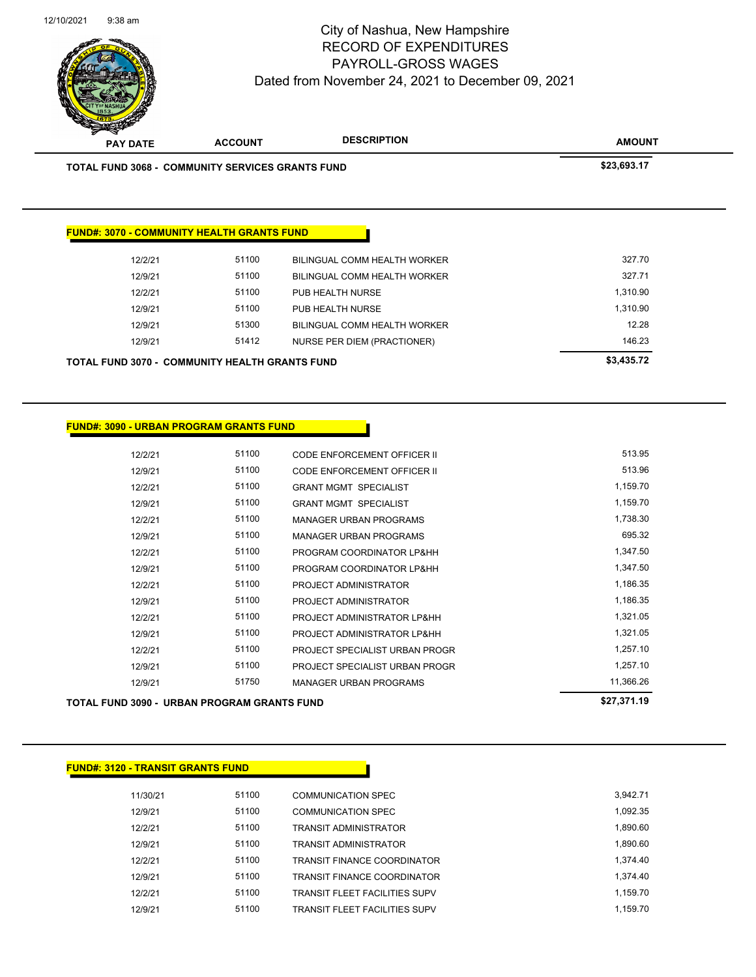

| <b>TOTAL FUND 3068 - COMMUNITY SERVICES GRANTS FUND</b> |       |                              | \$23,693.17 |
|---------------------------------------------------------|-------|------------------------------|-------------|
|                                                         |       |                              |             |
|                                                         |       |                              |             |
| <b>FUND#: 3070 - COMMUNITY HEALTH GRANTS FUND</b>       |       |                              |             |
| 12/2/21                                                 | 51100 | BILINGUAL COMM HEALTH WORKER | 327.70      |
| 12/9/21                                                 | 51100 | BILINGUAL COMM HEALTH WORKER | 327.71      |
| 12/2/21                                                 | 51100 | PUB HEALTH NURSE             | 1,310.90    |
| 12/9/21                                                 | 51100 | PUB HEALTH NURSE             | 1,310.90    |
| 12/9/21                                                 | 51300 | BILINGUAL COMM HEALTH WORKER | 12.28       |
| 12/9/21                                                 | 51412 | NURSE PER DIEM (PRACTIONER)  | 146.23      |
| <b>TOTAL FUND 3070 - COMMUNITY HEALTH GRANTS FUND</b>   |       |                              | \$3,435.72  |
|                                                         |       |                              |             |

|         |       |                                | 0.0707110 |
|---------|-------|--------------------------------|-----------|
| 12/9/21 | 51750 | <b>MANAGER URBAN PROGRAMS</b>  | 11,366.26 |
| 12/9/21 | 51100 | PROJECT SPECIALIST URBAN PROGR | 1,257.10  |
| 12/2/21 | 51100 | PROJECT SPECIALIST URBAN PROGR | 1,257.10  |
| 12/9/21 | 51100 | PROJECT ADMINISTRATOR LP&HH    | 1,321.05  |
| 12/2/21 | 51100 | PROJECT ADMINISTRATOR LP&HH    | 1,321.05  |
| 12/9/21 | 51100 | PROJECT ADMINISTRATOR          | 1,186.35  |
| 12/2/21 | 51100 | PROJECT ADMINISTRATOR          | 1,186.35  |
| 12/9/21 | 51100 | PROGRAM COORDINATOR LP&HH      | 1,347.50  |
| 12/2/21 | 51100 | PROGRAM COORDINATOR LP&HH      | 1,347.50  |
| 12/9/21 | 51100 | <b>MANAGER URBAN PROGRAMS</b>  | 695.32    |
| 12/2/21 | 51100 | <b>MANAGER URBAN PROGRAMS</b>  | 1,738.30  |
| 12/9/21 | 51100 | <b>GRANT MGMT SPECIALIST</b>   | 1,159.70  |
| 12/2/21 | 51100 | <b>GRANT MGMT SPECIALIST</b>   | 1,159.70  |
| 12/9/21 | 51100 | CODE ENFORCEMENT OFFICER II    | 513.96    |
| 12/2/21 | 51100 | CODE ENFORCEMENT OFFICER II    | 513.95    |
|         |       |                                |           |

| TOTAL FUND 3090 - URBAN PROGRAM GRANTS FUND | \$27,371.19 |
|---------------------------------------------|-------------|
|---------------------------------------------|-------------|

**FUND#: 3090 - URBAN PROGRAM GRANTS FUND**

| <b>FUND#: 3120 - TRANSIT GRANTS FUND</b> |       |                                      |          |
|------------------------------------------|-------|--------------------------------------|----------|
| 11/30/21                                 | 51100 | <b>COMMUNICATION SPEC</b>            | 3.942.71 |
| 12/9/21                                  | 51100 | <b>COMMUNICATION SPEC</b>            | 1,092.35 |
| 12/2/21                                  | 51100 | <b>TRANSIT ADMINISTRATOR</b>         | 1,890.60 |
| 12/9/21                                  | 51100 | <b>TRANSIT ADMINISTRATOR</b>         | 1.890.60 |
| 12/2/21                                  | 51100 | <b>TRANSIT FINANCE COORDINATOR</b>   | 1.374.40 |
| 12/9/21                                  | 51100 | <b>TRANSIT FINANCE COORDINATOR</b>   | 1.374.40 |
| 12/2/21                                  | 51100 | <b>TRANSIT FLEET FACILITIES SUPV</b> | 1,159.70 |
| 12/9/21                                  | 51100 | <b>TRANSIT FLEET FACILITIES SUPV</b> | 1.159.70 |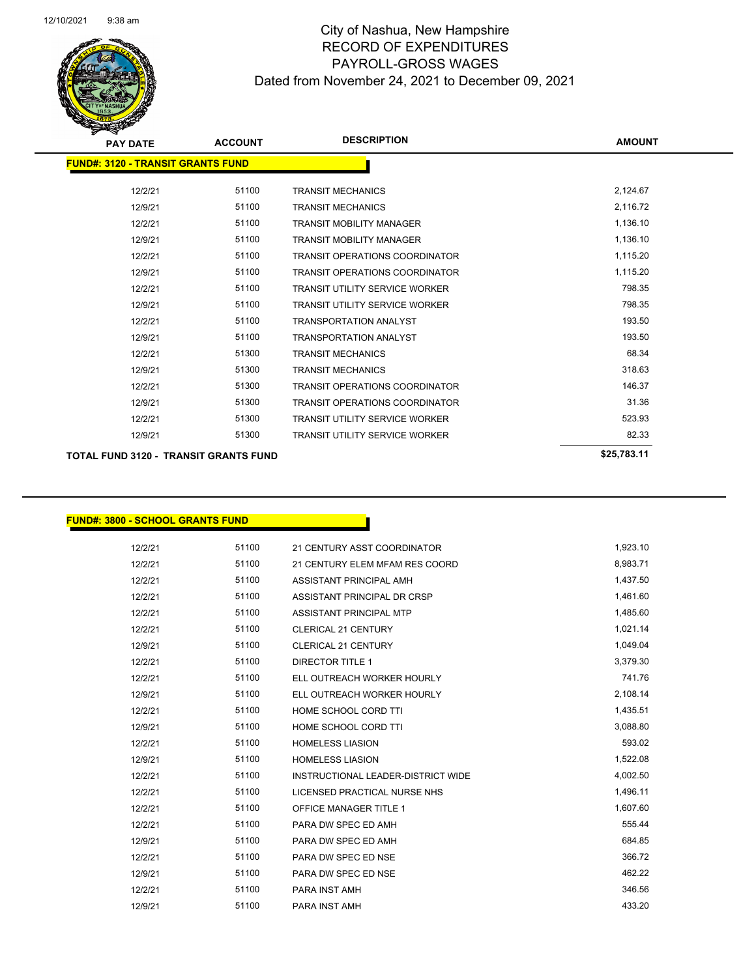

| <b>PAY DATE</b>                              | <b>ACCOUNT</b> | <b>DESCRIPTION</b>                    | <b>AMOUNT</b> |
|----------------------------------------------|----------------|---------------------------------------|---------------|
| <b>FUND#: 3120 - TRANSIT GRANTS FUND</b>     |                |                                       |               |
|                                              |                |                                       |               |
| 12/2/21                                      | 51100          | <b>TRANSIT MECHANICS</b>              | 2,124.67      |
| 12/9/21                                      | 51100          | <b>TRANSIT MECHANICS</b>              | 2,116.72      |
| 12/2/21                                      | 51100          | <b>TRANSIT MOBILITY MANAGER</b>       | 1,136.10      |
| 12/9/21                                      | 51100          | <b>TRANSIT MOBILITY MANAGER</b>       | 1,136.10      |
| 12/2/21                                      | 51100          | <b>TRANSIT OPERATIONS COORDINATOR</b> | 1,115.20      |
| 12/9/21                                      | 51100          | <b>TRANSIT OPERATIONS COORDINATOR</b> | 1,115.20      |
| 12/2/21                                      | 51100          | <b>TRANSIT UTILITY SERVICE WORKER</b> | 798.35        |
| 12/9/21                                      | 51100          | <b>TRANSIT UTILITY SERVICE WORKER</b> | 798.35        |
| 12/2/21                                      | 51100          | <b>TRANSPORTATION ANALYST</b>         | 193.50        |
| 12/9/21                                      | 51100          | <b>TRANSPORTATION ANALYST</b>         | 193.50        |
| 12/2/21                                      | 51300          | <b>TRANSIT MECHANICS</b>              | 68.34         |
| 12/9/21                                      | 51300          | <b>TRANSIT MECHANICS</b>              | 318.63        |
| 12/2/21                                      | 51300          | <b>TRANSIT OPERATIONS COORDINATOR</b> | 146.37        |
| 12/9/21                                      | 51300          | <b>TRANSIT OPERATIONS COORDINATOR</b> | 31.36         |
| 12/2/21                                      | 51300          | <b>TRANSIT UTILITY SERVICE WORKER</b> | 523.93        |
| 12/9/21                                      | 51300          | <b>TRANSIT UTILITY SERVICE WORKER</b> | 82.33         |
| <b>TOTAL FUND 3120 - TRANSIT GRANTS FUND</b> |                |                                       | \$25.783.11   |

### **FUND#: 3800 - SCHOOL GRANTS FUND**

| 12/2/21 | 51100 | 21 CENTURY ASST COORDINATOR        | 1,923.10 |
|---------|-------|------------------------------------|----------|
| 12/2/21 | 51100 | 21 CENTURY ELEM MFAM RES COORD     | 8,983.71 |
| 12/2/21 | 51100 | ASSISTANT PRINCIPAL AMH            | 1,437.50 |
| 12/2/21 | 51100 | ASSISTANT PRINCIPAL DR CRSP        | 1,461.60 |
| 12/2/21 | 51100 | <b>ASSISTANT PRINCIPAL MTP</b>     | 1,485.60 |
| 12/2/21 | 51100 | <b>CLERICAL 21 CENTURY</b>         | 1,021.14 |
| 12/9/21 | 51100 | <b>CLERICAL 21 CENTURY</b>         | 1,049.04 |
| 12/2/21 | 51100 | <b>DIRECTOR TITLE 1</b>            | 3,379.30 |
| 12/2/21 | 51100 | ELL OUTREACH WORKER HOURLY         | 741.76   |
| 12/9/21 | 51100 | ELL OUTREACH WORKER HOURLY         | 2,108.14 |
| 12/2/21 | 51100 | HOME SCHOOL CORD TTI               | 1,435.51 |
| 12/9/21 | 51100 | HOME SCHOOL CORD TTI               | 3,088.80 |
| 12/2/21 | 51100 | <b>HOMELESS LIASION</b>            | 593.02   |
| 12/9/21 | 51100 | <b>HOMELESS LIASION</b>            | 1,522.08 |
| 12/2/21 | 51100 | INSTRUCTIONAL LEADER-DISTRICT WIDE | 4,002.50 |
| 12/2/21 | 51100 | LICENSED PRACTICAL NURSE NHS       | 1,496.11 |
| 12/2/21 | 51100 | <b>OFFICE MANAGER TITLE 1</b>      | 1,607.60 |
| 12/2/21 | 51100 | PARA DW SPEC ED AMH                | 555.44   |
| 12/9/21 | 51100 | PARA DW SPEC ED AMH                | 684.85   |
| 12/2/21 | 51100 | PARA DW SPEC ED NSE                | 366.72   |
| 12/9/21 | 51100 | PARA DW SPEC ED NSE                | 462.22   |
| 12/2/21 | 51100 | PARA INST AMH                      | 346.56   |
| 12/9/21 | 51100 | PARA INST AMH                      | 433.20   |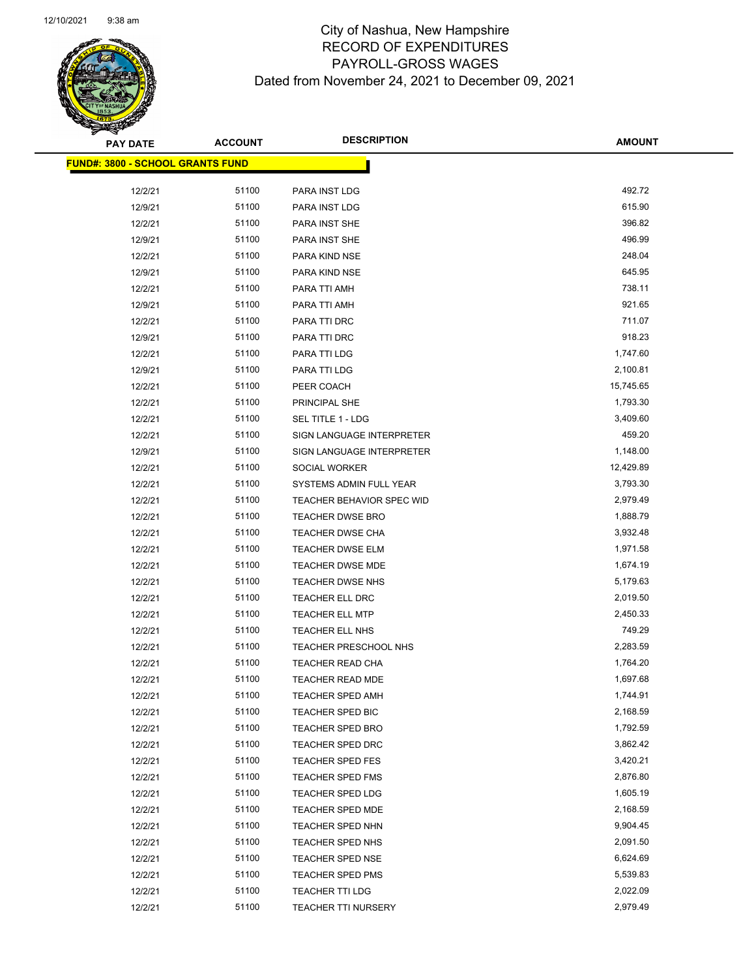

| <b>PAY DATE</b>                         | <b>ACCOUNT</b> | <b>DESCRIPTION</b>         | <b>AMOUNT</b> |
|-----------------------------------------|----------------|----------------------------|---------------|
| <b>FUND#: 3800 - SCHOOL GRANTS FUND</b> |                |                            |               |
|                                         |                |                            |               |
| 12/2/21                                 | 51100          | PARA INST LDG              | 492.72        |
| 12/9/21                                 | 51100          | PARA INST LDG              | 615.90        |
| 12/2/21                                 | 51100          | PARA INST SHE              | 396.82        |
| 12/9/21                                 | 51100          | PARA INST SHE              | 496.99        |
| 12/2/21                                 | 51100          | PARA KIND NSE              | 248.04        |
| 12/9/21                                 | 51100          | PARA KIND NSE              | 645.95        |
| 12/2/21                                 | 51100          | PARA TTI AMH               | 738.11        |
| 12/9/21                                 | 51100          | PARA TTI AMH               | 921.65        |
| 12/2/21                                 | 51100          | PARA TTI DRC               | 711.07        |
| 12/9/21                                 | 51100          | PARA TTI DRC               | 918.23        |
| 12/2/21                                 | 51100          | PARA TTI LDG               | 1,747.60      |
| 12/9/21                                 | 51100          | PARA TTI LDG               | 2,100.81      |
| 12/2/21                                 | 51100          | PEER COACH                 | 15,745.65     |
| 12/2/21                                 | 51100          | <b>PRINCIPAL SHE</b>       | 1,793.30      |
| 12/2/21                                 | 51100          | SEL TITLE 1 - LDG          | 3,409.60      |
| 12/2/21                                 | 51100          | SIGN LANGUAGE INTERPRETER  | 459.20        |
| 12/9/21                                 | 51100          | SIGN LANGUAGE INTERPRETER  | 1,148.00      |
| 12/2/21                                 | 51100          | SOCIAL WORKER              | 12,429.89     |
| 12/2/21                                 | 51100          | SYSTEMS ADMIN FULL YEAR    | 3,793.30      |
| 12/2/21                                 | 51100          | TEACHER BEHAVIOR SPEC WID  | 2,979.49      |
| 12/2/21                                 | 51100          | <b>TEACHER DWSE BRO</b>    | 1,888.79      |
| 12/2/21                                 | 51100          | <b>TEACHER DWSE CHA</b>    | 3,932.48      |
| 12/2/21                                 | 51100          | <b>TEACHER DWSE ELM</b>    | 1,971.58      |
| 12/2/21                                 | 51100          | <b>TEACHER DWSE MDE</b>    | 1,674.19      |
| 12/2/21                                 | 51100          | TEACHER DWSE NHS           | 5,179.63      |
| 12/2/21                                 | 51100          | TEACHER ELL DRC            | 2,019.50      |
| 12/2/21                                 | 51100          | <b>TEACHER ELL MTP</b>     | 2,450.33      |
| 12/2/21                                 | 51100          | TEACHER ELL NHS            | 749.29        |
| 12/2/21                                 | 51100          | TEACHER PRESCHOOL NHS      | 2,283.59      |
| 12/2/21                                 | 51100          | TEACHER READ CHA           | 1,764.20      |
| 12/2/21                                 | 51100          | <b>TEACHER READ MDE</b>    | 1,697.68      |
| 12/2/21                                 | 51100          | TEACHER SPED AMH           | 1,744.91      |
| 12/2/21                                 | 51100          | TEACHER SPED BIC           | 2,168.59      |
| 12/2/21                                 | 51100          | <b>TEACHER SPED BRO</b>    | 1,792.59      |
| 12/2/21                                 | 51100          | TEACHER SPED DRC           | 3,862.42      |
| 12/2/21                                 | 51100          | <b>TEACHER SPED FES</b>    | 3,420.21      |
| 12/2/21                                 | 51100          | TEACHER SPED FMS           | 2,876.80      |
| 12/2/21                                 | 51100          | <b>TEACHER SPED LDG</b>    | 1,605.19      |
| 12/2/21                                 | 51100          | <b>TEACHER SPED MDE</b>    | 2,168.59      |
| 12/2/21                                 | 51100          | TEACHER SPED NHN           | 9,904.45      |
| 12/2/21                                 | 51100          | TEACHER SPED NHS           | 2,091.50      |
| 12/2/21                                 | 51100          | <b>TEACHER SPED NSE</b>    | 6,624.69      |
| 12/2/21                                 | 51100          | <b>TEACHER SPED PMS</b>    | 5,539.83      |
| 12/2/21                                 | 51100          | TEACHER TTI LDG            | 2,022.09      |
| 12/2/21                                 | 51100          | <b>TEACHER TTI NURSERY</b> | 2,979.49      |
|                                         |                |                            |               |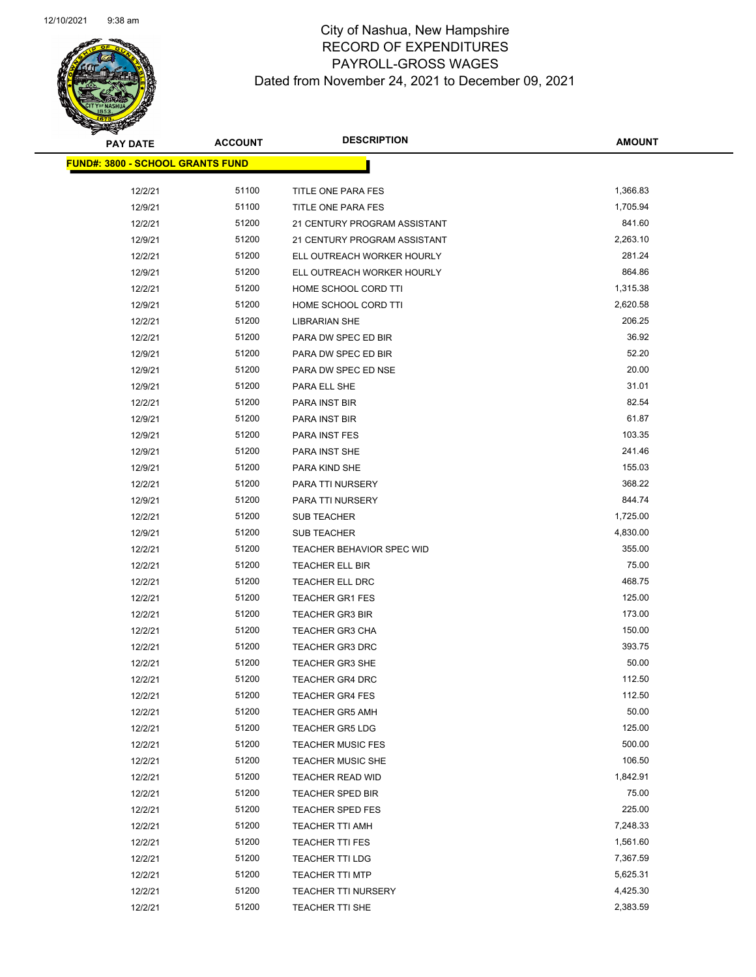

| <b>PAY DATE</b>                         | <b>ACCOUNT</b> | <b>DESCRIPTION</b>           | <b>AMOUNT</b> |
|-----------------------------------------|----------------|------------------------------|---------------|
| <b>FUND#: 3800 - SCHOOL GRANTS FUND</b> |                |                              |               |
| 12/2/21                                 | 51100          | TITLE ONE PARA FES           | 1,366.83      |
| 12/9/21                                 | 51100          | TITLE ONE PARA FES           | 1,705.94      |
| 12/2/21                                 | 51200          | 21 CENTURY PROGRAM ASSISTANT | 841.60        |
| 12/9/21                                 | 51200          | 21 CENTURY PROGRAM ASSISTANT | 2,263.10      |
| 12/2/21                                 | 51200          | ELL OUTREACH WORKER HOURLY   | 281.24        |
| 12/9/21                                 | 51200          | ELL OUTREACH WORKER HOURLY   | 864.86        |
| 12/2/21                                 | 51200          | HOME SCHOOL CORD TTI         | 1,315.38      |
| 12/9/21                                 | 51200          | HOME SCHOOL CORD TTI         | 2,620.58      |
| 12/2/21                                 | 51200          | <b>LIBRARIAN SHE</b>         | 206.25        |
| 12/2/21                                 | 51200          | PARA DW SPEC ED BIR          | 36.92         |
| 12/9/21                                 | 51200          | PARA DW SPEC ED BIR          | 52.20         |
| 12/9/21                                 | 51200          | PARA DW SPEC ED NSE          | 20.00         |
| 12/9/21                                 | 51200          | PARA ELL SHE                 | 31.01         |
| 12/2/21                                 | 51200          | PARA INST BIR                | 82.54         |
| 12/9/21                                 | 51200          | PARA INST BIR                | 61.87         |
| 12/9/21                                 | 51200          | PARA INST FES                | 103.35        |
| 12/9/21                                 | 51200          | PARA INST SHE                | 241.46        |
| 12/9/21                                 | 51200          | PARA KIND SHE                | 155.03        |
| 12/2/21                                 | 51200          | PARA TTI NURSERY             | 368.22        |
| 12/9/21                                 | 51200          | PARA TTI NURSERY             | 844.74        |
| 12/2/21                                 | 51200          | SUB TEACHER                  | 1,725.00      |
| 12/9/21                                 | 51200          | SUB TEACHER                  | 4,830.00      |
| 12/2/21                                 | 51200          | TEACHER BEHAVIOR SPEC WID    | 355.00        |
| 12/2/21                                 | 51200          | <b>TEACHER ELL BIR</b>       | 75.00         |
| 12/2/21                                 | 51200          | TEACHER ELL DRC              | 468.75        |
| 12/2/21                                 | 51200          | <b>TEACHER GR1 FES</b>       | 125.00        |
| 12/2/21                                 | 51200          | <b>TEACHER GR3 BIR</b>       | 173.00        |
| 12/2/21                                 | 51200          | <b>TEACHER GR3 CHA</b>       | 150.00        |
| 12/2/21                                 | 51200          | <b>TEACHER GR3 DRC</b>       | 393.75        |
| 12/2/21                                 | 51200          | <b>TEACHER GR3 SHE</b>       | 50.00         |
| 12/2/21                                 | 51200          | <b>TEACHER GR4 DRC</b>       | 112.50        |
| 12/2/21                                 | 51200          | <b>TEACHER GR4 FES</b>       | 112.50        |
| 12/2/21                                 | 51200          | <b>TEACHER GR5 AMH</b>       | 50.00         |
| 12/2/21                                 | 51200          | <b>TEACHER GR5 LDG</b>       | 125.00        |
| 12/2/21                                 | 51200          | <b>TEACHER MUSIC FES</b>     | 500.00        |
| 12/2/21                                 | 51200          | <b>TEACHER MUSIC SHE</b>     | 106.50        |
| 12/2/21                                 | 51200          | TEACHER READ WID             | 1,842.91      |
| 12/2/21                                 | 51200          | <b>TEACHER SPED BIR</b>      | 75.00         |
| 12/2/21                                 | 51200          | <b>TEACHER SPED FES</b>      | 225.00        |
| 12/2/21                                 | 51200          | <b>TEACHER TTI AMH</b>       | 7,248.33      |
| 12/2/21                                 | 51200          | TEACHER TTI FES              | 1,561.60      |
| 12/2/21                                 | 51200          | <b>TEACHER TTI LDG</b>       | 7,367.59      |
| 12/2/21                                 | 51200          | <b>TEACHER TTI MTP</b>       | 5,625.31      |
| 12/2/21                                 | 51200          | TEACHER TTI NURSERY          | 4,425.30      |
| 12/2/21                                 | 51200          | TEACHER TTI SHE              | 2,383.59      |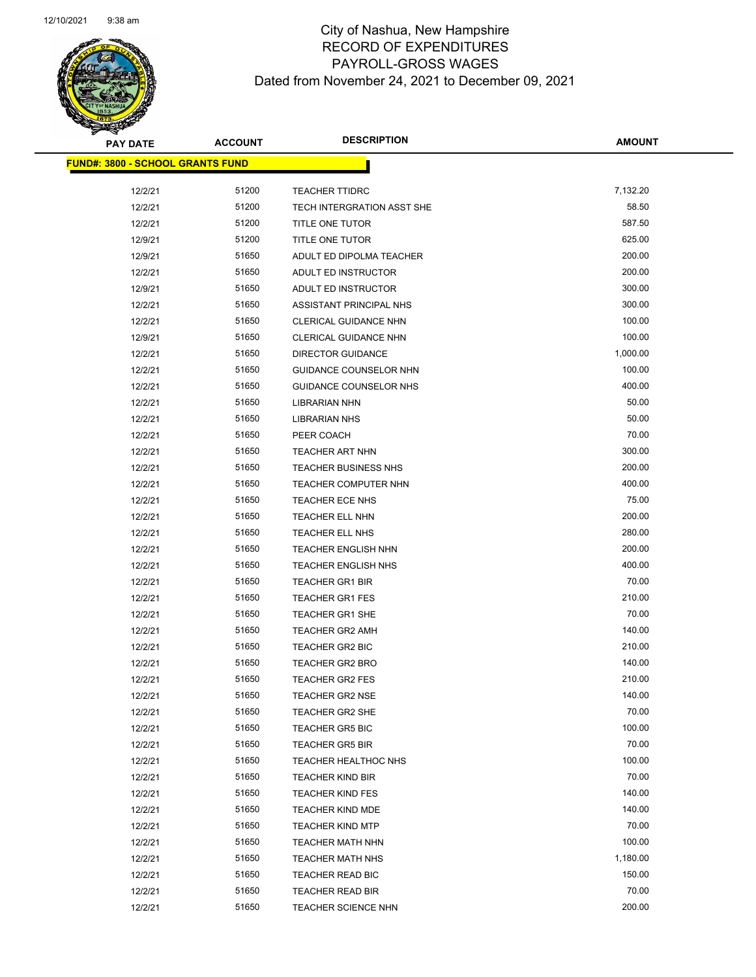

| <b>PAY DATE</b>                         | <b>ACCOUNT</b> | <b>DESCRIPTION</b>                               | <b>AMOUNT</b>    |
|-----------------------------------------|----------------|--------------------------------------------------|------------------|
| <b>FUND#: 3800 - SCHOOL GRANTS FUND</b> |                |                                                  |                  |
| 12/2/21                                 | 51200          | <b>TEACHER TTIDRC</b>                            | 7,132.20         |
| 12/2/21                                 | 51200          | TECH INTERGRATION ASST SHE                       | 58.50            |
| 12/2/21                                 | 51200          | TITLE ONE TUTOR                                  | 587.50           |
| 12/9/21                                 | 51200          | TITLE ONE TUTOR                                  | 625.00           |
| 12/9/21                                 | 51650          | ADULT ED DIPOLMA TEACHER                         | 200.00           |
| 12/2/21                                 | 51650          | ADULT ED INSTRUCTOR                              | 200.00           |
| 12/9/21                                 | 51650          | ADULT ED INSTRUCTOR                              | 300.00           |
| 12/2/21                                 | 51650          | ASSISTANT PRINCIPAL NHS                          | 300.00           |
| 12/2/21                                 | 51650          | <b>CLERICAL GUIDANCE NHN</b>                     | 100.00           |
| 12/9/21                                 | 51650          | <b>CLERICAL GUIDANCE NHN</b>                     | 100.00           |
| 12/2/21                                 | 51650          | <b>DIRECTOR GUIDANCE</b>                         | 1,000.00         |
| 12/2/21                                 | 51650          | GUIDANCE COUNSELOR NHN                           | 100.00           |
| 12/2/21                                 | 51650          | <b>GUIDANCE COUNSELOR NHS</b>                    | 400.00           |
| 12/2/21                                 | 51650          | <b>LIBRARIAN NHN</b>                             | 50.00            |
| 12/2/21                                 | 51650          | <b>LIBRARIAN NHS</b>                             | 50.00            |
| 12/2/21                                 | 51650          | PEER COACH                                       | 70.00            |
| 12/2/21                                 | 51650          | TEACHER ART NHN                                  | 300.00           |
| 12/2/21                                 | 51650          | <b>TEACHER BUSINESS NHS</b>                      | 200.00           |
| 12/2/21                                 | 51650          | TEACHER COMPUTER NHN                             | 400.00           |
| 12/2/21                                 | 51650          | TEACHER ECE NHS                                  | 75.00            |
| 12/2/21                                 | 51650          | TEACHER ELL NHN                                  | 200.00           |
| 12/2/21                                 | 51650          | TEACHER ELL NHS                                  | 280.00           |
| 12/2/21                                 | 51650          | <b>TEACHER ENGLISH NHN</b>                       | 200.00           |
| 12/2/21                                 | 51650          | <b>TEACHER ENGLISH NHS</b>                       | 400.00           |
| 12/2/21                                 | 51650          | <b>TEACHER GR1 BIR</b>                           | 70.00            |
| 12/2/21                                 | 51650          | <b>TEACHER GR1 FES</b>                           | 210.00           |
| 12/2/21                                 | 51650          | <b>TEACHER GR1 SHE</b>                           | 70.00            |
| 12/2/21                                 | 51650          | <b>TEACHER GR2 AMH</b>                           | 140.00           |
| 12/2/21                                 | 51650          | <b>TEACHER GR2 BIC</b>                           | 210.00           |
| 12/2/21                                 | 51650          | <b>TEACHER GR2 BRO</b>                           | 140.00           |
| 12/2/21                                 | 51650          | <b>TEACHER GR2 FES</b>                           | 210.00<br>140.00 |
| 12/2/21                                 | 51650<br>51650 | <b>TEACHER GR2 NSE</b>                           | 70.00            |
| 12/2/21                                 | 51650          | <b>TEACHER GR2 SHE</b><br><b>TEACHER GR5 BIC</b> | 100.00           |
| 12/2/21<br>12/2/21                      | 51650          | <b>TEACHER GR5 BIR</b>                           | 70.00            |
| 12/2/21                                 | 51650          | <b>TEACHER HEALTHOC NHS</b>                      | 100.00           |
| 12/2/21                                 | 51650          | <b>TEACHER KIND BIR</b>                          | 70.00            |
| 12/2/21                                 | 51650          | <b>TEACHER KIND FES</b>                          | 140.00           |
| 12/2/21                                 | 51650          | <b>TEACHER KIND MDE</b>                          | 140.00           |
| 12/2/21                                 | 51650          | <b>TEACHER KIND MTP</b>                          | 70.00            |
| 12/2/21                                 | 51650          | <b>TEACHER MATH NHN</b>                          | 100.00           |
| 12/2/21                                 | 51650          | <b>TEACHER MATH NHS</b>                          | 1,180.00         |
| 12/2/21                                 | 51650          | TEACHER READ BIC                                 | 150.00           |
| 12/2/21                                 | 51650          | <b>TEACHER READ BIR</b>                          | 70.00            |
| 12/2/21                                 | 51650          | TEACHER SCIENCE NHN                              | 200.00           |
|                                         |                |                                                  |                  |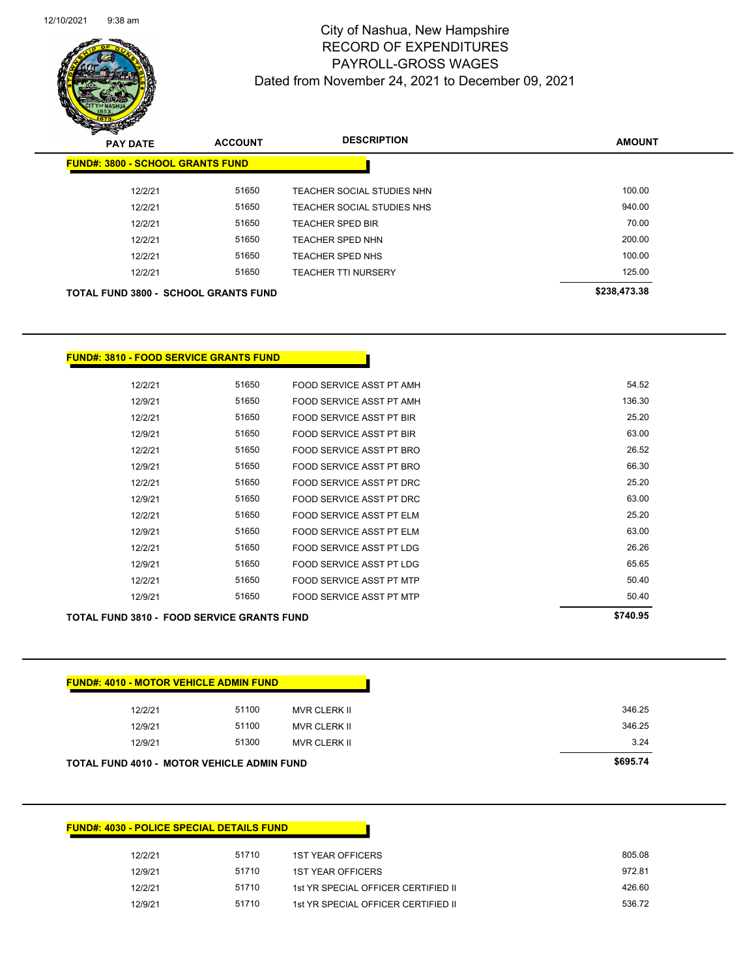

| s<br>$\tilde{\phantom{a}}$<br><b>PAY DATE</b> | <b>ACCOUNT</b> | <b>DESCRIPTION</b>         | <b>AMOUNT</b> |
|-----------------------------------------------|----------------|----------------------------|---------------|
| <b>FUND#: 3800 - SCHOOL GRANTS FUND</b>       |                |                            |               |
| 12/2/21                                       | 51650          | TEACHER SOCIAL STUDIES NHN | 100.00        |
| 12/2/21                                       | 51650          | TEACHER SOCIAL STUDIES NHS | 940.00        |
| 12/2/21                                       | 51650          | <b>TEACHER SPED BIR</b>    | 70.00         |
| 12/2/21                                       | 51650          | TEACHER SPED NHN           | 200.00        |
| 12/2/21                                       | 51650          | <b>TEACHER SPED NHS</b>    | 100.00        |
| 12/2/21                                       | 51650          | <b>TEACHER TTI NURSERY</b> | 125.00        |
| <b>TOTAL FUND 3800 - SCHOOL GRANTS FUND</b>   |                |                            | \$238,473.38  |

### **FUND#: 3810 - FOOD SERVICE GRANTS FUND**

| <b>TOTAL FUND 3810 - FOOD SERVICE GRANTS FUND</b> | \$740.95 |                                 |        |
|---------------------------------------------------|----------|---------------------------------|--------|
| 12/9/21                                           | 51650    | FOOD SERVICE ASST PT MTP        | 50.40  |
| 12/2/21                                           | 51650    | FOOD SERVICE ASST PT MTP        | 50.40  |
| 12/9/21                                           | 51650    | <b>FOOD SERVICE ASST PT LDG</b> | 65.65  |
| 12/2/21                                           | 51650    | FOOD SERVICE ASST PT LDG        | 26.26  |
| 12/9/21                                           | 51650    | FOOD SERVICE ASST PT ELM        | 63.00  |
| 12/2/21                                           | 51650    | FOOD SERVICE ASST PT ELM        | 25.20  |
| 12/9/21                                           | 51650    | FOOD SERVICE ASST PT DRC        | 63.00  |
| 12/2/21                                           | 51650    | FOOD SERVICE ASST PT DRC        | 25.20  |
| 12/9/21                                           | 51650    | FOOD SERVICE ASST PT BRO        | 66.30  |
| 12/2/21                                           | 51650    | FOOD SERVICE ASST PT BRO        | 26.52  |
| 12/9/21                                           | 51650    | <b>FOOD SERVICE ASST PT BIR</b> | 63.00  |
| 12/2/21                                           | 51650    | <b>FOOD SERVICE ASST PT BIR</b> | 25.20  |
| 12/9/21                                           | 51650    | FOOD SERVICE ASST PT AMH        | 136.30 |
| 12/2/21                                           | 51650    | FOOD SERVICE ASST PT AMH        | 54.52  |

| <b>FUND#: 4010 - MOTOR VEHICLE ADMIN FUND</b> |       |              |        |
|-----------------------------------------------|-------|--------------|--------|
| 12/2/21                                       | 51100 | MVR CLERK II | 346.25 |
| 12/9/21                                       | 51100 | MVR CLERK II | 346.25 |
| 12/9/21                                       | 51300 | MVR CLERK II | 3.24   |

### **FUND#: 4030 - POLICE SPECIAL DETAILS FUND**

| 12/2/21 | 51710 | <b>1ST YEAR OFFICERS</b>            | 805.08 |
|---------|-------|-------------------------------------|--------|
| 12/9/21 | 51710 | <b>1ST YEAR OFFICERS</b>            | 972.81 |
| 12/2/21 | 51710 | 1st YR SPECIAL OFFICER CERTIFIED II | 426.60 |
| 12/9/21 | 51710 | 1st YR SPECIAL OFFICER CERTIFIED II | 536.72 |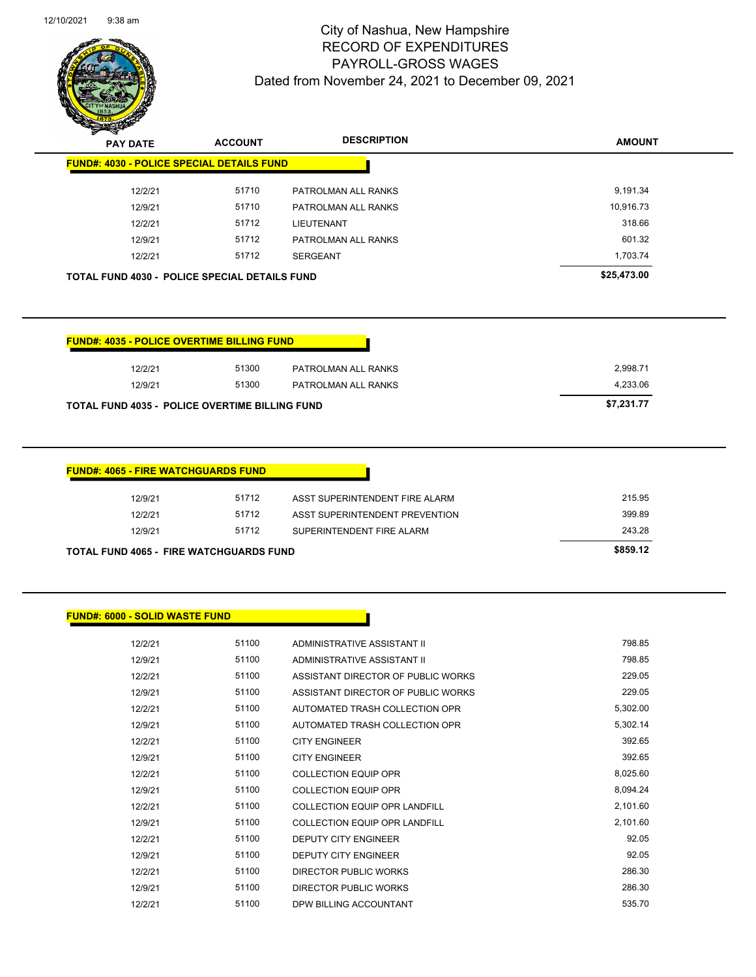

| $\boldsymbol{z}$<br>$\sim$<br><b>PAY DATE</b>        | <b>ACCOUNT</b> | <b>DESCRIPTION</b>  | <b>AMOUNT</b> |
|------------------------------------------------------|----------------|---------------------|---------------|
| <b>FUND#: 4030 - POLICE SPECIAL DETAILS FUND</b>     |                |                     |               |
| 12/2/21                                              | 51710          | PATROLMAN ALL RANKS | 9,191.34      |
| 12/9/21                                              | 51710          | PATROLMAN ALL RANKS | 10,916.73     |
| 12/2/21                                              | 51712          | <b>LIEUTENANT</b>   | 318.66        |
| 12/9/21                                              | 51712          | PATROLMAN ALL RANKS | 601.32        |
| 12/2/21                                              | 51712          | SERGEANT            | 1.703.74      |
| <b>TOTAL FUND 4030 - POLICE SPECIAL DETAILS FUND</b> |                |                     | \$25,473.00   |

| <b>FUND#: 4035 - POLICE OVERTIME BILLING FUND</b>     |       |                     |            |
|-------------------------------------------------------|-------|---------------------|------------|
| 12/2/21                                               | 51300 | PATROLMAN ALL RANKS | 2.998.71   |
| 12/9/21                                               | 51300 | PATROLMAN ALL RANKS | 4.233.06   |
| <b>TOTAL FUND 4035 - POLICE OVERTIME BILLING FUND</b> |       |                     | \$7,231.77 |

| 12/9/21 | 51712 | ASST SUPERINTENDENT FIRE ALARM | 215.95 |
|---------|-------|--------------------------------|--------|
| 12/2/21 | 51712 | ASST SUPERINTENDENT PREVENTION | 399.89 |
| 12/9/21 | 51712 | SUPERINTENDENT FIRE ALARM      | 243.28 |

### **FUND#: 6000 - SOLID WASTE FUND**

| 12/2/21 | 51100 | ADMINISTRATIVE ASSISTANT II          | 798.85   |
|---------|-------|--------------------------------------|----------|
| 12/9/21 | 51100 | ADMINISTRATIVE ASSISTANT II          | 798.85   |
| 12/2/21 | 51100 | ASSISTANT DIRECTOR OF PUBLIC WORKS   | 229.05   |
| 12/9/21 | 51100 | ASSISTANT DIRECTOR OF PUBLIC WORKS   | 229.05   |
| 12/2/21 | 51100 | AUTOMATED TRASH COLLECTION OPR       | 5,302.00 |
| 12/9/21 | 51100 | AUTOMATED TRASH COLLECTION OPR       | 5,302.14 |
| 12/2/21 | 51100 | <b>CITY ENGINEER</b>                 | 392.65   |
| 12/9/21 | 51100 | <b>CITY ENGINEER</b>                 | 392.65   |
| 12/2/21 | 51100 | <b>COLLECTION EQUIP OPR</b>          | 8,025.60 |
| 12/9/21 | 51100 | <b>COLLECTION EQUIP OPR</b>          | 8,094.24 |
| 12/2/21 | 51100 | <b>COLLECTION EQUIP OPR LANDFILL</b> | 2,101.60 |
| 12/9/21 | 51100 | <b>COLLECTION EQUIP OPR LANDFILL</b> | 2,101.60 |
| 12/2/21 | 51100 | <b>DEPUTY CITY ENGINEER</b>          | 92.05    |
| 12/9/21 | 51100 | <b>DEPUTY CITY ENGINEER</b>          | 92.05    |
| 12/2/21 | 51100 | DIRECTOR PUBLIC WORKS                | 286.30   |
| 12/9/21 | 51100 | DIRECTOR PUBLIC WORKS                | 286.30   |
| 12/2/21 | 51100 | DPW BILLING ACCOUNTANT               | 535.70   |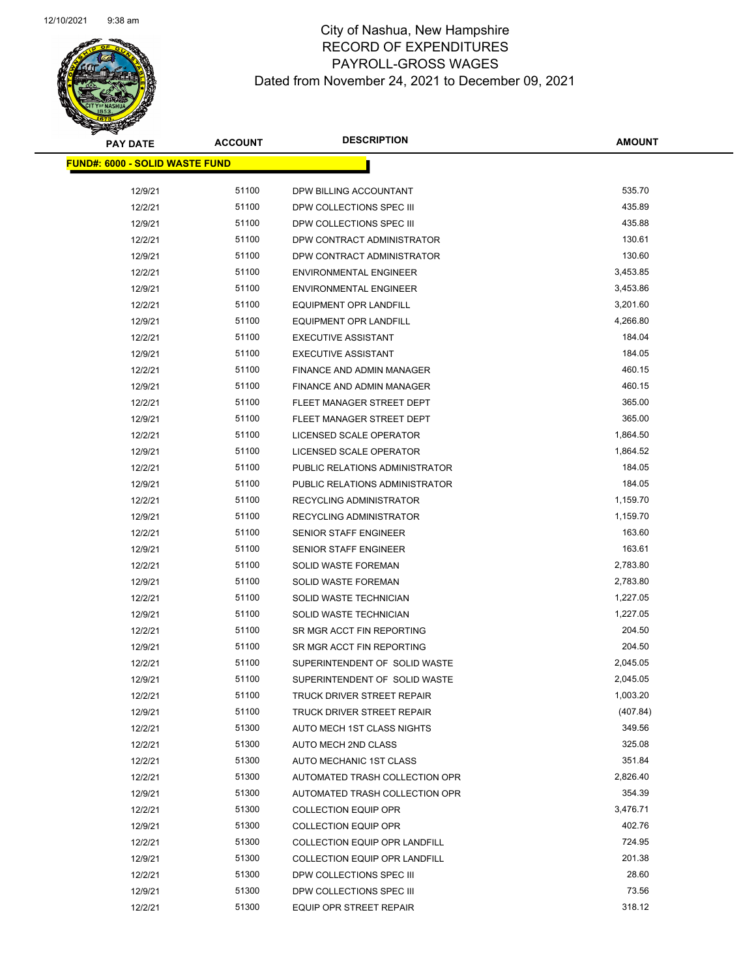

| <b>PAY DATE</b>                       | <b>ACCOUNT</b> | <b>DESCRIPTION</b>                   | <b>AMOUNT</b> |
|---------------------------------------|----------------|--------------------------------------|---------------|
| <b>FUND#: 6000 - SOLID WASTE FUND</b> |                |                                      |               |
| 12/9/21                               | 51100          | DPW BILLING ACCOUNTANT               | 535.70        |
| 12/2/21                               | 51100          | DPW COLLECTIONS SPEC III             | 435.89        |
| 12/9/21                               | 51100          | DPW COLLECTIONS SPEC III             | 435.88        |
| 12/2/21                               | 51100          | DPW CONTRACT ADMINISTRATOR           | 130.61        |
| 12/9/21                               | 51100          | DPW CONTRACT ADMINISTRATOR           | 130.60        |
| 12/2/21                               | 51100          | <b>ENVIRONMENTAL ENGINEER</b>        | 3,453.85      |
| 12/9/21                               | 51100          | <b>ENVIRONMENTAL ENGINEER</b>        | 3,453.86      |
| 12/2/21                               | 51100          | <b>EQUIPMENT OPR LANDFILL</b>        | 3,201.60      |
| 12/9/21                               | 51100          | EQUIPMENT OPR LANDFILL               | 4,266.80      |
| 12/2/21                               | 51100          | <b>EXECUTIVE ASSISTANT</b>           | 184.04        |
| 12/9/21                               | 51100          | <b>EXECUTIVE ASSISTANT</b>           | 184.05        |
| 12/2/21                               | 51100          | FINANCE AND ADMIN MANAGER            | 460.15        |
| 12/9/21                               | 51100          | FINANCE AND ADMIN MANAGER            | 460.15        |
| 12/2/21                               | 51100          | FLEET MANAGER STREET DEPT            | 365.00        |
| 12/9/21                               | 51100          | FLEET MANAGER STREET DEPT            | 365.00        |
| 12/2/21                               | 51100          | LICENSED SCALE OPERATOR              | 1,864.50      |
| 12/9/21                               | 51100          | LICENSED SCALE OPERATOR              | 1,864.52      |
| 12/2/21                               | 51100          | PUBLIC RELATIONS ADMINISTRATOR       | 184.05        |
| 12/9/21                               | 51100          | PUBLIC RELATIONS ADMINISTRATOR       | 184.05        |
| 12/2/21                               | 51100          | RECYCLING ADMINISTRATOR              | 1,159.70      |
| 12/9/21                               | 51100          | RECYCLING ADMINISTRATOR              | 1,159.70      |
| 12/2/21                               | 51100          | SENIOR STAFF ENGINEER                | 163.60        |
| 12/9/21                               | 51100          | SENIOR STAFF ENGINEER                | 163.61        |
| 12/2/21                               | 51100          | <b>SOLID WASTE FOREMAN</b>           | 2,783.80      |
| 12/9/21                               | 51100          | <b>SOLID WASTE FOREMAN</b>           | 2,783.80      |
| 12/2/21                               | 51100          | SOLID WASTE TECHNICIAN               | 1,227.05      |
| 12/9/21                               | 51100          | SOLID WASTE TECHNICIAN               | 1,227.05      |
| 12/2/21                               | 51100          | SR MGR ACCT FIN REPORTING            | 204.50        |
| 12/9/21                               | 51100          | SR MGR ACCT FIN REPORTING            | 204.50        |
| 12/2/21                               | 51100          | SUPERINTENDENT OF SOLID WASTE        | 2,045.05      |
| 12/9/21                               | 51100          | SUPERINTENDENT OF SOLID WASTE        | 2,045.05      |
| 12/2/21                               | 51100          | TRUCK DRIVER STREET REPAIR           | 1,003.20      |
| 12/9/21                               | 51100          | TRUCK DRIVER STREET REPAIR           | (407.84)      |
| 12/2/21                               | 51300          | AUTO MECH 1ST CLASS NIGHTS           | 349.56        |
| 12/2/21                               | 51300          | AUTO MECH 2ND CLASS                  | 325.08        |
| 12/2/21                               | 51300          | AUTO MECHANIC 1ST CLASS              | 351.84        |
| 12/2/21                               | 51300          | AUTOMATED TRASH COLLECTION OPR       | 2,826.40      |
| 12/9/21                               | 51300          | AUTOMATED TRASH COLLECTION OPR       | 354.39        |
| 12/2/21                               | 51300          | <b>COLLECTION EQUIP OPR</b>          | 3,476.71      |
| 12/9/21                               | 51300          | <b>COLLECTION EQUIP OPR</b>          | 402.76        |
| 12/2/21                               | 51300          | <b>COLLECTION EQUIP OPR LANDFILL</b> | 724.95        |
| 12/9/21                               | 51300          | <b>COLLECTION EQUIP OPR LANDFILL</b> | 201.38        |
| 12/2/21                               | 51300          | DPW COLLECTIONS SPEC III             | 28.60         |
| 12/9/21                               | 51300          | DPW COLLECTIONS SPEC III             | 73.56         |
| 12/2/21                               | 51300          | EQUIP OPR STREET REPAIR              | 318.12        |
|                                       |                |                                      |               |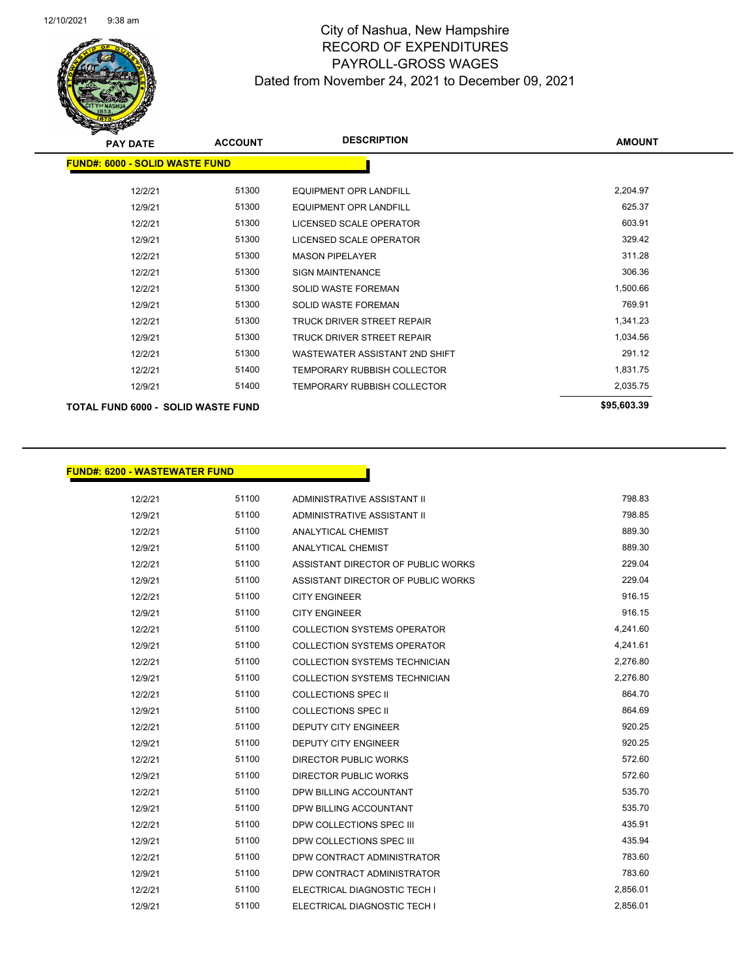

| <b>PAY DATE</b>                           | <b>ACCOUNT</b> | <b>DESCRIPTION</b>             | <b>AMOUNT</b> |
|-------------------------------------------|----------------|--------------------------------|---------------|
| <b>FUND#: 6000 - SOLID WASTE FUND</b>     |                |                                |               |
| 12/2/21                                   | 51300          | <b>EQUIPMENT OPR LANDFILL</b>  | 2,204.97      |
| 12/9/21                                   | 51300          | <b>EQUIPMENT OPR LANDFILL</b>  | 625.37        |
| 12/2/21                                   | 51300          | LICENSED SCALE OPERATOR        | 603.91        |
| 12/9/21                                   | 51300          | LICENSED SCALE OPERATOR        | 329.42        |
| 12/2/21                                   | 51300          | <b>MASON PIPELAYER</b>         | 311.28        |
| 12/2/21                                   | 51300          | <b>SIGN MAINTENANCE</b>        | 306.36        |
| 12/2/21                                   | 51300          | <b>SOLID WASTE FOREMAN</b>     | 1,500.66      |
| 12/9/21                                   | 51300          | <b>SOLID WASTE FOREMAN</b>     | 769.91        |
| 12/2/21                                   | 51300          | TRUCK DRIVER STREET REPAIR     | 1,341.23      |
| 12/9/21                                   | 51300          | TRUCK DRIVER STREET REPAIR     | 1,034.56      |
| 12/2/21                                   | 51300          | WASTEWATER ASSISTANT 2ND SHIFT | 291.12        |
| 12/2/21                                   | 51400          | TEMPORARY RUBBISH COLLECTOR    | 1,831.75      |
| 12/9/21                                   | 51400          | TEMPORARY RUBBISH COLLECTOR    | 2,035.75      |
| <b>TOTAL FUND 6000 - SOLID WASTE FUND</b> |                |                                | \$95,603.39   |

#### **FUND#: 6200 - WASTEWATER FUND**

12/2/21 51100 ADMINISTRATIVE ASSISTANT II 798.83 12/9/21 51100 ADMINISTRATIVE ASSISTANT II 798.85 12/2/21 51100 ANALYTICAL CHEMIST 889.30 12/9/21 51100 ANALYTICAL CHEMIST 889.30 12/2/21 51100 ASSISTANT DIRECTOR OF PUBLIC WORKS 229.04 12/9/21 51100 ASSISTANT DIRECTOR OF PUBLIC WORKS 229.04 12/2/21 51100 CITY ENGINEER 916.15 12/9/21 51100 CITY ENGINEER 916.15 12/2/21 51100 COLLECTION SYSTEMS OPERATOR 4,241.60 12/9/21 51100 COLLECTION SYSTEMS OPERATOR 4,241.61 12/2/21 51100 COLLECTION SYSTEMS TECHNICIAN 2,276.80 12/9/21 51100 COLLECTION SYSTEMS TECHNICIAN 2,276.80 12/2/21 51100 COLLECTIONS SPEC II 864.70 12/9/21 51100 COLLECTIONS SPEC II 864.69 12/2/21 51100 DEPUTY CITY ENGINEER 920.25 12/9/21 51100 DEPUTY CITY ENGINEER 920.25 12/2/21 51100 DIRECTOR PUBLIC WORKS 572.60 12/9/21 51100 DIRECTOR PUBLIC WORKS 572.60 12/2/21 51100 DPW BILLING ACCOUNTANT 535.70 12/9/21 51100 DPW BILLING ACCOUNTANT 535.70 12/2/21 51100 DPW COLLECTIONS SPEC III 435.91 12/9/21 51100 DPW COLLECTIONS SPEC III 435.94 12/2/21 51100 DPW CONTRACT ADMINISTRATOR 783.60 12/9/21 51100 DPW CONTRACT ADMINISTRATOR 783.60 12/2/21 51100 ELECTRICAL DIAGNOSTIC TECH I 2,856.01 12/9/21 51100 ELECTRICAL DIAGNOSTIC TECH I 2,856.01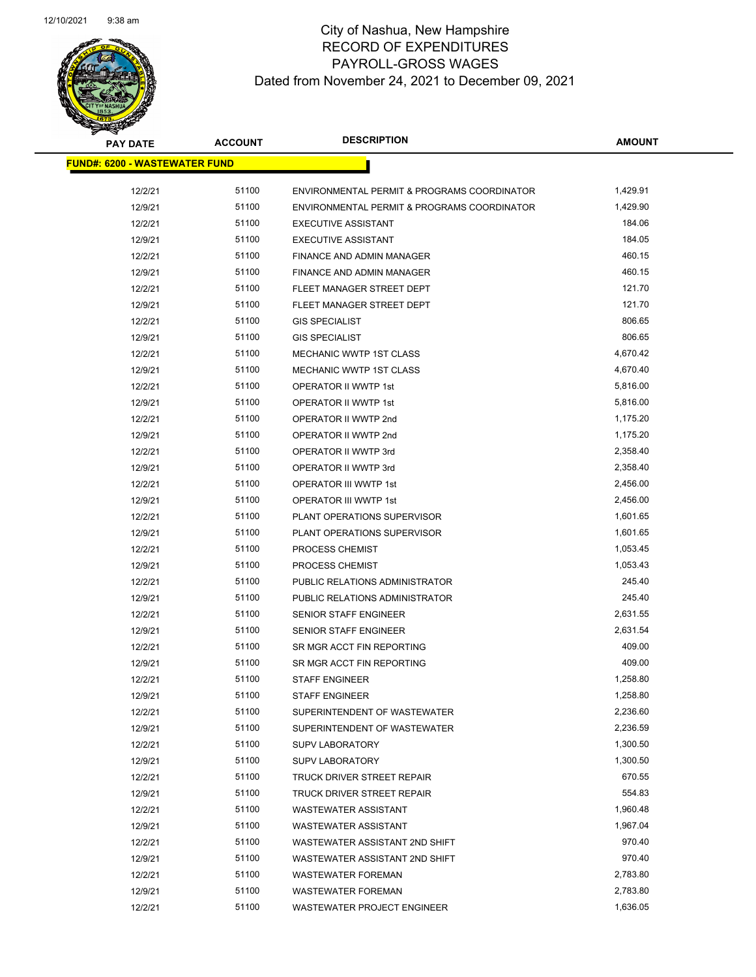

| <b>PAY DATE</b>                      | <b>ACCOUNT</b> | <b>DESCRIPTION</b>                          | <b>AMOUNT</b> |
|--------------------------------------|----------------|---------------------------------------------|---------------|
| <b>FUND#: 6200 - WASTEWATER FUND</b> |                |                                             |               |
| 12/2/21                              | 51100          | ENVIRONMENTAL PERMIT & PROGRAMS COORDINATOR | 1,429.91      |
| 12/9/21                              | 51100          | ENVIRONMENTAL PERMIT & PROGRAMS COORDINATOR | 1,429.90      |
| 12/2/21                              | 51100          | <b>EXECUTIVE ASSISTANT</b>                  | 184.06        |
| 12/9/21                              | 51100          | <b>EXECUTIVE ASSISTANT</b>                  | 184.05        |
| 12/2/21                              | 51100          | FINANCE AND ADMIN MANAGER                   | 460.15        |
| 12/9/21                              | 51100          | FINANCE AND ADMIN MANAGER                   | 460.15        |
| 12/2/21                              | 51100          | FLEET MANAGER STREET DEPT                   | 121.70        |
| 12/9/21                              | 51100          | FLEET MANAGER STREET DEPT                   | 121.70        |
| 12/2/21                              | 51100          | <b>GIS SPECIALIST</b>                       | 806.65        |
| 12/9/21                              | 51100          | <b>GIS SPECIALIST</b>                       | 806.65        |
| 12/2/21                              | 51100          | <b>MECHANIC WWTP 1ST CLASS</b>              | 4,670.42      |
| 12/9/21                              | 51100          | MECHANIC WWTP 1ST CLASS                     | 4,670.40      |
| 12/2/21                              | 51100          | OPERATOR II WWTP 1st                        | 5,816.00      |
| 12/9/21                              | 51100          | OPERATOR II WWTP 1st                        | 5,816.00      |
| 12/2/21                              | 51100          | OPERATOR II WWTP 2nd                        | 1,175.20      |
| 12/9/21                              | 51100          | OPERATOR II WWTP 2nd                        | 1,175.20      |
| 12/2/21                              | 51100          | OPERATOR II WWTP 3rd                        | 2,358.40      |
| 12/9/21                              | 51100          | OPERATOR II WWTP 3rd                        | 2,358.40      |
| 12/2/21                              | 51100          | OPERATOR III WWTP 1st                       | 2,456.00      |
| 12/9/21                              | 51100          | OPERATOR III WWTP 1st                       | 2,456.00      |
| 12/2/21                              | 51100          | PLANT OPERATIONS SUPERVISOR                 | 1,601.65      |
| 12/9/21                              | 51100          | PLANT OPERATIONS SUPERVISOR                 | 1,601.65      |
| 12/2/21                              | 51100          | PROCESS CHEMIST                             | 1,053.45      |
| 12/9/21                              | 51100          | PROCESS CHEMIST                             | 1,053.43      |
| 12/2/21                              | 51100          | PUBLIC RELATIONS ADMINISTRATOR              | 245.40        |
| 12/9/21                              | 51100          | PUBLIC RELATIONS ADMINISTRATOR              | 245.40        |
| 12/2/21                              | 51100          | SENIOR STAFF ENGINEER                       | 2,631.55      |
| 12/9/21                              | 51100          | SENIOR STAFF ENGINEER                       | 2,631.54      |
| 12/2/21                              | 51100          | SR MGR ACCT FIN REPORTING                   | 409.00        |
| 12/9/21                              | 51100          | SR MGR ACCT FIN REPORTING                   | 409.00        |
| 12/2/21                              | 51100          | <b>STAFF ENGINEER</b>                       | 1,258.80      |
| 12/9/21                              | 51100          | <b>STAFF ENGINEER</b>                       | 1,258.80      |
| 12/2/21                              | 51100          | SUPERINTENDENT OF WASTEWATER                | 2,236.60      |
| 12/9/21                              | 51100          | SUPERINTENDENT OF WASTEWATER                | 2,236.59      |
| 12/2/21                              | 51100          | <b>SUPV LABORATORY</b>                      | 1,300.50      |
| 12/9/21                              | 51100          | <b>SUPV LABORATORY</b>                      | 1,300.50      |
| 12/2/21                              | 51100          | TRUCK DRIVER STREET REPAIR                  | 670.55        |
| 12/9/21                              | 51100          | TRUCK DRIVER STREET REPAIR                  | 554.83        |
| 12/2/21                              | 51100          | <b>WASTEWATER ASSISTANT</b>                 | 1,960.48      |
| 12/9/21                              | 51100          | <b>WASTEWATER ASSISTANT</b>                 | 1,967.04      |
| 12/2/21                              | 51100          | WASTEWATER ASSISTANT 2ND SHIFT              | 970.40        |
| 12/9/21                              | 51100          | WASTEWATER ASSISTANT 2ND SHIFT              | 970.40        |
| 12/2/21                              | 51100          | <b>WASTEWATER FOREMAN</b>                   | 2,783.80      |
| 12/9/21                              | 51100          | <b>WASTEWATER FOREMAN</b>                   | 2,783.80      |
| 12/2/21                              | 51100          | WASTEWATER PROJECT ENGINEER                 | 1,636.05      |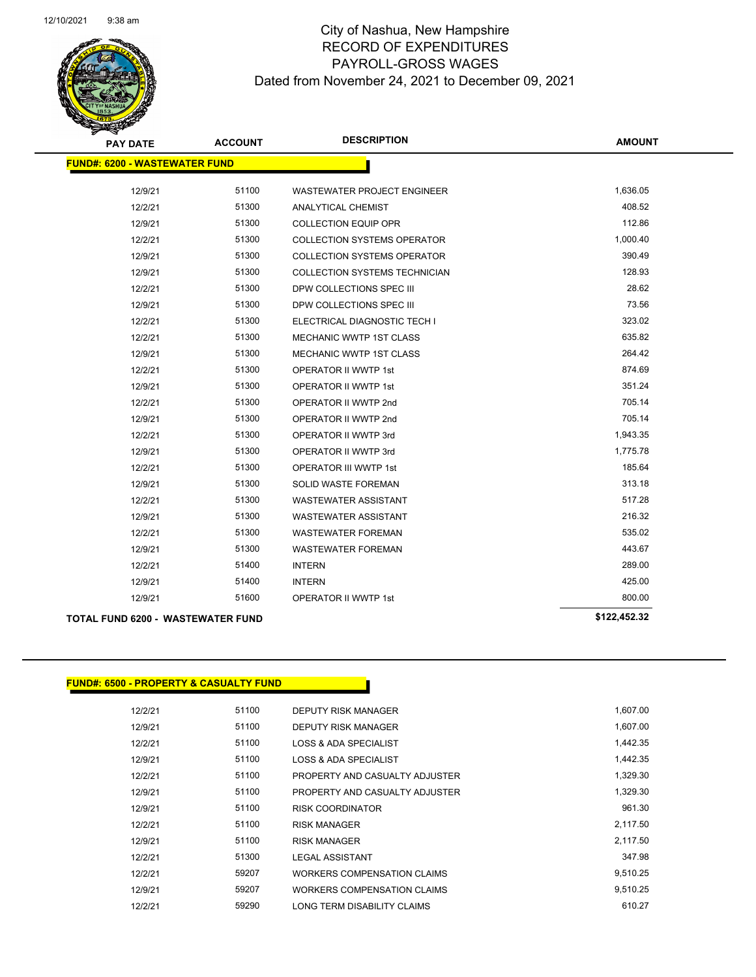

| <b>PAY DATE</b>                      | <b>ACCOUNT</b> | <b>DESCRIPTION</b>                   | <b>AMOUNT</b> |
|--------------------------------------|----------------|--------------------------------------|---------------|
| <b>FUND#: 6200 - WASTEWATER FUND</b> |                |                                      |               |
| 12/9/21                              | 51100          | WASTEWATER PROJECT ENGINEER          | 1,636.05      |
| 12/2/21                              | 51300          | <b>ANALYTICAL CHEMIST</b>            | 408.52        |
| 12/9/21                              | 51300          | <b>COLLECTION EQUIP OPR</b>          | 112.86        |
| 12/2/21                              | 51300          | <b>COLLECTION SYSTEMS OPERATOR</b>   | 1,000.40      |
| 12/9/21                              | 51300          | <b>COLLECTION SYSTEMS OPERATOR</b>   | 390.49        |
| 12/9/21                              | 51300          | <b>COLLECTION SYSTEMS TECHNICIAN</b> | 128.93        |
| 12/2/21                              | 51300          | DPW COLLECTIONS SPEC III             | 28.62         |
| 12/9/21                              | 51300          | DPW COLLECTIONS SPEC III             | 73.56         |
| 12/2/21                              | 51300          | ELECTRICAL DIAGNOSTIC TECH I         | 323.02        |
| 12/2/21                              | 51300          | <b>MECHANIC WWTP 1ST CLASS</b>       | 635.82        |
| 12/9/21                              | 51300          | <b>MECHANIC WWTP 1ST CLASS</b>       | 264.42        |
| 12/2/21                              | 51300          | <b>OPERATOR II WWTP 1st</b>          | 874.69        |
| 12/9/21                              | 51300          | <b>OPERATOR II WWTP 1st</b>          | 351.24        |
| 12/2/21                              | 51300          | OPERATOR II WWTP 2nd                 | 705.14        |
| 12/9/21                              | 51300          | OPERATOR II WWTP 2nd                 | 705.14        |
| 12/2/21                              | 51300          | OPERATOR II WWTP 3rd                 | 1,943.35      |
| 12/9/21                              | 51300          | OPERATOR II WWTP 3rd                 | 1,775.78      |
| 12/2/21                              | 51300          | <b>OPERATOR III WWTP 1st</b>         | 185.64        |
| 12/9/21                              | 51300          | <b>SOLID WASTE FOREMAN</b>           | 313.18        |
| 12/2/21                              | 51300          | <b>WASTEWATER ASSISTANT</b>          | 517.28        |
| 12/9/21                              | 51300          | <b>WASTEWATER ASSISTANT</b>          | 216.32        |
| 12/2/21                              | 51300          | <b>WASTEWATER FOREMAN</b>            | 535.02        |
| 12/9/21                              | 51300          | <b>WASTEWATER FOREMAN</b>            | 443.67        |
| 12/2/21                              | 51400          | <b>INTERN</b>                        | 289.00        |
| 12/9/21                              | 51400          | <b>INTERN</b>                        | 425.00        |
| 12/9/21                              | 51600          | <b>OPERATOR II WWTP 1st</b>          | 800.00        |
| TOTAL FUND 6200 - WASTEWATER FUND    |                |                                      | \$122,452.32  |

### **FUND#: 6500 - PROPERTY & CASUALTY FUND**

| 12/2/21 | 51100 | DEPUTY RISK MANAGER            | 1,607.00 |
|---------|-------|--------------------------------|----------|
| 12/9/21 | 51100 | <b>DEPUTY RISK MANAGER</b>     | 1,607.00 |
| 12/2/21 | 51100 | LOSS & ADA SPECIALIST          | 1,442.35 |
| 12/9/21 | 51100 | LOSS & ADA SPECIALIST          | 1.442.35 |
| 12/2/21 | 51100 | PROPERTY AND CASUALTY ADJUSTER | 1,329.30 |
| 12/9/21 | 51100 | PROPERTY AND CASUALTY ADJUSTER | 1.329.30 |
| 12/9/21 | 51100 | <b>RISK COORDINATOR</b>        | 961.30   |
| 12/2/21 | 51100 | <b>RISK MANAGER</b>            | 2,117.50 |
| 12/9/21 | 51100 | <b>RISK MANAGER</b>            | 2,117.50 |
| 12/2/21 | 51300 | <b>LEGAL ASSISTANT</b>         | 347.98   |
| 12/2/21 | 59207 | WORKERS COMPENSATION CLAIMS    | 9.510.25 |
| 12/9/21 | 59207 | WORKERS COMPENSATION CLAIMS    | 9.510.25 |
| 12/2/21 | 59290 | LONG TERM DISABILITY CLAIMS    | 610.27   |